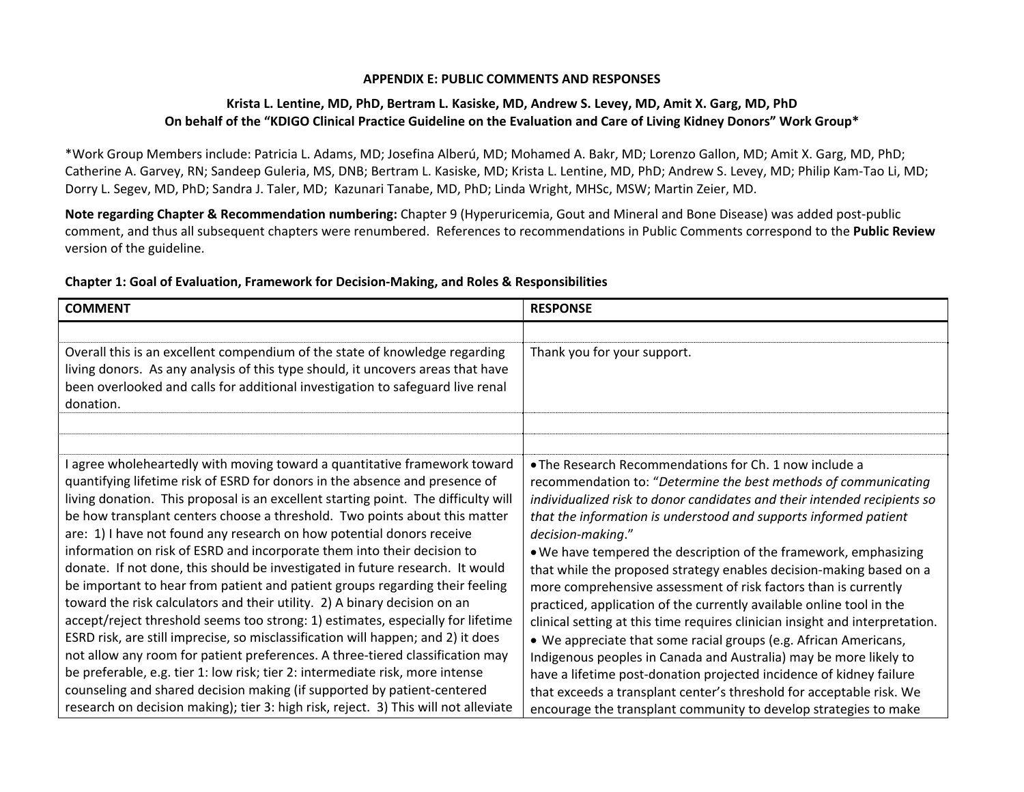#### **APPENDIX E: PUBLIC COMMENTS AND RESPONSES**

## **Krista L. Lentine, MD, PhD, Bertram L. Kasiske, MD, Andrew S. Levey, MD, Amit X. Garg, MD, PhD** On behalf of the "KDIGO Clinical Practice Guideline on the Evaluation and Care of Living Kidney Donors" Work Group\*

\*Work Group Members include: Patricia L. Adams, MD; Josefina Alberú, MD; Mohamed A. Bakr, MD; Lorenzo Gallon, MD; Amit X. Garg, MD, PhD; Catherine A. Garvey, RN; Sandeep Guleria, MS, DNB; Bertram L. Kasiske, MD; Krista L. Lentine, MD, PhD; Andrew S. Levey, MD; Philip Kam‐Tao Li, MD; Dorry L. Segev, MD, PhD; Sandra J. Taler, MD; Kazunari Tanabe, MD, PhD; Linda Wright, MHSc, MSW; Martin Zeier, MD.

**Note regarding Chapter & Recommendation numbering:** Chapter 9 (Hyperuricemia, Gout and Mineral and Bone Disease) was added post‐public comment, and thus all subsequent chapters were renumbered. References to recommendations in Public Comments correspond to the **Public Review** version of the guideline.

### **Chapter 1: Goal of Evaluation, Framework for Decision‐Making, and Roles & Responsibilities**

| <b>COMMENT</b>                                                                                                                                                    | <b>RESPONSE</b>                                                                                                                             |
|-------------------------------------------------------------------------------------------------------------------------------------------------------------------|---------------------------------------------------------------------------------------------------------------------------------------------|
|                                                                                                                                                                   |                                                                                                                                             |
| Overall this is an excellent compendium of the state of knowledge regarding<br>living donors. As any analysis of this type should, it uncovers areas that have    | Thank you for your support.                                                                                                                 |
| been overlooked and calls for additional investigation to safeguard live renal                                                                                    |                                                                                                                                             |
| donation.                                                                                                                                                         |                                                                                                                                             |
|                                                                                                                                                                   |                                                                                                                                             |
|                                                                                                                                                                   |                                                                                                                                             |
| agree wholeheartedly with moving toward a quantitative framework toward                                                                                           | . The Research Recommendations for Ch. 1 now include a                                                                                      |
| quantifying lifetime risk of ESRD for donors in the absence and presence of<br>living donation. This proposal is an excellent starting point. The difficulty will | recommendation to: "Determine the best methods of communicating<br>individualized risk to donor candidates and their intended recipients so |
| be how transplant centers choose a threshold. Two points about this matter                                                                                        | that the information is understood and supports informed patient                                                                            |
| are: 1) I have not found any research on how potential donors receive                                                                                             | decision-making."                                                                                                                           |
| information on risk of ESRD and incorporate them into their decision to                                                                                           | . We have tempered the description of the framework, emphasizing                                                                            |
| donate. If not done, this should be investigated in future research. It would                                                                                     | that while the proposed strategy enables decision-making based on a                                                                         |
| be important to hear from patient and patient groups regarding their feeling<br>toward the risk calculators and their utility. 2) A binary decision on an         | more comprehensive assessment of risk factors than is currently<br>practiced, application of the currently available online tool in the     |
| accept/reject threshold seems too strong: 1) estimates, especially for lifetime                                                                                   | clinical setting at this time requires clinician insight and interpretation.                                                                |
| ESRD risk, are still imprecise, so misclassification will happen; and 2) it does                                                                                  | • We appreciate that some racial groups (e.g. African Americans,                                                                            |
| not allow any room for patient preferences. A three-tiered classification may                                                                                     | Indigenous peoples in Canada and Australia) may be more likely to                                                                           |
| be preferable, e.g. tier 1: low risk; tier 2: intermediate risk, more intense                                                                                     | have a lifetime post-donation projected incidence of kidney failure                                                                         |
| counseling and shared decision making (if supported by patient-centered                                                                                           | that exceeds a transplant center's threshold for acceptable risk. We                                                                        |
| research on decision making); tier 3: high risk, reject. 3) This will not alleviate                                                                               | encourage the transplant community to develop strategies to make                                                                            |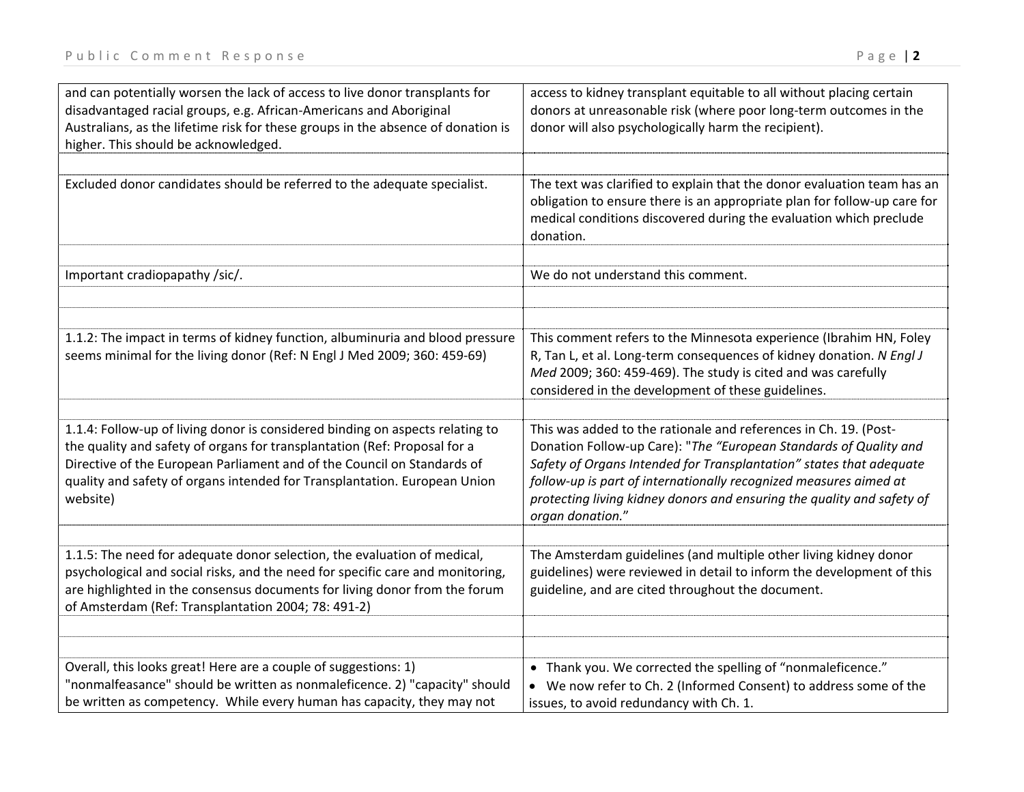| and can potentially worsen the lack of access to live donor transplants for<br>disadvantaged racial groups, e.g. African-Americans and Aboriginal<br>Australians, as the lifetime risk for these groups in the absence of donation is<br>higher. This should be acknowledged.                                                  | access to kidney transplant equitable to all without placing certain<br>donors at unreasonable risk (where poor long-term outcomes in the<br>donor will also psychologically harm the recipient).                                                                                                                                                                               |
|--------------------------------------------------------------------------------------------------------------------------------------------------------------------------------------------------------------------------------------------------------------------------------------------------------------------------------|---------------------------------------------------------------------------------------------------------------------------------------------------------------------------------------------------------------------------------------------------------------------------------------------------------------------------------------------------------------------------------|
| Excluded donor candidates should be referred to the adequate specialist.                                                                                                                                                                                                                                                       | The text was clarified to explain that the donor evaluation team has an<br>obligation to ensure there is an appropriate plan for follow-up care for<br>medical conditions discovered during the evaluation which preclude<br>donation.                                                                                                                                          |
| Important cradiopapathy /sic/.                                                                                                                                                                                                                                                                                                 | We do not understand this comment.                                                                                                                                                                                                                                                                                                                                              |
| 1.1.2: The impact in terms of kidney function, albuminuria and blood pressure<br>seems minimal for the living donor (Ref: N Engl J Med 2009; 360: 459-69)                                                                                                                                                                      | This comment refers to the Minnesota experience (Ibrahim HN, Foley<br>R, Tan L, et al. Long-term consequences of kidney donation. N Engl J<br>Med 2009; 360: 459-469). The study is cited and was carefully<br>considered in the development of these guidelines.                                                                                                               |
| 1.1.4: Follow-up of living donor is considered binding on aspects relating to<br>the quality and safety of organs for transplantation (Ref: Proposal for a<br>Directive of the European Parliament and of the Council on Standards of<br>quality and safety of organs intended for Transplantation. European Union<br>website) | This was added to the rationale and references in Ch. 19. (Post-<br>Donation Follow-up Care): "The "European Standards of Quality and<br>Safety of Organs Intended for Transplantation" states that adequate<br>follow-up is part of internationally recognized measures aimed at<br>protecting living kidney donors and ensuring the quality and safety of<br>organ donation." |
| 1.1.5: The need for adequate donor selection, the evaluation of medical,<br>psychological and social risks, and the need for specific care and monitoring,<br>are highlighted in the consensus documents for living donor from the forum<br>of Amsterdam (Ref: Transplantation 2004; 78: 491-2)                                | The Amsterdam guidelines (and multiple other living kidney donor<br>guidelines) were reviewed in detail to inform the development of this<br>guideline, and are cited throughout the document.                                                                                                                                                                                  |
| Overall, this looks great! Here are a couple of suggestions: 1)<br>"nonmalfeasance" should be written as nonmaleficence. 2) "capacity" should<br>be written as competency. While every human has capacity, they may not                                                                                                        | • Thank you. We corrected the spelling of "nonmaleficence."<br>We now refer to Ch. 2 (Informed Consent) to address some of the<br>issues, to avoid redundancy with Ch. 1.                                                                                                                                                                                                       |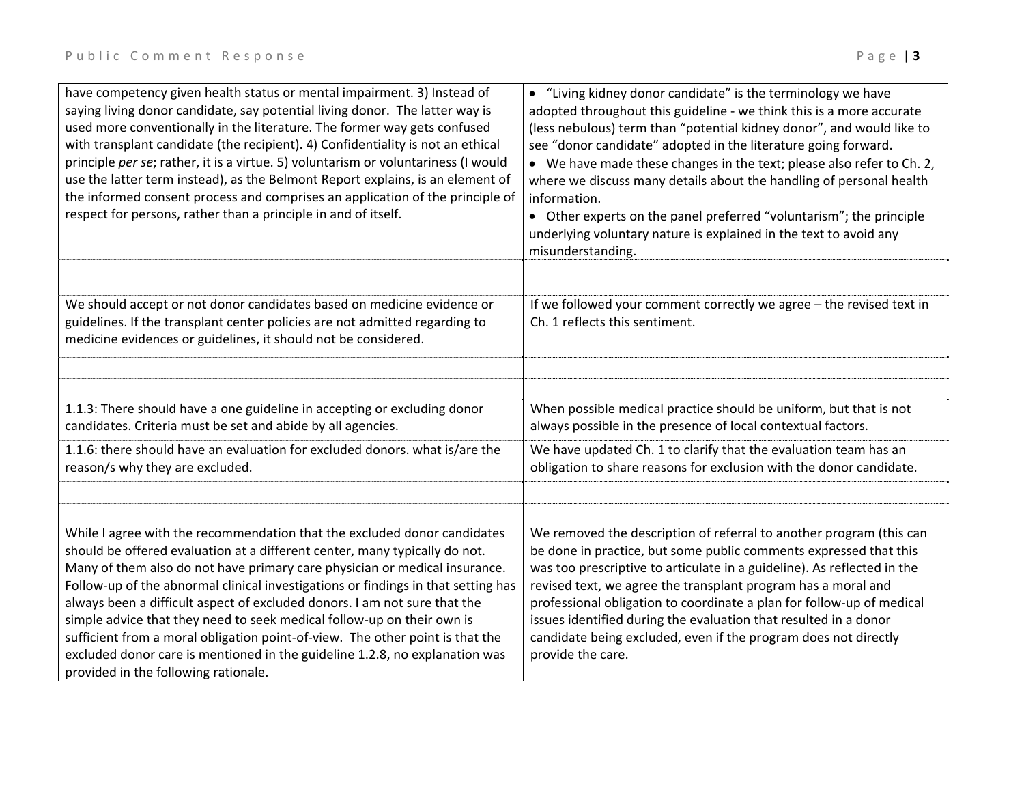| have competency given health status or mental impairment. 3) Instead of<br>saying living donor candidate, say potential living donor. The latter way is<br>used more conventionally in the literature. The former way gets confused<br>with transplant candidate (the recipient). 4) Confidentiality is not an ethical<br>principle per se; rather, it is a virtue. 5) voluntarism or voluntariness (I would<br>use the latter term instead), as the Belmont Report explains, is an element of<br>the informed consent process and comprises an application of the principle of<br>respect for persons, rather than a principle in and of itself.                                        | • "Living kidney donor candidate" is the terminology we have<br>adopted throughout this guideline - we think this is a more accurate<br>(less nebulous) term than "potential kidney donor", and would like to<br>see "donor candidate" adopted in the literature going forward.<br>• We have made these changes in the text; please also refer to Ch. 2,<br>where we discuss many details about the handling of personal health<br>information.<br>• Other experts on the panel preferred "voluntarism"; the principle<br>underlying voluntary nature is explained in the text to avoid any<br>misunderstanding. |
|------------------------------------------------------------------------------------------------------------------------------------------------------------------------------------------------------------------------------------------------------------------------------------------------------------------------------------------------------------------------------------------------------------------------------------------------------------------------------------------------------------------------------------------------------------------------------------------------------------------------------------------------------------------------------------------|------------------------------------------------------------------------------------------------------------------------------------------------------------------------------------------------------------------------------------------------------------------------------------------------------------------------------------------------------------------------------------------------------------------------------------------------------------------------------------------------------------------------------------------------------------------------------------------------------------------|
|                                                                                                                                                                                                                                                                                                                                                                                                                                                                                                                                                                                                                                                                                          |                                                                                                                                                                                                                                                                                                                                                                                                                                                                                                                                                                                                                  |
| We should accept or not donor candidates based on medicine evidence or<br>guidelines. If the transplant center policies are not admitted regarding to<br>medicine evidences or guidelines, it should not be considered.                                                                                                                                                                                                                                                                                                                                                                                                                                                                  | If we followed your comment correctly we agree - the revised text in<br>Ch. 1 reflects this sentiment.                                                                                                                                                                                                                                                                                                                                                                                                                                                                                                           |
|                                                                                                                                                                                                                                                                                                                                                                                                                                                                                                                                                                                                                                                                                          |                                                                                                                                                                                                                                                                                                                                                                                                                                                                                                                                                                                                                  |
|                                                                                                                                                                                                                                                                                                                                                                                                                                                                                                                                                                                                                                                                                          |                                                                                                                                                                                                                                                                                                                                                                                                                                                                                                                                                                                                                  |
| 1.1.3: There should have a one guideline in accepting or excluding donor<br>candidates. Criteria must be set and abide by all agencies.                                                                                                                                                                                                                                                                                                                                                                                                                                                                                                                                                  | When possible medical practice should be uniform, but that is not<br>always possible in the presence of local contextual factors.                                                                                                                                                                                                                                                                                                                                                                                                                                                                                |
| 1.1.6: there should have an evaluation for excluded donors. what is/are the<br>reason/s why they are excluded.                                                                                                                                                                                                                                                                                                                                                                                                                                                                                                                                                                           | We have updated Ch. 1 to clarify that the evaluation team has an<br>obligation to share reasons for exclusion with the donor candidate.                                                                                                                                                                                                                                                                                                                                                                                                                                                                          |
|                                                                                                                                                                                                                                                                                                                                                                                                                                                                                                                                                                                                                                                                                          |                                                                                                                                                                                                                                                                                                                                                                                                                                                                                                                                                                                                                  |
|                                                                                                                                                                                                                                                                                                                                                                                                                                                                                                                                                                                                                                                                                          |                                                                                                                                                                                                                                                                                                                                                                                                                                                                                                                                                                                                                  |
| While I agree with the recommendation that the excluded donor candidates<br>should be offered evaluation at a different center, many typically do not.<br>Many of them also do not have primary care physician or medical insurance.<br>Follow-up of the abnormal clinical investigations or findings in that setting has<br>always been a difficult aspect of excluded donors. I am not sure that the<br>simple advice that they need to seek medical follow-up on their own is<br>sufficient from a moral obligation point-of-view. The other point is that the<br>excluded donor care is mentioned in the guideline 1.2.8, no explanation was<br>provided in the following rationale. | We removed the description of referral to another program (this can<br>be done in practice, but some public comments expressed that this<br>was too prescriptive to articulate in a guideline). As reflected in the<br>revised text, we agree the transplant program has a moral and<br>professional obligation to coordinate a plan for follow-up of medical<br>issues identified during the evaluation that resulted in a donor<br>candidate being excluded, even if the program does not directly<br>provide the care.                                                                                        |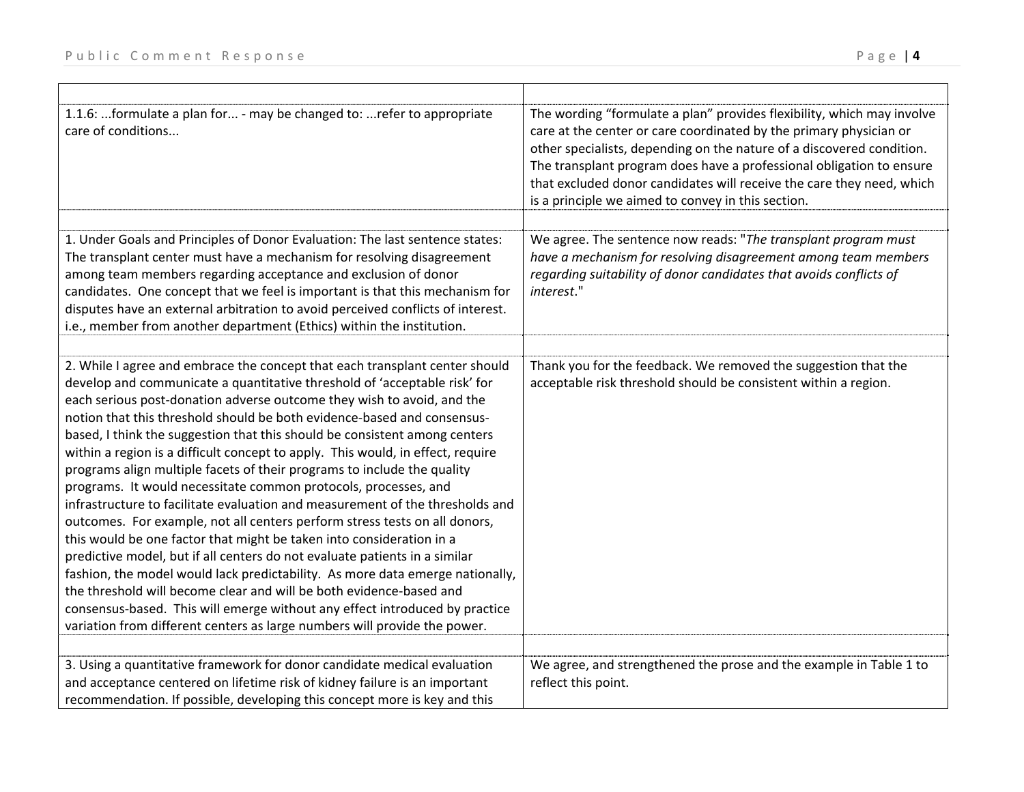| 1.1.6: formulate a plan for - may be changed to: refer to appropriate<br>care of conditions                                                                                                                                                                                                                                                                                                                                                                                                                                                                                                                                                                                                                                                                                                                                                                                                                                                                                                                                                                                                                                                                                            | The wording "formulate a plan" provides flexibility, which may involve<br>care at the center or care coordinated by the primary physician or<br>other specialists, depending on the nature of a discovered condition.<br>The transplant program does have a professional obligation to ensure<br>that excluded donor candidates will receive the care they need, which<br>is a principle we aimed to convey in this section. |
|----------------------------------------------------------------------------------------------------------------------------------------------------------------------------------------------------------------------------------------------------------------------------------------------------------------------------------------------------------------------------------------------------------------------------------------------------------------------------------------------------------------------------------------------------------------------------------------------------------------------------------------------------------------------------------------------------------------------------------------------------------------------------------------------------------------------------------------------------------------------------------------------------------------------------------------------------------------------------------------------------------------------------------------------------------------------------------------------------------------------------------------------------------------------------------------|------------------------------------------------------------------------------------------------------------------------------------------------------------------------------------------------------------------------------------------------------------------------------------------------------------------------------------------------------------------------------------------------------------------------------|
| 1. Under Goals and Principles of Donor Evaluation: The last sentence states:                                                                                                                                                                                                                                                                                                                                                                                                                                                                                                                                                                                                                                                                                                                                                                                                                                                                                                                                                                                                                                                                                                           | We agree. The sentence now reads: "The transplant program must                                                                                                                                                                                                                                                                                                                                                               |
| The transplant center must have a mechanism for resolving disagreement<br>among team members regarding acceptance and exclusion of donor<br>candidates. One concept that we feel is important is that this mechanism for<br>disputes have an external arbitration to avoid perceived conflicts of interest.<br>i.e., member from another department (Ethics) within the institution.                                                                                                                                                                                                                                                                                                                                                                                                                                                                                                                                                                                                                                                                                                                                                                                                   | have a mechanism for resolving disagreement among team members<br>regarding suitability of donor candidates that avoids conflicts of<br>interest."                                                                                                                                                                                                                                                                           |
| 2. While I agree and embrace the concept that each transplant center should                                                                                                                                                                                                                                                                                                                                                                                                                                                                                                                                                                                                                                                                                                                                                                                                                                                                                                                                                                                                                                                                                                            | Thank you for the feedback. We removed the suggestion that the                                                                                                                                                                                                                                                                                                                                                               |
| develop and communicate a quantitative threshold of 'acceptable risk' for<br>each serious post-donation adverse outcome they wish to avoid, and the<br>notion that this threshold should be both evidence-based and consensus-<br>based, I think the suggestion that this should be consistent among centers<br>within a region is a difficult concept to apply. This would, in effect, require<br>programs align multiple facets of their programs to include the quality<br>programs. It would necessitate common protocols, processes, and<br>infrastructure to facilitate evaluation and measurement of the thresholds and<br>outcomes. For example, not all centers perform stress tests on all donors,<br>this would be one factor that might be taken into consideration in a<br>predictive model, but if all centers do not evaluate patients in a similar<br>fashion, the model would lack predictability. As more data emerge nationally,<br>the threshold will become clear and will be both evidence-based and<br>consensus-based. This will emerge without any effect introduced by practice<br>variation from different centers as large numbers will provide the power. | acceptable risk threshold should be consistent within a region.                                                                                                                                                                                                                                                                                                                                                              |
|                                                                                                                                                                                                                                                                                                                                                                                                                                                                                                                                                                                                                                                                                                                                                                                                                                                                                                                                                                                                                                                                                                                                                                                        |                                                                                                                                                                                                                                                                                                                                                                                                                              |
| 3. Using a quantitative framework for donor candidate medical evaluation<br>and acceptance centered on lifetime risk of kidney failure is an important<br>recommendation. If possible, developing this concept more is key and this                                                                                                                                                                                                                                                                                                                                                                                                                                                                                                                                                                                                                                                                                                                                                                                                                                                                                                                                                    | We agree, and strengthened the prose and the example in Table 1 to<br>reflect this point.                                                                                                                                                                                                                                                                                                                                    |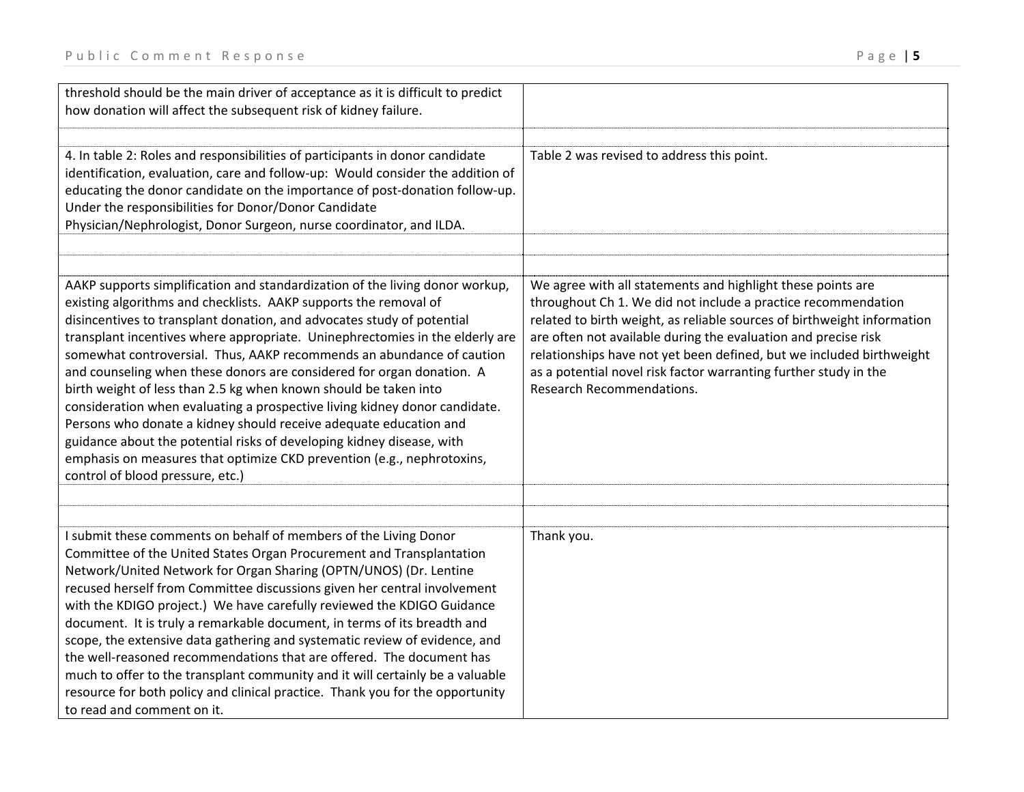| threshold should be the main driver of acceptance as it is difficult to predict<br>how donation will affect the subsequent risk of kidney failure.                                                                                                                                                                                                                                                                                                                                                                                                                                                                                                                                                                                                                                                                                                                         |                                                                                                                                                                                                                                                                                                                                                                                                                                                           |
|----------------------------------------------------------------------------------------------------------------------------------------------------------------------------------------------------------------------------------------------------------------------------------------------------------------------------------------------------------------------------------------------------------------------------------------------------------------------------------------------------------------------------------------------------------------------------------------------------------------------------------------------------------------------------------------------------------------------------------------------------------------------------------------------------------------------------------------------------------------------------|-----------------------------------------------------------------------------------------------------------------------------------------------------------------------------------------------------------------------------------------------------------------------------------------------------------------------------------------------------------------------------------------------------------------------------------------------------------|
| 4. In table 2: Roles and responsibilities of participants in donor candidate<br>identification, evaluation, care and follow-up: Would consider the addition of<br>educating the donor candidate on the importance of post-donation follow-up.<br>Under the responsibilities for Donor/Donor Candidate<br>Physician/Nephrologist, Donor Surgeon, nurse coordinator, and ILDA.                                                                                                                                                                                                                                                                                                                                                                                                                                                                                               | Table 2 was revised to address this point.                                                                                                                                                                                                                                                                                                                                                                                                                |
| AAKP supports simplification and standardization of the living donor workup,<br>existing algorithms and checklists. AAKP supports the removal of<br>disincentives to transplant donation, and advocates study of potential<br>transplant incentives where appropriate. Uninephrectomies in the elderly are<br>somewhat controversial. Thus, AAKP recommends an abundance of caution<br>and counseling when these donors are considered for organ donation. A<br>birth weight of less than 2.5 kg when known should be taken into<br>consideration when evaluating a prospective living kidney donor candidate.<br>Persons who donate a kidney should receive adequate education and<br>guidance about the potential risks of developing kidney disease, with<br>emphasis on measures that optimize CKD prevention (e.g., nephrotoxins,<br>control of blood pressure, etc.) | We agree with all statements and highlight these points are<br>throughout Ch 1. We did not include a practice recommendation<br>related to birth weight, as reliable sources of birthweight information<br>are often not available during the evaluation and precise risk<br>relationships have not yet been defined, but we included birthweight<br>as a potential novel risk factor warranting further study in the<br><b>Research Recommendations.</b> |
|                                                                                                                                                                                                                                                                                                                                                                                                                                                                                                                                                                                                                                                                                                                                                                                                                                                                            |                                                                                                                                                                                                                                                                                                                                                                                                                                                           |
| I submit these comments on behalf of members of the Living Donor<br>Committee of the United States Organ Procurement and Transplantation<br>Network/United Network for Organ Sharing (OPTN/UNOS) (Dr. Lentine<br>recused herself from Committee discussions given her central involvement<br>with the KDIGO project.) We have carefully reviewed the KDIGO Guidance<br>document. It is truly a remarkable document, in terms of its breadth and<br>scope, the extensive data gathering and systematic review of evidence, and<br>the well-reasoned recommendations that are offered. The document has<br>much to offer to the transplant community and it will certainly be a valuable<br>resource for both policy and clinical practice. Thank you for the opportunity<br>to read and comment on it.                                                                      | Thank you.                                                                                                                                                                                                                                                                                                                                                                                                                                                |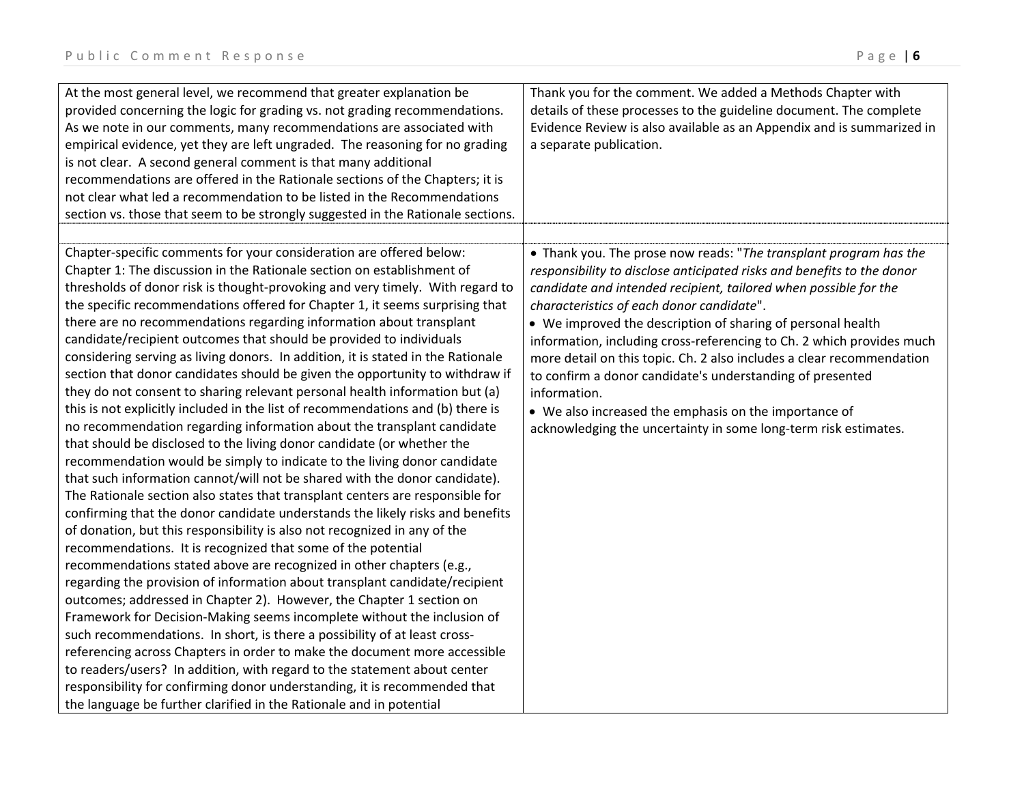| At the most general level, we recommend that greater explanation be<br>provided concerning the logic for grading vs. not grading recommendations.<br>As we note in our comments, many recommendations are associated with<br>empirical evidence, yet they are left ungraded. The reasoning for no grading<br>is not clear. A second general comment is that many additional<br>recommendations are offered in the Rationale sections of the Chapters; it is<br>not clear what led a recommendation to be listed in the Recommendations<br>section vs. those that seem to be strongly suggested in the Rationale sections.                                                                                                                                                                                                                                                                                                                                                                                                                                                                                                                                                                                                                                                                                                                                                                                                                                                                                                                                                                                                                                                                                                                                                                                                                                                                                                                                                                                                                                                                                                           | Thank you for the comment. We added a Methods Chapter with<br>details of these processes to the guideline document. The complete<br>Evidence Review is also available as an Appendix and is summarized in<br>a separate publication.                                                                                                                                                                                                                                                                                                                                                                                                                                                   |
|-------------------------------------------------------------------------------------------------------------------------------------------------------------------------------------------------------------------------------------------------------------------------------------------------------------------------------------------------------------------------------------------------------------------------------------------------------------------------------------------------------------------------------------------------------------------------------------------------------------------------------------------------------------------------------------------------------------------------------------------------------------------------------------------------------------------------------------------------------------------------------------------------------------------------------------------------------------------------------------------------------------------------------------------------------------------------------------------------------------------------------------------------------------------------------------------------------------------------------------------------------------------------------------------------------------------------------------------------------------------------------------------------------------------------------------------------------------------------------------------------------------------------------------------------------------------------------------------------------------------------------------------------------------------------------------------------------------------------------------------------------------------------------------------------------------------------------------------------------------------------------------------------------------------------------------------------------------------------------------------------------------------------------------------------------------------------------------------------------------------------------------|----------------------------------------------------------------------------------------------------------------------------------------------------------------------------------------------------------------------------------------------------------------------------------------------------------------------------------------------------------------------------------------------------------------------------------------------------------------------------------------------------------------------------------------------------------------------------------------------------------------------------------------------------------------------------------------|
| Chapter-specific comments for your consideration are offered below:<br>Chapter 1: The discussion in the Rationale section on establishment of<br>thresholds of donor risk is thought-provoking and very timely. With regard to<br>the specific recommendations offered for Chapter 1, it seems surprising that<br>there are no recommendations regarding information about transplant<br>candidate/recipient outcomes that should be provided to individuals<br>considering serving as living donors. In addition, it is stated in the Rationale<br>section that donor candidates should be given the opportunity to withdraw if<br>they do not consent to sharing relevant personal health information but (a)<br>this is not explicitly included in the list of recommendations and (b) there is<br>no recommendation regarding information about the transplant candidate<br>that should be disclosed to the living donor candidate (or whether the<br>recommendation would be simply to indicate to the living donor candidate<br>that such information cannot/will not be shared with the donor candidate).<br>The Rationale section also states that transplant centers are responsible for<br>confirming that the donor candidate understands the likely risks and benefits<br>of donation, but this responsibility is also not recognized in any of the<br>recommendations. It is recognized that some of the potential<br>recommendations stated above are recognized in other chapters (e.g.,<br>regarding the provision of information about transplant candidate/recipient<br>outcomes; addressed in Chapter 2). However, the Chapter 1 section on<br>Framework for Decision-Making seems incomplete without the inclusion of<br>such recommendations. In short, is there a possibility of at least cross-<br>referencing across Chapters in order to make the document more accessible<br>to readers/users? In addition, with regard to the statement about center<br>responsibility for confirming donor understanding, it is recommended that<br>the language be further clarified in the Rationale and in potential | • Thank you. The prose now reads: "The transplant program has the<br>responsibility to disclose anticipated risks and benefits to the donor<br>candidate and intended recipient, tailored when possible for the<br>characteristics of each donor candidate".<br>• We improved the description of sharing of personal health<br>information, including cross-referencing to Ch. 2 which provides much<br>more detail on this topic. Ch. 2 also includes a clear recommendation<br>to confirm a donor candidate's understanding of presented<br>information.<br>• We also increased the emphasis on the importance of<br>acknowledging the uncertainty in some long-term risk estimates. |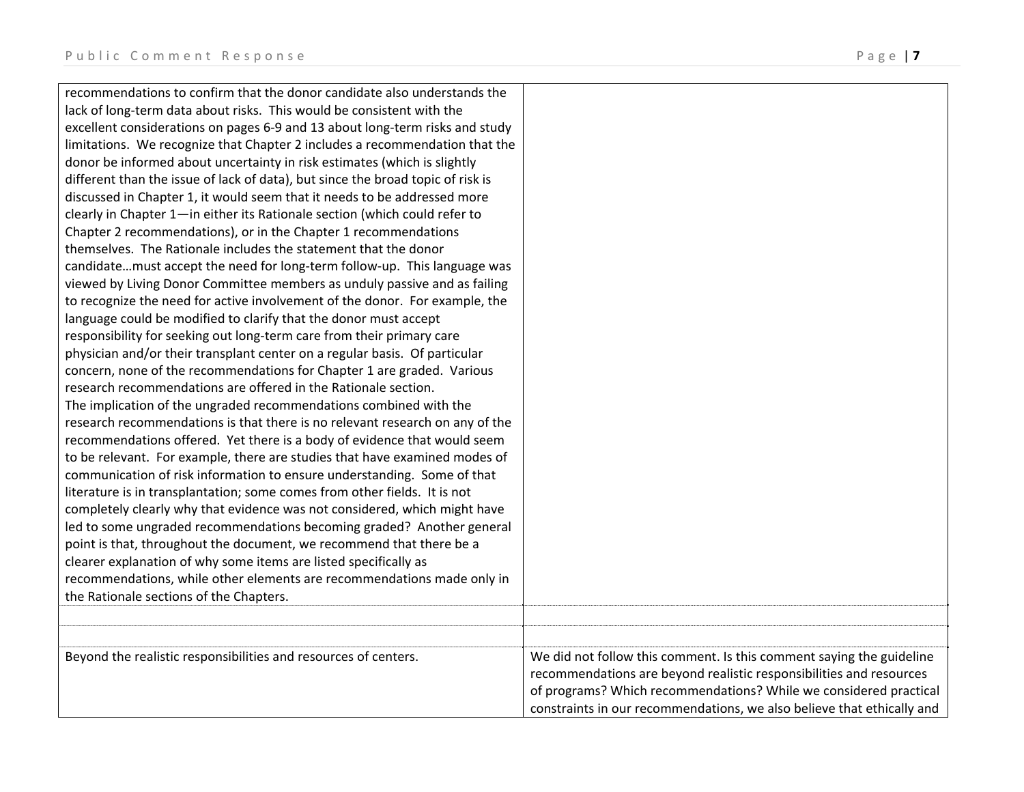recommendations to confirm that the donor candidate also understands the lack of long‐term data about risks. This would be consistent with the excellent considerations on pages 6‐9 and 13 about long‐term risks and study limitations. We recognize that Chapter 2 includes <sup>a</sup> recommendation that the donor be informed about uncertainty in risk estimates (which is slightly different than the issue of lack of data), but since the broad topic of risk is discussed in Chapter 1, it would seem that it needs to be addressed more clearly in Chapter 1—in either its Rationale section (which could refer to Chapter 2 recommendations), or in the Chapter 1 recommendations themselves. The Rationale includes the statement that the donor candidate…must accept the need for long‐term follow‐up. This language was viewed by Living Donor Committee members as unduly passive and as failing to recognize the need for active involvement of the donor. For example, the language could be modified to clarify that the donor must accept responsibility for seeking out long‐term care from their primary care physician and/or their transplant center on <sup>a</sup> regular basis. Of particular concern, none of the recommendations for Chapter 1 are graded. Various research recommendations are offered in the Rationale section. The implication of the ungraded recommendations combined with the research recommendations is that there is no relevant research on any of the recommendations offered. Yet there is <sup>a</sup> body of evidence that would seem to be relevant. For example, there are studies that have examined modes of communication of risk information to ensure understanding. Some of that literature is in transplantation; some comes from other fields. It is not completely clearly why that evidence was not considered, which might have led to some ungraded recommendations becoming graded? Another general point is that, throughout the document, we recommend that there be <sup>a</sup> clearer explanation of why some items are listed specifically as recommendations, while other elements are recommendations made only in the Rationale sections of the Chapters. Beyond the realistic responsibilities and resources of centers. We did not follow this comment. Is this comment saying the guideline recommendations are beyond realistic responsibilities and resources of programs? Which recommendations? While we considered practical constraints in our recommendations, we also believe that ethically and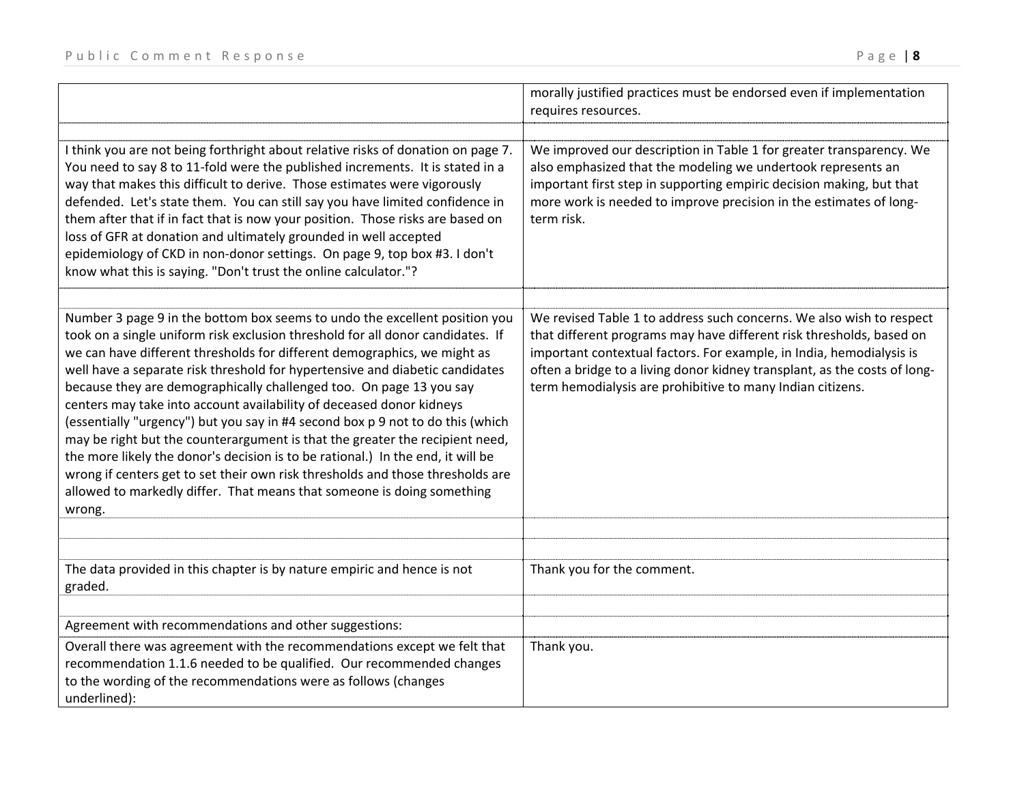|                                                                                                                                                                                                                                                                                                                                                                                                                                                                                                                                                                                                                                                                                                                                                                                                                                                                                                    | morally justified practices must be endorsed even if implementation<br>requires resources.                                                                                                                                                                                                                                                                      |
|----------------------------------------------------------------------------------------------------------------------------------------------------------------------------------------------------------------------------------------------------------------------------------------------------------------------------------------------------------------------------------------------------------------------------------------------------------------------------------------------------------------------------------------------------------------------------------------------------------------------------------------------------------------------------------------------------------------------------------------------------------------------------------------------------------------------------------------------------------------------------------------------------|-----------------------------------------------------------------------------------------------------------------------------------------------------------------------------------------------------------------------------------------------------------------------------------------------------------------------------------------------------------------|
| I think you are not being forthright about relative risks of donation on page 7.<br>You need to say 8 to 11-fold were the published increments. It is stated in a<br>way that makes this difficult to derive. Those estimates were vigorously<br>defended. Let's state them. You can still say you have limited confidence in<br>them after that if in fact that is now your position. Those risks are based on<br>loss of GFR at donation and ultimately grounded in well accepted<br>epidemiology of CKD in non-donor settings. On page 9, top box #3. I don't<br>know what this is saying. "Don't trust the online calculator."?                                                                                                                                                                                                                                                                | We improved our description in Table 1 for greater transparency. We<br>also emphasized that the modeling we undertook represents an<br>important first step in supporting empiric decision making, but that<br>more work is needed to improve precision in the estimates of long-<br>term risk.                                                                 |
| Number 3 page 9 in the bottom box seems to undo the excellent position you<br>took on a single uniform risk exclusion threshold for all donor candidates. If<br>we can have different thresholds for different demographics, we might as<br>well have a separate risk threshold for hypertensive and diabetic candidates<br>because they are demographically challenged too. On page 13 you say<br>centers may take into account availability of deceased donor kidneys<br>(essentially "urgency") but you say in #4 second box p 9 not to do this (which<br>may be right but the counterargument is that the greater the recipient need,<br>the more likely the donor's decision is to be rational.) In the end, it will be<br>wrong if centers get to set their own risk thresholds and those thresholds are<br>allowed to markedly differ. That means that someone is doing something<br>wrong. | We revised Table 1 to address such concerns. We also wish to respect<br>that different programs may have different risk thresholds, based on<br>important contextual factors. For example, in India, hemodialysis is<br>often a bridge to a living donor kidney transplant, as the costs of long-<br>term hemodialysis are prohibitive to many Indian citizens. |
| The data provided in this chapter is by nature empiric and hence is not<br>graded.                                                                                                                                                                                                                                                                                                                                                                                                                                                                                                                                                                                                                                                                                                                                                                                                                 | Thank you for the comment.                                                                                                                                                                                                                                                                                                                                      |
| Agreement with recommendations and other suggestions:<br>Overall there was agreement with the recommendations except we felt that<br>recommendation 1.1.6 needed to be qualified. Our recommended changes<br>to the wording of the recommendations were as follows (changes<br>underlined):                                                                                                                                                                                                                                                                                                                                                                                                                                                                                                                                                                                                        | Thank you.                                                                                                                                                                                                                                                                                                                                                      |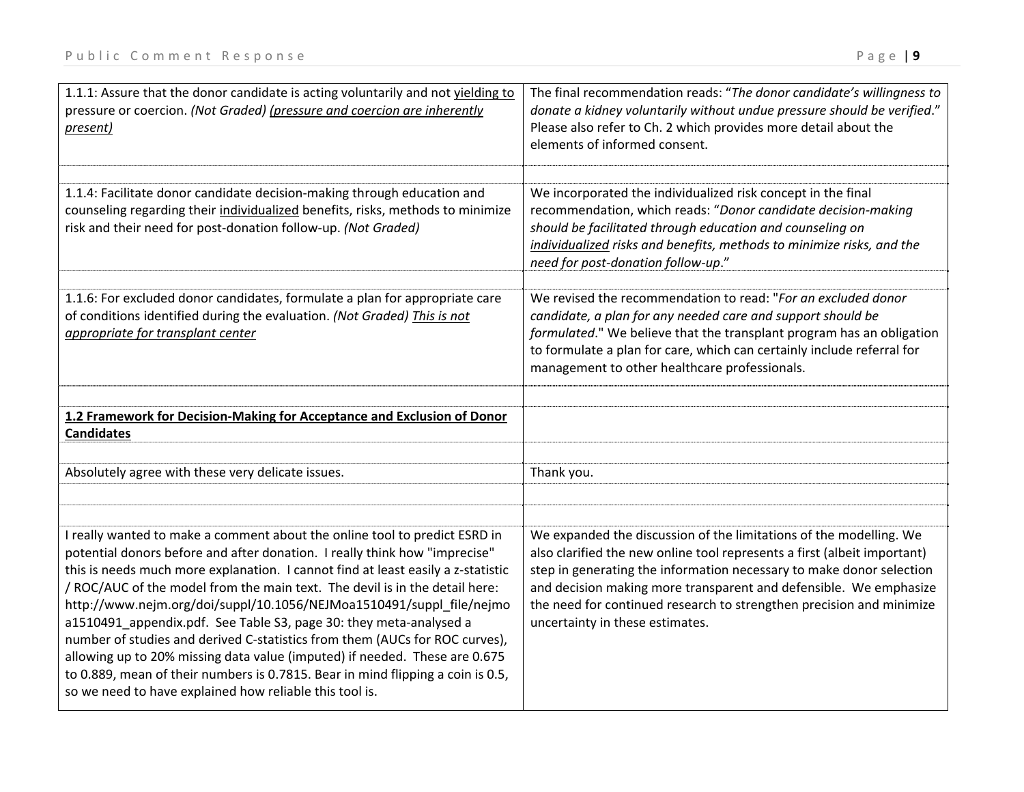| 1.1.1: Assure that the donor candidate is acting voluntarily and not yielding to<br>pressure or coercion. (Not Graded) (pressure and coercion are inherently<br>present)                                                                                                                                                                                                                                                                                                                                                                                                                                                                                                                                                                                                             | The final recommendation reads: "The donor candidate's willingness to<br>donate a kidney voluntarily without undue pressure should be verified."<br>Please also refer to Ch. 2 which provides more detail about the<br>elements of informed consent.                                                                                                                                                   |
|--------------------------------------------------------------------------------------------------------------------------------------------------------------------------------------------------------------------------------------------------------------------------------------------------------------------------------------------------------------------------------------------------------------------------------------------------------------------------------------------------------------------------------------------------------------------------------------------------------------------------------------------------------------------------------------------------------------------------------------------------------------------------------------|--------------------------------------------------------------------------------------------------------------------------------------------------------------------------------------------------------------------------------------------------------------------------------------------------------------------------------------------------------------------------------------------------------|
| 1.1.4: Facilitate donor candidate decision-making through education and<br>counseling regarding their individualized benefits, risks, methods to minimize<br>risk and their need for post-donation follow-up. (Not Graded)                                                                                                                                                                                                                                                                                                                                                                                                                                                                                                                                                           | We incorporated the individualized risk concept in the final<br>recommendation, which reads: "Donor candidate decision-making<br>should be facilitated through education and counseling on<br>individualized risks and benefits, methods to minimize risks, and the<br>need for post-donation follow-up."                                                                                              |
| 1.1.6: For excluded donor candidates, formulate a plan for appropriate care<br>of conditions identified during the evaluation. (Not Graded) This is not<br>appropriate for transplant center                                                                                                                                                                                                                                                                                                                                                                                                                                                                                                                                                                                         | We revised the recommendation to read: "For an excluded donor<br>candidate, a plan for any needed care and support should be<br>formulated." We believe that the transplant program has an obligation<br>to formulate a plan for care, which can certainly include referral for<br>management to other healthcare professionals.                                                                       |
| 1.2 Framework for Decision-Making for Acceptance and Exclusion of Donor                                                                                                                                                                                                                                                                                                                                                                                                                                                                                                                                                                                                                                                                                                              |                                                                                                                                                                                                                                                                                                                                                                                                        |
| <b>Candidates</b>                                                                                                                                                                                                                                                                                                                                                                                                                                                                                                                                                                                                                                                                                                                                                                    |                                                                                                                                                                                                                                                                                                                                                                                                        |
| Absolutely agree with these very delicate issues.                                                                                                                                                                                                                                                                                                                                                                                                                                                                                                                                                                                                                                                                                                                                    | Thank you.                                                                                                                                                                                                                                                                                                                                                                                             |
|                                                                                                                                                                                                                                                                                                                                                                                                                                                                                                                                                                                                                                                                                                                                                                                      |                                                                                                                                                                                                                                                                                                                                                                                                        |
|                                                                                                                                                                                                                                                                                                                                                                                                                                                                                                                                                                                                                                                                                                                                                                                      |                                                                                                                                                                                                                                                                                                                                                                                                        |
| I really wanted to make a comment about the online tool to predict ESRD in<br>potential donors before and after donation. I really think how "imprecise"<br>this is needs much more explanation. I cannot find at least easily a z-statistic<br>/ ROC/AUC of the model from the main text. The devil is in the detail here:<br>http://www.nejm.org/doi/suppl/10.1056/NEJMoa1510491/suppl_file/nejmo<br>a1510491_appendix.pdf. See Table S3, page 30: they meta-analysed a<br>number of studies and derived C-statistics from them (AUCs for ROC curves),<br>allowing up to 20% missing data value (imputed) if needed. These are 0.675<br>to 0.889, mean of their numbers is 0.7815. Bear in mind flipping a coin is 0.5,<br>so we need to have explained how reliable this tool is. | We expanded the discussion of the limitations of the modelling. We<br>also clarified the new online tool represents a first (albeit important)<br>step in generating the information necessary to make donor selection<br>and decision making more transparent and defensible. We emphasize<br>the need for continued research to strengthen precision and minimize<br>uncertainty in these estimates. |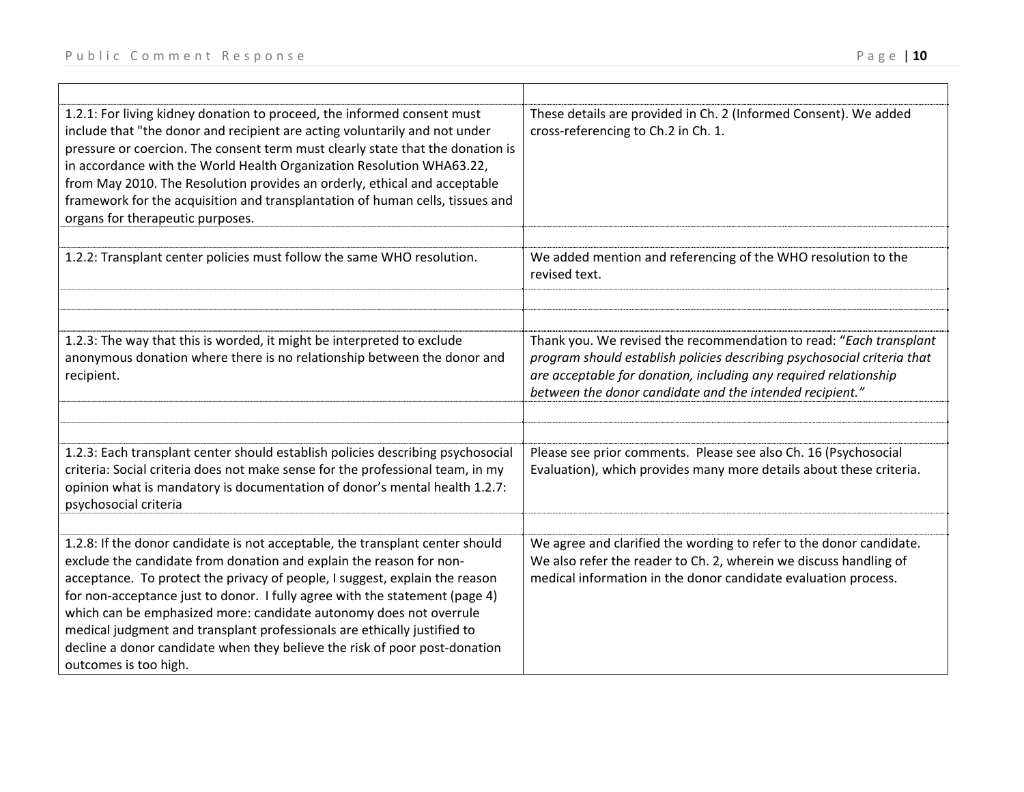| 1.2.1: For living kidney donation to proceed, the informed consent must<br>include that "the donor and recipient are acting voluntarily and not under<br>pressure or coercion. The consent term must clearly state that the donation is<br>in accordance with the World Health Organization Resolution WHA63.22,<br>from May 2010. The Resolution provides an orderly, ethical and acceptable<br>framework for the acquisition and transplantation of human cells, tissues and<br>organs for therapeutic purposes.                                                          | These details are provided in Ch. 2 (Informed Consent). We added<br>cross-referencing to Ch.2 in Ch. 1.                                                                                                                                                                       |
|-----------------------------------------------------------------------------------------------------------------------------------------------------------------------------------------------------------------------------------------------------------------------------------------------------------------------------------------------------------------------------------------------------------------------------------------------------------------------------------------------------------------------------------------------------------------------------|-------------------------------------------------------------------------------------------------------------------------------------------------------------------------------------------------------------------------------------------------------------------------------|
|                                                                                                                                                                                                                                                                                                                                                                                                                                                                                                                                                                             |                                                                                                                                                                                                                                                                               |
| 1.2.2: Transplant center policies must follow the same WHO resolution.                                                                                                                                                                                                                                                                                                                                                                                                                                                                                                      | We added mention and referencing of the WHO resolution to the<br>revised text.                                                                                                                                                                                                |
|                                                                                                                                                                                                                                                                                                                                                                                                                                                                                                                                                                             |                                                                                                                                                                                                                                                                               |
|                                                                                                                                                                                                                                                                                                                                                                                                                                                                                                                                                                             |                                                                                                                                                                                                                                                                               |
| 1.2.3: The way that this is worded, it might be interpreted to exclude<br>anonymous donation where there is no relationship between the donor and<br>recipient.                                                                                                                                                                                                                                                                                                                                                                                                             | Thank you. We revised the recommendation to read: "Each transplant<br>program should establish policies describing psychosocial criteria that<br>are acceptable for donation, including any required relationship<br>between the donor candidate and the intended recipient." |
|                                                                                                                                                                                                                                                                                                                                                                                                                                                                                                                                                                             |                                                                                                                                                                                                                                                                               |
|                                                                                                                                                                                                                                                                                                                                                                                                                                                                                                                                                                             |                                                                                                                                                                                                                                                                               |
| 1.2.3: Each transplant center should establish policies describing psychosocial<br>criteria: Social criteria does not make sense for the professional team, in my<br>opinion what is mandatory is documentation of donor's mental health 1.2.7:<br>psychosocial criteria                                                                                                                                                                                                                                                                                                    | Please see prior comments. Please see also Ch. 16 (Psychosocial<br>Evaluation), which provides many more details about these criteria.                                                                                                                                        |
|                                                                                                                                                                                                                                                                                                                                                                                                                                                                                                                                                                             |                                                                                                                                                                                                                                                                               |
| 1.2.8: If the donor candidate is not acceptable, the transplant center should<br>exclude the candidate from donation and explain the reason for non-<br>acceptance. To protect the privacy of people, I suggest, explain the reason<br>for non-acceptance just to donor. I fully agree with the statement (page 4)<br>which can be emphasized more: candidate autonomy does not overrule<br>medical judgment and transplant professionals are ethically justified to<br>decline a donor candidate when they believe the risk of poor post-donation<br>outcomes is too high. | We agree and clarified the wording to refer to the donor candidate.<br>We also refer the reader to Ch. 2, wherein we discuss handling of<br>medical information in the donor candidate evaluation process.                                                                    |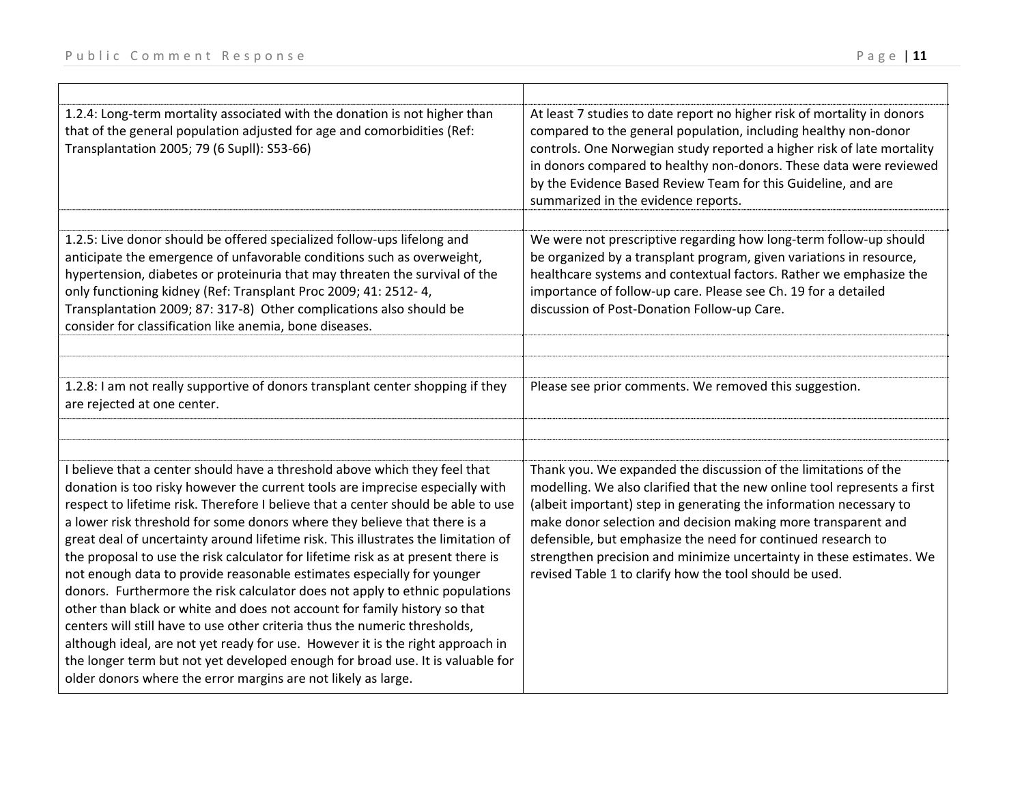| 1.2.4: Long-term mortality associated with the donation is not higher than<br>that of the general population adjusted for age and comorbidities (Ref:<br>Transplantation 2005; 79 (6 Supll): S53-66)                                                                                                                                                                                                                                                                                                                                                                                                                                                                                                                                                                                                                                                                                                                                                                                                                                                              | At least 7 studies to date report no higher risk of mortality in donors<br>compared to the general population, including healthy non-donor<br>controls. One Norwegian study reported a higher risk of late mortality<br>in donors compared to healthy non-donors. These data were reviewed<br>by the Evidence Based Review Team for this Guideline, and are<br>summarized in the evidence reports.                                                                                    |
|-------------------------------------------------------------------------------------------------------------------------------------------------------------------------------------------------------------------------------------------------------------------------------------------------------------------------------------------------------------------------------------------------------------------------------------------------------------------------------------------------------------------------------------------------------------------------------------------------------------------------------------------------------------------------------------------------------------------------------------------------------------------------------------------------------------------------------------------------------------------------------------------------------------------------------------------------------------------------------------------------------------------------------------------------------------------|---------------------------------------------------------------------------------------------------------------------------------------------------------------------------------------------------------------------------------------------------------------------------------------------------------------------------------------------------------------------------------------------------------------------------------------------------------------------------------------|
|                                                                                                                                                                                                                                                                                                                                                                                                                                                                                                                                                                                                                                                                                                                                                                                                                                                                                                                                                                                                                                                                   |                                                                                                                                                                                                                                                                                                                                                                                                                                                                                       |
| 1.2.5: Live donor should be offered specialized follow-ups lifelong and<br>anticipate the emergence of unfavorable conditions such as overweight,<br>hypertension, diabetes or proteinuria that may threaten the survival of the<br>only functioning kidney (Ref: Transplant Proc 2009; 41: 2512-4,<br>Transplantation 2009; 87: 317-8) Other complications also should be<br>consider for classification like anemia, bone diseases.                                                                                                                                                                                                                                                                                                                                                                                                                                                                                                                                                                                                                             | We were not prescriptive regarding how long-term follow-up should<br>be organized by a transplant program, given variations in resource,<br>healthcare systems and contextual factors. Rather we emphasize the<br>importance of follow-up care. Please see Ch. 19 for a detailed<br>discussion of Post-Donation Follow-up Care.                                                                                                                                                       |
|                                                                                                                                                                                                                                                                                                                                                                                                                                                                                                                                                                                                                                                                                                                                                                                                                                                                                                                                                                                                                                                                   |                                                                                                                                                                                                                                                                                                                                                                                                                                                                                       |
|                                                                                                                                                                                                                                                                                                                                                                                                                                                                                                                                                                                                                                                                                                                                                                                                                                                                                                                                                                                                                                                                   |                                                                                                                                                                                                                                                                                                                                                                                                                                                                                       |
| 1.2.8: I am not really supportive of donors transplant center shopping if they<br>are rejected at one center.                                                                                                                                                                                                                                                                                                                                                                                                                                                                                                                                                                                                                                                                                                                                                                                                                                                                                                                                                     | Please see prior comments. We removed this suggestion.                                                                                                                                                                                                                                                                                                                                                                                                                                |
|                                                                                                                                                                                                                                                                                                                                                                                                                                                                                                                                                                                                                                                                                                                                                                                                                                                                                                                                                                                                                                                                   |                                                                                                                                                                                                                                                                                                                                                                                                                                                                                       |
|                                                                                                                                                                                                                                                                                                                                                                                                                                                                                                                                                                                                                                                                                                                                                                                                                                                                                                                                                                                                                                                                   |                                                                                                                                                                                                                                                                                                                                                                                                                                                                                       |
| I believe that a center should have a threshold above which they feel that<br>donation is too risky however the current tools are imprecise especially with<br>respect to lifetime risk. Therefore I believe that a center should be able to use<br>a lower risk threshold for some donors where they believe that there is a<br>great deal of uncertainty around lifetime risk. This illustrates the limitation of<br>the proposal to use the risk calculator for lifetime risk as at present there is<br>not enough data to provide reasonable estimates especially for younger<br>donors. Furthermore the risk calculator does not apply to ethnic populations<br>other than black or white and does not account for family history so that<br>centers will still have to use other criteria thus the numeric thresholds,<br>although ideal, are not yet ready for use. However it is the right approach in<br>the longer term but not yet developed enough for broad use. It is valuable for<br>older donors where the error margins are not likely as large. | Thank you. We expanded the discussion of the limitations of the<br>modelling. We also clarified that the new online tool represents a first<br>(albeit important) step in generating the information necessary to<br>make donor selection and decision making more transparent and<br>defensible, but emphasize the need for continued research to<br>strengthen precision and minimize uncertainty in these estimates. We<br>revised Table 1 to clarify how the tool should be used. |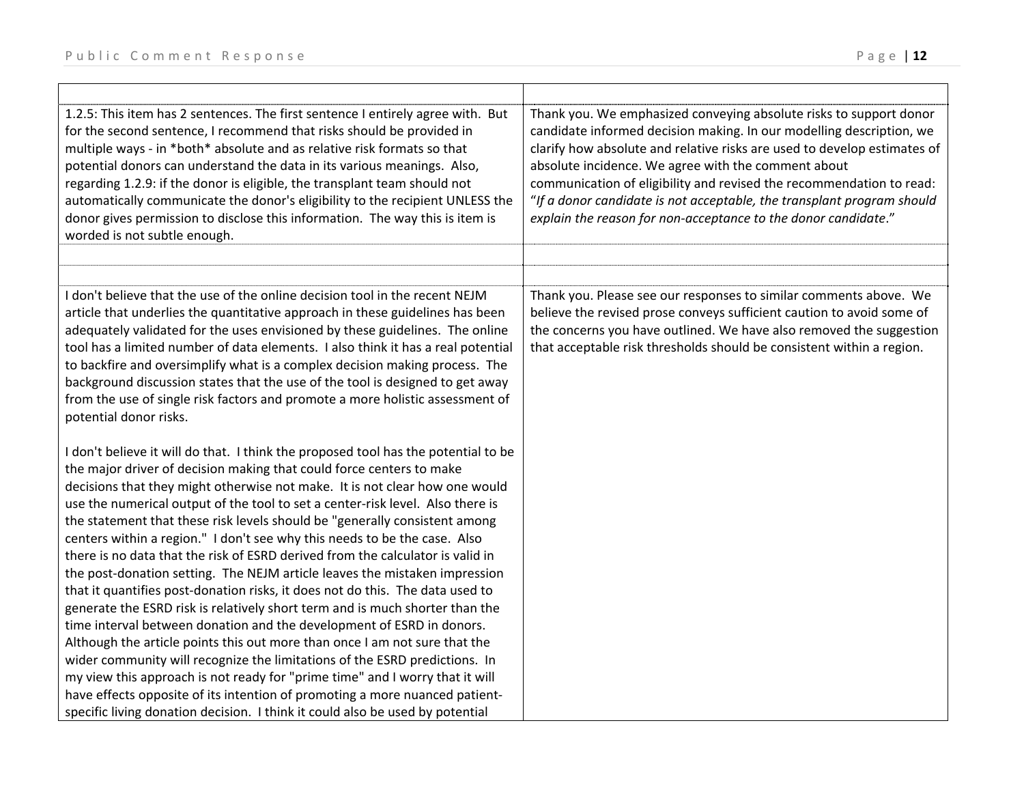| 1.2.5: This item has 2 sentences. The first sentence I entirely agree with. But<br>for the second sentence, I recommend that risks should be provided in<br>multiple ways - in *both* absolute and as relative risk formats so that<br>potential donors can understand the data in its various meanings. Also,<br>regarding 1.2.9: if the donor is eligible, the transplant team should not<br>automatically communicate the donor's eligibility to the recipient UNLESS the<br>donor gives permission to disclose this information. The way this is item is<br>worded is not subtle enough.                | Thank you. We emphasized conveying absolute risks to support donor<br>candidate informed decision making. In our modelling description, we<br>clarify how absolute and relative risks are used to develop estimates of<br>absolute incidence. We agree with the comment about<br>communication of eligibility and revised the recommendation to read:<br>"If a donor candidate is not acceptable, the transplant program should<br>explain the reason for non-acceptance to the donor candidate." |
|-------------------------------------------------------------------------------------------------------------------------------------------------------------------------------------------------------------------------------------------------------------------------------------------------------------------------------------------------------------------------------------------------------------------------------------------------------------------------------------------------------------------------------------------------------------------------------------------------------------|---------------------------------------------------------------------------------------------------------------------------------------------------------------------------------------------------------------------------------------------------------------------------------------------------------------------------------------------------------------------------------------------------------------------------------------------------------------------------------------------------|
|                                                                                                                                                                                                                                                                                                                                                                                                                                                                                                                                                                                                             |                                                                                                                                                                                                                                                                                                                                                                                                                                                                                                   |
| I don't believe that the use of the online decision tool in the recent NEJM<br>article that underlies the quantitative approach in these guidelines has been<br>adequately validated for the uses envisioned by these guidelines. The online<br>tool has a limited number of data elements. I also think it has a real potential<br>to backfire and oversimplify what is a complex decision making process. The<br>background discussion states that the use of the tool is designed to get away<br>from the use of single risk factors and promote a more holistic assessment of<br>potential donor risks. | Thank you. Please see our responses to similar comments above. We<br>believe the revised prose conveys sufficient caution to avoid some of<br>the concerns you have outlined. We have also removed the suggestion<br>that acceptable risk thresholds should be consistent within a region.                                                                                                                                                                                                        |
| I don't believe it will do that. I think the proposed tool has the potential to be                                                                                                                                                                                                                                                                                                                                                                                                                                                                                                                          |                                                                                                                                                                                                                                                                                                                                                                                                                                                                                                   |
| the major driver of decision making that could force centers to make                                                                                                                                                                                                                                                                                                                                                                                                                                                                                                                                        |                                                                                                                                                                                                                                                                                                                                                                                                                                                                                                   |
| decisions that they might otherwise not make. It is not clear how one would                                                                                                                                                                                                                                                                                                                                                                                                                                                                                                                                 |                                                                                                                                                                                                                                                                                                                                                                                                                                                                                                   |
| use the numerical output of the tool to set a center-risk level. Also there is                                                                                                                                                                                                                                                                                                                                                                                                                                                                                                                              |                                                                                                                                                                                                                                                                                                                                                                                                                                                                                                   |
| the statement that these risk levels should be "generally consistent among<br>centers within a region." I don't see why this needs to be the case. Also                                                                                                                                                                                                                                                                                                                                                                                                                                                     |                                                                                                                                                                                                                                                                                                                                                                                                                                                                                                   |
| there is no data that the risk of ESRD derived from the calculator is valid in                                                                                                                                                                                                                                                                                                                                                                                                                                                                                                                              |                                                                                                                                                                                                                                                                                                                                                                                                                                                                                                   |
| the post-donation setting. The NEJM article leaves the mistaken impression                                                                                                                                                                                                                                                                                                                                                                                                                                                                                                                                  |                                                                                                                                                                                                                                                                                                                                                                                                                                                                                                   |
| that it quantifies post-donation risks, it does not do this. The data used to                                                                                                                                                                                                                                                                                                                                                                                                                                                                                                                               |                                                                                                                                                                                                                                                                                                                                                                                                                                                                                                   |
| generate the ESRD risk is relatively short term and is much shorter than the                                                                                                                                                                                                                                                                                                                                                                                                                                                                                                                                |                                                                                                                                                                                                                                                                                                                                                                                                                                                                                                   |
| time interval between donation and the development of ESRD in donors.                                                                                                                                                                                                                                                                                                                                                                                                                                                                                                                                       |                                                                                                                                                                                                                                                                                                                                                                                                                                                                                                   |
| Although the article points this out more than once I am not sure that the                                                                                                                                                                                                                                                                                                                                                                                                                                                                                                                                  |                                                                                                                                                                                                                                                                                                                                                                                                                                                                                                   |
| wider community will recognize the limitations of the ESRD predictions. In<br>my view this approach is not ready for "prime time" and I worry that it will                                                                                                                                                                                                                                                                                                                                                                                                                                                  |                                                                                                                                                                                                                                                                                                                                                                                                                                                                                                   |
| have effects opposite of its intention of promoting a more nuanced patient-                                                                                                                                                                                                                                                                                                                                                                                                                                                                                                                                 |                                                                                                                                                                                                                                                                                                                                                                                                                                                                                                   |
| specific living donation decision. I think it could also be used by potential                                                                                                                                                                                                                                                                                                                                                                                                                                                                                                                               |                                                                                                                                                                                                                                                                                                                                                                                                                                                                                                   |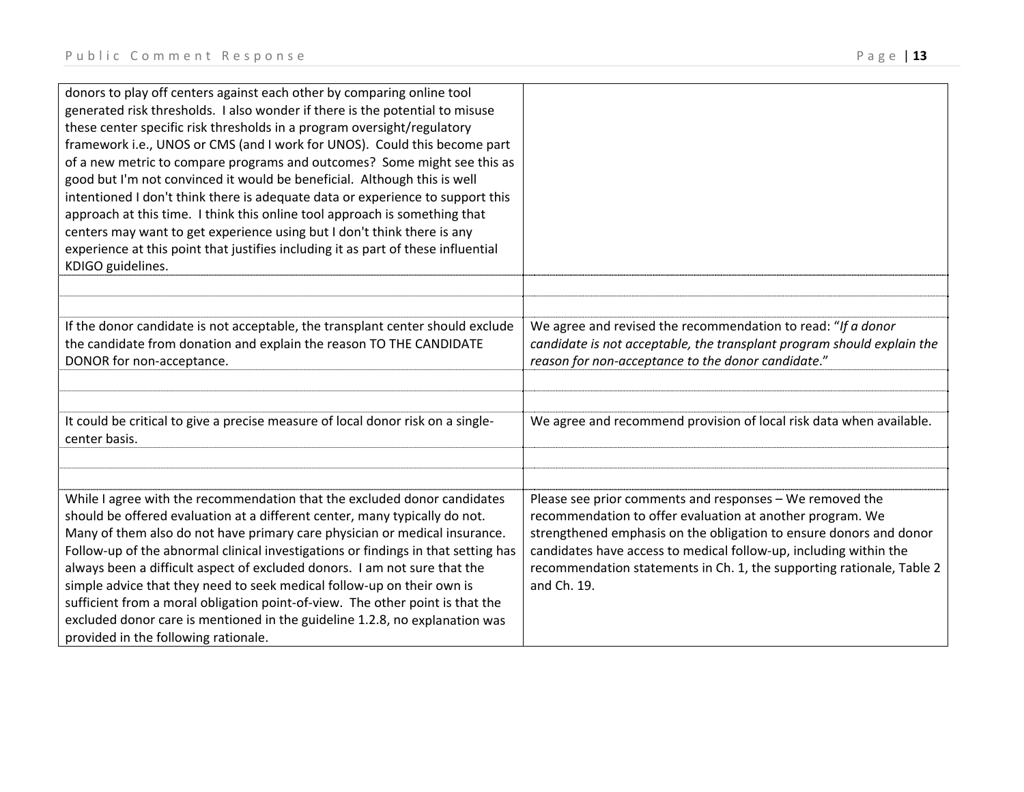| donors to play off centers against each other by comparing online tool<br>generated risk thresholds. I also wonder if there is the potential to misuse<br>these center specific risk thresholds in a program oversight/regulatory<br>framework i.e., UNOS or CMS (and I work for UNOS). Could this become part<br>of a new metric to compare programs and outcomes? Some might see this as<br>good but I'm not convinced it would be beneficial. Although this is well<br>intentioned I don't think there is adequate data or experience to support this<br>approach at this time. I think this online tool approach is something that<br>centers may want to get experience using but I don't think there is any |                                                                                                                                                                                                                                                                                                                                                          |
|-------------------------------------------------------------------------------------------------------------------------------------------------------------------------------------------------------------------------------------------------------------------------------------------------------------------------------------------------------------------------------------------------------------------------------------------------------------------------------------------------------------------------------------------------------------------------------------------------------------------------------------------------------------------------------------------------------------------|----------------------------------------------------------------------------------------------------------------------------------------------------------------------------------------------------------------------------------------------------------------------------------------------------------------------------------------------------------|
| experience at this point that justifies including it as part of these influential<br>KDIGO guidelines.                                                                                                                                                                                                                                                                                                                                                                                                                                                                                                                                                                                                            |                                                                                                                                                                                                                                                                                                                                                          |
|                                                                                                                                                                                                                                                                                                                                                                                                                                                                                                                                                                                                                                                                                                                   |                                                                                                                                                                                                                                                                                                                                                          |
|                                                                                                                                                                                                                                                                                                                                                                                                                                                                                                                                                                                                                                                                                                                   |                                                                                                                                                                                                                                                                                                                                                          |
| If the donor candidate is not acceptable, the transplant center should exclude<br>the candidate from donation and explain the reason TO THE CANDIDATE<br>DONOR for non-acceptance.                                                                                                                                                                                                                                                                                                                                                                                                                                                                                                                                | We agree and revised the recommendation to read: "If a donor<br>candidate is not acceptable, the transplant program should explain the<br>reason for non-acceptance to the donor candidate."                                                                                                                                                             |
|                                                                                                                                                                                                                                                                                                                                                                                                                                                                                                                                                                                                                                                                                                                   |                                                                                                                                                                                                                                                                                                                                                          |
|                                                                                                                                                                                                                                                                                                                                                                                                                                                                                                                                                                                                                                                                                                                   |                                                                                                                                                                                                                                                                                                                                                          |
| It could be critical to give a precise measure of local donor risk on a single-<br>center basis.                                                                                                                                                                                                                                                                                                                                                                                                                                                                                                                                                                                                                  | We agree and recommend provision of local risk data when available.                                                                                                                                                                                                                                                                                      |
|                                                                                                                                                                                                                                                                                                                                                                                                                                                                                                                                                                                                                                                                                                                   |                                                                                                                                                                                                                                                                                                                                                          |
|                                                                                                                                                                                                                                                                                                                                                                                                                                                                                                                                                                                                                                                                                                                   |                                                                                                                                                                                                                                                                                                                                                          |
| While I agree with the recommendation that the excluded donor candidates<br>should be offered evaluation at a different center, many typically do not.<br>Many of them also do not have primary care physician or medical insurance.<br>Follow-up of the abnormal clinical investigations or findings in that setting has<br>always been a difficult aspect of excluded donors. I am not sure that the<br>simple advice that they need to seek medical follow-up on their own is<br>sufficient from a moral obligation point-of-view. The other point is that the<br>excluded donor care is mentioned in the guideline 1.2.8, no explanation was<br>provided in the following rationale.                          | Please see prior comments and responses - We removed the<br>recommendation to offer evaluation at another program. We<br>strengthened emphasis on the obligation to ensure donors and donor<br>candidates have access to medical follow-up, including within the<br>recommendation statements in Ch. 1, the supporting rationale, Table 2<br>and Ch. 19. |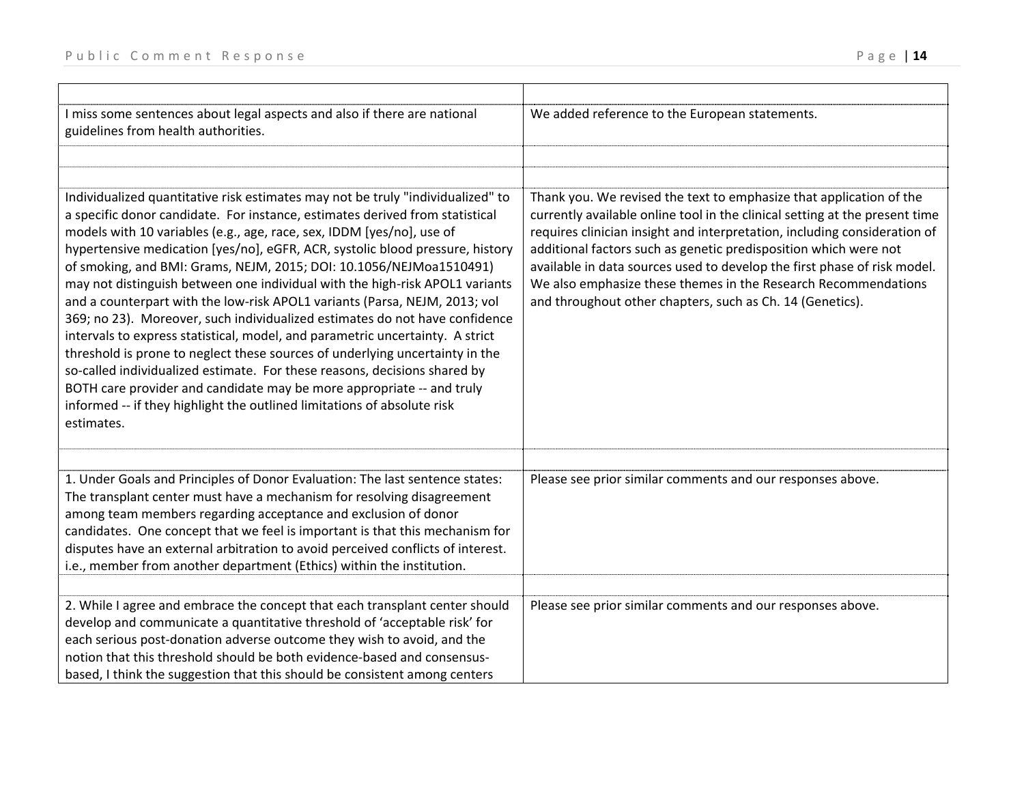| I miss some sentences about legal aspects and also if there are national<br>guidelines from health authorities.                                                                                                                                                                                                                                                                                                                                                                                                                                                                                                                                                                                                                                                                                                                                                                                                                                                                                                                                               | We added reference to the European statements.                                                                                                                                                                                                                                                                                                                                                                                                                                                                 |
|---------------------------------------------------------------------------------------------------------------------------------------------------------------------------------------------------------------------------------------------------------------------------------------------------------------------------------------------------------------------------------------------------------------------------------------------------------------------------------------------------------------------------------------------------------------------------------------------------------------------------------------------------------------------------------------------------------------------------------------------------------------------------------------------------------------------------------------------------------------------------------------------------------------------------------------------------------------------------------------------------------------------------------------------------------------|----------------------------------------------------------------------------------------------------------------------------------------------------------------------------------------------------------------------------------------------------------------------------------------------------------------------------------------------------------------------------------------------------------------------------------------------------------------------------------------------------------------|
|                                                                                                                                                                                                                                                                                                                                                                                                                                                                                                                                                                                                                                                                                                                                                                                                                                                                                                                                                                                                                                                               |                                                                                                                                                                                                                                                                                                                                                                                                                                                                                                                |
|                                                                                                                                                                                                                                                                                                                                                                                                                                                                                                                                                                                                                                                                                                                                                                                                                                                                                                                                                                                                                                                               |                                                                                                                                                                                                                                                                                                                                                                                                                                                                                                                |
| Individualized quantitative risk estimates may not be truly "individualized" to<br>a specific donor candidate. For instance, estimates derived from statistical<br>models with 10 variables (e.g., age, race, sex, IDDM [yes/no], use of<br>hypertensive medication [yes/no], eGFR, ACR, systolic blood pressure, history<br>of smoking, and BMI: Grams, NEJM, 2015; DOI: 10.1056/NEJMoa1510491)<br>may not distinguish between one individual with the high-risk APOL1 variants<br>and a counterpart with the low-risk APOL1 variants (Parsa, NEJM, 2013; vol<br>369; no 23). Moreover, such individualized estimates do not have confidence<br>intervals to express statistical, model, and parametric uncertainty. A strict<br>threshold is prone to neglect these sources of underlying uncertainty in the<br>so-called individualized estimate. For these reasons, decisions shared by<br>BOTH care provider and candidate may be more appropriate -- and truly<br>informed -- if they highlight the outlined limitations of absolute risk<br>estimates. | Thank you. We revised the text to emphasize that application of the<br>currently available online tool in the clinical setting at the present time<br>requires clinician insight and interpretation, including consideration of<br>additional factors such as genetic predisposition which were not<br>available in data sources used to develop the first phase of risk model.<br>We also emphasize these themes in the Research Recommendations<br>and throughout other chapters, such as Ch. 14 (Genetics). |
|                                                                                                                                                                                                                                                                                                                                                                                                                                                                                                                                                                                                                                                                                                                                                                                                                                                                                                                                                                                                                                                               |                                                                                                                                                                                                                                                                                                                                                                                                                                                                                                                |
| 1. Under Goals and Principles of Donor Evaluation: The last sentence states:<br>The transplant center must have a mechanism for resolving disagreement<br>among team members regarding acceptance and exclusion of donor<br>candidates. One concept that we feel is important is that this mechanism for<br>disputes have an external arbitration to avoid perceived conflicts of interest.<br>i.e., member from another department (Ethics) within the institution.                                                                                                                                                                                                                                                                                                                                                                                                                                                                                                                                                                                          | Please see prior similar comments and our responses above.                                                                                                                                                                                                                                                                                                                                                                                                                                                     |
|                                                                                                                                                                                                                                                                                                                                                                                                                                                                                                                                                                                                                                                                                                                                                                                                                                                                                                                                                                                                                                                               |                                                                                                                                                                                                                                                                                                                                                                                                                                                                                                                |
| 2. While I agree and embrace the concept that each transplant center should<br>develop and communicate a quantitative threshold of 'acceptable risk' for<br>each serious post-donation adverse outcome they wish to avoid, and the<br>notion that this threshold should be both evidence-based and consensus-<br>based, I think the suggestion that this should be consistent among centers                                                                                                                                                                                                                                                                                                                                                                                                                                                                                                                                                                                                                                                                   | Please see prior similar comments and our responses above.                                                                                                                                                                                                                                                                                                                                                                                                                                                     |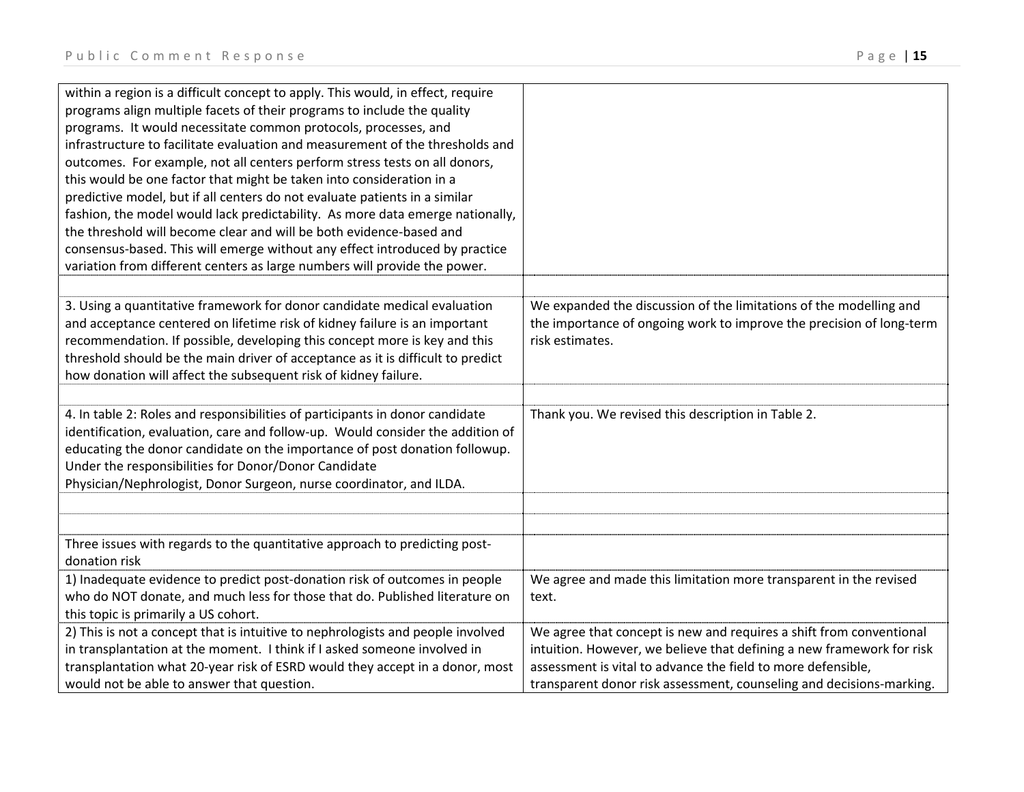| within a region is a difficult concept to apply. This would, in effect, require<br>programs align multiple facets of their programs to include the quality<br>programs. It would necessitate common protocols, processes, and<br>infrastructure to facilitate evaluation and measurement of the thresholds and<br>outcomes. For example, not all centers perform stress tests on all donors,<br>this would be one factor that might be taken into consideration in a<br>predictive model, but if all centers do not evaluate patients in a similar<br>fashion, the model would lack predictability. As more data emerge nationally,<br>the threshold will become clear and will be both evidence-based and |                                                                                                                                                                                                                                                                                      |
|------------------------------------------------------------------------------------------------------------------------------------------------------------------------------------------------------------------------------------------------------------------------------------------------------------------------------------------------------------------------------------------------------------------------------------------------------------------------------------------------------------------------------------------------------------------------------------------------------------------------------------------------------------------------------------------------------------|--------------------------------------------------------------------------------------------------------------------------------------------------------------------------------------------------------------------------------------------------------------------------------------|
| consensus-based. This will emerge without any effect introduced by practice                                                                                                                                                                                                                                                                                                                                                                                                                                                                                                                                                                                                                                |                                                                                                                                                                                                                                                                                      |
| variation from different centers as large numbers will provide the power.                                                                                                                                                                                                                                                                                                                                                                                                                                                                                                                                                                                                                                  |                                                                                                                                                                                                                                                                                      |
| 3. Using a quantitative framework for donor candidate medical evaluation<br>and acceptance centered on lifetime risk of kidney failure is an important<br>recommendation. If possible, developing this concept more is key and this<br>threshold should be the main driver of acceptance as it is difficult to predict<br>how donation will affect the subsequent risk of kidney failure.                                                                                                                                                                                                                                                                                                                  | We expanded the discussion of the limitations of the modelling and<br>the importance of ongoing work to improve the precision of long-term<br>risk estimates.                                                                                                                        |
|                                                                                                                                                                                                                                                                                                                                                                                                                                                                                                                                                                                                                                                                                                            |                                                                                                                                                                                                                                                                                      |
| 4. In table 2: Roles and responsibilities of participants in donor candidate<br>identification, evaluation, care and follow-up. Would consider the addition of<br>educating the donor candidate on the importance of post donation followup.<br>Under the responsibilities for Donor/Donor Candidate<br>Physician/Nephrologist, Donor Surgeon, nurse coordinator, and ILDA.                                                                                                                                                                                                                                                                                                                                | Thank you. We revised this description in Table 2.                                                                                                                                                                                                                                   |
|                                                                                                                                                                                                                                                                                                                                                                                                                                                                                                                                                                                                                                                                                                            |                                                                                                                                                                                                                                                                                      |
| Three issues with regards to the quantitative approach to predicting post-<br>donation risk                                                                                                                                                                                                                                                                                                                                                                                                                                                                                                                                                                                                                |                                                                                                                                                                                                                                                                                      |
| 1) Inadequate evidence to predict post-donation risk of outcomes in people<br>who do NOT donate, and much less for those that do. Published literature on<br>this topic is primarily a US cohort.                                                                                                                                                                                                                                                                                                                                                                                                                                                                                                          | We agree and made this limitation more transparent in the revised<br>text.                                                                                                                                                                                                           |
| 2) This is not a concept that is intuitive to nephrologists and people involved<br>in transplantation at the moment. I think if I asked someone involved in<br>transplantation what 20-year risk of ESRD would they accept in a donor, most<br>would not be able to answer that question.                                                                                                                                                                                                                                                                                                                                                                                                                  | We agree that concept is new and requires a shift from conventional<br>intuition. However, we believe that defining a new framework for risk<br>assessment is vital to advance the field to more defensible,<br>transparent donor risk assessment, counseling and decisions-marking. |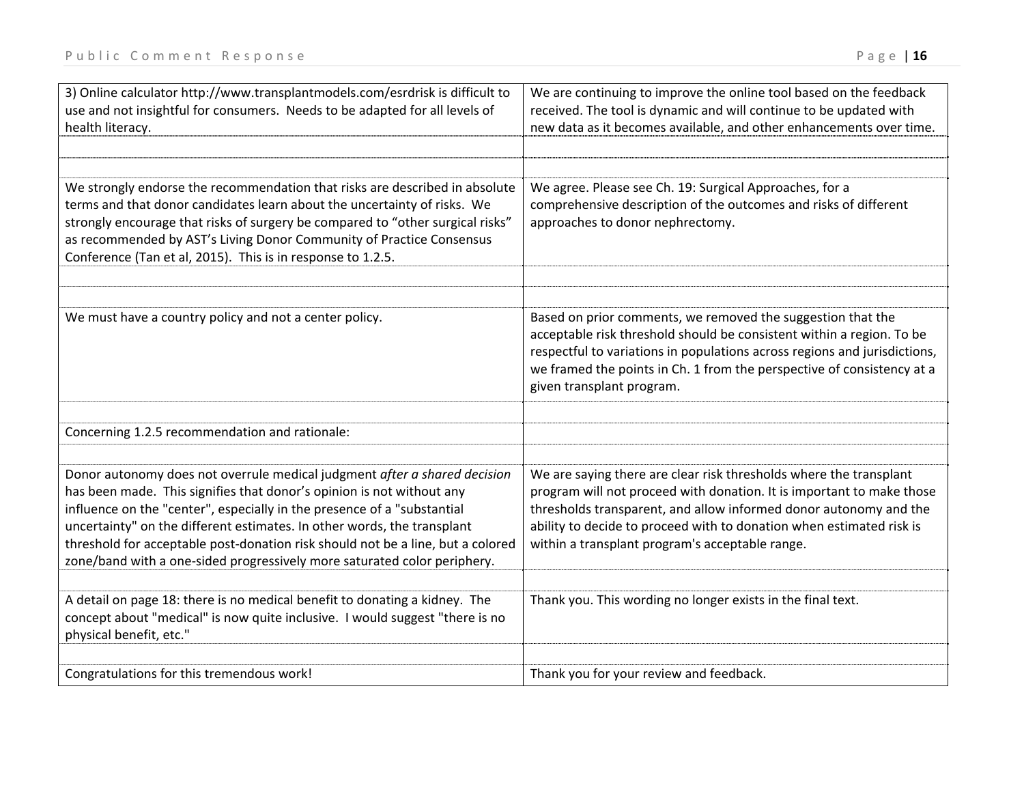| 3) Online calculator http://www.transplantmodels.com/esrdrisk is difficult to<br>use and not insightful for consumers. Needs to be adapted for all levels of<br>health literacy.                                                                                                                                                                                                                                                                                        | We are continuing to improve the online tool based on the feedback<br>received. The tool is dynamic and will continue to be updated with<br>new data as it becomes available, and other enhancements over time.                                                                                                                             |
|-------------------------------------------------------------------------------------------------------------------------------------------------------------------------------------------------------------------------------------------------------------------------------------------------------------------------------------------------------------------------------------------------------------------------------------------------------------------------|---------------------------------------------------------------------------------------------------------------------------------------------------------------------------------------------------------------------------------------------------------------------------------------------------------------------------------------------|
| We strongly endorse the recommendation that risks are described in absolute<br>terms and that donor candidates learn about the uncertainty of risks. We<br>strongly encourage that risks of surgery be compared to "other surgical risks"<br>as recommended by AST's Living Donor Community of Practice Consensus<br>Conference (Tan et al, 2015). This is in response to 1.2.5.                                                                                        | We agree. Please see Ch. 19: Surgical Approaches, for a<br>comprehensive description of the outcomes and risks of different<br>approaches to donor nephrectomy.                                                                                                                                                                             |
| We must have a country policy and not a center policy.                                                                                                                                                                                                                                                                                                                                                                                                                  | Based on prior comments, we removed the suggestion that the<br>acceptable risk threshold should be consistent within a region. To be<br>respectful to variations in populations across regions and jurisdictions,<br>we framed the points in Ch. 1 from the perspective of consistency at a<br>given transplant program.                    |
| Concerning 1.2.5 recommendation and rationale:                                                                                                                                                                                                                                                                                                                                                                                                                          |                                                                                                                                                                                                                                                                                                                                             |
| Donor autonomy does not overrule medical judgment after a shared decision<br>has been made. This signifies that donor's opinion is not without any<br>influence on the "center", especially in the presence of a "substantial<br>uncertainty" on the different estimates. In other words, the transplant<br>threshold for acceptable post-donation risk should not be a line, but a colored<br>zone/band with a one-sided progressively more saturated color periphery. | We are saying there are clear risk thresholds where the transplant<br>program will not proceed with donation. It is important to make those<br>thresholds transparent, and allow informed donor autonomy and the<br>ability to decide to proceed with to donation when estimated risk is<br>within a transplant program's acceptable range. |
| A detail on page 18: there is no medical benefit to donating a kidney. The<br>concept about "medical" is now quite inclusive. I would suggest "there is no<br>physical benefit, etc."                                                                                                                                                                                                                                                                                   | Thank you. This wording no longer exists in the final text.                                                                                                                                                                                                                                                                                 |
| Congratulations for this tremendous work!                                                                                                                                                                                                                                                                                                                                                                                                                               | Thank you for your review and feedback.                                                                                                                                                                                                                                                                                                     |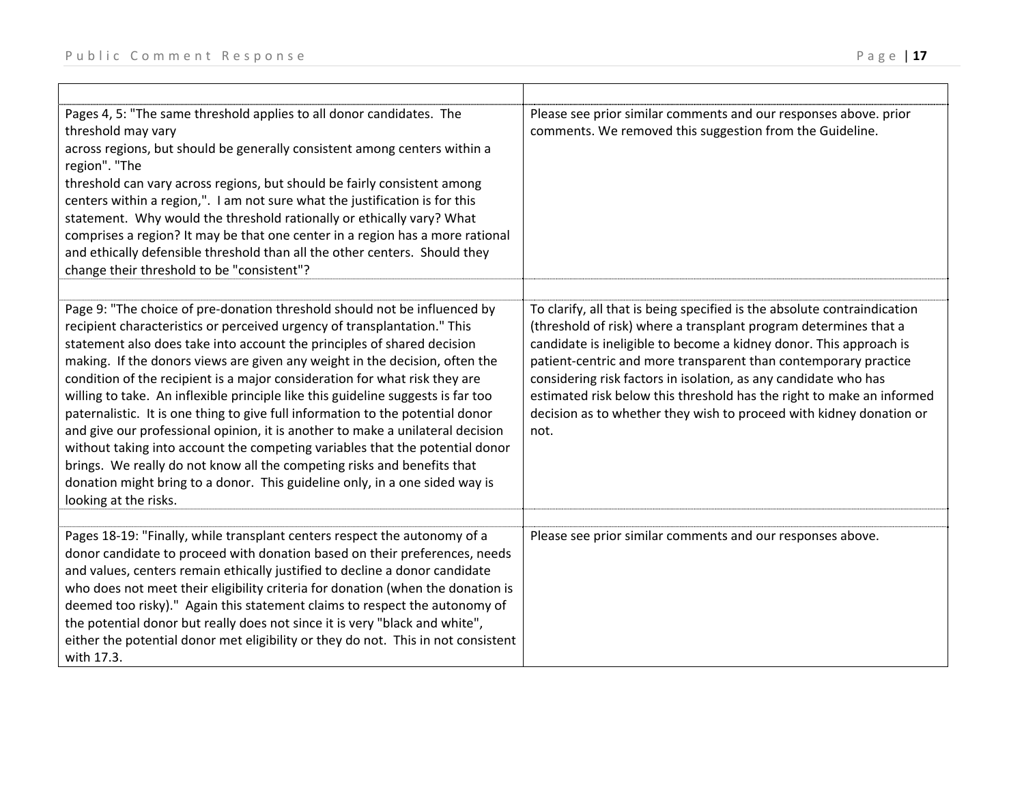either the potential donor met eligibility or they do not. This in not consistent

with 17.3.

| Pages 4, 5: "The same threshold applies to all donor candidates. The<br>threshold may vary<br>across regions, but should be generally consistent among centers within a<br>region". "The<br>threshold can vary across regions, but should be fairly consistent among<br>centers within a region,". I am not sure what the justification is for this<br>statement. Why would the threshold rationally or ethically vary? What<br>comprises a region? It may be that one center in a region has a more rational<br>and ethically defensible threshold than all the other centers. Should they<br>change their threshold to be "consistent"?                                                                                                                                                                                                                                                                                | Please see prior similar comments and our responses above. prior<br>comments. We removed this suggestion from the Guideline.                                                                                                                                                                                                                                                                                                                                                                                     |
|--------------------------------------------------------------------------------------------------------------------------------------------------------------------------------------------------------------------------------------------------------------------------------------------------------------------------------------------------------------------------------------------------------------------------------------------------------------------------------------------------------------------------------------------------------------------------------------------------------------------------------------------------------------------------------------------------------------------------------------------------------------------------------------------------------------------------------------------------------------------------------------------------------------------------|------------------------------------------------------------------------------------------------------------------------------------------------------------------------------------------------------------------------------------------------------------------------------------------------------------------------------------------------------------------------------------------------------------------------------------------------------------------------------------------------------------------|
| Page 9: "The choice of pre-donation threshold should not be influenced by<br>recipient characteristics or perceived urgency of transplantation." This<br>statement also does take into account the principles of shared decision<br>making. If the donors views are given any weight in the decision, often the<br>condition of the recipient is a major consideration for what risk they are<br>willing to take. An inflexible principle like this guideline suggests is far too<br>paternalistic. It is one thing to give full information to the potential donor<br>and give our professional opinion, it is another to make a unilateral decision<br>without taking into account the competing variables that the potential donor<br>brings. We really do not know all the competing risks and benefits that<br>donation might bring to a donor. This guideline only, in a one sided way is<br>looking at the risks. | To clarify, all that is being specified is the absolute contraindication<br>(threshold of risk) where a transplant program determines that a<br>candidate is ineligible to become a kidney donor. This approach is<br>patient-centric and more transparent than contemporary practice<br>considering risk factors in isolation, as any candidate who has<br>estimated risk below this threshold has the right to make an informed<br>decision as to whether they wish to proceed with kidney donation or<br>not. |
| Pages 18-19: "Finally, while transplant centers respect the autonomy of a<br>donor candidate to proceed with donation based on their preferences, needs<br>and values, centers remain ethically justified to decline a donor candidate<br>who does not meet their eligibility criteria for donation (when the donation is<br>deemed too risky)." Again this statement claims to respect the autonomy of<br>the potential donor but really does not since it is very "black and white",                                                                                                                                                                                                                                                                                                                                                                                                                                   | Please see prior similar comments and our responses above.                                                                                                                                                                                                                                                                                                                                                                                                                                                       |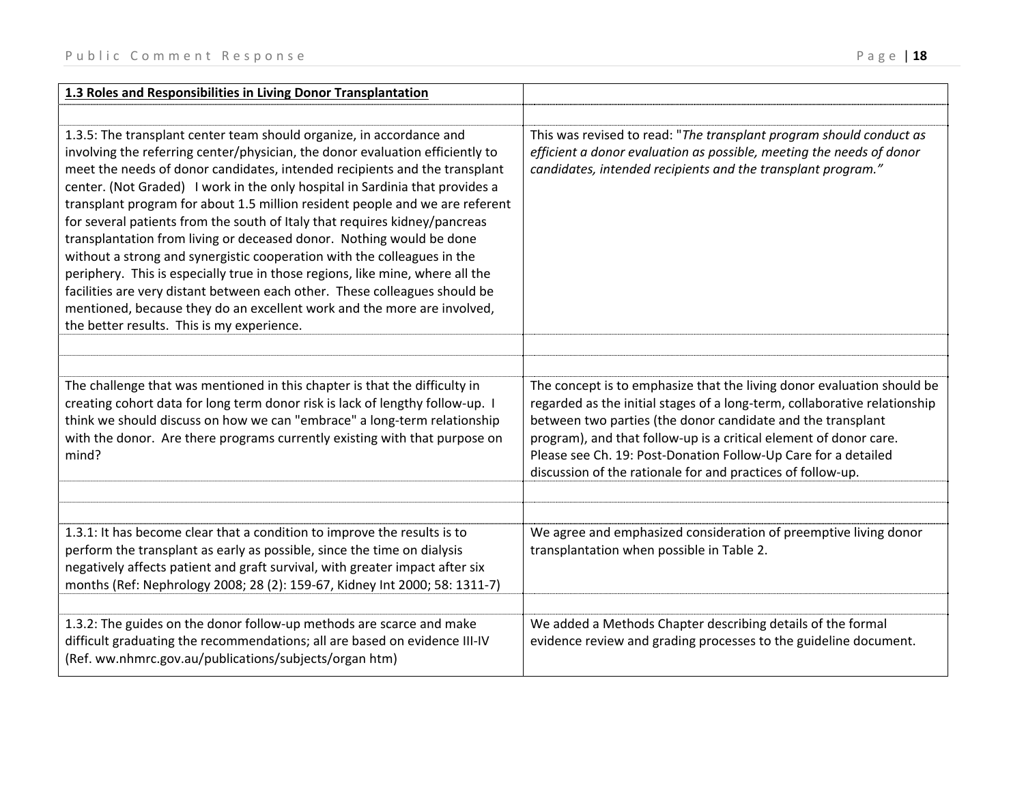| 1.3 Roles and Responsibilities in Living Donor Transplantation                                                                                                                                                                                                                                                                                                                                                                                                                                                                                                                                                                                                                                                                                                                                                                                                                                                               |                                                                                                                                                                                                                                                                                                                                                                                                                          |
|------------------------------------------------------------------------------------------------------------------------------------------------------------------------------------------------------------------------------------------------------------------------------------------------------------------------------------------------------------------------------------------------------------------------------------------------------------------------------------------------------------------------------------------------------------------------------------------------------------------------------------------------------------------------------------------------------------------------------------------------------------------------------------------------------------------------------------------------------------------------------------------------------------------------------|--------------------------------------------------------------------------------------------------------------------------------------------------------------------------------------------------------------------------------------------------------------------------------------------------------------------------------------------------------------------------------------------------------------------------|
|                                                                                                                                                                                                                                                                                                                                                                                                                                                                                                                                                                                                                                                                                                                                                                                                                                                                                                                              |                                                                                                                                                                                                                                                                                                                                                                                                                          |
| 1.3.5: The transplant center team should organize, in accordance and<br>involving the referring center/physician, the donor evaluation efficiently to<br>meet the needs of donor candidates, intended recipients and the transplant<br>center. (Not Graded) I work in the only hospital in Sardinia that provides a<br>transplant program for about 1.5 million resident people and we are referent<br>for several patients from the south of Italy that requires kidney/pancreas<br>transplantation from living or deceased donor. Nothing would be done<br>without a strong and synergistic cooperation with the colleagues in the<br>periphery. This is especially true in those regions, like mine, where all the<br>facilities are very distant between each other. These colleagues should be<br>mentioned, because they do an excellent work and the more are involved,<br>the better results. This is my experience. | This was revised to read: "The transplant program should conduct as<br>efficient a donor evaluation as possible, meeting the needs of donor<br>candidates, intended recipients and the transplant program."                                                                                                                                                                                                              |
| The challenge that was mentioned in this chapter is that the difficulty in<br>creating cohort data for long term donor risk is lack of lengthy follow-up. I<br>think we should discuss on how we can "embrace" a long-term relationship<br>with the donor. Are there programs currently existing with that purpose on<br>mind?                                                                                                                                                                                                                                                                                                                                                                                                                                                                                                                                                                                               | The concept is to emphasize that the living donor evaluation should be<br>regarded as the initial stages of a long-term, collaborative relationship<br>between two parties (the donor candidate and the transplant<br>program), and that follow-up is a critical element of donor care.<br>Please see Ch. 19: Post-Donation Follow-Up Care for a detailed<br>discussion of the rationale for and practices of follow-up. |
| 1.3.1: It has become clear that a condition to improve the results is to<br>perform the transplant as early as possible, since the time on dialysis<br>negatively affects patient and graft survival, with greater impact after six<br>months (Ref: Nephrology 2008; 28 (2): 159-67, Kidney Int 2000; 58: 1311-7)                                                                                                                                                                                                                                                                                                                                                                                                                                                                                                                                                                                                            | We agree and emphasized consideration of preemptive living donor<br>transplantation when possible in Table 2.                                                                                                                                                                                                                                                                                                            |
|                                                                                                                                                                                                                                                                                                                                                                                                                                                                                                                                                                                                                                                                                                                                                                                                                                                                                                                              |                                                                                                                                                                                                                                                                                                                                                                                                                          |
| 1.3.2: The guides on the donor follow-up methods are scarce and make<br>difficult graduating the recommendations; all are based on evidence III-IV<br>(Ref. ww.nhmrc.gov.au/publications/subjects/organ htm)                                                                                                                                                                                                                                                                                                                                                                                                                                                                                                                                                                                                                                                                                                                 | We added a Methods Chapter describing details of the formal<br>evidence review and grading processes to the guideline document.                                                                                                                                                                                                                                                                                          |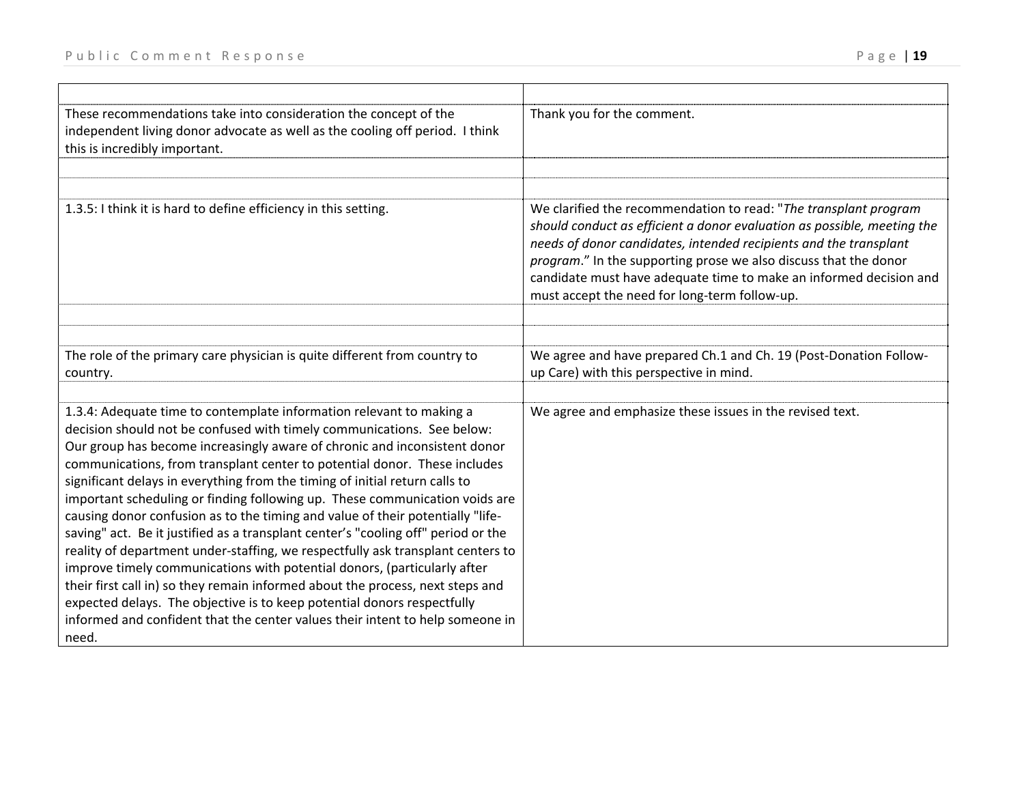| These recommendations take into consideration the concept of the<br>independent living donor advocate as well as the cooling off period. I think<br>this is incredibly important.                                                                                                                                                                                                                                                                                                                                                                                                                                                                                                                                                                                                                                                                                                                                                                                                                                                                                   | Thank you for the comment.                                                                                                                                                                                                                                                                                                                                                                                  |
|---------------------------------------------------------------------------------------------------------------------------------------------------------------------------------------------------------------------------------------------------------------------------------------------------------------------------------------------------------------------------------------------------------------------------------------------------------------------------------------------------------------------------------------------------------------------------------------------------------------------------------------------------------------------------------------------------------------------------------------------------------------------------------------------------------------------------------------------------------------------------------------------------------------------------------------------------------------------------------------------------------------------------------------------------------------------|-------------------------------------------------------------------------------------------------------------------------------------------------------------------------------------------------------------------------------------------------------------------------------------------------------------------------------------------------------------------------------------------------------------|
|                                                                                                                                                                                                                                                                                                                                                                                                                                                                                                                                                                                                                                                                                                                                                                                                                                                                                                                                                                                                                                                                     |                                                                                                                                                                                                                                                                                                                                                                                                             |
| 1.3.5: I think it is hard to define efficiency in this setting.                                                                                                                                                                                                                                                                                                                                                                                                                                                                                                                                                                                                                                                                                                                                                                                                                                                                                                                                                                                                     | We clarified the recommendation to read: "The transplant program<br>should conduct as efficient a donor evaluation as possible, meeting the<br>needs of donor candidates, intended recipients and the transplant<br>program." In the supporting prose we also discuss that the donor<br>candidate must have adequate time to make an informed decision and<br>must accept the need for long-term follow-up. |
|                                                                                                                                                                                                                                                                                                                                                                                                                                                                                                                                                                                                                                                                                                                                                                                                                                                                                                                                                                                                                                                                     |                                                                                                                                                                                                                                                                                                                                                                                                             |
|                                                                                                                                                                                                                                                                                                                                                                                                                                                                                                                                                                                                                                                                                                                                                                                                                                                                                                                                                                                                                                                                     |                                                                                                                                                                                                                                                                                                                                                                                                             |
| The role of the primary care physician is quite different from country to<br>country.                                                                                                                                                                                                                                                                                                                                                                                                                                                                                                                                                                                                                                                                                                                                                                                                                                                                                                                                                                               | We agree and have prepared Ch.1 and Ch. 19 (Post-Donation Follow-<br>up Care) with this perspective in mind.                                                                                                                                                                                                                                                                                                |
|                                                                                                                                                                                                                                                                                                                                                                                                                                                                                                                                                                                                                                                                                                                                                                                                                                                                                                                                                                                                                                                                     |                                                                                                                                                                                                                                                                                                                                                                                                             |
| 1.3.4: Adequate time to contemplate information relevant to making a<br>decision should not be confused with timely communications. See below:<br>Our group has become increasingly aware of chronic and inconsistent donor<br>communications, from transplant center to potential donor. These includes<br>significant delays in everything from the timing of initial return calls to<br>important scheduling or finding following up. These communication voids are<br>causing donor confusion as to the timing and value of their potentially "life-<br>saving" act. Be it justified as a transplant center's "cooling off" period or the<br>reality of department under-staffing, we respectfully ask transplant centers to<br>improve timely communications with potential donors, (particularly after<br>their first call in) so they remain informed about the process, next steps and<br>expected delays. The objective is to keep potential donors respectfully<br>informed and confident that the center values their intent to help someone in<br>need. | We agree and emphasize these issues in the revised text.                                                                                                                                                                                                                                                                                                                                                    |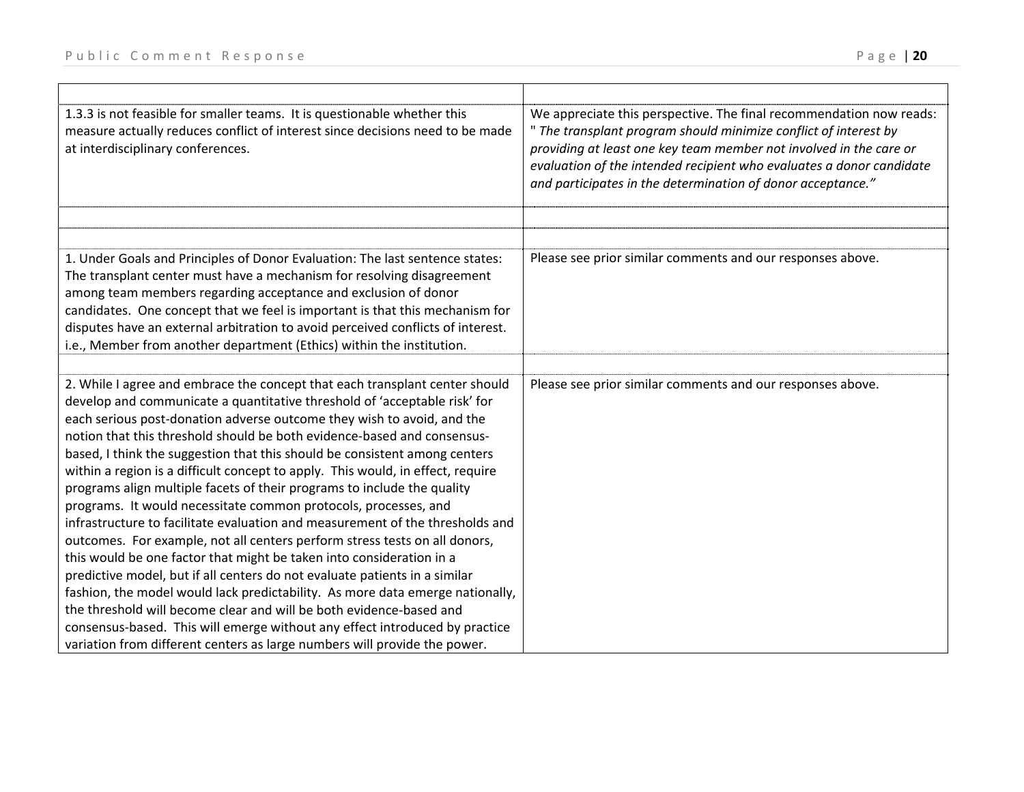| We appreciate this perspective. The final recommendation now reads:<br>" The transplant program should minimize conflict of interest by<br>providing at least one key team member not involved in the care or<br>evaluation of the intended recipient who evaluates a donor candidate<br>and participates in the determination of donor acceptance." |
|------------------------------------------------------------------------------------------------------------------------------------------------------------------------------------------------------------------------------------------------------------------------------------------------------------------------------------------------------|
|                                                                                                                                                                                                                                                                                                                                                      |
| Please see prior similar comments and our responses above.                                                                                                                                                                                                                                                                                           |
| Please see prior similar comments and our responses above.                                                                                                                                                                                                                                                                                           |
|                                                                                                                                                                                                                                                                                                                                                      |
|                                                                                                                                                                                                                                                                                                                                                      |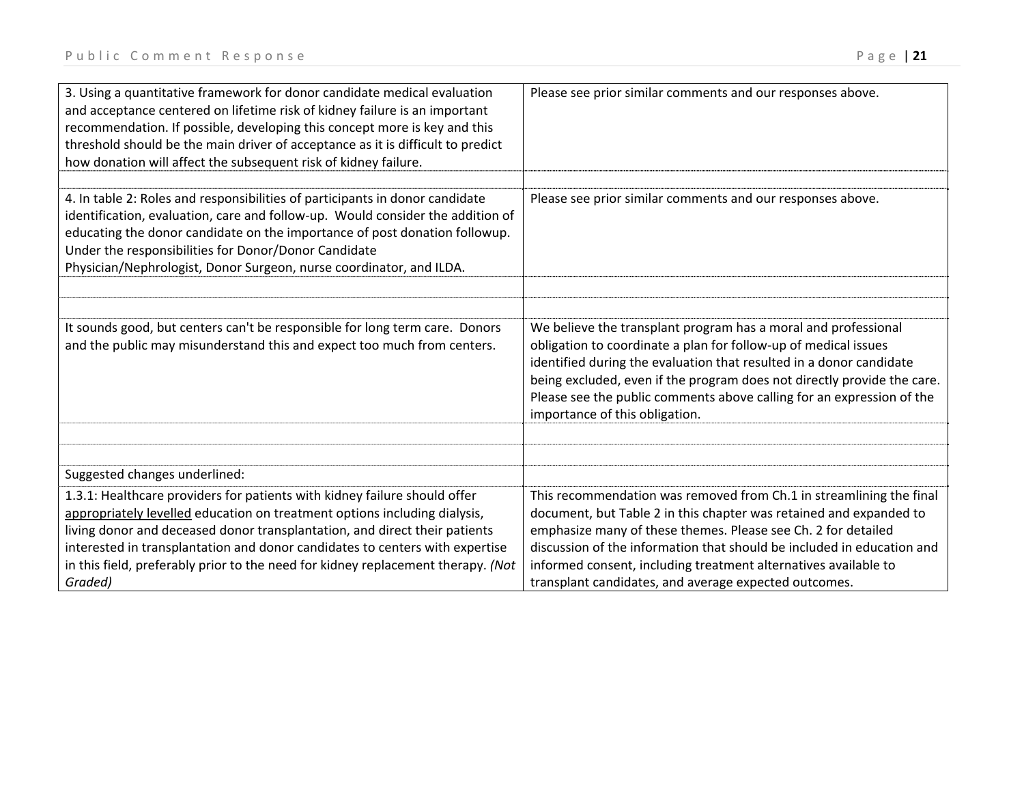| 3. Using a quantitative framework for donor candidate medical evaluation<br>and acceptance centered on lifetime risk of kidney failure is an important<br>recommendation. If possible, developing this concept more is key and this<br>threshold should be the main driver of acceptance as it is difficult to predict<br>how donation will affect the subsequent risk of kidney failure.                           | Please see prior similar comments and our responses above.                                                                                                                                                                                                                                                                                                                                                       |
|---------------------------------------------------------------------------------------------------------------------------------------------------------------------------------------------------------------------------------------------------------------------------------------------------------------------------------------------------------------------------------------------------------------------|------------------------------------------------------------------------------------------------------------------------------------------------------------------------------------------------------------------------------------------------------------------------------------------------------------------------------------------------------------------------------------------------------------------|
|                                                                                                                                                                                                                                                                                                                                                                                                                     |                                                                                                                                                                                                                                                                                                                                                                                                                  |
| 4. In table 2: Roles and responsibilities of participants in donor candidate<br>identification, evaluation, care and follow-up. Would consider the addition of<br>educating the donor candidate on the importance of post donation followup.<br>Under the responsibilities for Donor/Donor Candidate<br>Physician/Nephrologist, Donor Surgeon, nurse coordinator, and ILDA.                                         | Please see prior similar comments and our responses above.                                                                                                                                                                                                                                                                                                                                                       |
|                                                                                                                                                                                                                                                                                                                                                                                                                     |                                                                                                                                                                                                                                                                                                                                                                                                                  |
|                                                                                                                                                                                                                                                                                                                                                                                                                     |                                                                                                                                                                                                                                                                                                                                                                                                                  |
| It sounds good, but centers can't be responsible for long term care. Donors<br>and the public may misunderstand this and expect too much from centers.                                                                                                                                                                                                                                                              | We believe the transplant program has a moral and professional<br>obligation to coordinate a plan for follow-up of medical issues<br>identified during the evaluation that resulted in a donor candidate<br>being excluded, even if the program does not directly provide the care.<br>Please see the public comments above calling for an expression of the<br>importance of this obligation.                   |
|                                                                                                                                                                                                                                                                                                                                                                                                                     |                                                                                                                                                                                                                                                                                                                                                                                                                  |
|                                                                                                                                                                                                                                                                                                                                                                                                                     |                                                                                                                                                                                                                                                                                                                                                                                                                  |
| Suggested changes underlined:                                                                                                                                                                                                                                                                                                                                                                                       |                                                                                                                                                                                                                                                                                                                                                                                                                  |
| 1.3.1: Healthcare providers for patients with kidney failure should offer<br>appropriately levelled education on treatment options including dialysis,<br>living donor and deceased donor transplantation, and direct their patients<br>interested in transplantation and donor candidates to centers with expertise<br>in this field, preferably prior to the need for kidney replacement therapy. (Not<br>Graded) | This recommendation was removed from Ch.1 in streamlining the final<br>document, but Table 2 in this chapter was retained and expanded to<br>emphasize many of these themes. Please see Ch. 2 for detailed<br>discussion of the information that should be included in education and<br>informed consent, including treatment alternatives available to<br>transplant candidates, and average expected outcomes. |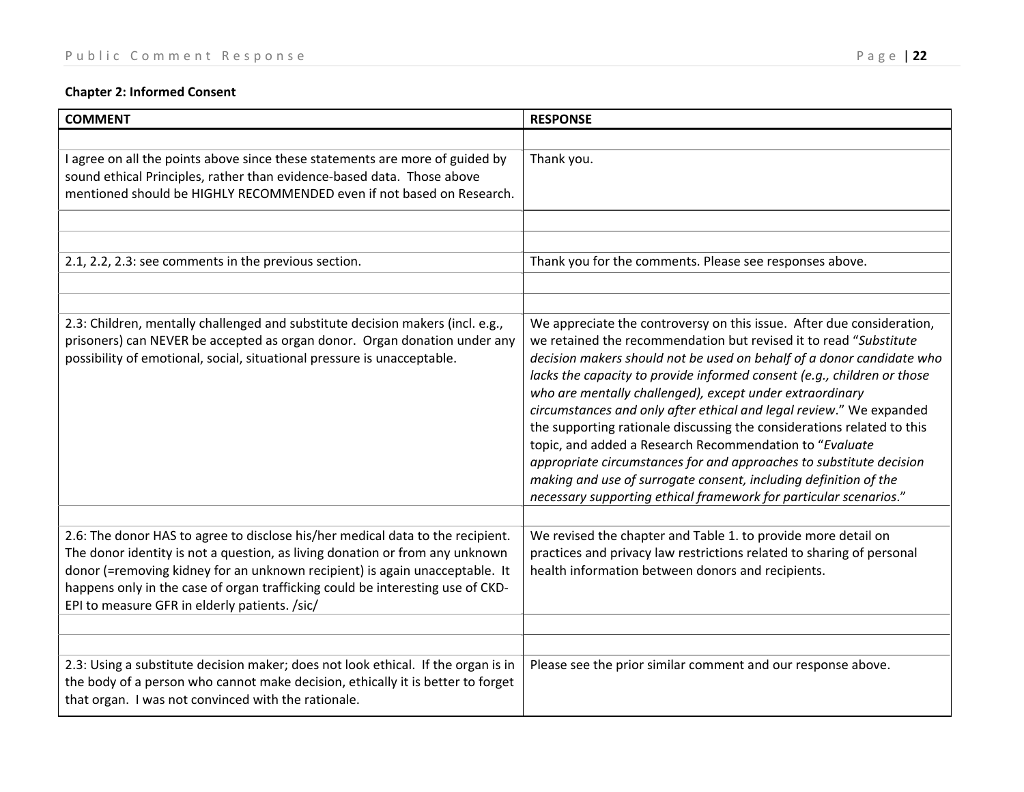# **Chapter 2: Informed Consent**

| <b>COMMENT</b>                                                                                                                                                                                                                                                                                                                                                                   | <b>RESPONSE</b>                                                                                                                                                                                                                                                                                                                                                                                                                                                                                                                                                                                                                                                                                                                                                                        |
|----------------------------------------------------------------------------------------------------------------------------------------------------------------------------------------------------------------------------------------------------------------------------------------------------------------------------------------------------------------------------------|----------------------------------------------------------------------------------------------------------------------------------------------------------------------------------------------------------------------------------------------------------------------------------------------------------------------------------------------------------------------------------------------------------------------------------------------------------------------------------------------------------------------------------------------------------------------------------------------------------------------------------------------------------------------------------------------------------------------------------------------------------------------------------------|
|                                                                                                                                                                                                                                                                                                                                                                                  |                                                                                                                                                                                                                                                                                                                                                                                                                                                                                                                                                                                                                                                                                                                                                                                        |
| I agree on all the points above since these statements are more of guided by<br>sound ethical Principles, rather than evidence-based data. Those above<br>mentioned should be HIGHLY RECOMMENDED even if not based on Research.                                                                                                                                                  | Thank you.                                                                                                                                                                                                                                                                                                                                                                                                                                                                                                                                                                                                                                                                                                                                                                             |
|                                                                                                                                                                                                                                                                                                                                                                                  |                                                                                                                                                                                                                                                                                                                                                                                                                                                                                                                                                                                                                                                                                                                                                                                        |
|                                                                                                                                                                                                                                                                                                                                                                                  |                                                                                                                                                                                                                                                                                                                                                                                                                                                                                                                                                                                                                                                                                                                                                                                        |
| 2.1, 2.2, 2.3: see comments in the previous section.                                                                                                                                                                                                                                                                                                                             | Thank you for the comments. Please see responses above.                                                                                                                                                                                                                                                                                                                                                                                                                                                                                                                                                                                                                                                                                                                                |
|                                                                                                                                                                                                                                                                                                                                                                                  |                                                                                                                                                                                                                                                                                                                                                                                                                                                                                                                                                                                                                                                                                                                                                                                        |
|                                                                                                                                                                                                                                                                                                                                                                                  |                                                                                                                                                                                                                                                                                                                                                                                                                                                                                                                                                                                                                                                                                                                                                                                        |
| 2.3: Children, mentally challenged and substitute decision makers (incl. e.g.,<br>prisoners) can NEVER be accepted as organ donor. Organ donation under any<br>possibility of emotional, social, situational pressure is unacceptable.                                                                                                                                           | We appreciate the controversy on this issue. After due consideration,<br>we retained the recommendation but revised it to read "Substitute<br>decision makers should not be used on behalf of a donor candidate who<br>lacks the capacity to provide informed consent (e.g., children or those<br>who are mentally challenged), except under extraordinary<br>circumstances and only after ethical and legal review." We expanded<br>the supporting rationale discussing the considerations related to this<br>topic, and added a Research Recommendation to "Evaluate<br>appropriate circumstances for and approaches to substitute decision<br>making and use of surrogate consent, including definition of the<br>necessary supporting ethical framework for particular scenarios." |
| 2.6: The donor HAS to agree to disclose his/her medical data to the recipient.<br>The donor identity is not a question, as living donation or from any unknown<br>donor (=removing kidney for an unknown recipient) is again unacceptable. It<br>happens only in the case of organ trafficking could be interesting use of CKD-<br>EPI to measure GFR in elderly patients. /sic/ | We revised the chapter and Table 1. to provide more detail on<br>practices and privacy law restrictions related to sharing of personal<br>health information between donors and recipients.                                                                                                                                                                                                                                                                                                                                                                                                                                                                                                                                                                                            |
|                                                                                                                                                                                                                                                                                                                                                                                  |                                                                                                                                                                                                                                                                                                                                                                                                                                                                                                                                                                                                                                                                                                                                                                                        |
|                                                                                                                                                                                                                                                                                                                                                                                  |                                                                                                                                                                                                                                                                                                                                                                                                                                                                                                                                                                                                                                                                                                                                                                                        |
| 2.3: Using a substitute decision maker; does not look ethical. If the organ is in<br>the body of a person who cannot make decision, ethically it is better to forget<br>that organ. I was not convinced with the rationale.                                                                                                                                                      | Please see the prior similar comment and our response above.                                                                                                                                                                                                                                                                                                                                                                                                                                                                                                                                                                                                                                                                                                                           |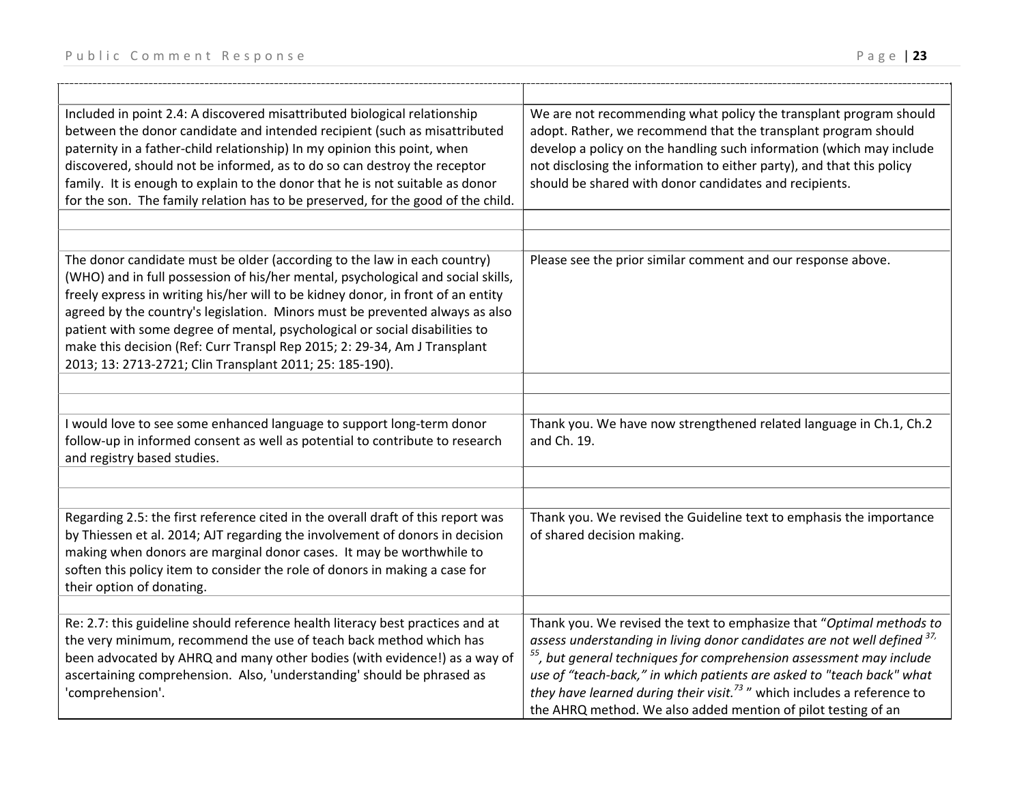| Included in point 2.4: A discovered misattributed biological relationship<br>between the donor candidate and intended recipient (such as misattributed<br>paternity in a father-child relationship) In my opinion this point, when<br>discovered, should not be informed, as to do so can destroy the receptor<br>family. It is enough to explain to the donor that he is not suitable as donor<br>for the son. The family relation has to be preserved, for the good of the child.                                                                      | We are not recommending what policy the transplant program should<br>adopt. Rather, we recommend that the transplant program should<br>develop a policy on the handling such information (which may include<br>not disclosing the information to either party), and that this policy<br>should be shared with donor candidates and recipients.                                                                                                                       |
|----------------------------------------------------------------------------------------------------------------------------------------------------------------------------------------------------------------------------------------------------------------------------------------------------------------------------------------------------------------------------------------------------------------------------------------------------------------------------------------------------------------------------------------------------------|----------------------------------------------------------------------------------------------------------------------------------------------------------------------------------------------------------------------------------------------------------------------------------------------------------------------------------------------------------------------------------------------------------------------------------------------------------------------|
|                                                                                                                                                                                                                                                                                                                                                                                                                                                                                                                                                          |                                                                                                                                                                                                                                                                                                                                                                                                                                                                      |
| The donor candidate must be older (according to the law in each country)<br>(WHO) and in full possession of his/her mental, psychological and social skills,<br>freely express in writing his/her will to be kidney donor, in front of an entity<br>agreed by the country's legislation. Minors must be prevented always as also<br>patient with some degree of mental, psychological or social disabilities to<br>make this decision (Ref: Curr Transpl Rep 2015; 2: 29-34, Am J Transplant<br>2013; 13: 2713-2721; Clin Transplant 2011; 25: 185-190). | Please see the prior similar comment and our response above.                                                                                                                                                                                                                                                                                                                                                                                                         |
|                                                                                                                                                                                                                                                                                                                                                                                                                                                                                                                                                          |                                                                                                                                                                                                                                                                                                                                                                                                                                                                      |
| I would love to see some enhanced language to support long-term donor<br>follow-up in informed consent as well as potential to contribute to research<br>and registry based studies.                                                                                                                                                                                                                                                                                                                                                                     | Thank you. We have now strengthened related language in Ch.1, Ch.2<br>and Ch. 19.                                                                                                                                                                                                                                                                                                                                                                                    |
| Regarding 2.5: the first reference cited in the overall draft of this report was<br>by Thiessen et al. 2014; AJT regarding the involvement of donors in decision<br>making when donors are marginal donor cases. It may be worthwhile to<br>soften this policy item to consider the role of donors in making a case for<br>their option of donating.                                                                                                                                                                                                     | Thank you. We revised the Guideline text to emphasis the importance<br>of shared decision making.                                                                                                                                                                                                                                                                                                                                                                    |
| Re: 2.7: this guideline should reference health literacy best practices and at<br>the very minimum, recommend the use of teach back method which has<br>been advocated by AHRQ and many other bodies (with evidence!) as a way of<br>ascertaining comprehension. Also, 'understanding' should be phrased as<br>'comprehension'.                                                                                                                                                                                                                          | Thank you. We revised the text to emphasize that "Optimal methods to<br>assess understanding in living donor candidates are not well defined 37,<br><sup>55</sup> , but general techniques for comprehension assessment may include<br>use of "teach-back," in which patients are asked to "teach back" what<br>they have learned during their visit. <sup>73</sup> " which includes a reference to<br>the AHRQ method. We also added mention of pilot testing of an |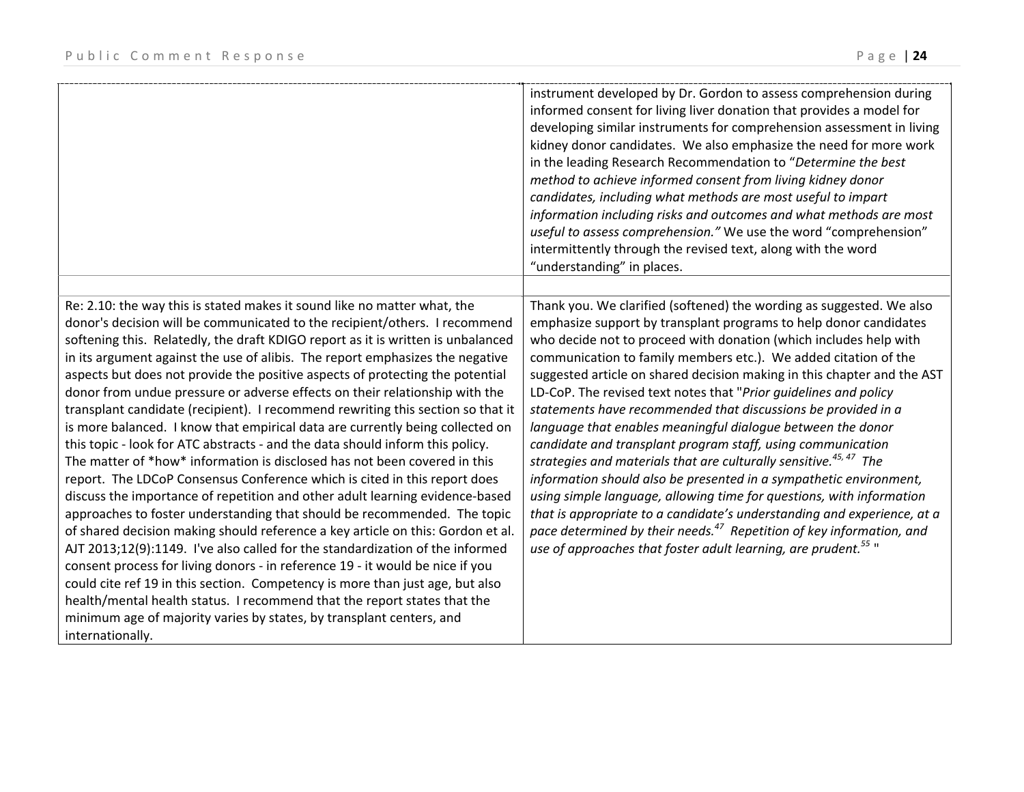|                                                                                                                                                                                                                                                                                                                                                                                                                                                                                                                                                                                                                                                                                                                                                                                                                                                                                                                                                                                                                                                                                                                                                                                                                                                                                                                                                                                                                                                                                                                                                                                      | instrument developed by Dr. Gordon to assess comprehension during<br>informed consent for living liver donation that provides a model for<br>developing similar instruments for comprehension assessment in living<br>kidney donor candidates. We also emphasize the need for more work<br>in the leading Research Recommendation to "Determine the best<br>method to achieve informed consent from living kidney donor<br>candidates, including what methods are most useful to impart<br>information including risks and outcomes and what methods are most<br>useful to assess comprehension." We use the word "comprehension"<br>intermittently through the revised text, along with the word<br>"understanding" in places.                                                                                                                                                                                                                                                                                                                                                                            |
|--------------------------------------------------------------------------------------------------------------------------------------------------------------------------------------------------------------------------------------------------------------------------------------------------------------------------------------------------------------------------------------------------------------------------------------------------------------------------------------------------------------------------------------------------------------------------------------------------------------------------------------------------------------------------------------------------------------------------------------------------------------------------------------------------------------------------------------------------------------------------------------------------------------------------------------------------------------------------------------------------------------------------------------------------------------------------------------------------------------------------------------------------------------------------------------------------------------------------------------------------------------------------------------------------------------------------------------------------------------------------------------------------------------------------------------------------------------------------------------------------------------------------------------------------------------------------------------|------------------------------------------------------------------------------------------------------------------------------------------------------------------------------------------------------------------------------------------------------------------------------------------------------------------------------------------------------------------------------------------------------------------------------------------------------------------------------------------------------------------------------------------------------------------------------------------------------------------------------------------------------------------------------------------------------------------------------------------------------------------------------------------------------------------------------------------------------------------------------------------------------------------------------------------------------------------------------------------------------------------------------------------------------------------------------------------------------------|
| Re: 2.10: the way this is stated makes it sound like no matter what, the<br>donor's decision will be communicated to the recipient/others. I recommend<br>softening this. Relatedly, the draft KDIGO report as it is written is unbalanced<br>in its argument against the use of alibis. The report emphasizes the negative<br>aspects but does not provide the positive aspects of protecting the potential<br>donor from undue pressure or adverse effects on their relationship with the<br>transplant candidate (recipient). I recommend rewriting this section so that it<br>is more balanced. I know that empirical data are currently being collected on<br>this topic - look for ATC abstracts - and the data should inform this policy.<br>The matter of *how* information is disclosed has not been covered in this<br>report. The LDCoP Consensus Conference which is cited in this report does<br>discuss the importance of repetition and other adult learning evidence-based<br>approaches to foster understanding that should be recommended. The topic<br>of shared decision making should reference a key article on this: Gordon et al.<br>AJT 2013;12(9):1149. I've also called for the standardization of the informed<br>consent process for living donors - in reference 19 - it would be nice if you<br>could cite ref 19 in this section. Competency is more than just age, but also<br>health/mental health status. I recommend that the report states that the<br>minimum age of majority varies by states, by transplant centers, and<br>internationally. | Thank you. We clarified (softened) the wording as suggested. We also<br>emphasize support by transplant programs to help donor candidates<br>who decide not to proceed with donation (which includes help with<br>communication to family members etc.). We added citation of the<br>suggested article on shared decision making in this chapter and the AST<br>LD-CoP. The revised text notes that "Prior guidelines and policy<br>statements have recommended that discussions be provided in a<br>language that enables meaningful dialogue between the donor<br>candidate and transplant program staff, using communication<br>strategies and materials that are culturally sensitive. <sup>45,47</sup> The<br>information should also be presented in a sympathetic environment,<br>using simple language, allowing time for questions, with information<br>that is appropriate to a candidate's understanding and experience, at a<br>pace determined by their needs. <sup>47</sup> Repetition of key information, and<br>use of approaches that foster adult learning, are prudent. <sup>55</sup> " |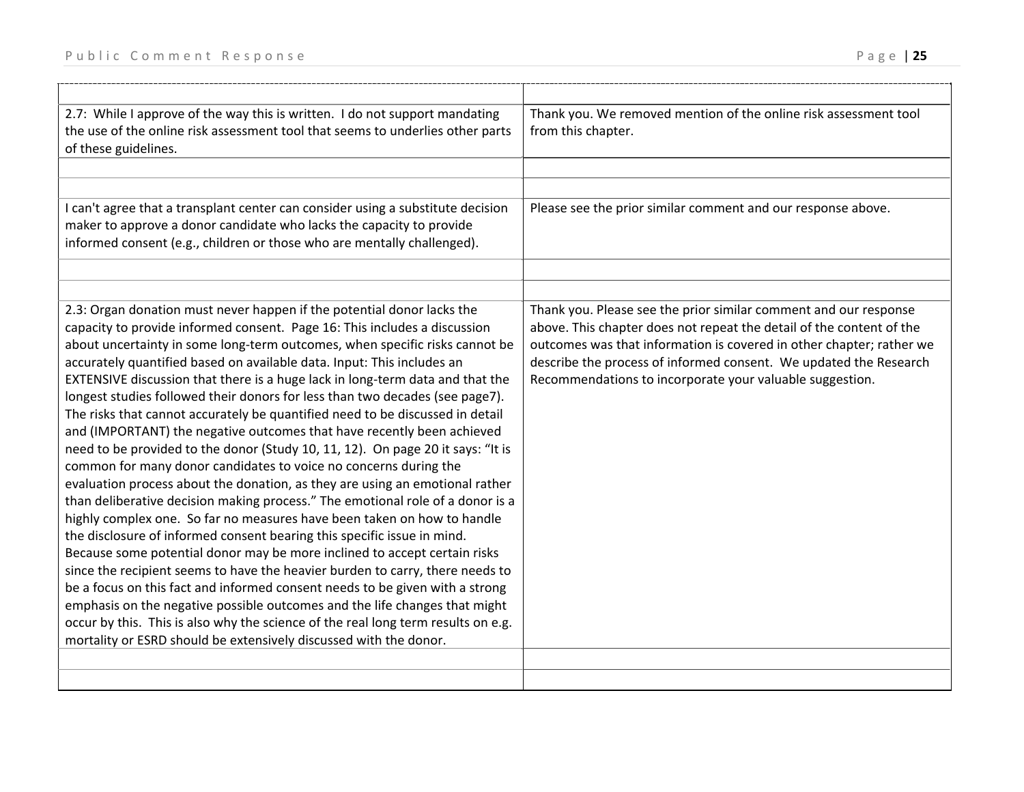| 2.7: While I approve of the way this is written. I do not support mandating<br>the use of the online risk assessment tool that seems to underlies other parts<br>of these guidelines.                                                                                                                                                                                                                                                                                                                                                                                                                                                                                                                                                                                                                                                                                                                                                                                                                                                                                                                                                                                                                                                                                                                                                                                                                                                                                                                                                                                                                         | Thank you. We removed mention of the online risk assessment tool<br>from this chapter.                                                                                                                                                                                                                                                            |
|---------------------------------------------------------------------------------------------------------------------------------------------------------------------------------------------------------------------------------------------------------------------------------------------------------------------------------------------------------------------------------------------------------------------------------------------------------------------------------------------------------------------------------------------------------------------------------------------------------------------------------------------------------------------------------------------------------------------------------------------------------------------------------------------------------------------------------------------------------------------------------------------------------------------------------------------------------------------------------------------------------------------------------------------------------------------------------------------------------------------------------------------------------------------------------------------------------------------------------------------------------------------------------------------------------------------------------------------------------------------------------------------------------------------------------------------------------------------------------------------------------------------------------------------------------------------------------------------------------------|---------------------------------------------------------------------------------------------------------------------------------------------------------------------------------------------------------------------------------------------------------------------------------------------------------------------------------------------------|
|                                                                                                                                                                                                                                                                                                                                                                                                                                                                                                                                                                                                                                                                                                                                                                                                                                                                                                                                                                                                                                                                                                                                                                                                                                                                                                                                                                                                                                                                                                                                                                                                               |                                                                                                                                                                                                                                                                                                                                                   |
|                                                                                                                                                                                                                                                                                                                                                                                                                                                                                                                                                                                                                                                                                                                                                                                                                                                                                                                                                                                                                                                                                                                                                                                                                                                                                                                                                                                                                                                                                                                                                                                                               |                                                                                                                                                                                                                                                                                                                                                   |
| I can't agree that a transplant center can consider using a substitute decision<br>maker to approve a donor candidate who lacks the capacity to provide<br>informed consent (e.g., children or those who are mentally challenged).                                                                                                                                                                                                                                                                                                                                                                                                                                                                                                                                                                                                                                                                                                                                                                                                                                                                                                                                                                                                                                                                                                                                                                                                                                                                                                                                                                            | Please see the prior similar comment and our response above.                                                                                                                                                                                                                                                                                      |
|                                                                                                                                                                                                                                                                                                                                                                                                                                                                                                                                                                                                                                                                                                                                                                                                                                                                                                                                                                                                                                                                                                                                                                                                                                                                                                                                                                                                                                                                                                                                                                                                               |                                                                                                                                                                                                                                                                                                                                                   |
|                                                                                                                                                                                                                                                                                                                                                                                                                                                                                                                                                                                                                                                                                                                                                                                                                                                                                                                                                                                                                                                                                                                                                                                                                                                                                                                                                                                                                                                                                                                                                                                                               |                                                                                                                                                                                                                                                                                                                                                   |
| 2.3: Organ donation must never happen if the potential donor lacks the<br>capacity to provide informed consent. Page 16: This includes a discussion<br>about uncertainty in some long-term outcomes, when specific risks cannot be<br>accurately quantified based on available data. Input: This includes an<br>EXTENSIVE discussion that there is a huge lack in long-term data and that the<br>longest studies followed their donors for less than two decades (see page7).<br>The risks that cannot accurately be quantified need to be discussed in detail<br>and (IMPORTANT) the negative outcomes that have recently been achieved<br>need to be provided to the donor (Study 10, 11, 12). On page 20 it says: "It is<br>common for many donor candidates to voice no concerns during the<br>evaluation process about the donation, as they are using an emotional rather<br>than deliberative decision making process." The emotional role of a donor is a<br>highly complex one. So far no measures have been taken on how to handle<br>the disclosure of informed consent bearing this specific issue in mind.<br>Because some potential donor may be more inclined to accept certain risks<br>since the recipient seems to have the heavier burden to carry, there needs to<br>be a focus on this fact and informed consent needs to be given with a strong<br>emphasis on the negative possible outcomes and the life changes that might<br>occur by this. This is also why the science of the real long term results on e.g.<br>mortality or ESRD should be extensively discussed with the donor. | Thank you. Please see the prior similar comment and our response<br>above. This chapter does not repeat the detail of the content of the<br>outcomes was that information is covered in other chapter; rather we<br>describe the process of informed consent. We updated the Research<br>Recommendations to incorporate your valuable suggestion. |
|                                                                                                                                                                                                                                                                                                                                                                                                                                                                                                                                                                                                                                                                                                                                                                                                                                                                                                                                                                                                                                                                                                                                                                                                                                                                                                                                                                                                                                                                                                                                                                                                               |                                                                                                                                                                                                                                                                                                                                                   |
|                                                                                                                                                                                                                                                                                                                                                                                                                                                                                                                                                                                                                                                                                                                                                                                                                                                                                                                                                                                                                                                                                                                                                                                                                                                                                                                                                                                                                                                                                                                                                                                                               |                                                                                                                                                                                                                                                                                                                                                   |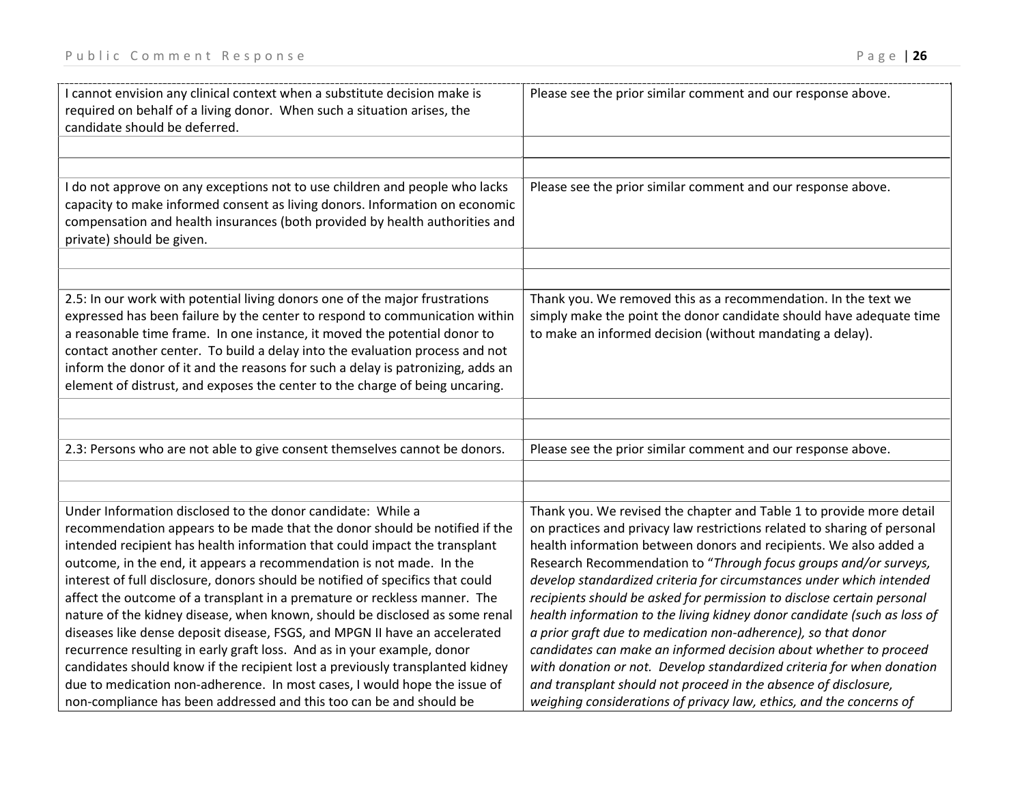| I cannot envision any clinical context when a substitute decision make is<br>required on behalf of a living donor. When such a situation arises, the<br>candidate should be deferred.                                                                                                                                                                                                                                                                                                                                                                                                                                                                                                                                                                                                                                                                                                                                                       | Please see the prior similar comment and our response above.                                                                                                                                                                                                                                                                                                                                                                                                                                                                                                                                                                                                                                                                                                                                                                                                                     |
|---------------------------------------------------------------------------------------------------------------------------------------------------------------------------------------------------------------------------------------------------------------------------------------------------------------------------------------------------------------------------------------------------------------------------------------------------------------------------------------------------------------------------------------------------------------------------------------------------------------------------------------------------------------------------------------------------------------------------------------------------------------------------------------------------------------------------------------------------------------------------------------------------------------------------------------------|----------------------------------------------------------------------------------------------------------------------------------------------------------------------------------------------------------------------------------------------------------------------------------------------------------------------------------------------------------------------------------------------------------------------------------------------------------------------------------------------------------------------------------------------------------------------------------------------------------------------------------------------------------------------------------------------------------------------------------------------------------------------------------------------------------------------------------------------------------------------------------|
| I do not approve on any exceptions not to use children and people who lacks<br>capacity to make informed consent as living donors. Information on economic<br>compensation and health insurances (both provided by health authorities and<br>private) should be given.                                                                                                                                                                                                                                                                                                                                                                                                                                                                                                                                                                                                                                                                      | Please see the prior similar comment and our response above.                                                                                                                                                                                                                                                                                                                                                                                                                                                                                                                                                                                                                                                                                                                                                                                                                     |
| 2.5: In our work with potential living donors one of the major frustrations<br>expressed has been failure by the center to respond to communication within<br>a reasonable time frame. In one instance, it moved the potential donor to<br>contact another center. To build a delay into the evaluation process and not<br>inform the donor of it and the reasons for such a delay is patronizing, adds an<br>element of distrust, and exposes the center to the charge of being uncaring.                                                                                                                                                                                                                                                                                                                                                                                                                                                  | Thank you. We removed this as a recommendation. In the text we<br>simply make the point the donor candidate should have adequate time<br>to make an informed decision (without mandating a delay).                                                                                                                                                                                                                                                                                                                                                                                                                                                                                                                                                                                                                                                                               |
| 2.3: Persons who are not able to give consent themselves cannot be donors.                                                                                                                                                                                                                                                                                                                                                                                                                                                                                                                                                                                                                                                                                                                                                                                                                                                                  | Please see the prior similar comment and our response above.                                                                                                                                                                                                                                                                                                                                                                                                                                                                                                                                                                                                                                                                                                                                                                                                                     |
| Under Information disclosed to the donor candidate: While a<br>recommendation appears to be made that the donor should be notified if the<br>intended recipient has health information that could impact the transplant<br>outcome, in the end, it appears a recommendation is not made. In the<br>interest of full disclosure, donors should be notified of specifics that could<br>affect the outcome of a transplant in a premature or reckless manner. The<br>nature of the kidney disease, when known, should be disclosed as some renal<br>diseases like dense deposit disease, FSGS, and MPGN II have an accelerated<br>recurrence resulting in early graft loss. And as in your example, donor<br>candidates should know if the recipient lost a previously transplanted kidney<br>due to medication non-adherence. In most cases, I would hope the issue of<br>non-compliance has been addressed and this too can be and should be | Thank you. We revised the chapter and Table 1 to provide more detail<br>on practices and privacy law restrictions related to sharing of personal<br>health information between donors and recipients. We also added a<br>Research Recommendation to "Through focus groups and/or surveys,<br>develop standardized criteria for circumstances under which intended<br>recipients should be asked for permission to disclose certain personal<br>health information to the living kidney donor candidate (such as loss of<br>a prior graft due to medication non-adherence), so that donor<br>candidates can make an informed decision about whether to proceed<br>with donation or not. Develop standardized criteria for when donation<br>and transplant should not proceed in the absence of disclosure,<br>weighing considerations of privacy law, ethics, and the concerns of |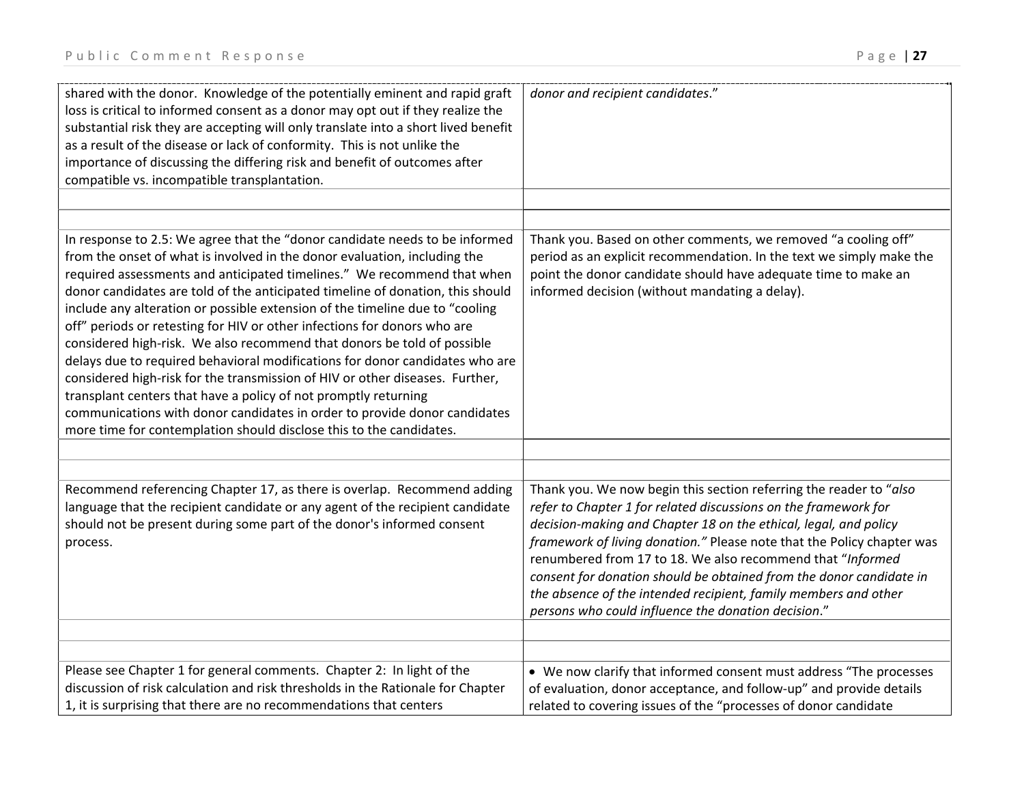| shared with the donor. Knowledge of the potentially eminent and rapid graft<br>loss is critical to informed consent as a donor may opt out if they realize the<br>substantial risk they are accepting will only translate into a short lived benefit<br>as a result of the disease or lack of conformity. This is not unlike the<br>importance of discussing the differing risk and benefit of outcomes after<br>compatible vs. incompatible transplantation.                                                                                                                                                                                                                                                                                                                                                                                                                                                                                       | donor and recipient candidates."                                                                                                                                                                                                                                                                                                                                                                                                                                                                                                                   |
|-----------------------------------------------------------------------------------------------------------------------------------------------------------------------------------------------------------------------------------------------------------------------------------------------------------------------------------------------------------------------------------------------------------------------------------------------------------------------------------------------------------------------------------------------------------------------------------------------------------------------------------------------------------------------------------------------------------------------------------------------------------------------------------------------------------------------------------------------------------------------------------------------------------------------------------------------------|----------------------------------------------------------------------------------------------------------------------------------------------------------------------------------------------------------------------------------------------------------------------------------------------------------------------------------------------------------------------------------------------------------------------------------------------------------------------------------------------------------------------------------------------------|
|                                                                                                                                                                                                                                                                                                                                                                                                                                                                                                                                                                                                                                                                                                                                                                                                                                                                                                                                                     |                                                                                                                                                                                                                                                                                                                                                                                                                                                                                                                                                    |
|                                                                                                                                                                                                                                                                                                                                                                                                                                                                                                                                                                                                                                                                                                                                                                                                                                                                                                                                                     |                                                                                                                                                                                                                                                                                                                                                                                                                                                                                                                                                    |
| In response to 2.5: We agree that the "donor candidate needs to be informed<br>from the onset of what is involved in the donor evaluation, including the<br>required assessments and anticipated timelines." We recommend that when<br>donor candidates are told of the anticipated timeline of donation, this should<br>include any alteration or possible extension of the timeline due to "cooling<br>off" periods or retesting for HIV or other infections for donors who are<br>considered high-risk. We also recommend that donors be told of possible<br>delays due to required behavioral modifications for donor candidates who are<br>considered high-risk for the transmission of HIV or other diseases. Further,<br>transplant centers that have a policy of not promptly returning<br>communications with donor candidates in order to provide donor candidates<br>more time for contemplation should disclose this to the candidates. | Thank you. Based on other comments, we removed "a cooling off"<br>period as an explicit recommendation. In the text we simply make the<br>point the donor candidate should have adequate time to make an<br>informed decision (without mandating a delay).                                                                                                                                                                                                                                                                                         |
|                                                                                                                                                                                                                                                                                                                                                                                                                                                                                                                                                                                                                                                                                                                                                                                                                                                                                                                                                     |                                                                                                                                                                                                                                                                                                                                                                                                                                                                                                                                                    |
|                                                                                                                                                                                                                                                                                                                                                                                                                                                                                                                                                                                                                                                                                                                                                                                                                                                                                                                                                     |                                                                                                                                                                                                                                                                                                                                                                                                                                                                                                                                                    |
| Recommend referencing Chapter 17, as there is overlap. Recommend adding<br>language that the recipient candidate or any agent of the recipient candidate<br>should not be present during some part of the donor's informed consent<br>process.                                                                                                                                                                                                                                                                                                                                                                                                                                                                                                                                                                                                                                                                                                      | Thank you. We now begin this section referring the reader to "also<br>refer to Chapter 1 for related discussions on the framework for<br>decision-making and Chapter 18 on the ethical, legal, and policy<br>framework of living donation." Please note that the Policy chapter was<br>renumbered from 17 to 18. We also recommend that "Informed<br>consent for donation should be obtained from the donor candidate in<br>the absence of the intended recipient, family members and other<br>persons who could influence the donation decision." |
|                                                                                                                                                                                                                                                                                                                                                                                                                                                                                                                                                                                                                                                                                                                                                                                                                                                                                                                                                     |                                                                                                                                                                                                                                                                                                                                                                                                                                                                                                                                                    |
| Please see Chapter 1 for general comments. Chapter 2: In light of the<br>discussion of risk calculation and risk thresholds in the Rationale for Chapter<br>1, it is surprising that there are no recommendations that centers                                                                                                                                                                                                                                                                                                                                                                                                                                                                                                                                                                                                                                                                                                                      | • We now clarify that informed consent must address "The processes<br>of evaluation, donor acceptance, and follow-up" and provide details<br>related to covering issues of the "processes of donor candidate                                                                                                                                                                                                                                                                                                                                       |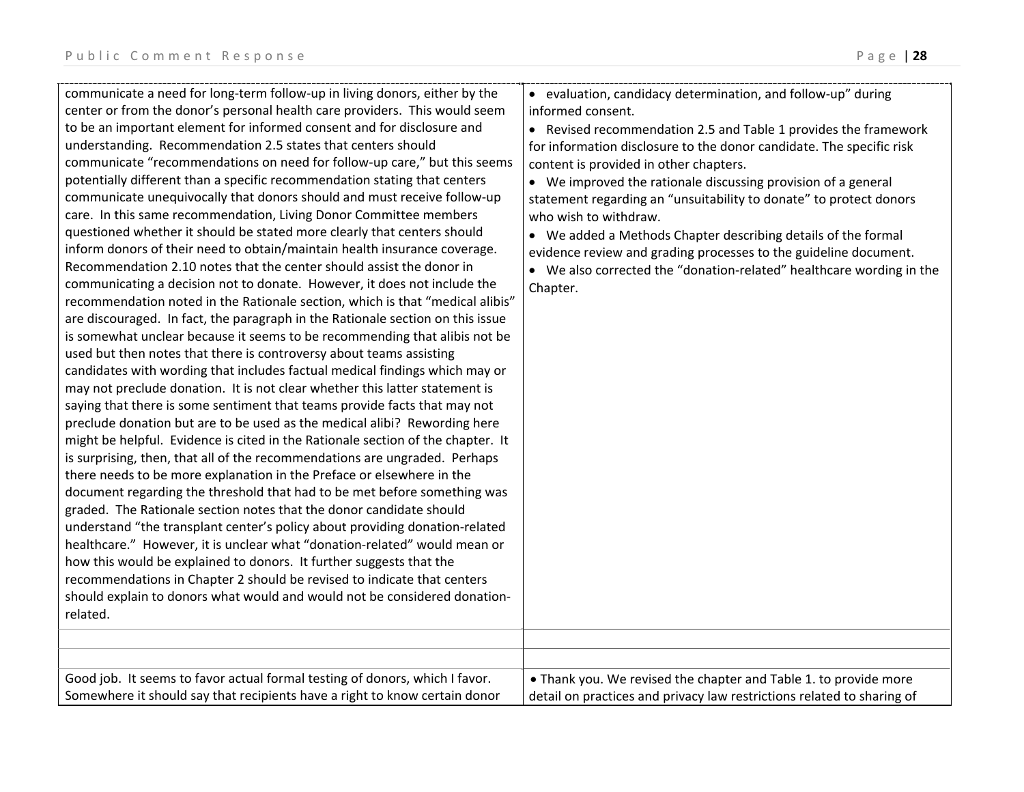| center or from the donor's personal health care providers. This would seem<br>to be an important element for informed consent and for disclosure and<br>understanding. Recommendation 2.5 states that centers should<br>communicate "recommendations on need for follow-up care," but this seems<br>potentially different than a specific recommendation stating that centers<br>communicate unequivocally that donors should and must receive follow-up<br>care. In this same recommendation, Living Donor Committee members<br>questioned whether it should be stated more clearly that centers should<br>inform donors of their need to obtain/maintain health insurance coverage.<br>Recommendation 2.10 notes that the center should assist the donor in<br>communicating a decision not to donate. However, it does not include the<br>recommendation noted in the Rationale section, which is that "medical alibis"<br>are discouraged. In fact, the paragraph in the Rationale section on this issue<br>is somewhat unclear because it seems to be recommending that alibis not be<br>used but then notes that there is controversy about teams assisting<br>candidates with wording that includes factual medical findings which may or<br>may not preclude donation. It is not clear whether this latter statement is<br>saying that there is some sentiment that teams provide facts that may not<br>preclude donation but are to be used as the medical alibi? Rewording here<br>might be helpful. Evidence is cited in the Rationale section of the chapter. It<br>is surprising, then, that all of the recommendations are ungraded. Perhaps<br>there needs to be more explanation in the Preface or elsewhere in the<br>document regarding the threshold that had to be met before something was<br>graded. The Rationale section notes that the donor candidate should<br>understand "the transplant center's policy about providing donation-related<br>healthcare." However, it is unclear what "donation-related" would mean or<br>how this would be explained to donors. It further suggests that the<br>recommendations in Chapter 2 should be revised to indicate that centers<br>should explain to donors what would and would not be considered donation-<br>related. | informed consent.<br>• Revised recommendation 2.5 and Table 1 provides the framework<br>for information disclosure to the donor candidate. The specific risk<br>content is provided in other chapters.<br>• We improved the rationale discussing provision of a general<br>statement regarding an "unsuitability to donate" to protect donors<br>who wish to withdraw.<br>• We added a Methods Chapter describing details of the formal<br>evidence review and grading processes to the guideline document.<br>• We also corrected the "donation-related" healthcare wording in the<br>Chapter. |
|-----------------------------------------------------------------------------------------------------------------------------------------------------------------------------------------------------------------------------------------------------------------------------------------------------------------------------------------------------------------------------------------------------------------------------------------------------------------------------------------------------------------------------------------------------------------------------------------------------------------------------------------------------------------------------------------------------------------------------------------------------------------------------------------------------------------------------------------------------------------------------------------------------------------------------------------------------------------------------------------------------------------------------------------------------------------------------------------------------------------------------------------------------------------------------------------------------------------------------------------------------------------------------------------------------------------------------------------------------------------------------------------------------------------------------------------------------------------------------------------------------------------------------------------------------------------------------------------------------------------------------------------------------------------------------------------------------------------------------------------------------------------------------------------------------------------------------------------------------------------------------------------------------------------------------------------------------------------------------------------------------------------------------------------------------------------------------------------------------------------------------------------------------------------------------------------------------------------------------------------------------------------------------------------------|-------------------------------------------------------------------------------------------------------------------------------------------------------------------------------------------------------------------------------------------------------------------------------------------------------------------------------------------------------------------------------------------------------------------------------------------------------------------------------------------------------------------------------------------------------------------------------------------------|
| Good job. It seems to favor actual formal testing of donors, which I favor.                                                                                                                                                                                                                                                                                                                                                                                                                                                                                                                                                                                                                                                                                                                                                                                                                                                                                                                                                                                                                                                                                                                                                                                                                                                                                                                                                                                                                                                                                                                                                                                                                                                                                                                                                                                                                                                                                                                                                                                                                                                                                                                                                                                                                   | • Thank you. We revised the chapter and Table 1. to provide more                                                                                                                                                                                                                                                                                                                                                                                                                                                                                                                                |
| Somewhere it should say that recipients have a right to know certain donor                                                                                                                                                                                                                                                                                                                                                                                                                                                                                                                                                                                                                                                                                                                                                                                                                                                                                                                                                                                                                                                                                                                                                                                                                                                                                                                                                                                                                                                                                                                                                                                                                                                                                                                                                                                                                                                                                                                                                                                                                                                                                                                                                                                                                    | detail on practices and privacy law restrictions related to sharing of                                                                                                                                                                                                                                                                                                                                                                                                                                                                                                                          |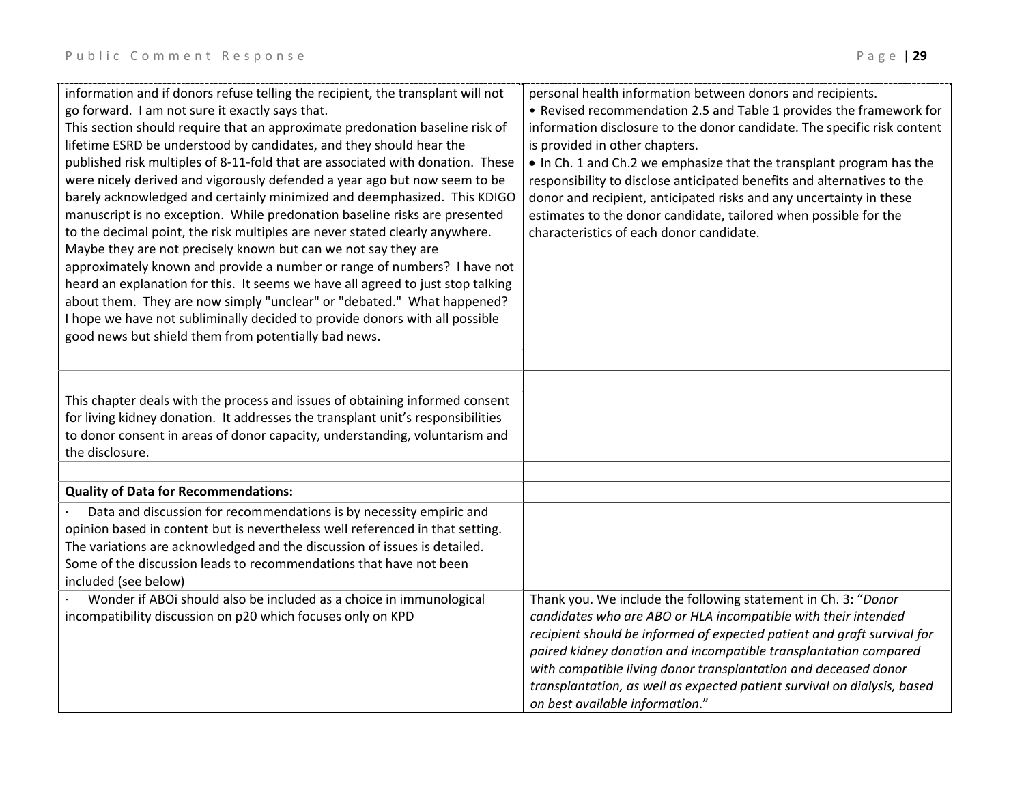| information and if donors refuse telling the recipient, the transplant will not<br>go forward. I am not sure it exactly says that.<br>This section should require that an approximate predonation baseline risk of<br>lifetime ESRD be understood by candidates, and they should hear the<br>published risk multiples of 8-11-fold that are associated with donation. These<br>were nicely derived and vigorously defended a year ago but now seem to be<br>barely acknowledged and certainly minimized and deemphasized. This KDIGO<br>manuscript is no exception. While predonation baseline risks are presented<br>to the decimal point, the risk multiples are never stated clearly anywhere.<br>Maybe they are not precisely known but can we not say they are<br>approximately known and provide a number or range of numbers? I have not<br>heard an explanation for this. It seems we have all agreed to just stop talking<br>about them. They are now simply "unclear" or "debated." What happened?<br>I hope we have not subliminally decided to provide donors with all possible<br>good news but shield them from potentially bad news. | personal health information between donors and recipients.<br>• Revised recommendation 2.5 and Table 1 provides the framework for<br>information disclosure to the donor candidate. The specific risk content<br>is provided in other chapters.<br>• In Ch. 1 and Ch.2 we emphasize that the transplant program has the<br>responsibility to disclose anticipated benefits and alternatives to the<br>donor and recipient, anticipated risks and any uncertainty in these<br>estimates to the donor candidate, tailored when possible for the<br>characteristics of each donor candidate. |
|-----------------------------------------------------------------------------------------------------------------------------------------------------------------------------------------------------------------------------------------------------------------------------------------------------------------------------------------------------------------------------------------------------------------------------------------------------------------------------------------------------------------------------------------------------------------------------------------------------------------------------------------------------------------------------------------------------------------------------------------------------------------------------------------------------------------------------------------------------------------------------------------------------------------------------------------------------------------------------------------------------------------------------------------------------------------------------------------------------------------------------------------------------|-------------------------------------------------------------------------------------------------------------------------------------------------------------------------------------------------------------------------------------------------------------------------------------------------------------------------------------------------------------------------------------------------------------------------------------------------------------------------------------------------------------------------------------------------------------------------------------------|
|                                                                                                                                                                                                                                                                                                                                                                                                                                                                                                                                                                                                                                                                                                                                                                                                                                                                                                                                                                                                                                                                                                                                                     |                                                                                                                                                                                                                                                                                                                                                                                                                                                                                                                                                                                           |
| This chapter deals with the process and issues of obtaining informed consent<br>for living kidney donation. It addresses the transplant unit's responsibilities<br>to donor consent in areas of donor capacity, understanding, voluntarism and<br>the disclosure.                                                                                                                                                                                                                                                                                                                                                                                                                                                                                                                                                                                                                                                                                                                                                                                                                                                                                   |                                                                                                                                                                                                                                                                                                                                                                                                                                                                                                                                                                                           |
| <b>Quality of Data for Recommendations:</b>                                                                                                                                                                                                                                                                                                                                                                                                                                                                                                                                                                                                                                                                                                                                                                                                                                                                                                                                                                                                                                                                                                         |                                                                                                                                                                                                                                                                                                                                                                                                                                                                                                                                                                                           |
| Data and discussion for recommendations is by necessity empiric and<br>opinion based in content but is nevertheless well referenced in that setting.<br>The variations are acknowledged and the discussion of issues is detailed.<br>Some of the discussion leads to recommendations that have not been<br>included (see below)                                                                                                                                                                                                                                                                                                                                                                                                                                                                                                                                                                                                                                                                                                                                                                                                                     |                                                                                                                                                                                                                                                                                                                                                                                                                                                                                                                                                                                           |
| Wonder if ABOi should also be included as a choice in immunological<br>incompatibility discussion on p20 which focuses only on KPD                                                                                                                                                                                                                                                                                                                                                                                                                                                                                                                                                                                                                                                                                                                                                                                                                                                                                                                                                                                                                  | Thank you. We include the following statement in Ch. 3: "Donor<br>candidates who are ABO or HLA incompatible with their intended<br>recipient should be informed of expected patient and graft survival for<br>paired kidney donation and incompatible transplantation compared<br>with compatible living donor transplantation and deceased donor<br>transplantation, as well as expected patient survival on dialysis, based<br>on best available information."                                                                                                                         |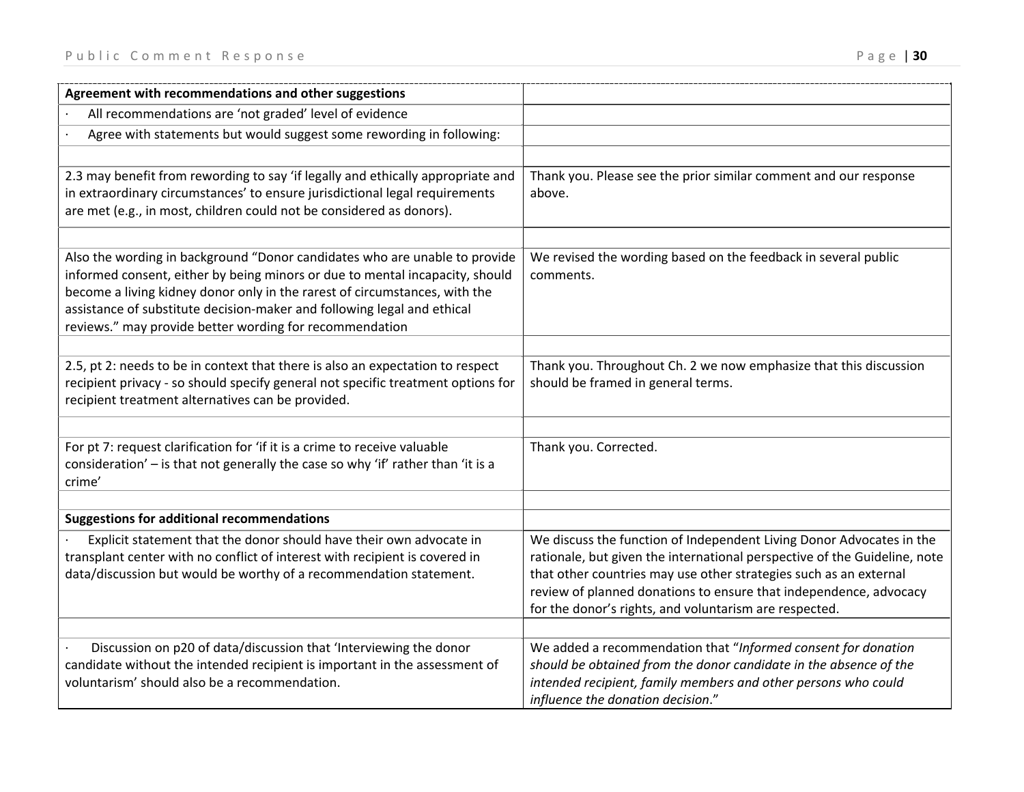| Agreement with recommendations and other suggestions                                                                                                                                                                                                                                                                                                                           |                                                                                                                                                                                                                                                                                                                                                       |
|--------------------------------------------------------------------------------------------------------------------------------------------------------------------------------------------------------------------------------------------------------------------------------------------------------------------------------------------------------------------------------|-------------------------------------------------------------------------------------------------------------------------------------------------------------------------------------------------------------------------------------------------------------------------------------------------------------------------------------------------------|
| All recommendations are 'not graded' level of evidence                                                                                                                                                                                                                                                                                                                         |                                                                                                                                                                                                                                                                                                                                                       |
| Agree with statements but would suggest some rewording in following:                                                                                                                                                                                                                                                                                                           |                                                                                                                                                                                                                                                                                                                                                       |
|                                                                                                                                                                                                                                                                                                                                                                                |                                                                                                                                                                                                                                                                                                                                                       |
| 2.3 may benefit from rewording to say 'if legally and ethically appropriate and<br>in extraordinary circumstances' to ensure jurisdictional legal requirements<br>are met (e.g., in most, children could not be considered as donors).                                                                                                                                         | Thank you. Please see the prior similar comment and our response<br>above.                                                                                                                                                                                                                                                                            |
| Also the wording in background "Donor candidates who are unable to provide<br>informed consent, either by being minors or due to mental incapacity, should<br>become a living kidney donor only in the rarest of circumstances, with the<br>assistance of substitute decision-maker and following legal and ethical<br>reviews." may provide better wording for recommendation | We revised the wording based on the feedback in several public<br>comments.                                                                                                                                                                                                                                                                           |
| 2.5, pt 2: needs to be in context that there is also an expectation to respect<br>recipient privacy - so should specify general not specific treatment options for<br>recipient treatment alternatives can be provided.                                                                                                                                                        | Thank you. Throughout Ch. 2 we now emphasize that this discussion<br>should be framed in general terms.                                                                                                                                                                                                                                               |
| For pt 7: request clarification for 'if it is a crime to receive valuable<br>consideration' - is that not generally the case so why 'if' rather than 'it is a<br>crime'                                                                                                                                                                                                        | Thank you. Corrected.                                                                                                                                                                                                                                                                                                                                 |
| <b>Suggestions for additional recommendations</b>                                                                                                                                                                                                                                                                                                                              |                                                                                                                                                                                                                                                                                                                                                       |
| Explicit statement that the donor should have their own advocate in<br>transplant center with no conflict of interest with recipient is covered in<br>data/discussion but would be worthy of a recommendation statement.                                                                                                                                                       | We discuss the function of Independent Living Donor Advocates in the<br>rationale, but given the international perspective of the Guideline, note<br>that other countries may use other strategies such as an external<br>review of planned donations to ensure that independence, advocacy<br>for the donor's rights, and voluntarism are respected. |
| Discussion on p20 of data/discussion that 'Interviewing the donor<br>candidate without the intended recipient is important in the assessment of<br>voluntarism' should also be a recommendation.                                                                                                                                                                               | We added a recommendation that "Informed consent for donation<br>should be obtained from the donor candidate in the absence of the<br>intended recipient, family members and other persons who could<br>influence the donation decision."                                                                                                             |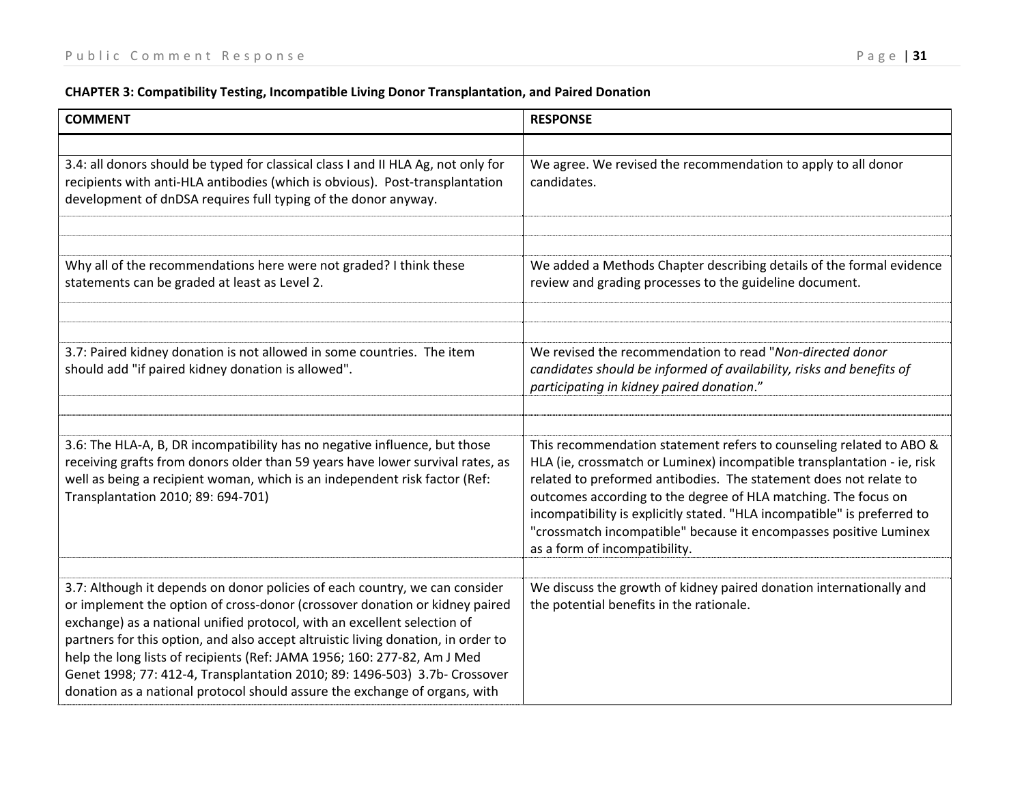#### **CHAPTER 3: Compatibility Testing, Incompatible Living Donor Transplantation, and Paired Donation**

| <b>COMMENT</b>                                                                                                                                                                                                                                                                                                                                                                                                                                                                                                                                                      | <b>RESPONSE</b>                                                                                                                                                                                                                                                                                                                                                                                                                                                         |
|---------------------------------------------------------------------------------------------------------------------------------------------------------------------------------------------------------------------------------------------------------------------------------------------------------------------------------------------------------------------------------------------------------------------------------------------------------------------------------------------------------------------------------------------------------------------|-------------------------------------------------------------------------------------------------------------------------------------------------------------------------------------------------------------------------------------------------------------------------------------------------------------------------------------------------------------------------------------------------------------------------------------------------------------------------|
|                                                                                                                                                                                                                                                                                                                                                                                                                                                                                                                                                                     |                                                                                                                                                                                                                                                                                                                                                                                                                                                                         |
| 3.4: all donors should be typed for classical class I and II HLA Ag, not only for<br>recipients with anti-HLA antibodies (which is obvious). Post-transplantation<br>development of dnDSA requires full typing of the donor anyway.                                                                                                                                                                                                                                                                                                                                 | We agree. We revised the recommendation to apply to all donor<br>candidates.                                                                                                                                                                                                                                                                                                                                                                                            |
|                                                                                                                                                                                                                                                                                                                                                                                                                                                                                                                                                                     |                                                                                                                                                                                                                                                                                                                                                                                                                                                                         |
| Why all of the recommendations here were not graded? I think these<br>statements can be graded at least as Level 2.                                                                                                                                                                                                                                                                                                                                                                                                                                                 | We added a Methods Chapter describing details of the formal evidence<br>review and grading processes to the guideline document.                                                                                                                                                                                                                                                                                                                                         |
|                                                                                                                                                                                                                                                                                                                                                                                                                                                                                                                                                                     |                                                                                                                                                                                                                                                                                                                                                                                                                                                                         |
| 3.7: Paired kidney donation is not allowed in some countries. The item<br>should add "if paired kidney donation is allowed".                                                                                                                                                                                                                                                                                                                                                                                                                                        | We revised the recommendation to read "Non-directed donor<br>candidates should be informed of availability, risks and benefits of<br>participating in kidney paired donation."                                                                                                                                                                                                                                                                                          |
|                                                                                                                                                                                                                                                                                                                                                                                                                                                                                                                                                                     |                                                                                                                                                                                                                                                                                                                                                                                                                                                                         |
| 3.6: The HLA-A, B, DR incompatibility has no negative influence, but those<br>receiving grafts from donors older than 59 years have lower survival rates, as<br>well as being a recipient woman, which is an independent risk factor (Ref:<br>Transplantation 2010; 89: 694-701)                                                                                                                                                                                                                                                                                    | This recommendation statement refers to counseling related to ABO &<br>HLA (ie, crossmatch or Luminex) incompatible transplantation - ie, risk<br>related to preformed antibodies. The statement does not relate to<br>outcomes according to the degree of HLA matching. The focus on<br>incompatibility is explicitly stated. "HLA incompatible" is preferred to<br>"crossmatch incompatible" because it encompasses positive Luminex<br>as a form of incompatibility. |
|                                                                                                                                                                                                                                                                                                                                                                                                                                                                                                                                                                     |                                                                                                                                                                                                                                                                                                                                                                                                                                                                         |
| 3.7: Although it depends on donor policies of each country, we can consider<br>or implement the option of cross-donor (crossover donation or kidney paired<br>exchange) as a national unified protocol, with an excellent selection of<br>partners for this option, and also accept altruistic living donation, in order to<br>help the long lists of recipients (Ref: JAMA 1956; 160: 277-82, Am J Med<br>Genet 1998; 77: 412-4, Transplantation 2010; 89: 1496-503) 3.7b- Crossover<br>donation as a national protocol should assure the exchange of organs, with | We discuss the growth of kidney paired donation internationally and<br>the potential benefits in the rationale.                                                                                                                                                                                                                                                                                                                                                         |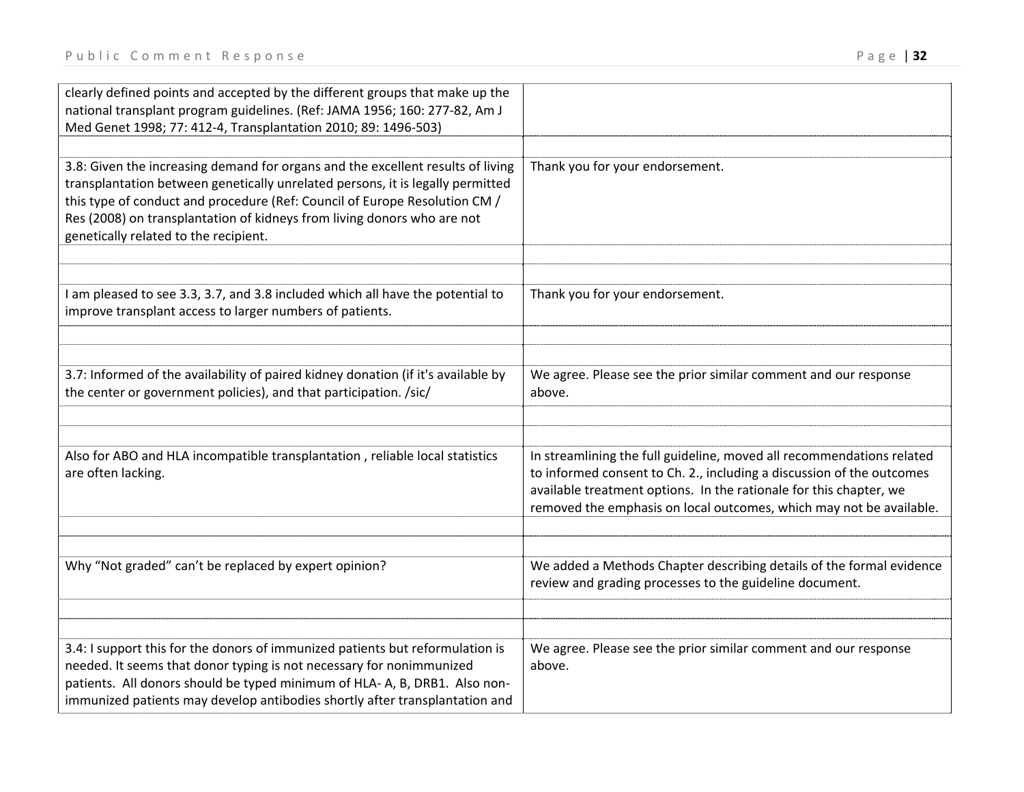| clearly defined points and accepted by the different groups that make up the<br>national transplant program guidelines. (Ref: JAMA 1956; 160: 277-82, Am J<br>Med Genet 1998; 77: 412-4, Transplantation 2010; 89: 1496-503)                                                                                                                                        |                                                                                                                                                                                                                                                                                             |
|---------------------------------------------------------------------------------------------------------------------------------------------------------------------------------------------------------------------------------------------------------------------------------------------------------------------------------------------------------------------|---------------------------------------------------------------------------------------------------------------------------------------------------------------------------------------------------------------------------------------------------------------------------------------------|
|                                                                                                                                                                                                                                                                                                                                                                     |                                                                                                                                                                                                                                                                                             |
| 3.8: Given the increasing demand for organs and the excellent results of living<br>transplantation between genetically unrelated persons, it is legally permitted<br>this type of conduct and procedure (Ref: Council of Europe Resolution CM /<br>Res (2008) on transplantation of kidneys from living donors who are not<br>genetically related to the recipient. | Thank you for your endorsement.                                                                                                                                                                                                                                                             |
|                                                                                                                                                                                                                                                                                                                                                                     |                                                                                                                                                                                                                                                                                             |
| I am pleased to see 3.3, 3.7, and 3.8 included which all have the potential to<br>improve transplant access to larger numbers of patients.                                                                                                                                                                                                                          | Thank you for your endorsement.                                                                                                                                                                                                                                                             |
|                                                                                                                                                                                                                                                                                                                                                                     |                                                                                                                                                                                                                                                                                             |
| 3.7: Informed of the availability of paired kidney donation (if it's available by<br>the center or government policies), and that participation. /sic/                                                                                                                                                                                                              | We agree. Please see the prior similar comment and our response<br>above.                                                                                                                                                                                                                   |
|                                                                                                                                                                                                                                                                                                                                                                     |                                                                                                                                                                                                                                                                                             |
| Also for ABO and HLA incompatible transplantation, reliable local statistics<br>are often lacking.                                                                                                                                                                                                                                                                  | In streamlining the full guideline, moved all recommendations related<br>to informed consent to Ch. 2., including a discussion of the outcomes<br>available treatment options. In the rationale for this chapter, we<br>removed the emphasis on local outcomes, which may not be available. |
| Why "Not graded" can't be replaced by expert opinion?                                                                                                                                                                                                                                                                                                               | We added a Methods Chapter describing details of the formal evidence<br>review and grading processes to the guideline document.                                                                                                                                                             |
|                                                                                                                                                                                                                                                                                                                                                                     |                                                                                                                                                                                                                                                                                             |
| 3.4: I support this for the donors of immunized patients but reformulation is<br>needed. It seems that donor typing is not necessary for nonimmunized<br>patients. All donors should be typed minimum of HLA-A, B, DRB1. Also non-<br>immunized patients may develop antibodies shortly after transplantation and                                                   | We agree. Please see the prior similar comment and our response<br>above.                                                                                                                                                                                                                   |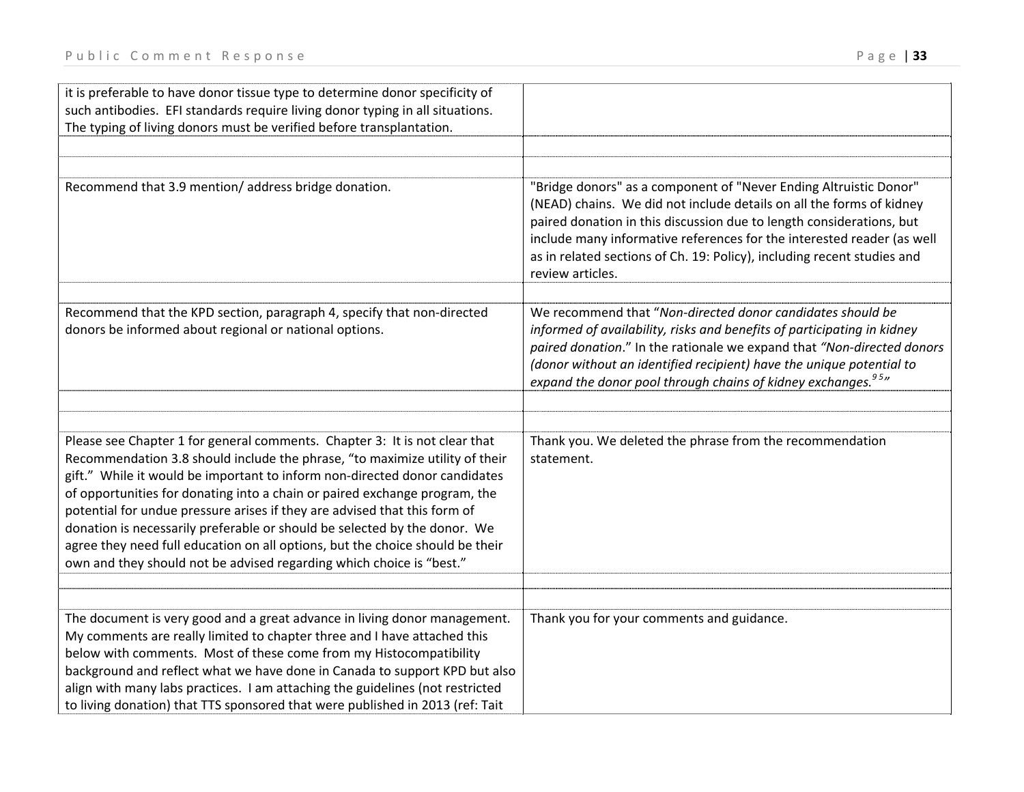| it is preferable to have donor tissue type to determine donor specificity of<br>such antibodies. EFI standards require living donor typing in all situations.<br>The typing of living donors must be verified before transplantation.                                                                                                                                                                                                                                                                                                                                                                                                    |                                                                                                                                                                                                                                                                                                                                                                                            |
|------------------------------------------------------------------------------------------------------------------------------------------------------------------------------------------------------------------------------------------------------------------------------------------------------------------------------------------------------------------------------------------------------------------------------------------------------------------------------------------------------------------------------------------------------------------------------------------------------------------------------------------|--------------------------------------------------------------------------------------------------------------------------------------------------------------------------------------------------------------------------------------------------------------------------------------------------------------------------------------------------------------------------------------------|
| Recommend that 3.9 mention/ address bridge donation.                                                                                                                                                                                                                                                                                                                                                                                                                                                                                                                                                                                     | "Bridge donors" as a component of "Never Ending Altruistic Donor"<br>(NEAD) chains. We did not include details on all the forms of kidney<br>paired donation in this discussion due to length considerations, but<br>include many informative references for the interested reader (as well<br>as in related sections of Ch. 19: Policy), including recent studies and<br>review articles. |
| Recommend that the KPD section, paragraph 4, specify that non-directed<br>donors be informed about regional or national options.                                                                                                                                                                                                                                                                                                                                                                                                                                                                                                         | We recommend that "Non-directed donor candidates should be<br>informed of availability, risks and benefits of participating in kidney<br>paired donation." In the rationale we expand that "Non-directed donors<br>(donor without an identified recipient) have the unique potential to<br>expand the donor pool through chains of kidney exchanges. <sup>95</sup> "                       |
| Please see Chapter 1 for general comments. Chapter 3: It is not clear that<br>Recommendation 3.8 should include the phrase, "to maximize utility of their<br>gift." While it would be important to inform non-directed donor candidates<br>of opportunities for donating into a chain or paired exchange program, the<br>potential for undue pressure arises if they are advised that this form of<br>donation is necessarily preferable or should be selected by the donor. We<br>agree they need full education on all options, but the choice should be their<br>own and they should not be advised regarding which choice is "best." | Thank you. We deleted the phrase from the recommendation<br>statement.                                                                                                                                                                                                                                                                                                                     |
| The document is very good and a great advance in living donor management.<br>My comments are really limited to chapter three and I have attached this<br>below with comments. Most of these come from my Histocompatibility<br>background and reflect what we have done in Canada to support KPD but also<br>align with many labs practices. I am attaching the guidelines (not restricted<br>to living donation) that TTS sponsored that were published in 2013 (ref: Tait                                                                                                                                                              | Thank you for your comments and guidance.                                                                                                                                                                                                                                                                                                                                                  |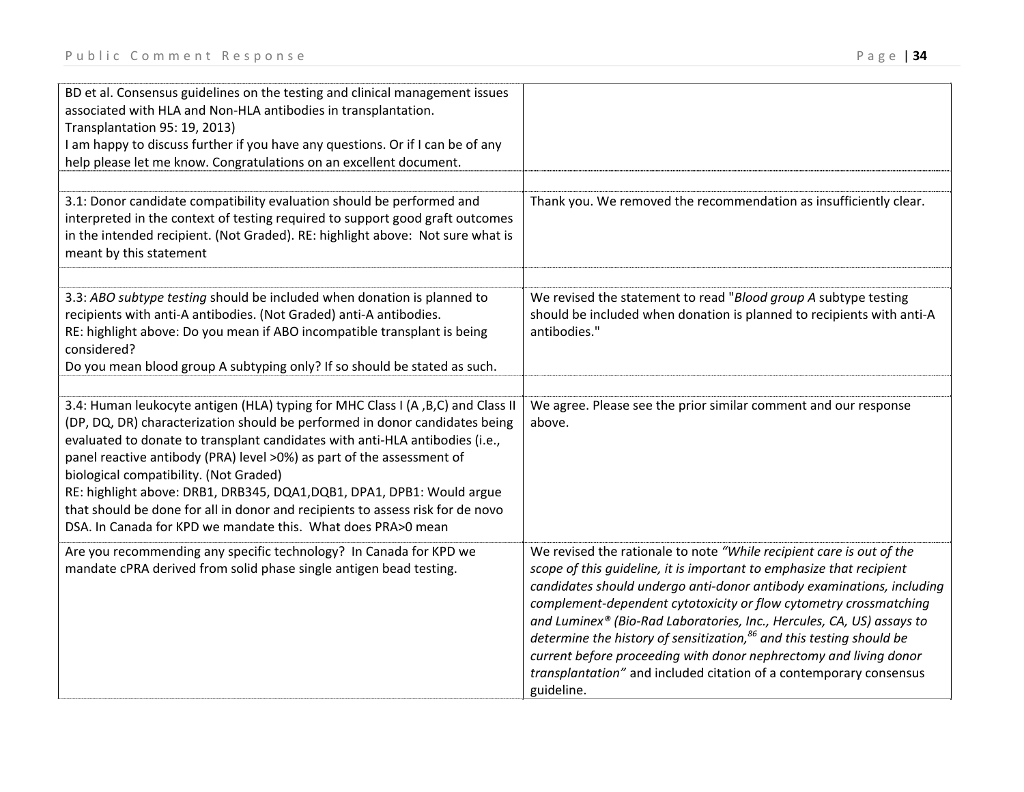| BD et al. Consensus guidelines on the testing and clinical management issues<br>associated with HLA and Non-HLA antibodies in transplantation.<br>Transplantation 95: 19, 2013)<br>I am happy to discuss further if you have any questions. Or if I can be of any<br>help please let me know. Congratulations on an excellent document.                                                                                                                                                                                                                                                        |                                                                                                                                                                                                                                                                                                                                                                                                                                                                                                                                                                                                         |
|------------------------------------------------------------------------------------------------------------------------------------------------------------------------------------------------------------------------------------------------------------------------------------------------------------------------------------------------------------------------------------------------------------------------------------------------------------------------------------------------------------------------------------------------------------------------------------------------|---------------------------------------------------------------------------------------------------------------------------------------------------------------------------------------------------------------------------------------------------------------------------------------------------------------------------------------------------------------------------------------------------------------------------------------------------------------------------------------------------------------------------------------------------------------------------------------------------------|
| 3.1: Donor candidate compatibility evaluation should be performed and<br>interpreted in the context of testing required to support good graft outcomes<br>in the intended recipient. (Not Graded). RE: highlight above: Not sure what is<br>meant by this statement                                                                                                                                                                                                                                                                                                                            | Thank you. We removed the recommendation as insufficiently clear.                                                                                                                                                                                                                                                                                                                                                                                                                                                                                                                                       |
| 3.3: ABO subtype testing should be included when donation is planned to<br>recipients with anti-A antibodies. (Not Graded) anti-A antibodies.<br>RE: highlight above: Do you mean if ABO incompatible transplant is being<br>considered?<br>Do you mean blood group A subtyping only? If so should be stated as such.                                                                                                                                                                                                                                                                          | We revised the statement to read "Blood group A subtype testing<br>should be included when donation is planned to recipients with anti-A<br>antibodies."                                                                                                                                                                                                                                                                                                                                                                                                                                                |
| 3.4: Human leukocyte antigen (HLA) typing for MHC Class I (A, B, C) and Class II<br>(DP, DQ, DR) characterization should be performed in donor candidates being<br>evaluated to donate to transplant candidates with anti-HLA antibodies (i.e.,<br>panel reactive antibody (PRA) level >0%) as part of the assessment of<br>biological compatibility. (Not Graded)<br>RE: highlight above: DRB1, DRB345, DQA1, DQB1, DPA1, DPB1: Would argue<br>that should be done for all in donor and recipients to assess risk for de novo<br>DSA. In Canada for KPD we mandate this. What does PRA>0 mean | We agree. Please see the prior similar comment and our response<br>above.                                                                                                                                                                                                                                                                                                                                                                                                                                                                                                                               |
| Are you recommending any specific technology? In Canada for KPD we<br>mandate cPRA derived from solid phase single antigen bead testing.                                                                                                                                                                                                                                                                                                                                                                                                                                                       | We revised the rationale to note "While recipient care is out of the<br>scope of this guideline, it is important to emphasize that recipient<br>candidates should undergo anti-donor antibody examinations, including<br>complement-dependent cytotoxicity or flow cytometry crossmatching<br>and Luminex® (Bio-Rad Laboratories, Inc., Hercules, CA, US) assays to<br>determine the history of sensitization, $86$ and this testing should be<br>current before proceeding with donor nephrectomy and living donor<br>transplantation" and included citation of a contemporary consensus<br>guideline. |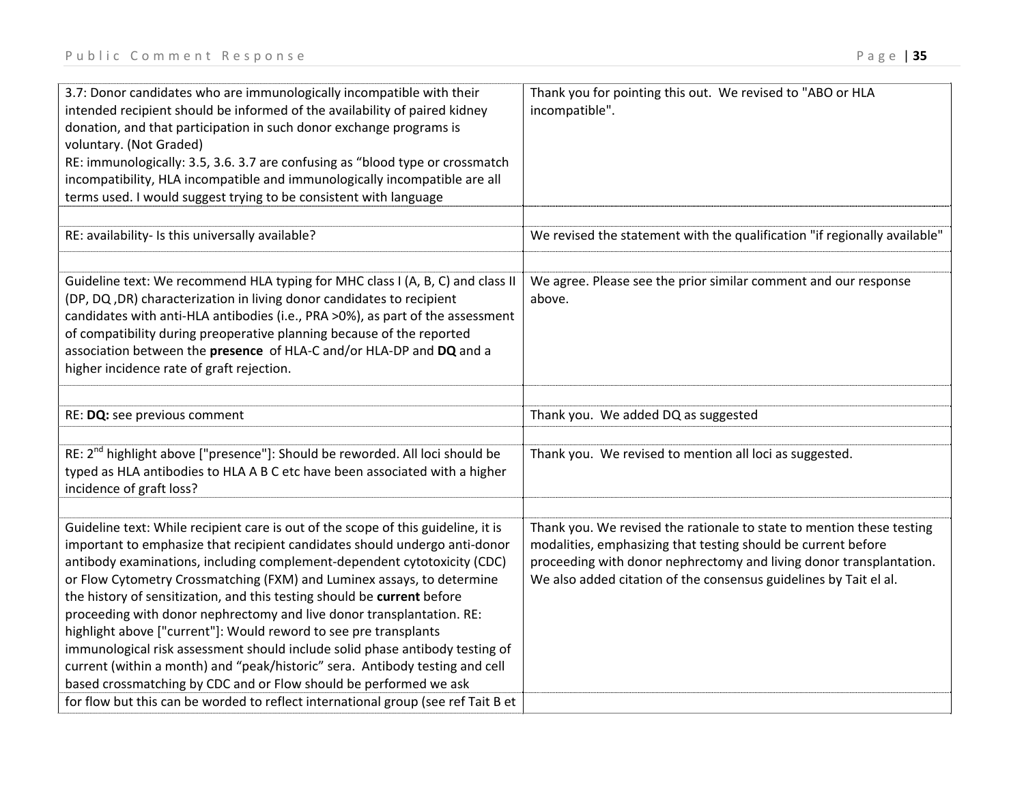| 3.7: Donor candidates who are immunologically incompatible with their<br>intended recipient should be informed of the availability of paired kidney<br>donation, and that participation in such donor exchange programs is<br>voluntary. (Not Graded)<br>RE: immunologically: 3.5, 3.6. 3.7 are confusing as "blood type or crossmatch | Thank you for pointing this out. We revised to "ABO or HLA<br>incompatible". |
|----------------------------------------------------------------------------------------------------------------------------------------------------------------------------------------------------------------------------------------------------------------------------------------------------------------------------------------|------------------------------------------------------------------------------|
| incompatibility, HLA incompatible and immunologically incompatible are all                                                                                                                                                                                                                                                             |                                                                              |
| terms used. I would suggest trying to be consistent with language                                                                                                                                                                                                                                                                      |                                                                              |
|                                                                                                                                                                                                                                                                                                                                        |                                                                              |
| RE: availability- Is this universally available?                                                                                                                                                                                                                                                                                       | We revised the statement with the qualification "if regionally available"    |
|                                                                                                                                                                                                                                                                                                                                        |                                                                              |
| Guideline text: We recommend HLA typing for MHC class I (A, B, C) and class II                                                                                                                                                                                                                                                         | We agree. Please see the prior similar comment and our response              |
| (DP, DQ, DR) characterization in living donor candidates to recipient                                                                                                                                                                                                                                                                  | above.                                                                       |
| candidates with anti-HLA antibodies (i.e., PRA >0%), as part of the assessment<br>of compatibility during preoperative planning because of the reported                                                                                                                                                                                |                                                                              |
| association between the presence of HLA-C and/or HLA-DP and DQ and a                                                                                                                                                                                                                                                                   |                                                                              |
| higher incidence rate of graft rejection.                                                                                                                                                                                                                                                                                              |                                                                              |
|                                                                                                                                                                                                                                                                                                                                        |                                                                              |
| RE: DQ: see previous comment                                                                                                                                                                                                                                                                                                           | Thank you. We added DQ as suggested                                          |
|                                                                                                                                                                                                                                                                                                                                        |                                                                              |
| RE: 2 <sup>nd</sup> highlight above ["presence"]: Should be reworded. All loci should be                                                                                                                                                                                                                                               | Thank you. We revised to mention all loci as suggested.                      |
| typed as HLA antibodies to HLA A B C etc have been associated with a higher<br>incidence of graft loss?                                                                                                                                                                                                                                |                                                                              |
|                                                                                                                                                                                                                                                                                                                                        |                                                                              |
| Guideline text: While recipient care is out of the scope of this guideline, it is                                                                                                                                                                                                                                                      | Thank you. We revised the rationale to state to mention these testing        |
| important to emphasize that recipient candidates should undergo anti-donor                                                                                                                                                                                                                                                             | modalities, emphasizing that testing should be current before                |
| antibody examinations, including complement-dependent cytotoxicity (CDC)                                                                                                                                                                                                                                                               | proceeding with donor nephrectomy and living donor transplantation.          |
| or Flow Cytometry Crossmatching (FXM) and Luminex assays, to determine                                                                                                                                                                                                                                                                 | We also added citation of the consensus guidelines by Tait el al.            |
| the history of sensitization, and this testing should be current before                                                                                                                                                                                                                                                                |                                                                              |
| proceeding with donor nephrectomy and live donor transplantation. RE:                                                                                                                                                                                                                                                                  |                                                                              |
| highlight above ["current"]: Would reword to see pre transplants                                                                                                                                                                                                                                                                       |                                                                              |
| immunological risk assessment should include solid phase antibody testing of                                                                                                                                                                                                                                                           |                                                                              |
| current (within a month) and "peak/historic" sera. Antibody testing and cell                                                                                                                                                                                                                                                           |                                                                              |
| based crossmatching by CDC and or Flow should be performed we ask                                                                                                                                                                                                                                                                      |                                                                              |
| for flow but this can be worded to reflect international group (see ref Tait B et                                                                                                                                                                                                                                                      |                                                                              |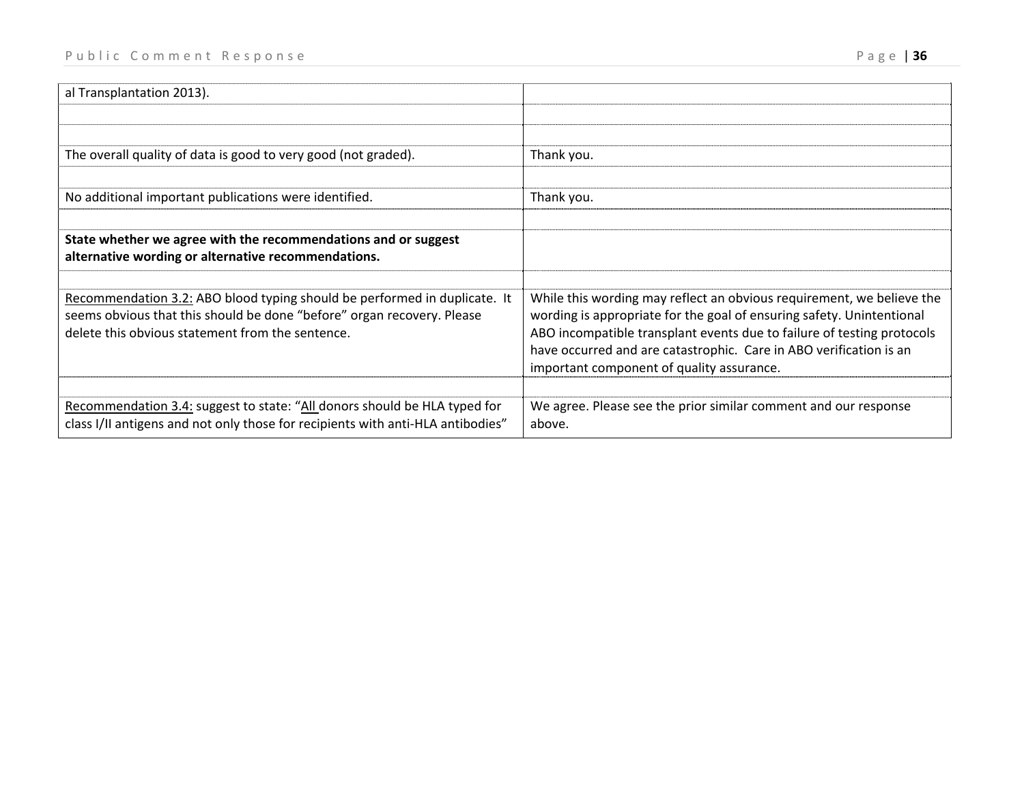| al Transplantation 2013).                                                       |                                                                                                                                              |
|---------------------------------------------------------------------------------|----------------------------------------------------------------------------------------------------------------------------------------------|
|                                                                                 |                                                                                                                                              |
|                                                                                 |                                                                                                                                              |
| The overall quality of data is good to very good (not graded).                  | Thank you.                                                                                                                                   |
|                                                                                 |                                                                                                                                              |
| No additional important publications were identified.                           | Thank you.                                                                                                                                   |
|                                                                                 |                                                                                                                                              |
| State whether we agree with the recommendations and or suggest                  |                                                                                                                                              |
| alternative wording or alternative recommendations.                             |                                                                                                                                              |
|                                                                                 |                                                                                                                                              |
| Recommendation 3.2: ABO blood typing should be performed in duplicate. It       | While this wording may reflect an obvious requirement, we believe the                                                                        |
| seems obvious that this should be done "before" organ recovery. Please          | wording is appropriate for the goal of ensuring safety. Unintentional                                                                        |
| delete this obvious statement from the sentence.                                | ABO incompatible transplant events due to failure of testing protocols<br>have occurred and are catastrophic. Care in ABO verification is an |
|                                                                                 | important component of quality assurance.                                                                                                    |
|                                                                                 |                                                                                                                                              |
| Recommendation 3.4: suggest to state: "All donors should be HLA typed for       | We agree. Please see the prior similar comment and our response                                                                              |
| class I/II antigens and not only those for recipients with anti-HLA antibodies" | above.                                                                                                                                       |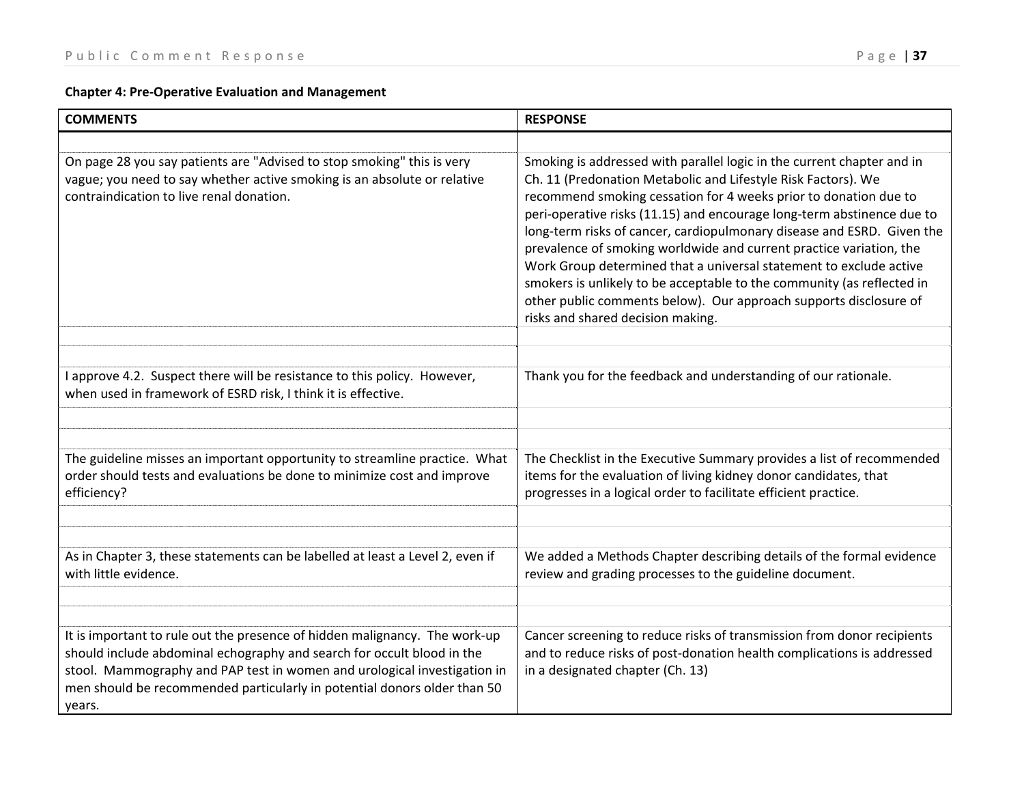# **Chapter 4: Pre‐Operative Evaluation and Management**

| <b>COMMENTS</b>                                                                                                                                                                                                                                                                                                        | <b>RESPONSE</b>                                                                                                                                                                                                                                                                                                                                                                                                                                                                                                                                                                                                                                                                                  |
|------------------------------------------------------------------------------------------------------------------------------------------------------------------------------------------------------------------------------------------------------------------------------------------------------------------------|--------------------------------------------------------------------------------------------------------------------------------------------------------------------------------------------------------------------------------------------------------------------------------------------------------------------------------------------------------------------------------------------------------------------------------------------------------------------------------------------------------------------------------------------------------------------------------------------------------------------------------------------------------------------------------------------------|
|                                                                                                                                                                                                                                                                                                                        |                                                                                                                                                                                                                                                                                                                                                                                                                                                                                                                                                                                                                                                                                                  |
| On page 28 you say patients are "Advised to stop smoking" this is very<br>vague; you need to say whether active smoking is an absolute or relative<br>contraindication to live renal donation.                                                                                                                         | Smoking is addressed with parallel logic in the current chapter and in<br>Ch. 11 (Predonation Metabolic and Lifestyle Risk Factors). We<br>recommend smoking cessation for 4 weeks prior to donation due to<br>peri-operative risks (11.15) and encourage long-term abstinence due to<br>long-term risks of cancer, cardiopulmonary disease and ESRD. Given the<br>prevalence of smoking worldwide and current practice variation, the<br>Work Group determined that a universal statement to exclude active<br>smokers is unlikely to be acceptable to the community (as reflected in<br>other public comments below). Our approach supports disclosure of<br>risks and shared decision making. |
| I approve 4.2. Suspect there will be resistance to this policy. However,<br>when used in framework of ESRD risk, I think it is effective.                                                                                                                                                                              | Thank you for the feedback and understanding of our rationale.                                                                                                                                                                                                                                                                                                                                                                                                                                                                                                                                                                                                                                   |
| The guideline misses an important opportunity to streamline practice. What<br>order should tests and evaluations be done to minimize cost and improve<br>efficiency?                                                                                                                                                   | The Checklist in the Executive Summary provides a list of recommended<br>items for the evaluation of living kidney donor candidates, that<br>progresses in a logical order to facilitate efficient practice.                                                                                                                                                                                                                                                                                                                                                                                                                                                                                     |
| As in Chapter 3, these statements can be labelled at least a Level 2, even if<br>with little evidence.                                                                                                                                                                                                                 | We added a Methods Chapter describing details of the formal evidence<br>review and grading processes to the guideline document.                                                                                                                                                                                                                                                                                                                                                                                                                                                                                                                                                                  |
| It is important to rule out the presence of hidden malignancy. The work-up<br>should include abdominal echography and search for occult blood in the<br>stool. Mammography and PAP test in women and urological investigation in<br>men should be recommended particularly in potential donors older than 50<br>years. | Cancer screening to reduce risks of transmission from donor recipients<br>and to reduce risks of post-donation health complications is addressed<br>in a designated chapter (Ch. 13)                                                                                                                                                                                                                                                                                                                                                                                                                                                                                                             |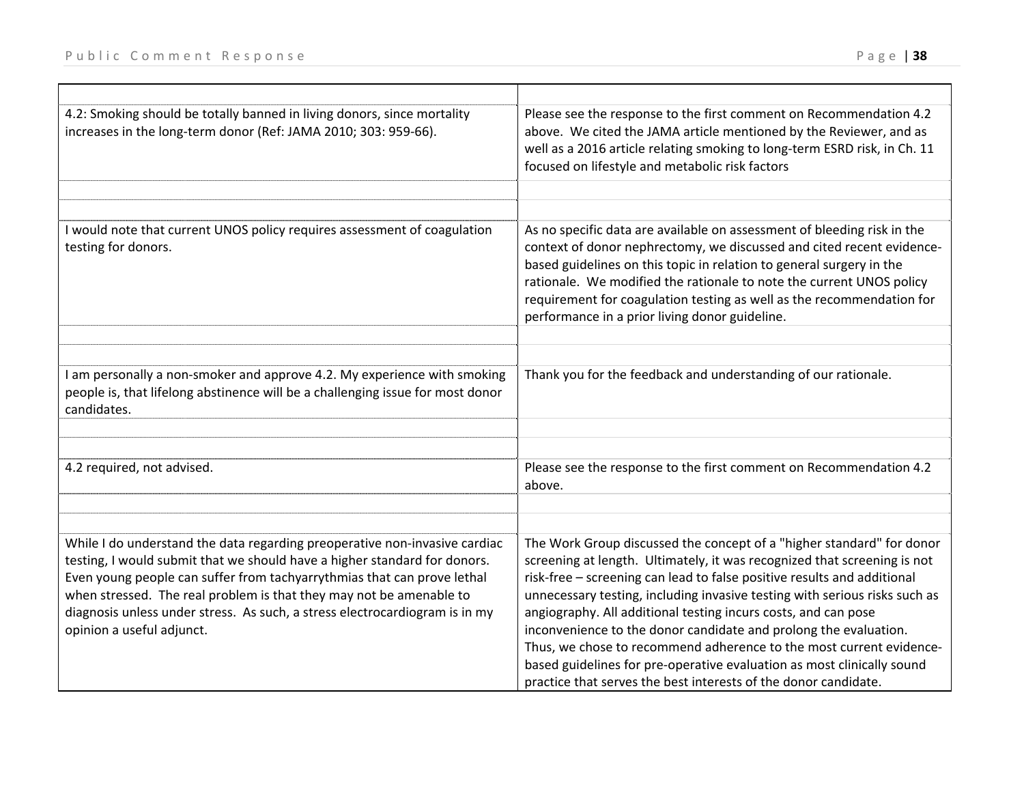| 4.2: Smoking should be totally banned in living donors, since mortality<br>increases in the long-term donor (Ref: JAMA 2010; 303: 959-66).                                                                                                                                                                                                                                                                            | Please see the response to the first comment on Recommendation 4.2<br>above. We cited the JAMA article mentioned by the Reviewer, and as<br>well as a 2016 article relating smoking to long-term ESRD risk, in Ch. 11<br>focused on lifestyle and metabolic risk factors                                                                                                                                                                                                                                                                                                                                                                                             |
|-----------------------------------------------------------------------------------------------------------------------------------------------------------------------------------------------------------------------------------------------------------------------------------------------------------------------------------------------------------------------------------------------------------------------|----------------------------------------------------------------------------------------------------------------------------------------------------------------------------------------------------------------------------------------------------------------------------------------------------------------------------------------------------------------------------------------------------------------------------------------------------------------------------------------------------------------------------------------------------------------------------------------------------------------------------------------------------------------------|
|                                                                                                                                                                                                                                                                                                                                                                                                                       |                                                                                                                                                                                                                                                                                                                                                                                                                                                                                                                                                                                                                                                                      |
| I would note that current UNOS policy requires assessment of coagulation<br>testing for donors.                                                                                                                                                                                                                                                                                                                       | As no specific data are available on assessment of bleeding risk in the<br>context of donor nephrectomy, we discussed and cited recent evidence-<br>based guidelines on this topic in relation to general surgery in the<br>rationale. We modified the rationale to note the current UNOS policy<br>requirement for coagulation testing as well as the recommendation for<br>performance in a prior living donor guideline.                                                                                                                                                                                                                                          |
|                                                                                                                                                                                                                                                                                                                                                                                                                       |                                                                                                                                                                                                                                                                                                                                                                                                                                                                                                                                                                                                                                                                      |
| I am personally a non-smoker and approve 4.2. My experience with smoking<br>people is, that lifelong abstinence will be a challenging issue for most donor<br>candidates.                                                                                                                                                                                                                                             | Thank you for the feedback and understanding of our rationale.                                                                                                                                                                                                                                                                                                                                                                                                                                                                                                                                                                                                       |
|                                                                                                                                                                                                                                                                                                                                                                                                                       |                                                                                                                                                                                                                                                                                                                                                                                                                                                                                                                                                                                                                                                                      |
| 4.2 required, not advised.                                                                                                                                                                                                                                                                                                                                                                                            | Please see the response to the first comment on Recommendation 4.2<br>above.                                                                                                                                                                                                                                                                                                                                                                                                                                                                                                                                                                                         |
|                                                                                                                                                                                                                                                                                                                                                                                                                       |                                                                                                                                                                                                                                                                                                                                                                                                                                                                                                                                                                                                                                                                      |
| While I do understand the data regarding preoperative non-invasive cardiac<br>testing, I would submit that we should have a higher standard for donors.<br>Even young people can suffer from tachyarrythmias that can prove lethal<br>when stressed. The real problem is that they may not be amenable to<br>diagnosis unless under stress. As such, a stress electrocardiogram is in my<br>opinion a useful adjunct. | The Work Group discussed the concept of a "higher standard" for donor<br>screening at length. Ultimately, it was recognized that screening is not<br>risk-free - screening can lead to false positive results and additional<br>unnecessary testing, including invasive testing with serious risks such as<br>angiography. All additional testing incurs costs, and can pose<br>inconvenience to the donor candidate and prolong the evaluation.<br>Thus, we chose to recommend adherence to the most current evidence-<br>based guidelines for pre-operative evaluation as most clinically sound<br>practice that serves the best interests of the donor candidate. |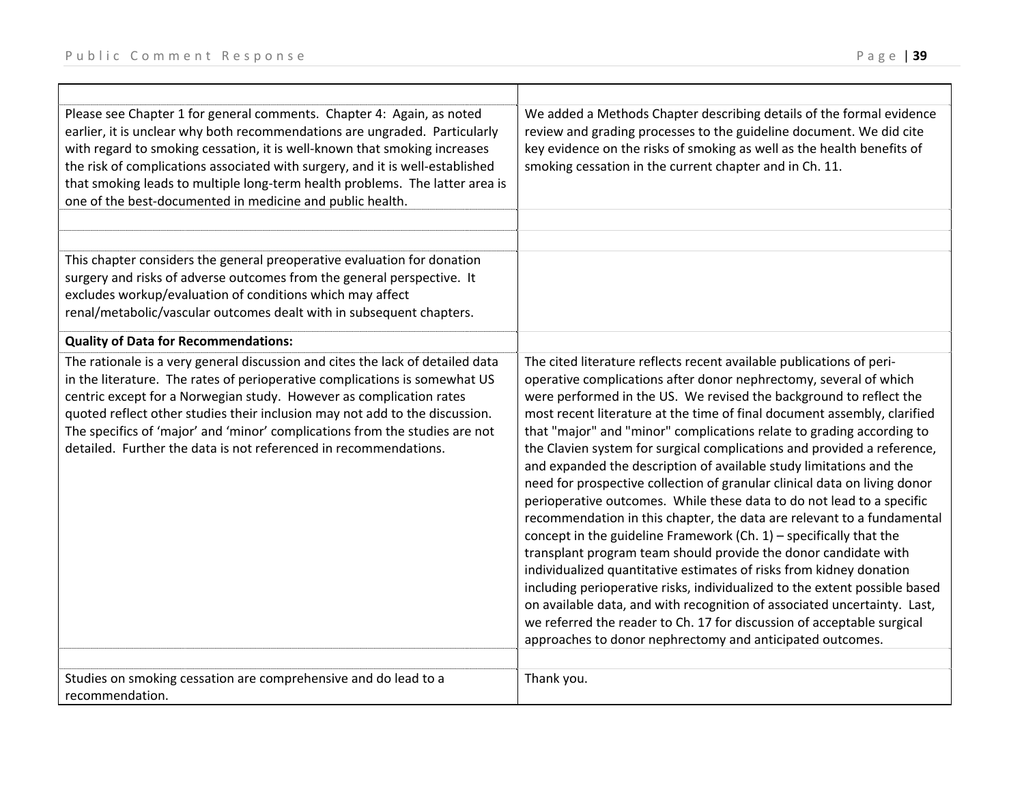| Please see Chapter 1 for general comments. Chapter 4: Again, as noted<br>earlier, it is unclear why both recommendations are ungraded. Particularly<br>with regard to smoking cessation, it is well-known that smoking increases<br>the risk of complications associated with surgery, and it is well-established<br>that smoking leads to multiple long-term health problems. The latter area is<br>one of the best-documented in medicine and public health.        | We added a Methods Chapter describing details of the formal evidence<br>review and grading processes to the guideline document. We did cite<br>key evidence on the risks of smoking as well as the health benefits of<br>smoking cessation in the current chapter and in Ch. 11.                                                                                                                                                                                                                                                                                                                                                                                                                                                                                                                                                                                                                                                                                                                                                                                                                                                                                                                                                                                           |
|-----------------------------------------------------------------------------------------------------------------------------------------------------------------------------------------------------------------------------------------------------------------------------------------------------------------------------------------------------------------------------------------------------------------------------------------------------------------------|----------------------------------------------------------------------------------------------------------------------------------------------------------------------------------------------------------------------------------------------------------------------------------------------------------------------------------------------------------------------------------------------------------------------------------------------------------------------------------------------------------------------------------------------------------------------------------------------------------------------------------------------------------------------------------------------------------------------------------------------------------------------------------------------------------------------------------------------------------------------------------------------------------------------------------------------------------------------------------------------------------------------------------------------------------------------------------------------------------------------------------------------------------------------------------------------------------------------------------------------------------------------------|
|                                                                                                                                                                                                                                                                                                                                                                                                                                                                       |                                                                                                                                                                                                                                                                                                                                                                                                                                                                                                                                                                                                                                                                                                                                                                                                                                                                                                                                                                                                                                                                                                                                                                                                                                                                            |
| This chapter considers the general preoperative evaluation for donation<br>surgery and risks of adverse outcomes from the general perspective. It<br>excludes workup/evaluation of conditions which may affect<br>renal/metabolic/vascular outcomes dealt with in subsequent chapters.                                                                                                                                                                                |                                                                                                                                                                                                                                                                                                                                                                                                                                                                                                                                                                                                                                                                                                                                                                                                                                                                                                                                                                                                                                                                                                                                                                                                                                                                            |
| <b>Quality of Data for Recommendations:</b>                                                                                                                                                                                                                                                                                                                                                                                                                           |                                                                                                                                                                                                                                                                                                                                                                                                                                                                                                                                                                                                                                                                                                                                                                                                                                                                                                                                                                                                                                                                                                                                                                                                                                                                            |
| The rationale is a very general discussion and cites the lack of detailed data<br>in the literature. The rates of perioperative complications is somewhat US<br>centric except for a Norwegian study. However as complication rates<br>quoted reflect other studies their inclusion may not add to the discussion.<br>The specifics of 'major' and 'minor' complications from the studies are not<br>detailed. Further the data is not referenced in recommendations. | The cited literature reflects recent available publications of peri-<br>operative complications after donor nephrectomy, several of which<br>were performed in the US. We revised the background to reflect the<br>most recent literature at the time of final document assembly, clarified<br>that "major" and "minor" complications relate to grading according to<br>the Clavien system for surgical complications and provided a reference,<br>and expanded the description of available study limitations and the<br>need for prospective collection of granular clinical data on living donor<br>perioperative outcomes. While these data to do not lead to a specific<br>recommendation in this chapter, the data are relevant to a fundamental<br>concept in the guideline Framework (Ch. $1$ ) – specifically that the<br>transplant program team should provide the donor candidate with<br>individualized quantitative estimates of risks from kidney donation<br>including perioperative risks, individualized to the extent possible based<br>on available data, and with recognition of associated uncertainty. Last,<br>we referred the reader to Ch. 17 for discussion of acceptable surgical<br>approaches to donor nephrectomy and anticipated outcomes. |
| Studies on smoking cessation are comprehensive and do lead to a                                                                                                                                                                                                                                                                                                                                                                                                       | Thank you.                                                                                                                                                                                                                                                                                                                                                                                                                                                                                                                                                                                                                                                                                                                                                                                                                                                                                                                                                                                                                                                                                                                                                                                                                                                                 |
| recommendation.                                                                                                                                                                                                                                                                                                                                                                                                                                                       |                                                                                                                                                                                                                                                                                                                                                                                                                                                                                                                                                                                                                                                                                                                                                                                                                                                                                                                                                                                                                                                                                                                                                                                                                                                                            |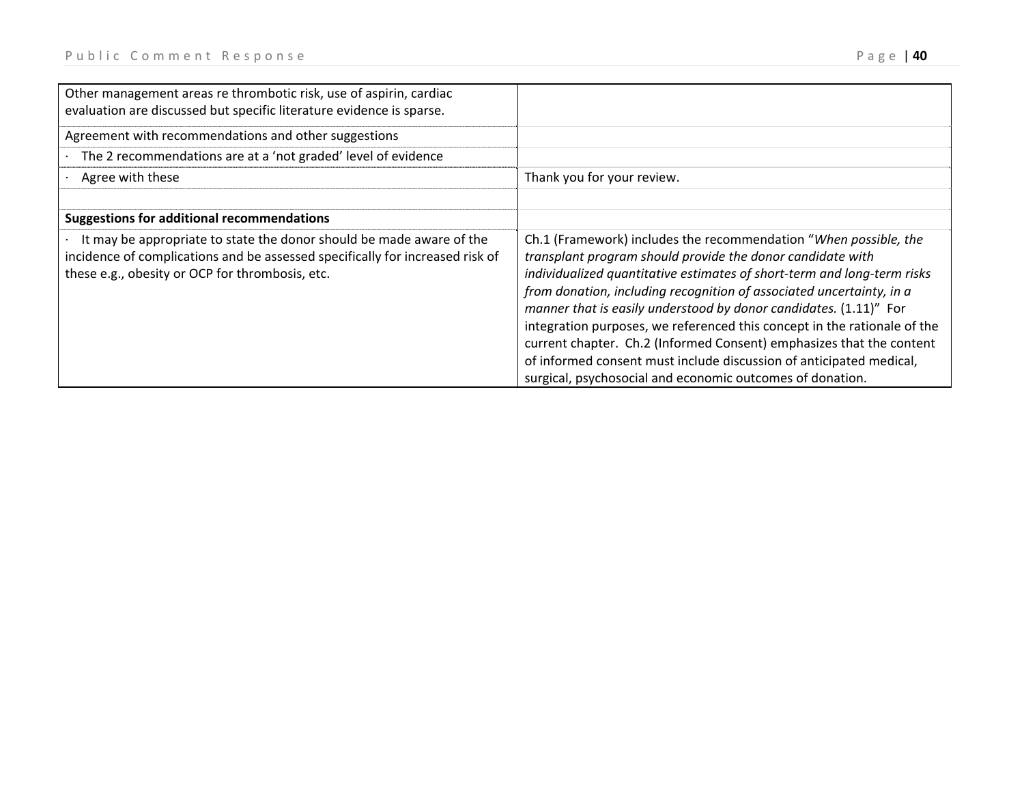| Other management areas re thrombotic risk, use of aspirin, cardiac<br>evaluation are discussed but specific literature evidence is sparse.                                                               |                                                                                                                                                                                                                                                                                                                                                                                                                                                                                                                                                                                                                                                |
|----------------------------------------------------------------------------------------------------------------------------------------------------------------------------------------------------------|------------------------------------------------------------------------------------------------------------------------------------------------------------------------------------------------------------------------------------------------------------------------------------------------------------------------------------------------------------------------------------------------------------------------------------------------------------------------------------------------------------------------------------------------------------------------------------------------------------------------------------------------|
| Agreement with recommendations and other suggestions                                                                                                                                                     |                                                                                                                                                                                                                                                                                                                                                                                                                                                                                                                                                                                                                                                |
| The 2 recommendations are at a 'not graded' level of evidence                                                                                                                                            |                                                                                                                                                                                                                                                                                                                                                                                                                                                                                                                                                                                                                                                |
| Agree with these                                                                                                                                                                                         | Thank you for your review.                                                                                                                                                                                                                                                                                                                                                                                                                                                                                                                                                                                                                     |
| <b>Suggestions for additional recommendations</b>                                                                                                                                                        |                                                                                                                                                                                                                                                                                                                                                                                                                                                                                                                                                                                                                                                |
| It may be appropriate to state the donor should be made aware of the<br>incidence of complications and be assessed specifically for increased risk of<br>these e.g., obesity or OCP for thrombosis, etc. | Ch.1 (Framework) includes the recommendation "When possible, the<br>transplant program should provide the donor candidate with<br>individualized quantitative estimates of short-term and long-term risks<br>from donation, including recognition of associated uncertainty, in a<br>manner that is easily understood by donor candidates. (1.11)" For<br>integration purposes, we referenced this concept in the rationale of the<br>current chapter. Ch.2 (Informed Consent) emphasizes that the content<br>of informed consent must include discussion of anticipated medical,<br>surgical, psychosocial and economic outcomes of donation. |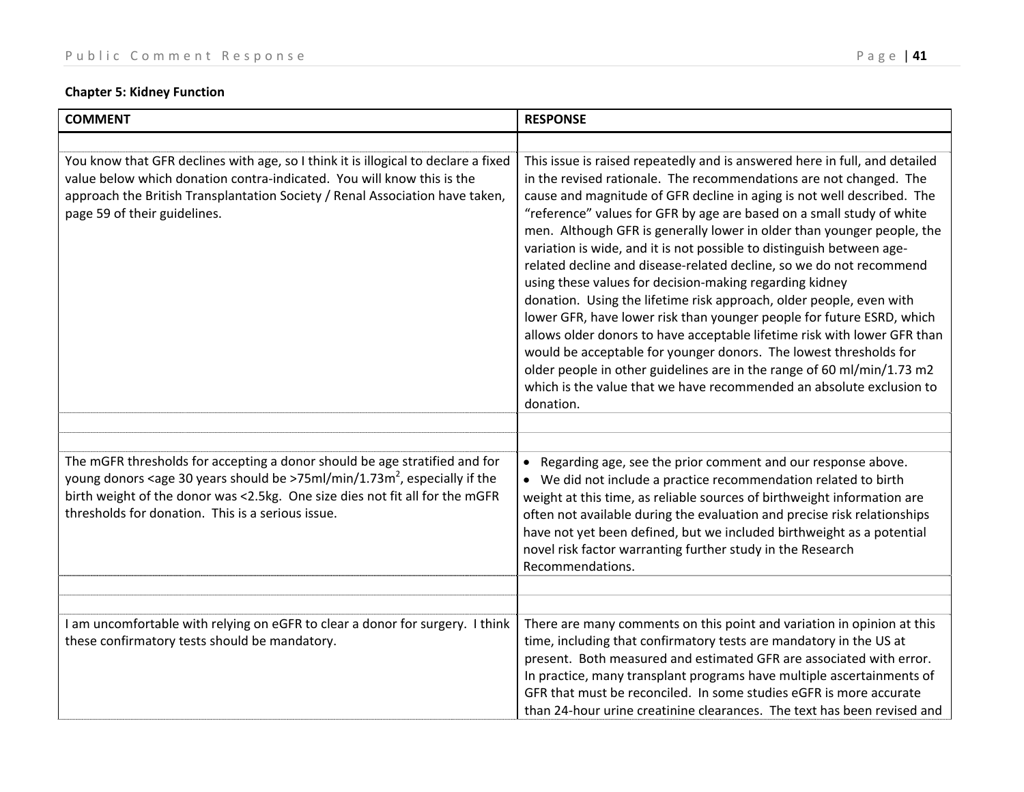# **Chapter 5: Kidney Function**

| <b>COMMENT</b>                                                                                                                                                                                                                                                                                                               | <b>RESPONSE</b>                                                                                                                                                                                                                                                                                                                                                                                                                                                                                                                                                                                                                                                                                                                                                                                                                                                                                                                                                                                                                                          |
|------------------------------------------------------------------------------------------------------------------------------------------------------------------------------------------------------------------------------------------------------------------------------------------------------------------------------|----------------------------------------------------------------------------------------------------------------------------------------------------------------------------------------------------------------------------------------------------------------------------------------------------------------------------------------------------------------------------------------------------------------------------------------------------------------------------------------------------------------------------------------------------------------------------------------------------------------------------------------------------------------------------------------------------------------------------------------------------------------------------------------------------------------------------------------------------------------------------------------------------------------------------------------------------------------------------------------------------------------------------------------------------------|
|                                                                                                                                                                                                                                                                                                                              |                                                                                                                                                                                                                                                                                                                                                                                                                                                                                                                                                                                                                                                                                                                                                                                                                                                                                                                                                                                                                                                          |
| You know that GFR declines with age, so I think it is illogical to declare a fixed<br>value below which donation contra-indicated. You will know this is the<br>approach the British Transplantation Society / Renal Association have taken,<br>page 59 of their guidelines.                                                 | This issue is raised repeatedly and is answered here in full, and detailed<br>in the revised rationale. The recommendations are not changed. The<br>cause and magnitude of GFR decline in aging is not well described. The<br>"reference" values for GFR by age are based on a small study of white<br>men. Although GFR is generally lower in older than younger people, the<br>variation is wide, and it is not possible to distinguish between age-<br>related decline and disease-related decline, so we do not recommend<br>using these values for decision-making regarding kidney<br>donation. Using the lifetime risk approach, older people, even with<br>lower GFR, have lower risk than younger people for future ESRD, which<br>allows older donors to have acceptable lifetime risk with lower GFR than<br>would be acceptable for younger donors. The lowest thresholds for<br>older people in other guidelines are in the range of 60 ml/min/1.73 m2<br>which is the value that we have recommended an absolute exclusion to<br>donation. |
|                                                                                                                                                                                                                                                                                                                              |                                                                                                                                                                                                                                                                                                                                                                                                                                                                                                                                                                                                                                                                                                                                                                                                                                                                                                                                                                                                                                                          |
|                                                                                                                                                                                                                                                                                                                              |                                                                                                                                                                                                                                                                                                                                                                                                                                                                                                                                                                                                                                                                                                                                                                                                                                                                                                                                                                                                                                                          |
| The mGFR thresholds for accepting a donor should be age stratified and for<br>young donors <age 30="" be="" should="" years="">75ml/min/1.73m<sup>2</sup>, especially if the<br/>birth weight of the donor was &lt;2.5kg. One size dies not fit all for the mGFR<br/>thresholds for donation. This is a serious issue.</age> | Regarding age, see the prior comment and our response above.<br>$\bullet$<br>We did not include a practice recommendation related to birth<br>weight at this time, as reliable sources of birthweight information are<br>often not available during the evaluation and precise risk relationships<br>have not yet been defined, but we included birthweight as a potential<br>novel risk factor warranting further study in the Research<br>Recommendations                                                                                                                                                                                                                                                                                                                                                                                                                                                                                                                                                                                              |
|                                                                                                                                                                                                                                                                                                                              |                                                                                                                                                                                                                                                                                                                                                                                                                                                                                                                                                                                                                                                                                                                                                                                                                                                                                                                                                                                                                                                          |
|                                                                                                                                                                                                                                                                                                                              |                                                                                                                                                                                                                                                                                                                                                                                                                                                                                                                                                                                                                                                                                                                                                                                                                                                                                                                                                                                                                                                          |
| I am uncomfortable with relying on eGFR to clear a donor for surgery. I think<br>these confirmatory tests should be mandatory.                                                                                                                                                                                               | There are many comments on this point and variation in opinion at this<br>time, including that confirmatory tests are mandatory in the US at<br>present. Both measured and estimated GFR are associated with error.<br>In practice, many transplant programs have multiple ascertainments of<br>GFR that must be reconciled. In some studies eGFR is more accurate<br>than 24-hour urine creatinine clearances. The text has been revised and                                                                                                                                                                                                                                                                                                                                                                                                                                                                                                                                                                                                            |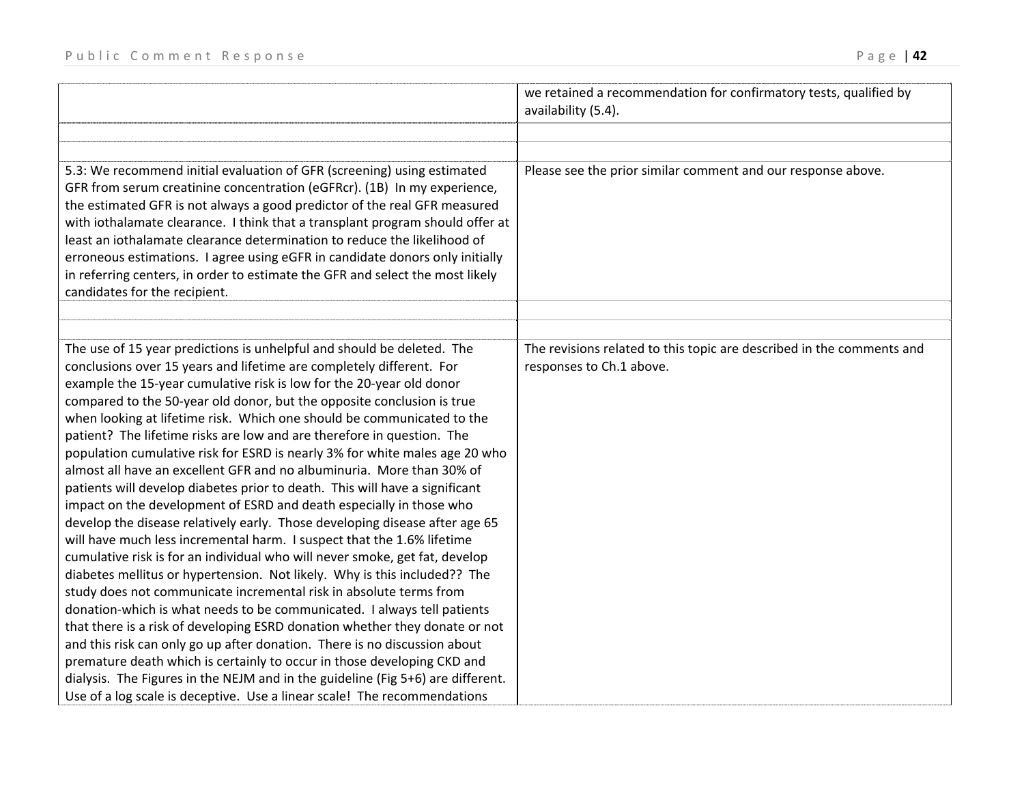|                                                                                                                                                            | we retained a recommendation for confirmatory tests, qualified by<br>availability (5.4).          |
|------------------------------------------------------------------------------------------------------------------------------------------------------------|---------------------------------------------------------------------------------------------------|
|                                                                                                                                                            |                                                                                                   |
|                                                                                                                                                            |                                                                                                   |
| 5.3: We recommend initial evaluation of GFR (screening) using estimated                                                                                    | Please see the prior similar comment and our response above.                                      |
| GFR from serum creatinine concentration (eGFRcr). (1B) In my experience,                                                                                   |                                                                                                   |
| the estimated GFR is not always a good predictor of the real GFR measured<br>with iothalamate clearance. I think that a transplant program should offer at |                                                                                                   |
| least an iothalamate clearance determination to reduce the likelihood of                                                                                   |                                                                                                   |
| erroneous estimations. I agree using eGFR in candidate donors only initially                                                                               |                                                                                                   |
| in referring centers, in order to estimate the GFR and select the most likely                                                                              |                                                                                                   |
| candidates for the recipient.                                                                                                                              |                                                                                                   |
|                                                                                                                                                            |                                                                                                   |
|                                                                                                                                                            |                                                                                                   |
| The use of 15 year predictions is unhelpful and should be deleted. The<br>conclusions over 15 years and lifetime are completely different. For             | The revisions related to this topic are described in the comments and<br>responses to Ch.1 above. |
| example the 15-year cumulative risk is low for the 20-year old donor                                                                                       |                                                                                                   |
| compared to the 50-year old donor, but the opposite conclusion is true                                                                                     |                                                                                                   |
| when looking at lifetime risk. Which one should be communicated to the                                                                                     |                                                                                                   |
| patient? The lifetime risks are low and are therefore in question. The                                                                                     |                                                                                                   |
| population cumulative risk for ESRD is nearly 3% for white males age 20 who<br>almost all have an excellent GFR and no albuminuria. More than 30% of       |                                                                                                   |
| patients will develop diabetes prior to death. This will have a significant                                                                                |                                                                                                   |
| impact on the development of ESRD and death especially in those who                                                                                        |                                                                                                   |
| develop the disease relatively early. Those developing disease after age 65                                                                                |                                                                                                   |
| will have much less incremental harm. I suspect that the 1.6% lifetime                                                                                     |                                                                                                   |
| cumulative risk is for an individual who will never smoke, get fat, develop                                                                                |                                                                                                   |
| diabetes mellitus or hypertension. Not likely. Why is this included?? The                                                                                  |                                                                                                   |
| study does not communicate incremental risk in absolute terms from                                                                                         |                                                                                                   |
| donation-which is what needs to be communicated. I always tell patients                                                                                    |                                                                                                   |
| that there is a risk of developing ESRD donation whether they donate or not                                                                                |                                                                                                   |
| and this risk can only go up after donation. There is no discussion about                                                                                  |                                                                                                   |
| premature death which is certainly to occur in those developing CKD and                                                                                    |                                                                                                   |
| dialysis. The Figures in the NEJM and in the guideline (Fig 5+6) are different.                                                                            |                                                                                                   |
| Use of a log scale is deceptive. Use a linear scale! The recommendations                                                                                   |                                                                                                   |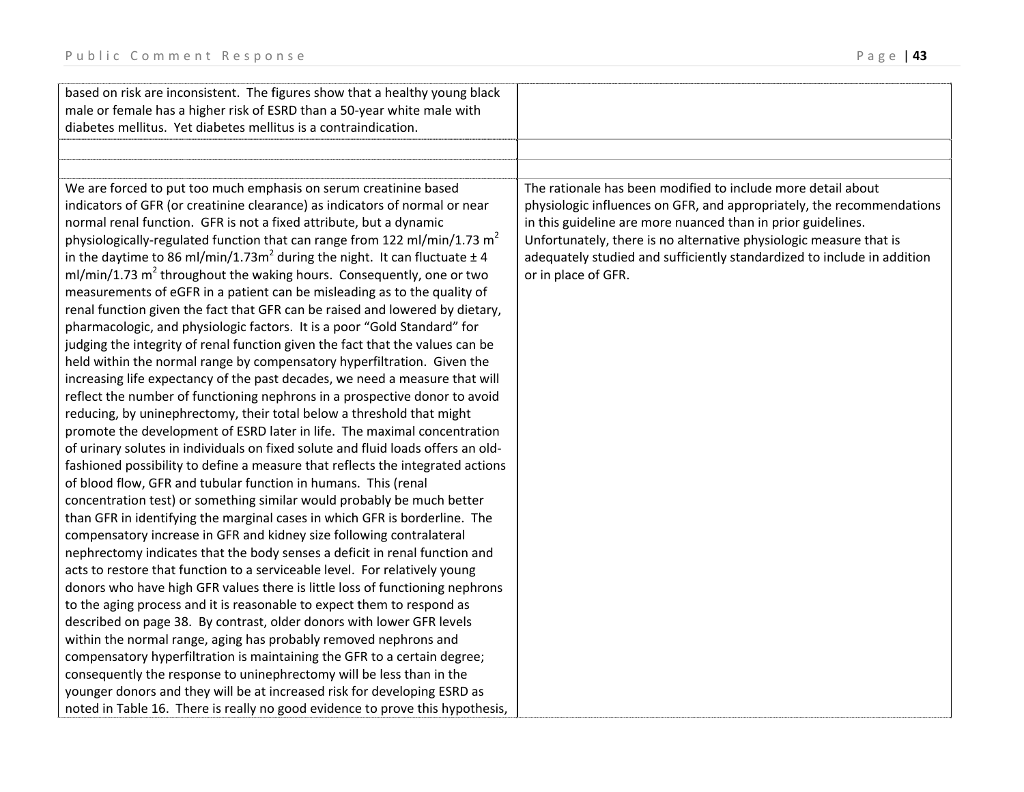| based on risk are inconsistent. The figures show that a healthy young black               |                                                                         |
|-------------------------------------------------------------------------------------------|-------------------------------------------------------------------------|
| male or female has a higher risk of ESRD than a 50-year white male with                   |                                                                         |
| diabetes mellitus. Yet diabetes mellitus is a contraindication.                           |                                                                         |
|                                                                                           |                                                                         |
|                                                                                           |                                                                         |
| We are forced to put too much emphasis on serum creatinine based                          | The rationale has been modified to include more detail about            |
| indicators of GFR (or creatinine clearance) as indicators of normal or near               | physiologic influences on GFR, and appropriately, the recommendations   |
| normal renal function. GFR is not a fixed attribute, but a dynamic                        | in this guideline are more nuanced than in prior guidelines.            |
| physiologically-regulated function that can range from 122 ml/min/1.73 $m2$               | Unfortunately, there is no alternative physiologic measure that is      |
| in the daytime to 86 ml/min/1.73m <sup>2</sup> during the night. It can fluctuate $\pm$ 4 | adequately studied and sufficiently standardized to include in addition |
| ml/min/1.73 m <sup>2</sup> throughout the waking hours. Consequently, one or two          | or in place of GFR.                                                     |
| measurements of eGFR in a patient can be misleading as to the quality of                  |                                                                         |
| renal function given the fact that GFR can be raised and lowered by dietary,              |                                                                         |
| pharmacologic, and physiologic factors. It is a poor "Gold Standard" for                  |                                                                         |
| judging the integrity of renal function given the fact that the values can be             |                                                                         |
| held within the normal range by compensatory hyperfiltration. Given the                   |                                                                         |
| increasing life expectancy of the past decades, we need a measure that will               |                                                                         |
| reflect the number of functioning nephrons in a prospective donor to avoid                |                                                                         |
| reducing, by uninephrectomy, their total below a threshold that might                     |                                                                         |
| promote the development of ESRD later in life. The maximal concentration                  |                                                                         |
| of urinary solutes in individuals on fixed solute and fluid loads offers an old-          |                                                                         |
| fashioned possibility to define a measure that reflects the integrated actions            |                                                                         |
| of blood flow, GFR and tubular function in humans. This (renal                            |                                                                         |
| concentration test) or something similar would probably be much better                    |                                                                         |
| than GFR in identifying the marginal cases in which GFR is borderline. The                |                                                                         |
| compensatory increase in GFR and kidney size following contralateral                      |                                                                         |
| nephrectomy indicates that the body senses a deficit in renal function and                |                                                                         |
| acts to restore that function to a serviceable level. For relatively young                |                                                                         |
| donors who have high GFR values there is little loss of functioning nephrons              |                                                                         |
| to the aging process and it is reasonable to expect them to respond as                    |                                                                         |
| described on page 38. By contrast, older donors with lower GFR levels                     |                                                                         |
| within the normal range, aging has probably removed nephrons and                          |                                                                         |
| compensatory hyperfiltration is maintaining the GFR to a certain degree;                  |                                                                         |
| consequently the response to uninephrectomy will be less than in the                      |                                                                         |
| younger donors and they will be at increased risk for developing ESRD as                  |                                                                         |
| noted in Table 16. There is really no good evidence to prove this hypothesis,             |                                                                         |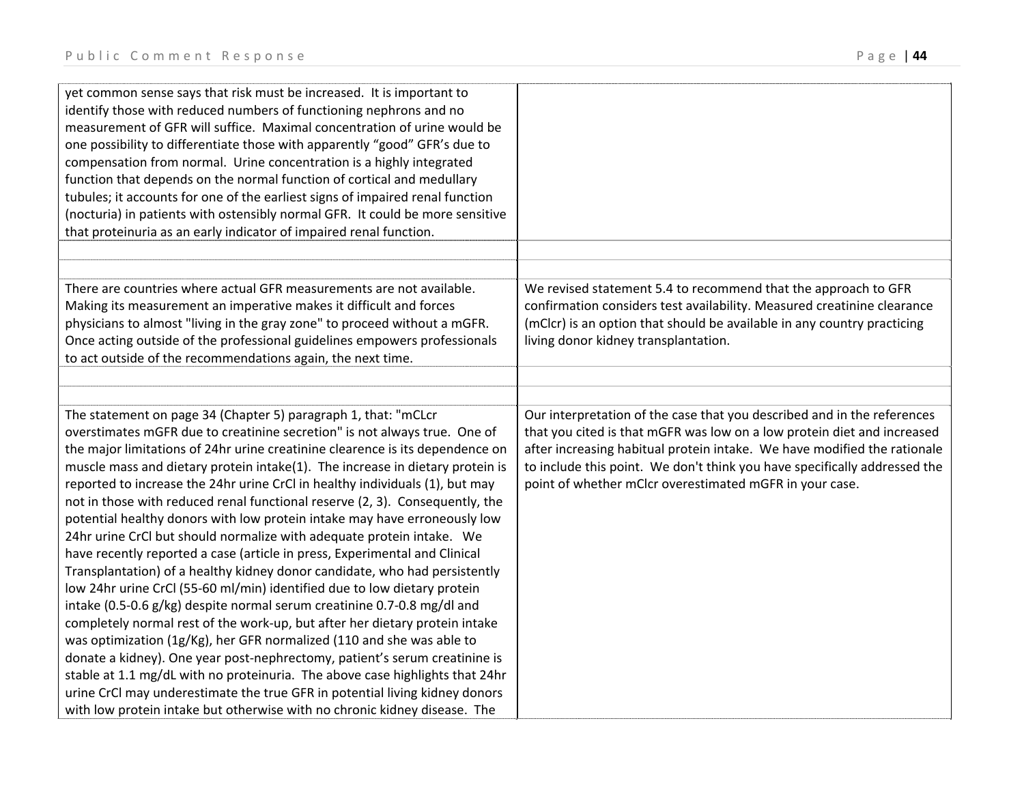| yet common sense says that risk must be increased. It is important to<br>identify those with reduced numbers of functioning nephrons and no<br>measurement of GFR will suffice. Maximal concentration of urine would be<br>one possibility to differentiate those with apparently "good" GFR's due to<br>compensation from normal. Urine concentration is a highly integrated<br>function that depends on the normal function of cortical and medullary                                                                                                                                                                                                                                                                                                                                                                                                                                                                                                                                                                                                                                                                                                                                                                                                                      |                                                                                                                                                                                                                                                                                                                                                                        |
|------------------------------------------------------------------------------------------------------------------------------------------------------------------------------------------------------------------------------------------------------------------------------------------------------------------------------------------------------------------------------------------------------------------------------------------------------------------------------------------------------------------------------------------------------------------------------------------------------------------------------------------------------------------------------------------------------------------------------------------------------------------------------------------------------------------------------------------------------------------------------------------------------------------------------------------------------------------------------------------------------------------------------------------------------------------------------------------------------------------------------------------------------------------------------------------------------------------------------------------------------------------------------|------------------------------------------------------------------------------------------------------------------------------------------------------------------------------------------------------------------------------------------------------------------------------------------------------------------------------------------------------------------------|
| tubules; it accounts for one of the earliest signs of impaired renal function<br>(nocturia) in patients with ostensibly normal GFR. It could be more sensitive<br>that proteinuria as an early indicator of impaired renal function.                                                                                                                                                                                                                                                                                                                                                                                                                                                                                                                                                                                                                                                                                                                                                                                                                                                                                                                                                                                                                                         |                                                                                                                                                                                                                                                                                                                                                                        |
|                                                                                                                                                                                                                                                                                                                                                                                                                                                                                                                                                                                                                                                                                                                                                                                                                                                                                                                                                                                                                                                                                                                                                                                                                                                                              |                                                                                                                                                                                                                                                                                                                                                                        |
| There are countries where actual GFR measurements are not available.<br>Making its measurement an imperative makes it difficult and forces<br>physicians to almost "living in the gray zone" to proceed without a mGFR.<br>Once acting outside of the professional guidelines empowers professionals<br>to act outside of the recommendations again, the next time.                                                                                                                                                                                                                                                                                                                                                                                                                                                                                                                                                                                                                                                                                                                                                                                                                                                                                                          | We revised statement 5.4 to recommend that the approach to GFR<br>confirmation considers test availability. Measured creatinine clearance<br>(mClcr) is an option that should be available in any country practicing<br>living donor kidney transplantation.                                                                                                           |
|                                                                                                                                                                                                                                                                                                                                                                                                                                                                                                                                                                                                                                                                                                                                                                                                                                                                                                                                                                                                                                                                                                                                                                                                                                                                              |                                                                                                                                                                                                                                                                                                                                                                        |
|                                                                                                                                                                                                                                                                                                                                                                                                                                                                                                                                                                                                                                                                                                                                                                                                                                                                                                                                                                                                                                                                                                                                                                                                                                                                              |                                                                                                                                                                                                                                                                                                                                                                        |
| The statement on page 34 (Chapter 5) paragraph 1, that: "mCLcr<br>overstimates mGFR due to creatinine secretion" is not always true. One of<br>the major limitations of 24hr urine creatinine clearence is its dependence on<br>muscle mass and dietary protein intake(1). The increase in dietary protein is<br>reported to increase the 24hr urine CrCl in healthy individuals (1), but may<br>not in those with reduced renal functional reserve (2, 3). Consequently, the<br>potential healthy donors with low protein intake may have erroneously low<br>24hr urine CrCl but should normalize with adequate protein intake. We<br>have recently reported a case (article in press, Experimental and Clinical<br>Transplantation) of a healthy kidney donor candidate, who had persistently<br>low 24hr urine CrCl (55-60 ml/min) identified due to low dietary protein<br>intake (0.5-0.6 g/kg) despite normal serum creatinine 0.7-0.8 mg/dl and<br>completely normal rest of the work-up, but after her dietary protein intake<br>was optimization (1g/Kg), her GFR normalized (110 and she was able to<br>donate a kidney). One year post-nephrectomy, patient's serum creatinine is<br>stable at 1.1 mg/dL with no proteinuria. The above case highlights that 24hr | Our interpretation of the case that you described and in the references<br>that you cited is that mGFR was low on a low protein diet and increased<br>after increasing habitual protein intake. We have modified the rationale<br>to include this point. We don't think you have specifically addressed the<br>point of whether mClcr overestimated mGFR in your case. |
| urine CrCl may underestimate the true GFR in potential living kidney donors<br>with low protein intake but otherwise with no chronic kidney disease. The                                                                                                                                                                                                                                                                                                                                                                                                                                                                                                                                                                                                                                                                                                                                                                                                                                                                                                                                                                                                                                                                                                                     |                                                                                                                                                                                                                                                                                                                                                                        |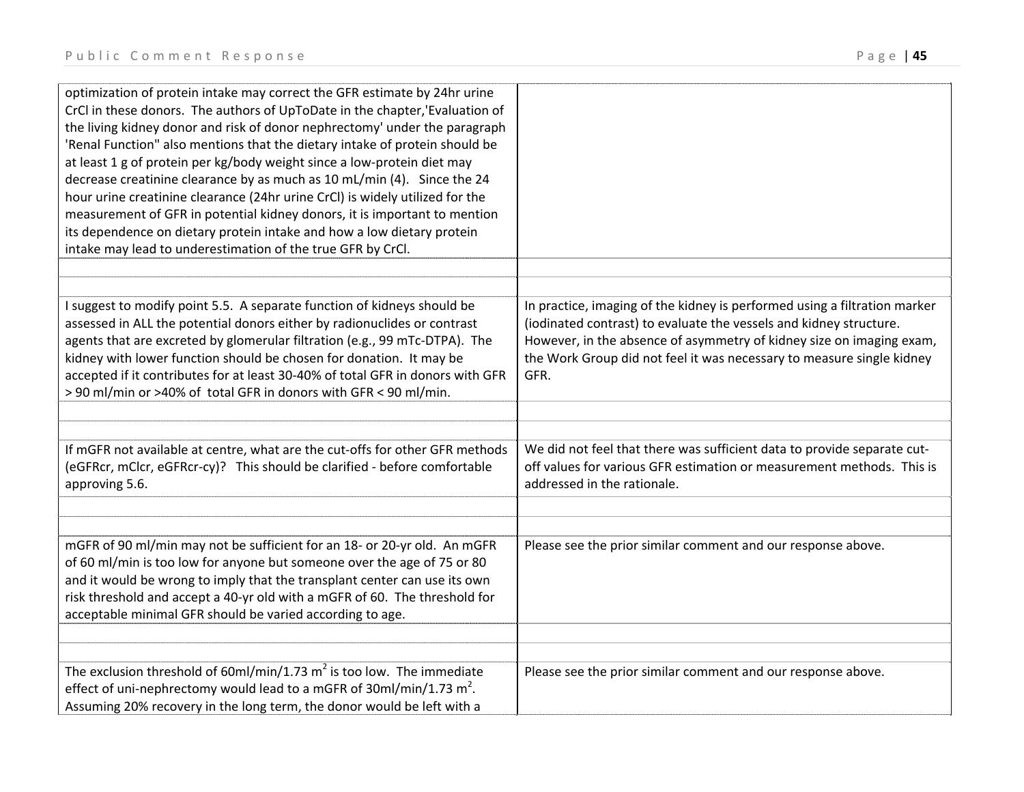| optimization of protein intake may correct the GFR estimate by 24hr urine<br>CrCl in these donors. The authors of UpToDate in the chapter, 'Evaluation of<br>the living kidney donor and risk of donor nephrectomy' under the paragraph<br>'Renal Function" also mentions that the dietary intake of protein should be<br>at least 1 g of protein per kg/body weight since a low-protein diet may<br>decrease creatinine clearance by as much as 10 mL/min (4). Since the 24<br>hour urine creatinine clearance (24hr urine CrCl) is widely utilized for the<br>measurement of GFR in potential kidney donors, it is important to mention<br>its dependence on dietary protein intake and how a low dietary protein<br>intake may lead to underestimation of the true GFR by CrCl. |                                                                                                                                                                                                                                                                                                          |
|------------------------------------------------------------------------------------------------------------------------------------------------------------------------------------------------------------------------------------------------------------------------------------------------------------------------------------------------------------------------------------------------------------------------------------------------------------------------------------------------------------------------------------------------------------------------------------------------------------------------------------------------------------------------------------------------------------------------------------------------------------------------------------|----------------------------------------------------------------------------------------------------------------------------------------------------------------------------------------------------------------------------------------------------------------------------------------------------------|
|                                                                                                                                                                                                                                                                                                                                                                                                                                                                                                                                                                                                                                                                                                                                                                                    |                                                                                                                                                                                                                                                                                                          |
| I suggest to modify point 5.5. A separate function of kidneys should be<br>assessed in ALL the potential donors either by radionuclides or contrast<br>agents that are excreted by glomerular filtration (e.g., 99 mTc-DTPA). The<br>kidney with lower function should be chosen for donation. It may be<br>accepted if it contributes for at least 30-40% of total GFR in donors with GFR<br>> 90 ml/min or >40% of total GFR in donors with GFR < 90 ml/min.                                                                                                                                                                                                                                                                                                                     | In practice, imaging of the kidney is performed using a filtration marker<br>(iodinated contrast) to evaluate the vessels and kidney structure.<br>However, in the absence of asymmetry of kidney size on imaging exam,<br>the Work Group did not feel it was necessary to measure single kidney<br>GFR. |
|                                                                                                                                                                                                                                                                                                                                                                                                                                                                                                                                                                                                                                                                                                                                                                                    |                                                                                                                                                                                                                                                                                                          |
|                                                                                                                                                                                                                                                                                                                                                                                                                                                                                                                                                                                                                                                                                                                                                                                    |                                                                                                                                                                                                                                                                                                          |
| If mGFR not available at centre, what are the cut-offs for other GFR methods<br>(eGFRcr, mClcr, eGFRcr-cy)? This should be clarified - before comfortable<br>approving 5.6.                                                                                                                                                                                                                                                                                                                                                                                                                                                                                                                                                                                                        | We did not feel that there was sufficient data to provide separate cut-<br>off values for various GFR estimation or measurement methods. This is<br>addressed in the rationale.                                                                                                                          |
|                                                                                                                                                                                                                                                                                                                                                                                                                                                                                                                                                                                                                                                                                                                                                                                    |                                                                                                                                                                                                                                                                                                          |
| mGFR of 90 ml/min may not be sufficient for an 18- or 20-yr old. An mGFR<br>of 60 ml/min is too low for anyone but someone over the age of 75 or 80<br>and it would be wrong to imply that the transplant center can use its own<br>risk threshold and accept a 40-yr old with a mGFR of 60. The threshold for<br>acceptable minimal GFR should be varied according to age.                                                                                                                                                                                                                                                                                                                                                                                                        | Please see the prior similar comment and our response above.                                                                                                                                                                                                                                             |
| The exclusion threshold of 60ml/min/1.73 $m^2$ is too low. The immediate<br>effect of uni-nephrectomy would lead to a mGFR of $30$ ml/min/1.73 m <sup>2</sup> .<br>Assuming 20% recovery in the long term, the donor would be left with a                                                                                                                                                                                                                                                                                                                                                                                                                                                                                                                                          | Please see the prior similar comment and our response above.                                                                                                                                                                                                                                             |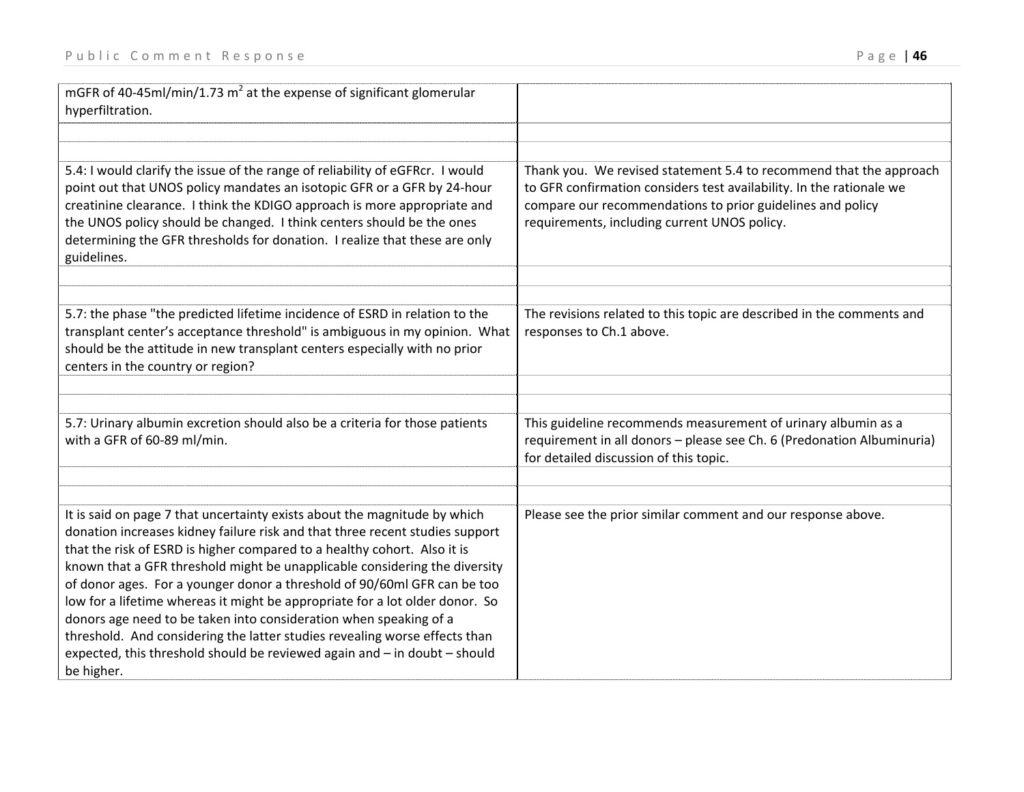| mGFR of 40-45ml/min/1.73 $m^2$ at the expense of significant glomerular<br>hyperfiltration.                                                                                                                                                                                                                                                                                                                                                                                                                                                                                                                                                                                                                                   |                                                                                                                                                                                                                                                          |
|-------------------------------------------------------------------------------------------------------------------------------------------------------------------------------------------------------------------------------------------------------------------------------------------------------------------------------------------------------------------------------------------------------------------------------------------------------------------------------------------------------------------------------------------------------------------------------------------------------------------------------------------------------------------------------------------------------------------------------|----------------------------------------------------------------------------------------------------------------------------------------------------------------------------------------------------------------------------------------------------------|
| 5.4: I would clarify the issue of the range of reliability of eGFRcr. I would<br>point out that UNOS policy mandates an isotopic GFR or a GFR by 24-hour<br>creatinine clearance. I think the KDIGO approach is more appropriate and<br>the UNOS policy should be changed. I think centers should be the ones<br>determining the GFR thresholds for donation. I realize that these are only<br>guidelines.                                                                                                                                                                                                                                                                                                                    | Thank you. We revised statement 5.4 to recommend that the approach<br>to GFR confirmation considers test availability. In the rationale we<br>compare our recommendations to prior guidelines and policy<br>requirements, including current UNOS policy. |
| 5.7: the phase "the predicted lifetime incidence of ESRD in relation to the<br>transplant center's acceptance threshold" is ambiguous in my opinion. What<br>should be the attitude in new transplant centers especially with no prior<br>centers in the country or region?                                                                                                                                                                                                                                                                                                                                                                                                                                                   | The revisions related to this topic are described in the comments and<br>responses to Ch.1 above.                                                                                                                                                        |
| 5.7: Urinary albumin excretion should also be a criteria for those patients<br>with a GFR of 60-89 ml/min.                                                                                                                                                                                                                                                                                                                                                                                                                                                                                                                                                                                                                    | This guideline recommends measurement of urinary albumin as a<br>requirement in all donors - please see Ch. 6 (Predonation Albuminuria)<br>for detailed discussion of this topic.                                                                        |
| It is said on page 7 that uncertainty exists about the magnitude by which<br>donation increases kidney failure risk and that three recent studies support<br>that the risk of ESRD is higher compared to a healthy cohort. Also it is<br>known that a GFR threshold might be unapplicable considering the diversity<br>of donor ages. For a younger donor a threshold of 90/60ml GFR can be too<br>low for a lifetime whereas it might be appropriate for a lot older donor. So<br>donors age need to be taken into consideration when speaking of a<br>threshold. And considering the latter studies revealing worse effects than<br>expected, this threshold should be reviewed again and - in doubt - should<br>be higher. | Please see the prior similar comment and our response above.                                                                                                                                                                                             |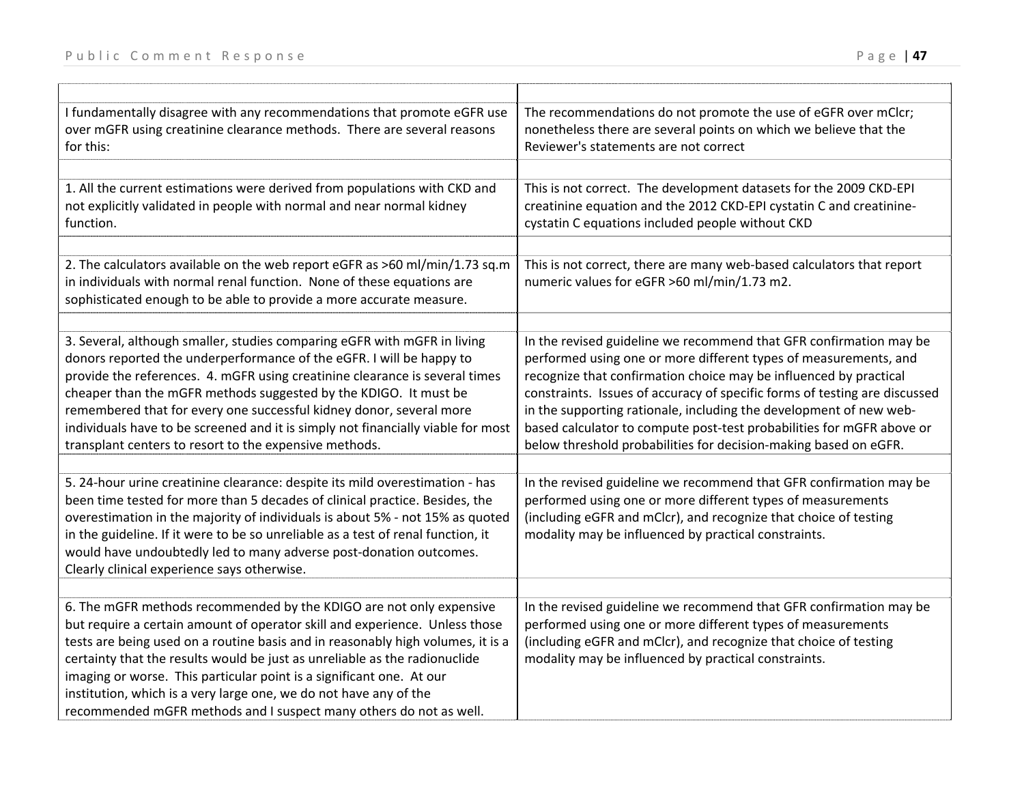| I fundamentally disagree with any recommendations that promote eGFR use<br>over mGFR using creatinine clearance methods. There are several reasons<br>for this:                                                                                                                                                                                                                                                                                                                                                                        | The recommendations do not promote the use of eGFR over mClcr;<br>nonetheless there are several points on which we believe that the<br>Reviewer's statements are not correct                                                                                                                                                                                                                                                                                                                                 |
|----------------------------------------------------------------------------------------------------------------------------------------------------------------------------------------------------------------------------------------------------------------------------------------------------------------------------------------------------------------------------------------------------------------------------------------------------------------------------------------------------------------------------------------|--------------------------------------------------------------------------------------------------------------------------------------------------------------------------------------------------------------------------------------------------------------------------------------------------------------------------------------------------------------------------------------------------------------------------------------------------------------------------------------------------------------|
|                                                                                                                                                                                                                                                                                                                                                                                                                                                                                                                                        |                                                                                                                                                                                                                                                                                                                                                                                                                                                                                                              |
| 1. All the current estimations were derived from populations with CKD and<br>not explicitly validated in people with normal and near normal kidney<br>function.                                                                                                                                                                                                                                                                                                                                                                        | This is not correct. The development datasets for the 2009 CKD-EPI<br>creatinine equation and the 2012 CKD-EPI cystatin C and creatinine-<br>cystatin C equations included people without CKD                                                                                                                                                                                                                                                                                                                |
|                                                                                                                                                                                                                                                                                                                                                                                                                                                                                                                                        |                                                                                                                                                                                                                                                                                                                                                                                                                                                                                                              |
| 2. The calculators available on the web report eGFR as >60 ml/min/1.73 sq.m<br>in individuals with normal renal function. None of these equations are<br>sophisticated enough to be able to provide a more accurate measure.                                                                                                                                                                                                                                                                                                           | This is not correct, there are many web-based calculators that report<br>numeric values for eGFR >60 ml/min/1.73 m2.                                                                                                                                                                                                                                                                                                                                                                                         |
|                                                                                                                                                                                                                                                                                                                                                                                                                                                                                                                                        |                                                                                                                                                                                                                                                                                                                                                                                                                                                                                                              |
| 3. Several, although smaller, studies comparing eGFR with mGFR in living<br>donors reported the underperformance of the eGFR. I will be happy to<br>provide the references. 4. mGFR using creatinine clearance is several times<br>cheaper than the mGFR methods suggested by the KDIGO. It must be<br>remembered that for every one successful kidney donor, several more<br>individuals have to be screened and it is simply not financially viable for most<br>transplant centers to resort to the expensive methods.               | In the revised guideline we recommend that GFR confirmation may be<br>performed using one or more different types of measurements, and<br>recognize that confirmation choice may be influenced by practical<br>constraints. Issues of accuracy of specific forms of testing are discussed<br>in the supporting rationale, including the development of new web-<br>based calculator to compute post-test probabilities for mGFR above or<br>below threshold probabilities for decision-making based on eGFR. |
|                                                                                                                                                                                                                                                                                                                                                                                                                                                                                                                                        |                                                                                                                                                                                                                                                                                                                                                                                                                                                                                                              |
| 5. 24-hour urine creatinine clearance: despite its mild overestimation - has<br>been time tested for more than 5 decades of clinical practice. Besides, the<br>overestimation in the majority of individuals is about 5% - not 15% as quoted<br>in the guideline. If it were to be so unreliable as a test of renal function, it<br>would have undoubtedly led to many adverse post-donation outcomes.<br>Clearly clinical experience says otherwise.                                                                                  | In the revised guideline we recommend that GFR confirmation may be<br>performed using one or more different types of measurements<br>(including eGFR and mClcr), and recognize that choice of testing<br>modality may be influenced by practical constraints.                                                                                                                                                                                                                                                |
|                                                                                                                                                                                                                                                                                                                                                                                                                                                                                                                                        |                                                                                                                                                                                                                                                                                                                                                                                                                                                                                                              |
| 6. The mGFR methods recommended by the KDIGO are not only expensive<br>but require a certain amount of operator skill and experience. Unless those<br>tests are being used on a routine basis and in reasonably high volumes, it is a<br>certainty that the results would be just as unreliable as the radionuclide<br>imaging or worse. This particular point is a significant one. At our<br>institution, which is a very large one, we do not have any of the<br>recommended mGFR methods and I suspect many others do not as well. | In the revised guideline we recommend that GFR confirmation may be<br>performed using one or more different types of measurements<br>(including eGFR and mClcr), and recognize that choice of testing<br>modality may be influenced by practical constraints.                                                                                                                                                                                                                                                |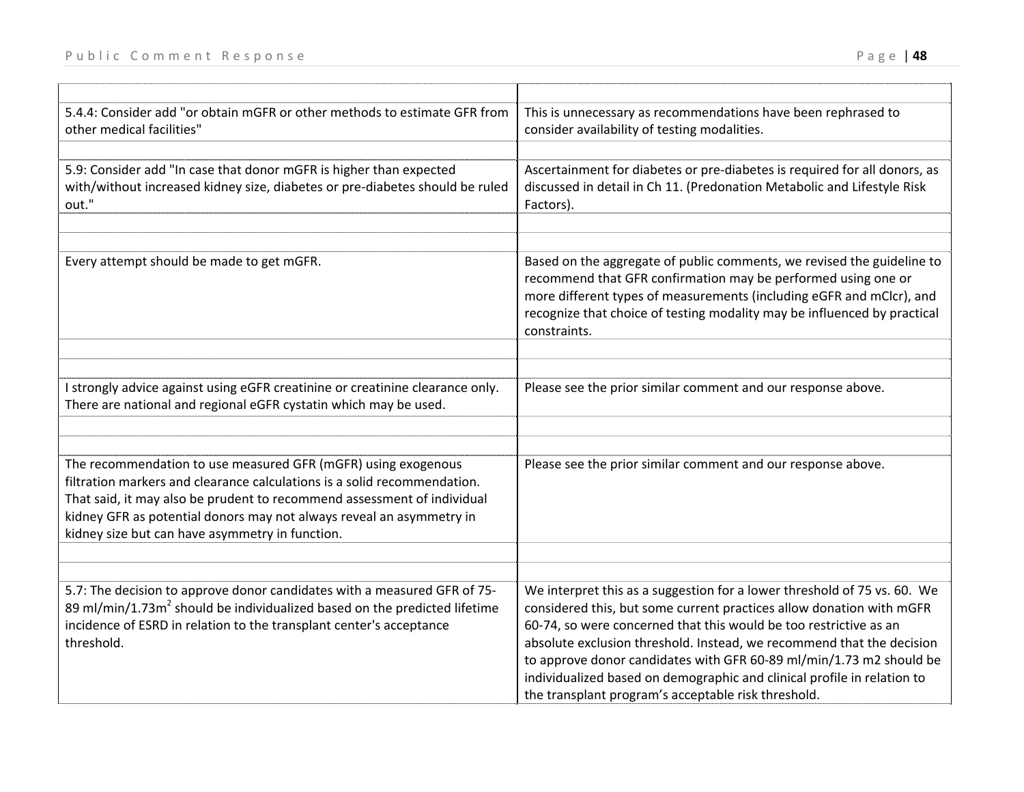| Public Comment Response                                                                                                                                     | Page   48                                                                                                                                                                                                                                                                                                   |
|-------------------------------------------------------------------------------------------------------------------------------------------------------------|-------------------------------------------------------------------------------------------------------------------------------------------------------------------------------------------------------------------------------------------------------------------------------------------------------------|
| 5.4.4: Consider add "or obtain mGFR or other methods to estimate GFR from<br>other medical facilities"                                                      | This is unnecessary as recommendations have been rephrased to<br>consider availability of testing modalities.                                                                                                                                                                                               |
| 5.9: Consider add "In case that donor mGFR is higher than expected<br>with/without increased kidney size, diabetes or pre-diabetes should be ruled<br>out." | Ascertainment for diabetes or pre-diabetes is required for all donors, as<br>discussed in detail in Ch 11. (Predonation Metabolic and Lifestyle Risk<br>Factors).                                                                                                                                           |
| Every attempt should be made to get mGFR.                                                                                                                   | Based on the aggregate of public comments, we revised the guideline to<br>recommend that GFR confirmation may be performed using one or<br>more different types of measurements (including eGFR and mClcr), and<br>recognize that choice of testing modality may be influenced by practical<br>constraints. |
| I strongly advice against using eGFR creatinine or creatinine clearance only.<br>There are national and regional eGFR cystatin which may be used.           | Please see the prior similar comment and our response above.                                                                                                                                                                                                                                                |

| The recommendation to use measured GFR (mGFR) using exogenous<br>filtration markers and clearance calculations is a solid recommendation.<br>That said, it may also be prudent to recommend assessment of individual<br>kidney GFR as potential donors may not always reveal an asymmetry in<br>kidney size but can have asymmetry in function. | Please see the prior similar comment and our response above.             |
|-------------------------------------------------------------------------------------------------------------------------------------------------------------------------------------------------------------------------------------------------------------------------------------------------------------------------------------------------|--------------------------------------------------------------------------|
|                                                                                                                                                                                                                                                                                                                                                 |                                                                          |
| 5.7: The decision to approve donor candidates with a measured GFR of 75-                                                                                                                                                                                                                                                                        | We interpret this as a suggestion for a lower threshold of 75 vs. 60. We |

| 5.7: The decision to approve donor candidates with a measured GFR of 75-              | We interpret this as a suggestion for a lower threshold of 75 vs. 60. We |
|---------------------------------------------------------------------------------------|--------------------------------------------------------------------------|
| 89 ml/min/1.73m <sup>2</sup> should be individualized based on the predicted lifetime | considered this, but some current practices allow donation with mGFR     |
| incidence of ESRD in relation to the transplant center's acceptance                   | 60-74, so were concerned that this would be too restrictive as an        |
| threshold.                                                                            | absolute exclusion threshold. Instead, we recommend that the decision    |
|                                                                                       | to approve donor candidates with GFR 60-89 ml/min/1.73 m2 should be      |
|                                                                                       | individualized based on demographic and clinical profile in relation to  |
|                                                                                       | the transplant program's acceptable risk threshold.                      |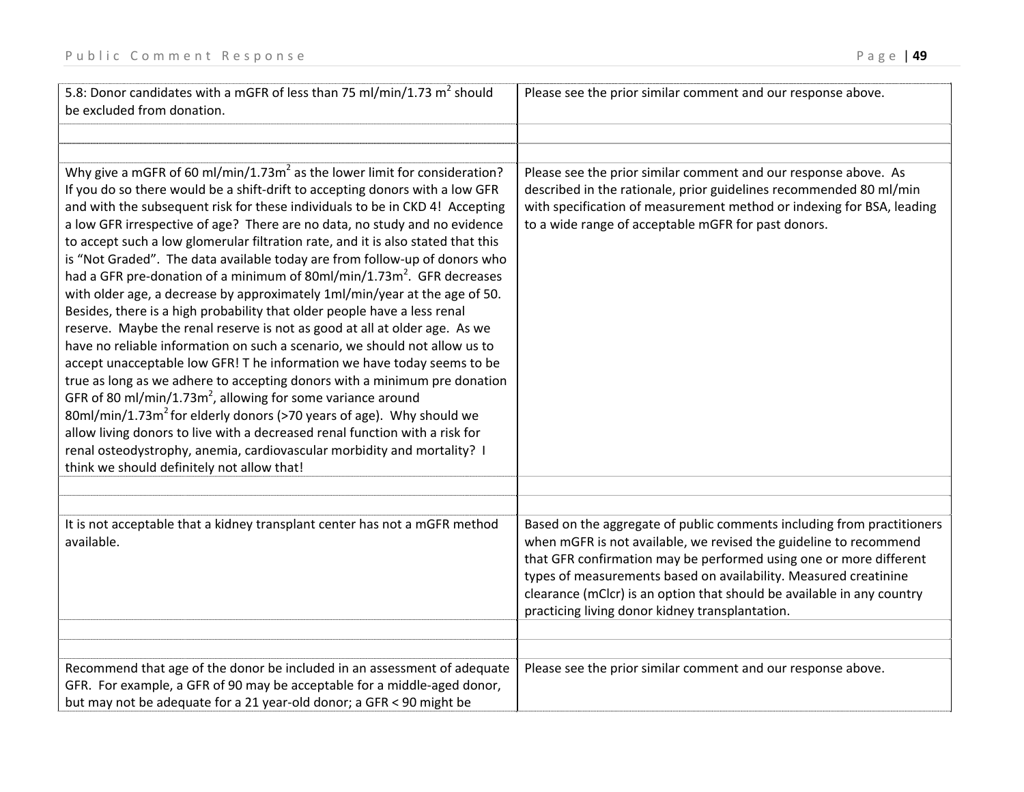| 5.8: Donor candidates with a mGFR of less than 75 ml/min/1.73 $m^2$ should<br>be excluded from donation.                                                                                                                                                                                                                                                                                                                                                                                                                                                                                                                                                                                                                                                                                                                                                                                                                                                                                                                                                                                                                                                                                                                                                                                                                                                                                                                                | Please see the prior similar comment and our response above.                                                                                                                                                                                                                                                                                                                                                       |
|-----------------------------------------------------------------------------------------------------------------------------------------------------------------------------------------------------------------------------------------------------------------------------------------------------------------------------------------------------------------------------------------------------------------------------------------------------------------------------------------------------------------------------------------------------------------------------------------------------------------------------------------------------------------------------------------------------------------------------------------------------------------------------------------------------------------------------------------------------------------------------------------------------------------------------------------------------------------------------------------------------------------------------------------------------------------------------------------------------------------------------------------------------------------------------------------------------------------------------------------------------------------------------------------------------------------------------------------------------------------------------------------------------------------------------------------|--------------------------------------------------------------------------------------------------------------------------------------------------------------------------------------------------------------------------------------------------------------------------------------------------------------------------------------------------------------------------------------------------------------------|
|                                                                                                                                                                                                                                                                                                                                                                                                                                                                                                                                                                                                                                                                                                                                                                                                                                                                                                                                                                                                                                                                                                                                                                                                                                                                                                                                                                                                                                         |                                                                                                                                                                                                                                                                                                                                                                                                                    |
| Why give a mGFR of 60 ml/min/1.73 $m2$ as the lower limit for consideration?<br>If you do so there would be a shift-drift to accepting donors with a low GFR<br>and with the subsequent risk for these individuals to be in CKD 4! Accepting<br>a low GFR irrespective of age? There are no data, no study and no evidence<br>to accept such a low glomerular filtration rate, and it is also stated that this<br>is "Not Graded". The data available today are from follow-up of donors who<br>had a GFR pre-donation of a minimum of 80ml/min/1.73m <sup>2</sup> . GFR decreases<br>with older age, a decrease by approximately 1ml/min/year at the age of 50.<br>Besides, there is a high probability that older people have a less renal<br>reserve. Maybe the renal reserve is not as good at all at older age. As we<br>have no reliable information on such a scenario, we should not allow us to<br>accept unacceptable low GFR! T he information we have today seems to be<br>true as long as we adhere to accepting donors with a minimum pre donation<br>GFR of 80 ml/min/1.73m <sup>2</sup> , allowing for some variance around<br>80ml/min/1.73m <sup>2</sup> for elderly donors (>70 years of age). Why should we<br>allow living donors to live with a decreased renal function with a risk for<br>renal osteodystrophy, anemia, cardiovascular morbidity and mortality? I<br>think we should definitely not allow that! | Please see the prior similar comment and our response above. As<br>described in the rationale, prior guidelines recommended 80 ml/min<br>with specification of measurement method or indexing for BSA, leading<br>to a wide range of acceptable mGFR for past donors.                                                                                                                                              |
| It is not acceptable that a kidney transplant center has not a mGFR method<br>available.                                                                                                                                                                                                                                                                                                                                                                                                                                                                                                                                                                                                                                                                                                                                                                                                                                                                                                                                                                                                                                                                                                                                                                                                                                                                                                                                                | Based on the aggregate of public comments including from practitioners<br>when mGFR is not available, we revised the guideline to recommend<br>that GFR confirmation may be performed using one or more different<br>types of measurements based on availability. Measured creatinine<br>clearance (mClcr) is an option that should be available in any country<br>practicing living donor kidney transplantation. |
| Recommend that age of the donor be included in an assessment of adequate<br>GFR. For example, a GFR of 90 may be acceptable for a middle-aged donor,<br>but may not be adequate for a 21 year-old donor; a GFR < 90 might be                                                                                                                                                                                                                                                                                                                                                                                                                                                                                                                                                                                                                                                                                                                                                                                                                                                                                                                                                                                                                                                                                                                                                                                                            | Please see the prior similar comment and our response above.                                                                                                                                                                                                                                                                                                                                                       |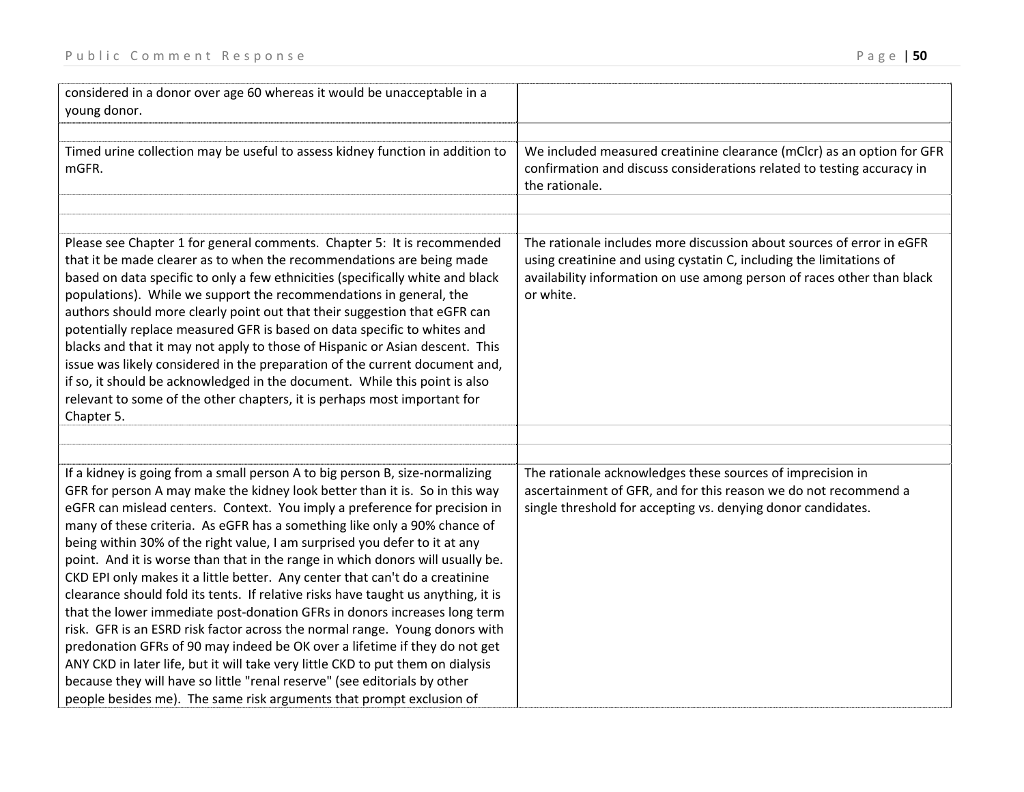| considered in a donor over age 60 whereas it would be unacceptable in a<br>young donor.                                                                                                                                                                                                                                                                                                                                                                                                                                                                                                                                                                                                                                                                                                                                                                                                                                                                                                                                                                                                                                                       |                                                                                                                                                                                                                                     |
|-----------------------------------------------------------------------------------------------------------------------------------------------------------------------------------------------------------------------------------------------------------------------------------------------------------------------------------------------------------------------------------------------------------------------------------------------------------------------------------------------------------------------------------------------------------------------------------------------------------------------------------------------------------------------------------------------------------------------------------------------------------------------------------------------------------------------------------------------------------------------------------------------------------------------------------------------------------------------------------------------------------------------------------------------------------------------------------------------------------------------------------------------|-------------------------------------------------------------------------------------------------------------------------------------------------------------------------------------------------------------------------------------|
| Timed urine collection may be useful to assess kidney function in addition to<br>mGFR.                                                                                                                                                                                                                                                                                                                                                                                                                                                                                                                                                                                                                                                                                                                                                                                                                                                                                                                                                                                                                                                        | We included measured creatinine clearance (mClcr) as an option for GFR<br>confirmation and discuss considerations related to testing accuracy in<br>the rationale.                                                                  |
| Please see Chapter 1 for general comments. Chapter 5: It is recommended<br>that it be made clearer as to when the recommendations are being made<br>based on data specific to only a few ethnicities (specifically white and black<br>populations). While we support the recommendations in general, the<br>authors should more clearly point out that their suggestion that eGFR can<br>potentially replace measured GFR is based on data specific to whites and<br>blacks and that it may not apply to those of Hispanic or Asian descent. This<br>issue was likely considered in the preparation of the current document and,<br>if so, it should be acknowledged in the document. While this point is also<br>relevant to some of the other chapters, it is perhaps most important for<br>Chapter 5.                                                                                                                                                                                                                                                                                                                                      | The rationale includes more discussion about sources of error in eGFR<br>using creatinine and using cystatin C, including the limitations of<br>availability information on use among person of races other than black<br>or white. |
|                                                                                                                                                                                                                                                                                                                                                                                                                                                                                                                                                                                                                                                                                                                                                                                                                                                                                                                                                                                                                                                                                                                                               |                                                                                                                                                                                                                                     |
| If a kidney is going from a small person A to big person B, size-normalizing<br>GFR for person A may make the kidney look better than it is. So in this way<br>eGFR can mislead centers. Context. You imply a preference for precision in<br>many of these criteria. As eGFR has a something like only a 90% chance of<br>being within 30% of the right value, I am surprised you defer to it at any<br>point. And it is worse than that in the range in which donors will usually be.<br>CKD EPI only makes it a little better. Any center that can't do a creatinine<br>clearance should fold its tents. If relative risks have taught us anything, it is<br>that the lower immediate post-donation GFRs in donors increases long term<br>risk. GFR is an ESRD risk factor across the normal range. Young donors with<br>predonation GFRs of 90 may indeed be OK over a lifetime if they do not get<br>ANY CKD in later life, but it will take very little CKD to put them on dialysis<br>because they will have so little "renal reserve" (see editorials by other<br>people besides me). The same risk arguments that prompt exclusion of | The rationale acknowledges these sources of imprecision in<br>ascertainment of GFR, and for this reason we do not recommend a<br>single threshold for accepting vs. denying donor candidates.                                       |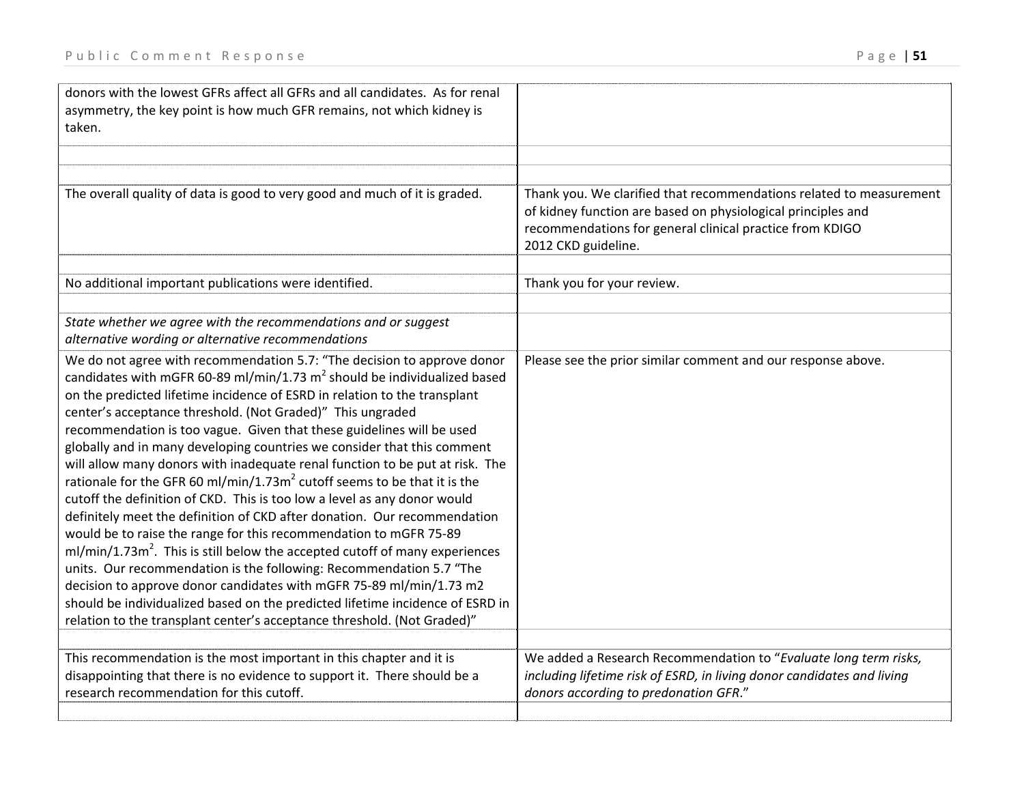| donors with the lowest GFRs affect all GFRs and all candidates. As for renal<br>asymmetry, the key point is how much GFR remains, not which kidney is<br>taken.                                                                                                                                                                                                                                                                                                                                                                                                                                                                                                                                                                                                                                                                                                                                                                                                                                                                                                                                                                                                                                                                                       |                                                                                                                                                                                     |
|-------------------------------------------------------------------------------------------------------------------------------------------------------------------------------------------------------------------------------------------------------------------------------------------------------------------------------------------------------------------------------------------------------------------------------------------------------------------------------------------------------------------------------------------------------------------------------------------------------------------------------------------------------------------------------------------------------------------------------------------------------------------------------------------------------------------------------------------------------------------------------------------------------------------------------------------------------------------------------------------------------------------------------------------------------------------------------------------------------------------------------------------------------------------------------------------------------------------------------------------------------|-------------------------------------------------------------------------------------------------------------------------------------------------------------------------------------|
| The overall quality of data is good to very good and much of it is graded.                                                                                                                                                                                                                                                                                                                                                                                                                                                                                                                                                                                                                                                                                                                                                                                                                                                                                                                                                                                                                                                                                                                                                                            | Thank you. We clarified that recommendations related to measurement<br>of kidney function are based on physiological principles and                                                 |
|                                                                                                                                                                                                                                                                                                                                                                                                                                                                                                                                                                                                                                                                                                                                                                                                                                                                                                                                                                                                                                                                                                                                                                                                                                                       | recommendations for general clinical practice from KDIGO<br>2012 CKD guideline.                                                                                                     |
| No additional important publications were identified.                                                                                                                                                                                                                                                                                                                                                                                                                                                                                                                                                                                                                                                                                                                                                                                                                                                                                                                                                                                                                                                                                                                                                                                                 | Thank you for your review.                                                                                                                                                          |
| State whether we agree with the recommendations and or suggest<br>alternative wording or alternative recommendations                                                                                                                                                                                                                                                                                                                                                                                                                                                                                                                                                                                                                                                                                                                                                                                                                                                                                                                                                                                                                                                                                                                                  |                                                                                                                                                                                     |
| We do not agree with recommendation 5.7: "The decision to approve donor<br>candidates with mGFR 60-89 ml/min/1.73 $m^2$ should be individualized based<br>on the predicted lifetime incidence of ESRD in relation to the transplant<br>center's acceptance threshold. (Not Graded)" This ungraded<br>recommendation is too vague. Given that these guidelines will be used<br>globally and in many developing countries we consider that this comment<br>will allow many donors with inadequate renal function to be put at risk. The<br>rationale for the GFR 60 ml/min/1.73m <sup>2</sup> cutoff seems to be that it is the<br>cutoff the definition of CKD. This is too low a level as any donor would<br>definitely meet the definition of CKD after donation. Our recommendation<br>would be to raise the range for this recommendation to mGFR 75-89<br>$ml/min/1.73m2$ . This is still below the accepted cutoff of many experiences<br>units. Our recommendation is the following: Recommendation 5.7 "The<br>decision to approve donor candidates with mGFR 75-89 ml/min/1.73 m2<br>should be individualized based on the predicted lifetime incidence of ESRD in<br>relation to the transplant center's acceptance threshold. (Not Graded)" | Please see the prior similar comment and our response above.                                                                                                                        |
| This recommendation is the most important in this chapter and it is<br>disappointing that there is no evidence to support it. There should be a<br>research recommendation for this cutoff.                                                                                                                                                                                                                                                                                                                                                                                                                                                                                                                                                                                                                                                                                                                                                                                                                                                                                                                                                                                                                                                           | We added a Research Recommendation to "Evaluate long term risks,<br>including lifetime risk of ESRD, in living donor candidates and living<br>donors according to predonation GFR." |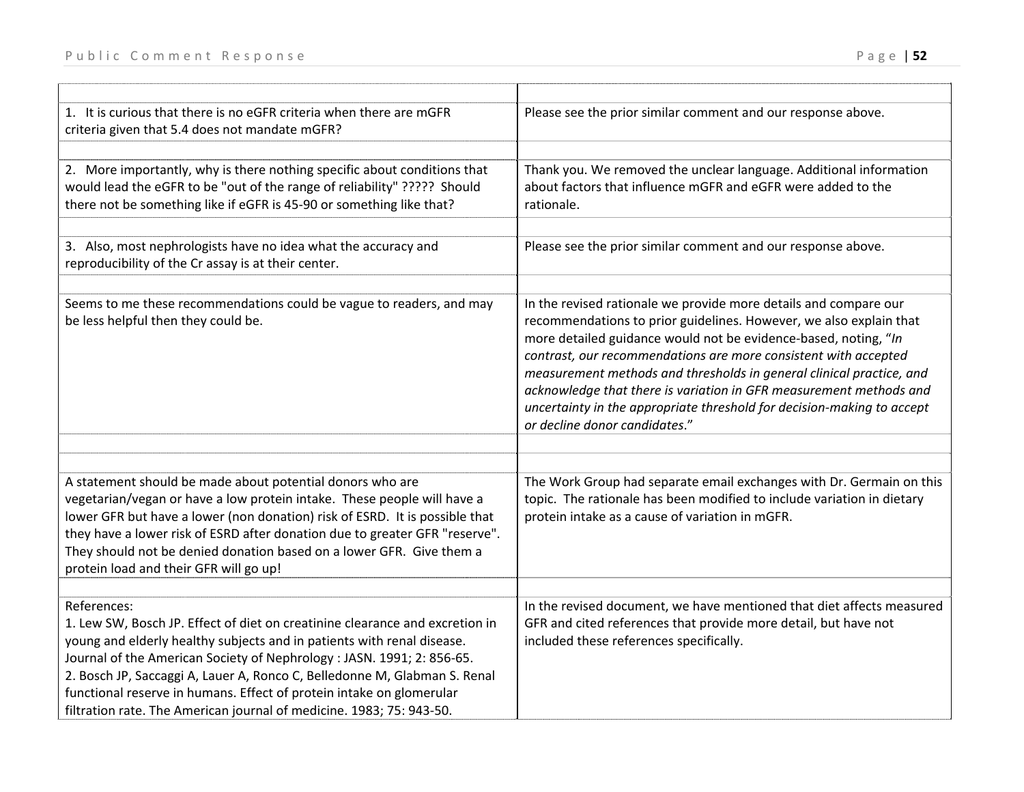| 1. It is curious that there is no eGFR criteria when there are mGFR<br>criteria given that 5.4 does not mandate mGFR?                                                                                                                                                                                                                                                                                                                                                       | Please see the prior similar comment and our response above.                                                                                                                                                                                                                                                                                                                                                                                                                                                                          |
|-----------------------------------------------------------------------------------------------------------------------------------------------------------------------------------------------------------------------------------------------------------------------------------------------------------------------------------------------------------------------------------------------------------------------------------------------------------------------------|---------------------------------------------------------------------------------------------------------------------------------------------------------------------------------------------------------------------------------------------------------------------------------------------------------------------------------------------------------------------------------------------------------------------------------------------------------------------------------------------------------------------------------------|
| 2. More importantly, why is there nothing specific about conditions that<br>would lead the eGFR to be "out of the range of reliability" ????? Should<br>there not be something like if eGFR is 45-90 or something like that?                                                                                                                                                                                                                                                | Thank you. We removed the unclear language. Additional information<br>about factors that influence mGFR and eGFR were added to the<br>rationale.                                                                                                                                                                                                                                                                                                                                                                                      |
| 3. Also, most nephrologists have no idea what the accuracy and<br>reproducibility of the Cr assay is at their center.                                                                                                                                                                                                                                                                                                                                                       | Please see the prior similar comment and our response above.                                                                                                                                                                                                                                                                                                                                                                                                                                                                          |
| Seems to me these recommendations could be vague to readers, and may<br>be less helpful then they could be.                                                                                                                                                                                                                                                                                                                                                                 | In the revised rationale we provide more details and compare our<br>recommendations to prior guidelines. However, we also explain that<br>more detailed guidance would not be evidence-based, noting, "In<br>contrast, our recommendations are more consistent with accepted<br>measurement methods and thresholds in general clinical practice, and<br>acknowledge that there is variation in GFR measurement methods and<br>uncertainty in the appropriate threshold for decision-making to accept<br>or decline donor candidates." |
| A statement should be made about potential donors who are<br>vegetarian/vegan or have a low protein intake. These people will have a<br>lower GFR but have a lower (non donation) risk of ESRD. It is possible that<br>they have a lower risk of ESRD after donation due to greater GFR "reserve".<br>They should not be denied donation based on a lower GFR. Give them a<br>protein load and their GFR will go up!                                                        | The Work Group had separate email exchanges with Dr. Germain on this<br>topic. The rationale has been modified to include variation in dietary<br>protein intake as a cause of variation in mGFR.                                                                                                                                                                                                                                                                                                                                     |
| References:<br>1. Lew SW, Bosch JP. Effect of diet on creatinine clearance and excretion in<br>young and elderly healthy subjects and in patients with renal disease.<br>Journal of the American Society of Nephrology: JASN. 1991; 2: 856-65.<br>2. Bosch JP, Saccaggi A, Lauer A, Ronco C, Belledonne M, Glabman S. Renal<br>functional reserve in humans. Effect of protein intake on glomerular<br>filtration rate. The American journal of medicine. 1983; 75: 943-50. | In the revised document, we have mentioned that diet affects measured<br>GFR and cited references that provide more detail, but have not<br>included these references specifically.                                                                                                                                                                                                                                                                                                                                                   |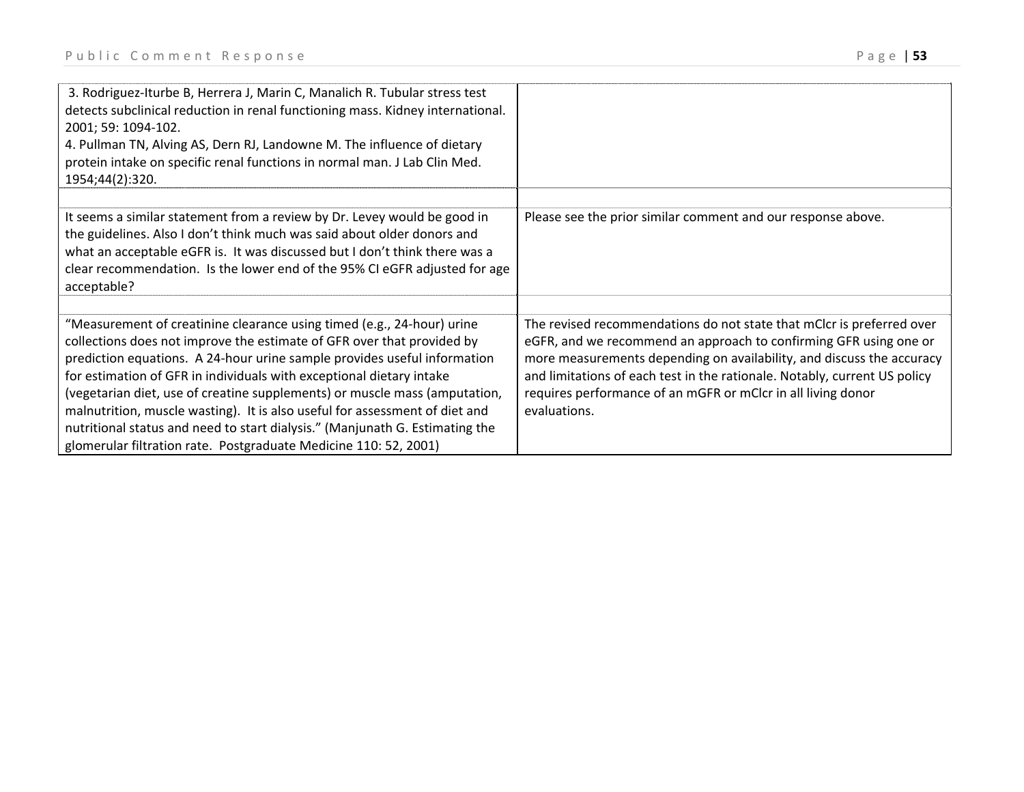| 3. Rodriguez-Iturbe B, Herrera J, Marin C, Manalich R. Tubular stress test<br>detects subclinical reduction in renal functioning mass. Kidney international.<br>2001; 59: 1094-102.<br>4. Pullman TN, Alving AS, Dern RJ, Landowne M. The influence of dietary<br>protein intake on specific renal functions in normal man. J Lab Clin Med.<br>1954;44(2):320.                                                                                                                                                                                                                                                        |                                                                                                                                                                                                                                                                                                                                                                                  |
|-----------------------------------------------------------------------------------------------------------------------------------------------------------------------------------------------------------------------------------------------------------------------------------------------------------------------------------------------------------------------------------------------------------------------------------------------------------------------------------------------------------------------------------------------------------------------------------------------------------------------|----------------------------------------------------------------------------------------------------------------------------------------------------------------------------------------------------------------------------------------------------------------------------------------------------------------------------------------------------------------------------------|
| It seems a similar statement from a review by Dr. Levey would be good in<br>the guidelines. Also I don't think much was said about older donors and<br>what an acceptable eGFR is. It was discussed but I don't think there was a<br>clear recommendation. Is the lower end of the 95% CI eGFR adjusted for age<br>acceptable?                                                                                                                                                                                                                                                                                        | Please see the prior similar comment and our response above.                                                                                                                                                                                                                                                                                                                     |
| "Measurement of creatinine clearance using timed (e.g., 24-hour) urine<br>collections does not improve the estimate of GFR over that provided by<br>prediction equations. A 24-hour urine sample provides useful information<br>for estimation of GFR in individuals with exceptional dietary intake<br>(vegetarian diet, use of creatine supplements) or muscle mass (amputation,<br>malnutrition, muscle wasting). It is also useful for assessment of diet and<br>nutritional status and need to start dialysis." (Manjunath G. Estimating the<br>glomerular filtration rate. Postgraduate Medicine 110: 52, 2001) | The revised recommendations do not state that mClcr is preferred over<br>eGFR, and we recommend an approach to confirming GFR using one or<br>more measurements depending on availability, and discuss the accuracy<br>and limitations of each test in the rationale. Notably, current US policy<br>requires performance of an mGFR or mClcr in all living donor<br>evaluations. |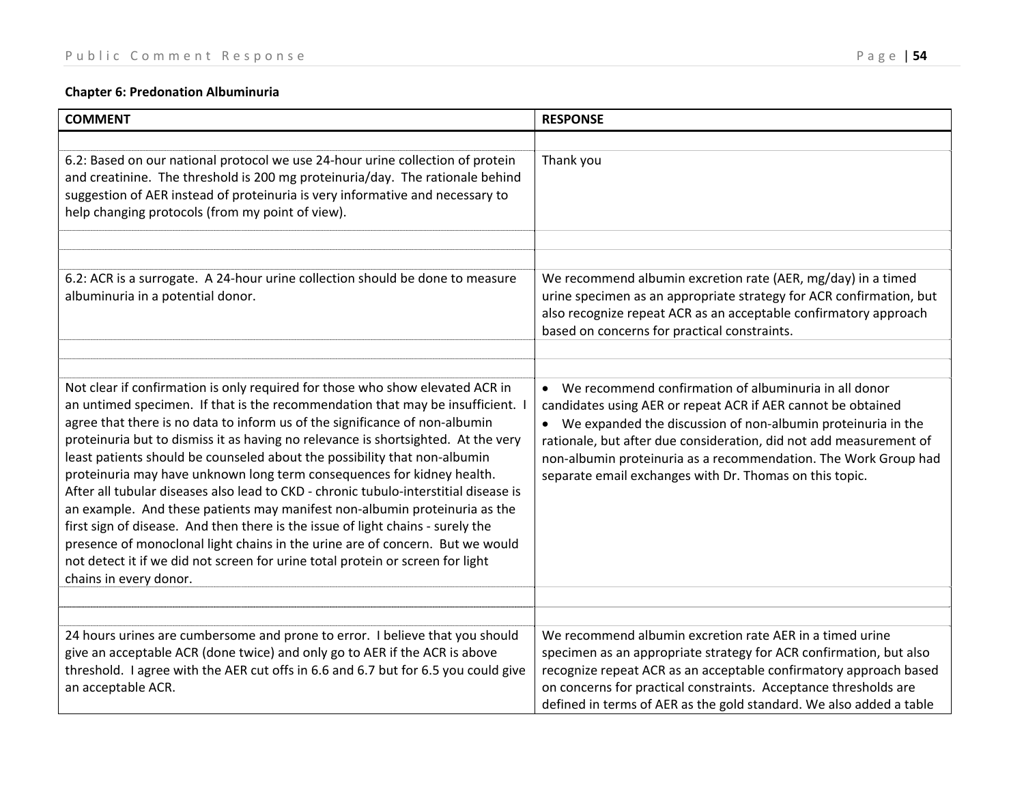# **Chapter 6: Predonation Albuminuria**

| <b>COMMENT</b>                                                                                                                                                                                                                                                                                                                                                                                                                                                                                                                                                                                                                                                                                                                                                                                                                                                                                                                                   | <b>RESPONSE</b>                                                                                                                                                                                                                                                                                                                                                                               |
|--------------------------------------------------------------------------------------------------------------------------------------------------------------------------------------------------------------------------------------------------------------------------------------------------------------------------------------------------------------------------------------------------------------------------------------------------------------------------------------------------------------------------------------------------------------------------------------------------------------------------------------------------------------------------------------------------------------------------------------------------------------------------------------------------------------------------------------------------------------------------------------------------------------------------------------------------|-----------------------------------------------------------------------------------------------------------------------------------------------------------------------------------------------------------------------------------------------------------------------------------------------------------------------------------------------------------------------------------------------|
| 6.2: Based on our national protocol we use 24-hour urine collection of protein<br>and creatinine. The threshold is 200 mg proteinuria/day. The rationale behind<br>suggestion of AER instead of proteinuria is very informative and necessary to<br>help changing protocols (from my point of view).                                                                                                                                                                                                                                                                                                                                                                                                                                                                                                                                                                                                                                             | Thank you                                                                                                                                                                                                                                                                                                                                                                                     |
| 6.2: ACR is a surrogate. A 24-hour urine collection should be done to measure<br>albuminuria in a potential donor.                                                                                                                                                                                                                                                                                                                                                                                                                                                                                                                                                                                                                                                                                                                                                                                                                               | We recommend albumin excretion rate (AER, mg/day) in a timed<br>urine specimen as an appropriate strategy for ACR confirmation, but<br>also recognize repeat ACR as an acceptable confirmatory approach<br>based on concerns for practical constraints.                                                                                                                                       |
| Not clear if confirmation is only required for those who show elevated ACR in<br>an untimed specimen. If that is the recommendation that may be insufficient. I<br>agree that there is no data to inform us of the significance of non-albumin<br>proteinuria but to dismiss it as having no relevance is shortsighted. At the very<br>least patients should be counseled about the possibility that non-albumin<br>proteinuria may have unknown long term consequences for kidney health.<br>After all tubular diseases also lead to CKD - chronic tubulo-interstitial disease is<br>an example. And these patients may manifest non-albumin proteinuria as the<br>first sign of disease. And then there is the issue of light chains - surely the<br>presence of monoclonal light chains in the urine are of concern. But we would<br>not detect it if we did not screen for urine total protein or screen for light<br>chains in every donor. | • We recommend confirmation of albuminuria in all donor<br>candidates using AER or repeat ACR if AER cannot be obtained<br>• We expanded the discussion of non-albumin proteinuria in the<br>rationale, but after due consideration, did not add measurement of<br>non-albumin proteinuria as a recommendation. The Work Group had<br>separate email exchanges with Dr. Thomas on this topic. |
| 24 hours urines are cumbersome and prone to error. I believe that you should<br>give an acceptable ACR (done twice) and only go to AER if the ACR is above<br>threshold. I agree with the AER cut offs in 6.6 and 6.7 but for 6.5 you could give<br>an acceptable ACR.                                                                                                                                                                                                                                                                                                                                                                                                                                                                                                                                                                                                                                                                           | We recommend albumin excretion rate AER in a timed urine<br>specimen as an appropriate strategy for ACR confirmation, but also<br>recognize repeat ACR as an acceptable confirmatory approach based<br>on concerns for practical constraints. Acceptance thresholds are<br>defined in terms of AER as the gold standard. We also added a table                                                |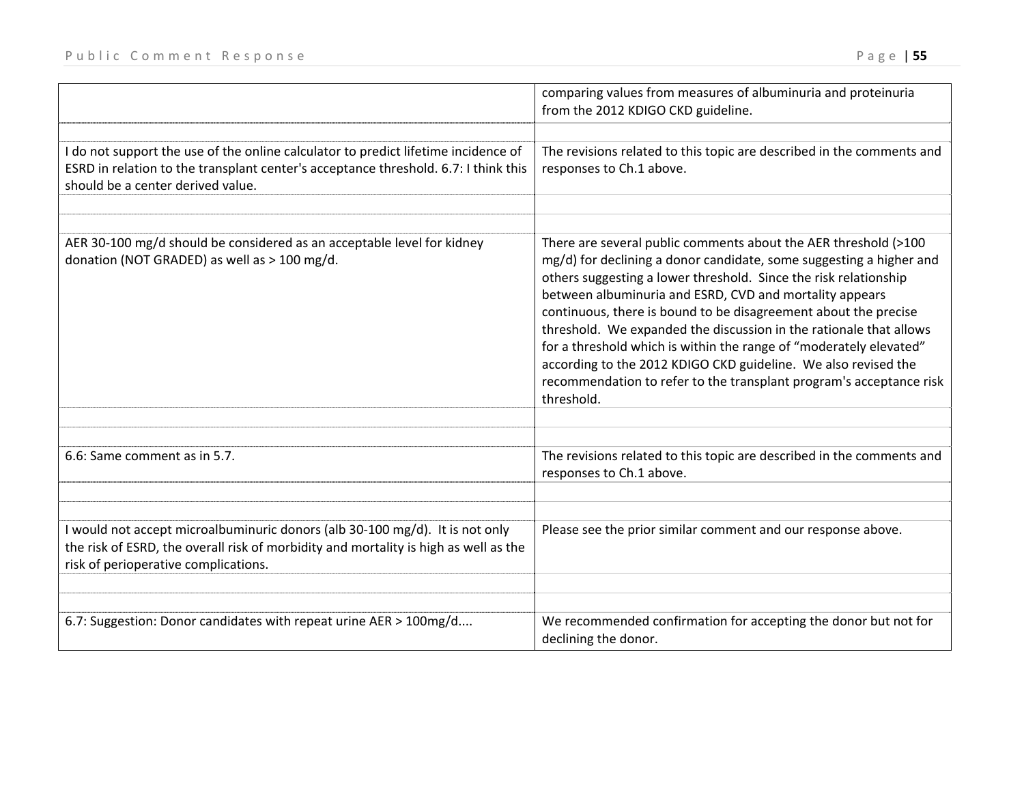| FUUILLE CUMMENT NESPUNSE                                                                                                                                                                                               | $r$ age to $J$<br>comparing values from measures of albuminuria and proteinuria<br>from the 2012 KDIGO CKD guideline. |  |
|------------------------------------------------------------------------------------------------------------------------------------------------------------------------------------------------------------------------|-----------------------------------------------------------------------------------------------------------------------|--|
|                                                                                                                                                                                                                        |                                                                                                                       |  |
| I do not support the use of the online calculator to predict lifetime incidence of<br>ESRD in relation to the transplant center's acceptance threshold. 6.7: I think this $\vert$<br>should be a center derived value. | The revisions related to this topic are described in the comments and<br>responses to Ch.1 above.                     |  |

| ESRD in relation to the transplant center's acceptance threshold. 6.7: I think this<br>should be a center derived value.                                                                                     | responses to Ch.1 above.                                                                                                                                                                                                                                                                                                                                                                                                                                                                                                                                                                                                                    |
|--------------------------------------------------------------------------------------------------------------------------------------------------------------------------------------------------------------|---------------------------------------------------------------------------------------------------------------------------------------------------------------------------------------------------------------------------------------------------------------------------------------------------------------------------------------------------------------------------------------------------------------------------------------------------------------------------------------------------------------------------------------------------------------------------------------------------------------------------------------------|
|                                                                                                                                                                                                              |                                                                                                                                                                                                                                                                                                                                                                                                                                                                                                                                                                                                                                             |
| AER 30-100 mg/d should be considered as an acceptable level for kidney<br>donation (NOT GRADED) as well as > 100 mg/d.                                                                                       | There are several public comments about the AER threshold (>100<br>mg/d) for declining a donor candidate, some suggesting a higher and<br>others suggesting a lower threshold. Since the risk relationship<br>between albuminuria and ESRD, CVD and mortality appears<br>continuous, there is bound to be disagreement about the precise<br>threshold. We expanded the discussion in the rationale that allows<br>for a threshold which is within the range of "moderately elevated"<br>according to the 2012 KDIGO CKD guideline. We also revised the<br>recommendation to refer to the transplant program's acceptance risk<br>threshold. |
| 6.6: Same comment as in 5.7.                                                                                                                                                                                 | The revisions related to this topic are described in the comments and<br>responses to Ch.1 above.                                                                                                                                                                                                                                                                                                                                                                                                                                                                                                                                           |
|                                                                                                                                                                                                              |                                                                                                                                                                                                                                                                                                                                                                                                                                                                                                                                                                                                                                             |
| I would not accept microalbuminuric donors (alb 30-100 mg/d). It is not only<br>the risk of ESRD, the overall risk of morbidity and mortality is high as well as the<br>risk of perioperative complications. | Please see the prior similar comment and our response above.                                                                                                                                                                                                                                                                                                                                                                                                                                                                                                                                                                                |
|                                                                                                                                                                                                              |                                                                                                                                                                                                                                                                                                                                                                                                                                                                                                                                                                                                                                             |
| 6.7: Suggestion: Donor candidates with repeat urine AER > 100mg/d                                                                                                                                            | We recommended confirmation for accepting the donor but not for<br>declining the donor.                                                                                                                                                                                                                                                                                                                                                                                                                                                                                                                                                     |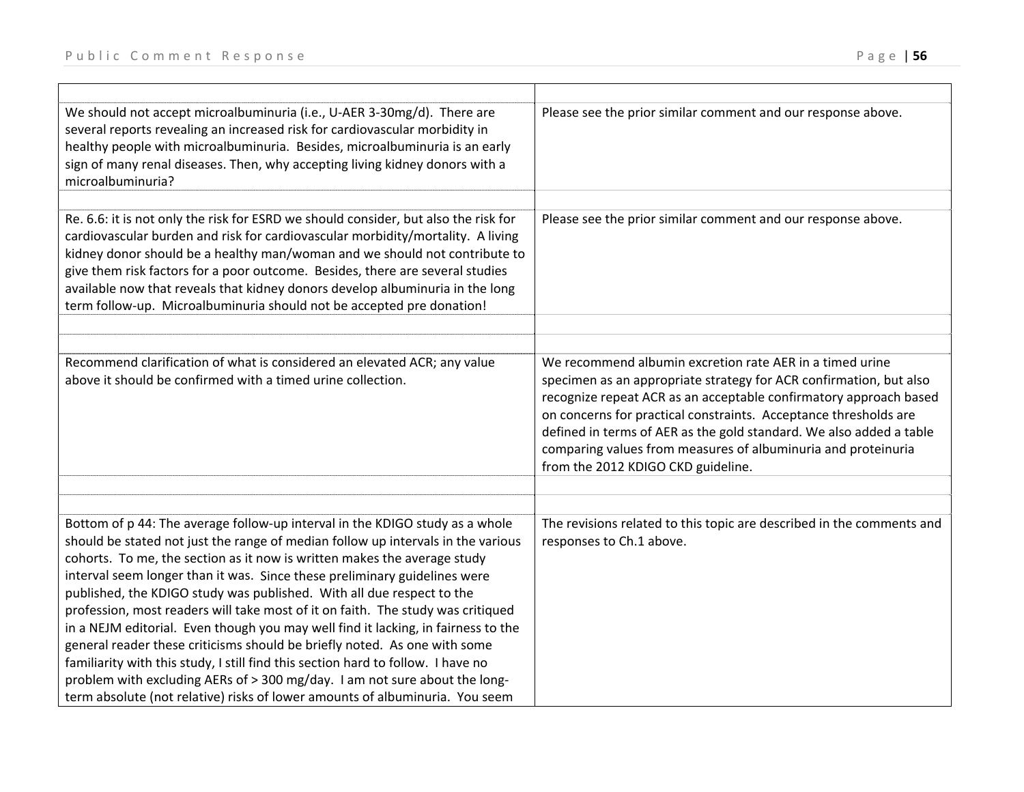| We should not accept microalbuminuria (i.e., U-AER 3-30mg/d). There are<br>several reports revealing an increased risk for cardiovascular morbidity in<br>healthy people with microalbuminuria. Besides, microalbuminuria is an early<br>sign of many renal diseases. Then, why accepting living kidney donors with a<br>microalbuminuria?                                                                                                                                                                                                                                                                                                                                                                                                                                                                                                                                                                | Please see the prior similar comment and our response above.                                                                                                                                                                                                                                                                                                                                                                                          |
|-----------------------------------------------------------------------------------------------------------------------------------------------------------------------------------------------------------------------------------------------------------------------------------------------------------------------------------------------------------------------------------------------------------------------------------------------------------------------------------------------------------------------------------------------------------------------------------------------------------------------------------------------------------------------------------------------------------------------------------------------------------------------------------------------------------------------------------------------------------------------------------------------------------|-------------------------------------------------------------------------------------------------------------------------------------------------------------------------------------------------------------------------------------------------------------------------------------------------------------------------------------------------------------------------------------------------------------------------------------------------------|
| Re. 6.6: it is not only the risk for ESRD we should consider, but also the risk for<br>cardiovascular burden and risk for cardiovascular morbidity/mortality. A living<br>kidney donor should be a healthy man/woman and we should not contribute to<br>give them risk factors for a poor outcome. Besides, there are several studies<br>available now that reveals that kidney donors develop albuminuria in the long<br>term follow-up. Microalbuminuria should not be accepted pre donation!                                                                                                                                                                                                                                                                                                                                                                                                           | Please see the prior similar comment and our response above.                                                                                                                                                                                                                                                                                                                                                                                          |
|                                                                                                                                                                                                                                                                                                                                                                                                                                                                                                                                                                                                                                                                                                                                                                                                                                                                                                           |                                                                                                                                                                                                                                                                                                                                                                                                                                                       |
| Recommend clarification of what is considered an elevated ACR; any value<br>above it should be confirmed with a timed urine collection.                                                                                                                                                                                                                                                                                                                                                                                                                                                                                                                                                                                                                                                                                                                                                                   | We recommend albumin excretion rate AER in a timed urine<br>specimen as an appropriate strategy for ACR confirmation, but also<br>recognize repeat ACR as an acceptable confirmatory approach based<br>on concerns for practical constraints. Acceptance thresholds are<br>defined in terms of AER as the gold standard. We also added a table<br>comparing values from measures of albuminuria and proteinuria<br>from the 2012 KDIGO CKD guideline. |
|                                                                                                                                                                                                                                                                                                                                                                                                                                                                                                                                                                                                                                                                                                                                                                                                                                                                                                           |                                                                                                                                                                                                                                                                                                                                                                                                                                                       |
| Bottom of p 44: The average follow-up interval in the KDIGO study as a whole<br>should be stated not just the range of median follow up intervals in the various<br>cohorts. To me, the section as it now is written makes the average study<br>interval seem longer than it was. Since these preliminary guidelines were<br>published, the KDIGO study was published. With all due respect to the<br>profession, most readers will take most of it on faith. The study was critiqued<br>in a NEJM editorial. Even though you may well find it lacking, in fairness to the<br>general reader these criticisms should be briefly noted. As one with some<br>familiarity with this study, I still find this section hard to follow. I have no<br>problem with excluding AERs of > 300 mg/day. I am not sure about the long-<br>term absolute (not relative) risks of lower amounts of albuminuria. You seem | The revisions related to this topic are described in the comments and<br>responses to Ch.1 above.                                                                                                                                                                                                                                                                                                                                                     |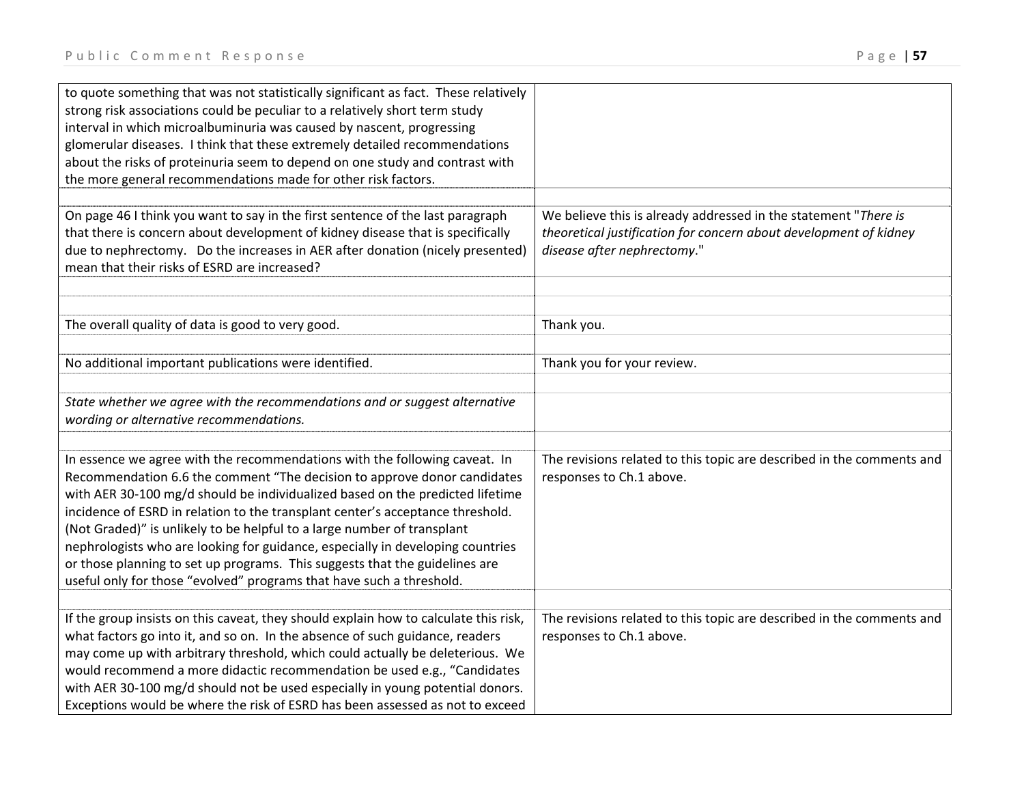to quote something that was not statistically significant as fact. These relatively

strong risk associations could be peculiar to <sup>a</sup> relatively short term study

| $ra \, g \in 1$ J/ |
|--------------------|
|                    |
|                    |
|                    |
|                    |
|                    |
|                    |
|                    |
|                    |
|                    |
|                    |
|                    |
|                    |

| interval in which microalbuminuria was caused by nascent, progressing<br>glomerular diseases. I think that these extremely detailed recommendations<br>about the risks of proteinuria seem to depend on one study and contrast with<br>the more general recommendations made for other risk factors.                                                                                                                                                                                                                                                                                                                                          |                                                                                                                                                                     |
|-----------------------------------------------------------------------------------------------------------------------------------------------------------------------------------------------------------------------------------------------------------------------------------------------------------------------------------------------------------------------------------------------------------------------------------------------------------------------------------------------------------------------------------------------------------------------------------------------------------------------------------------------|---------------------------------------------------------------------------------------------------------------------------------------------------------------------|
| On page 46 I think you want to say in the first sentence of the last paragraph<br>that there is concern about development of kidney disease that is specifically<br>due to nephrectomy. Do the increases in AER after donation (nicely presented)<br>mean that their risks of ESRD are increased?                                                                                                                                                                                                                                                                                                                                             | We believe this is already addressed in the statement "There is<br>theoretical justification for concern about development of kidney<br>disease after nephrectomy." |
| The overall quality of data is good to very good.                                                                                                                                                                                                                                                                                                                                                                                                                                                                                                                                                                                             | Thank you.                                                                                                                                                          |
| No additional important publications were identified.                                                                                                                                                                                                                                                                                                                                                                                                                                                                                                                                                                                         | Thank you for your review.                                                                                                                                          |
| State whether we agree with the recommendations and or suggest alternative<br>wording or alternative recommendations.                                                                                                                                                                                                                                                                                                                                                                                                                                                                                                                         |                                                                                                                                                                     |
| In essence we agree with the recommendations with the following caveat. In<br>Recommendation 6.6 the comment "The decision to approve donor candidates<br>with AER 30-100 mg/d should be individualized based on the predicted lifetime<br>incidence of ESRD in relation to the transplant center's acceptance threshold.<br>(Not Graded)" is unlikely to be helpful to a large number of transplant<br>nephrologists who are looking for guidance, especially in developing countries<br>or those planning to set up programs. This suggests that the guidelines are<br>useful only for those "evolved" programs that have such a threshold. | The revisions related to this topic are described in the comments and<br>responses to Ch.1 above.                                                                   |
| If the group insists on this caveat, they should explain how to calculate this risk,<br>what factors go into it, and so on. In the absence of such guidance, readers<br>may come up with arbitrary threshold, which could actually be deleterious. We<br>would recommend a more didactic recommendation be used e.g., "Candidates<br>with AER 30-100 mg/d should not be used especially in young potential donors.<br>Exceptions would be where the risk of ESRD has been assessed as not to exceed                                                                                                                                           | The revisions related to this topic are described in the comments and<br>responses to Ch.1 above.                                                                   |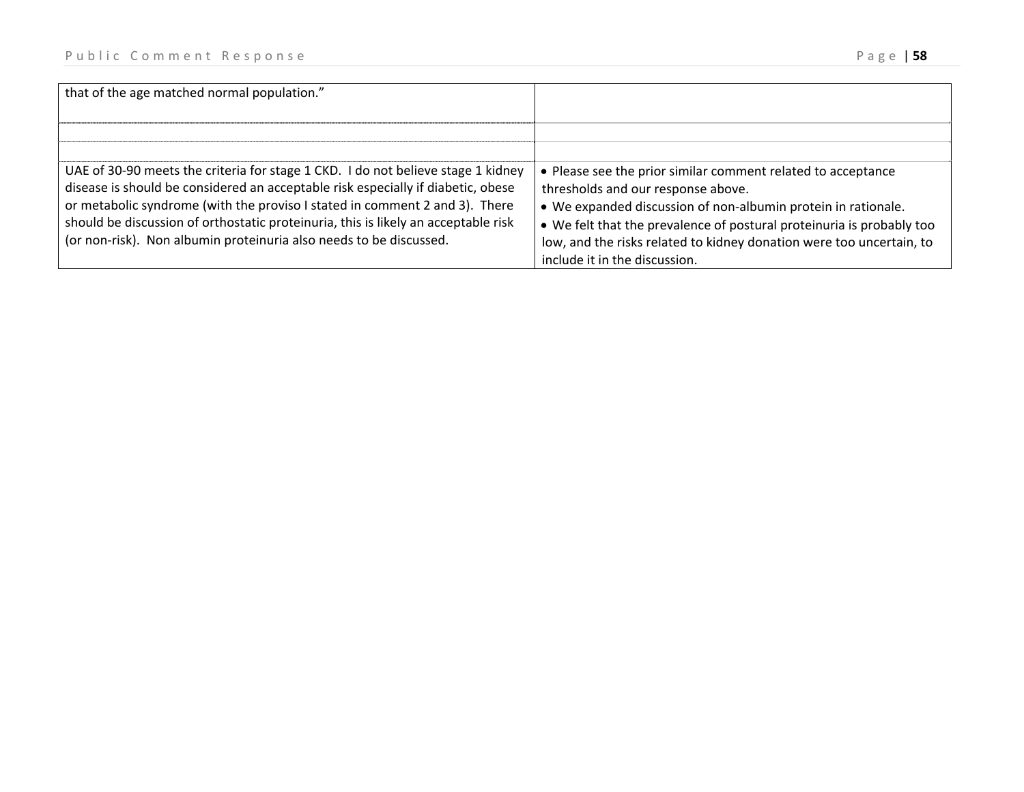| that of the age matched normal population."                                                                                                                                                                                                                                                                                                                                                                     |                                                                                                                                                                                                                                                                                                                                                       |
|-----------------------------------------------------------------------------------------------------------------------------------------------------------------------------------------------------------------------------------------------------------------------------------------------------------------------------------------------------------------------------------------------------------------|-------------------------------------------------------------------------------------------------------------------------------------------------------------------------------------------------------------------------------------------------------------------------------------------------------------------------------------------------------|
|                                                                                                                                                                                                                                                                                                                                                                                                                 |                                                                                                                                                                                                                                                                                                                                                       |
| UAE of 30-90 meets the criteria for stage 1 CKD. I do not believe stage 1 kidney<br>disease is should be considered an acceptable risk especially if diabetic, obese<br>or metabolic syndrome (with the proviso I stated in comment 2 and 3). There<br>should be discussion of orthostatic proteinuria, this is likely an acceptable risk<br>(or non-risk). Non albumin proteinuria also needs to be discussed. | • Please see the prior similar comment related to acceptance<br>thresholds and our response above.<br>• We expanded discussion of non-albumin protein in rationale.<br>• We felt that the prevalence of postural proteinuria is probably too<br>low, and the risks related to kidney donation were too uncertain, to<br>include it in the discussion. |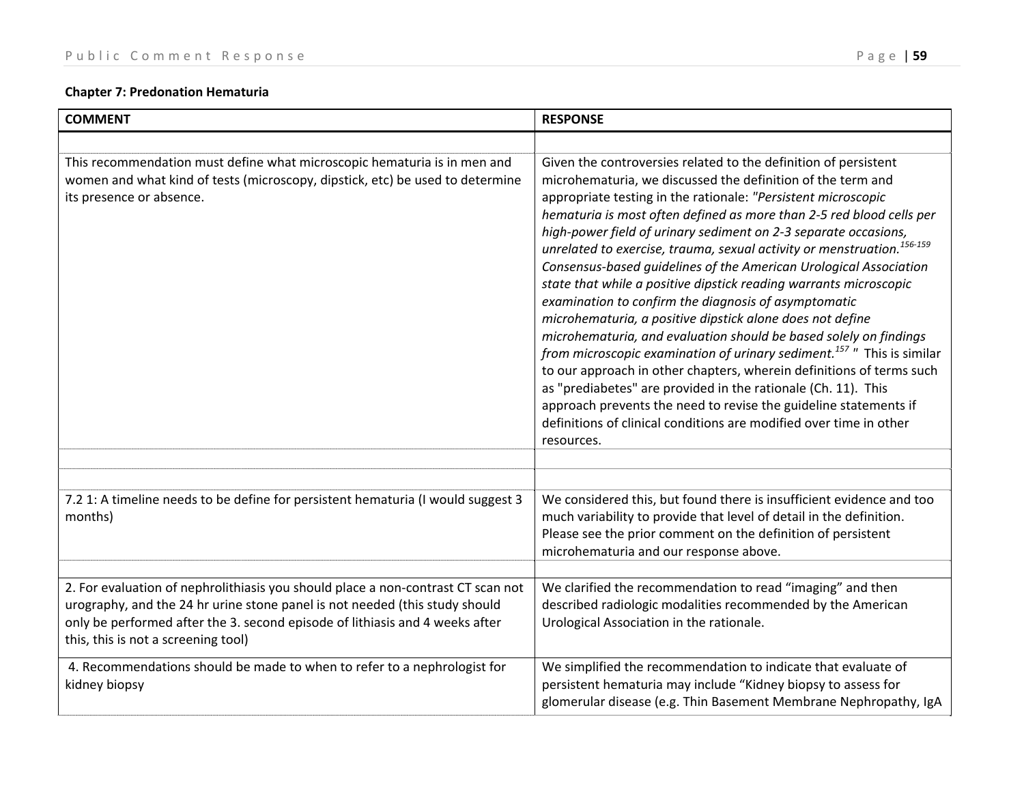# **Chapter 7: Predonation Hematuria**

| <b>COMMENT</b>                                                                                                                                                                                                                                                                         | <b>RESPONSE</b>                                                                                                                                                                                                                                                                                                                                                                                                                                                                                                                                                                                                                                                                                                                                                                                                                                                                                                                                                                                                                                                                                                                                             |
|----------------------------------------------------------------------------------------------------------------------------------------------------------------------------------------------------------------------------------------------------------------------------------------|-------------------------------------------------------------------------------------------------------------------------------------------------------------------------------------------------------------------------------------------------------------------------------------------------------------------------------------------------------------------------------------------------------------------------------------------------------------------------------------------------------------------------------------------------------------------------------------------------------------------------------------------------------------------------------------------------------------------------------------------------------------------------------------------------------------------------------------------------------------------------------------------------------------------------------------------------------------------------------------------------------------------------------------------------------------------------------------------------------------------------------------------------------------|
|                                                                                                                                                                                                                                                                                        |                                                                                                                                                                                                                                                                                                                                                                                                                                                                                                                                                                                                                                                                                                                                                                                                                                                                                                                                                                                                                                                                                                                                                             |
| This recommendation must define what microscopic hematuria is in men and<br>women and what kind of tests (microscopy, dipstick, etc) be used to determine<br>its presence or absence.                                                                                                  | Given the controversies related to the definition of persistent<br>microhematuria, we discussed the definition of the term and<br>appropriate testing in the rationale: "Persistent microscopic<br>hematuria is most often defined as more than 2-5 red blood cells per<br>high-power field of urinary sediment on 2-3 separate occasions,<br>unrelated to exercise, trauma, sexual activity or menstruation. <sup>156-159</sup><br>Consensus-based guidelines of the American Urological Association<br>state that while a positive dipstick reading warrants microscopic<br>examination to confirm the diagnosis of asymptomatic<br>microhematuria, a positive dipstick alone does not define<br>microhematuria, and evaluation should be based solely on findings<br>from microscopic examination of urinary sediment. <sup>157</sup> " This is similar<br>to our approach in other chapters, wherein definitions of terms such<br>as "prediabetes" are provided in the rationale (Ch. 11). This<br>approach prevents the need to revise the guideline statements if<br>definitions of clinical conditions are modified over time in other<br>resources. |
|                                                                                                                                                                                                                                                                                        |                                                                                                                                                                                                                                                                                                                                                                                                                                                                                                                                                                                                                                                                                                                                                                                                                                                                                                                                                                                                                                                                                                                                                             |
|                                                                                                                                                                                                                                                                                        |                                                                                                                                                                                                                                                                                                                                                                                                                                                                                                                                                                                                                                                                                                                                                                                                                                                                                                                                                                                                                                                                                                                                                             |
| 7.2 1: A timeline needs to be define for persistent hematuria (I would suggest 3<br>months)                                                                                                                                                                                            | We considered this, but found there is insufficient evidence and too<br>much variability to provide that level of detail in the definition.<br>Please see the prior comment on the definition of persistent<br>microhematuria and our response above.                                                                                                                                                                                                                                                                                                                                                                                                                                                                                                                                                                                                                                                                                                                                                                                                                                                                                                       |
|                                                                                                                                                                                                                                                                                        |                                                                                                                                                                                                                                                                                                                                                                                                                                                                                                                                                                                                                                                                                                                                                                                                                                                                                                                                                                                                                                                                                                                                                             |
| 2. For evaluation of nephrolithiasis you should place a non-contrast CT scan not<br>urography, and the 24 hr urine stone panel is not needed (this study should<br>only be performed after the 3. second episode of lithiasis and 4 weeks after<br>this, this is not a screening tool) | We clarified the recommendation to read "imaging" and then<br>described radiologic modalities recommended by the American<br>Urological Association in the rationale.                                                                                                                                                                                                                                                                                                                                                                                                                                                                                                                                                                                                                                                                                                                                                                                                                                                                                                                                                                                       |
| 4. Recommendations should be made to when to refer to a nephrologist for<br>kidney biopsy                                                                                                                                                                                              | We simplified the recommendation to indicate that evaluate of<br>persistent hematuria may include "Kidney biopsy to assess for<br>glomerular disease (e.g. Thin Basement Membrane Nephropathy, IgA                                                                                                                                                                                                                                                                                                                                                                                                                                                                                                                                                                                                                                                                                                                                                                                                                                                                                                                                                          |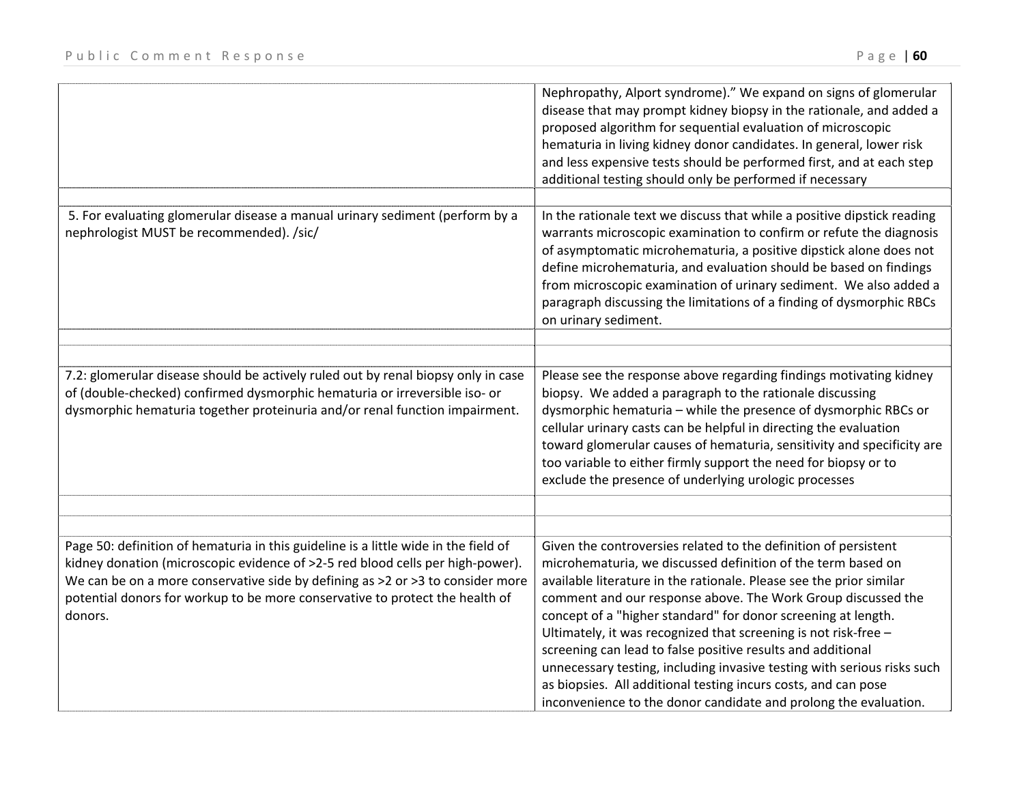|                                                                                                                                                                                                                                                                                                                                                    | Nephropathy, Alport syndrome)." We expand on signs of glomerular<br>disease that may prompt kidney biopsy in the rationale, and added a<br>proposed algorithm for sequential evaluation of microscopic<br>hematuria in living kidney donor candidates. In general, lower risk<br>and less expensive tests should be performed first, and at each step<br>additional testing should only be performed if necessary                                                                                                                                                                                                                                                                          |
|----------------------------------------------------------------------------------------------------------------------------------------------------------------------------------------------------------------------------------------------------------------------------------------------------------------------------------------------------|--------------------------------------------------------------------------------------------------------------------------------------------------------------------------------------------------------------------------------------------------------------------------------------------------------------------------------------------------------------------------------------------------------------------------------------------------------------------------------------------------------------------------------------------------------------------------------------------------------------------------------------------------------------------------------------------|
| 5. For evaluating glomerular disease a manual urinary sediment (perform by a<br>nephrologist MUST be recommended). /sic/                                                                                                                                                                                                                           | In the rationale text we discuss that while a positive dipstick reading<br>warrants microscopic examination to confirm or refute the diagnosis<br>of asymptomatic microhematuria, a positive dipstick alone does not<br>define microhematuria, and evaluation should be based on findings<br>from microscopic examination of urinary sediment. We also added a<br>paragraph discussing the limitations of a finding of dysmorphic RBCs<br>on urinary sediment.                                                                                                                                                                                                                             |
| 7.2: glomerular disease should be actively ruled out by renal biopsy only in case<br>of (double-checked) confirmed dysmorphic hematuria or irreversible iso- or<br>dysmorphic hematuria together proteinuria and/or renal function impairment.                                                                                                     | Please see the response above regarding findings motivating kidney<br>biopsy. We added a paragraph to the rationale discussing<br>dysmorphic hematuria - while the presence of dysmorphic RBCs or<br>cellular urinary casts can be helpful in directing the evaluation<br>toward glomerular causes of hematuria, sensitivity and specificity are<br>too variable to either firmly support the need for biopsy or to<br>exclude the presence of underlying urologic processes                                                                                                                                                                                                               |
| Page 50: definition of hematuria in this guideline is a little wide in the field of<br>kidney donation (microscopic evidence of >2-5 red blood cells per high-power).<br>We can be on a more conservative side by defining as >2 or >3 to consider more<br>potential donors for workup to be more conservative to protect the health of<br>donors. | Given the controversies related to the definition of persistent<br>microhematuria, we discussed definition of the term based on<br>available literature in the rationale. Please see the prior similar<br>comment and our response above. The Work Group discussed the<br>concept of a "higher standard" for donor screening at length.<br>Ultimately, it was recognized that screening is not risk-free -<br>screening can lead to false positive results and additional<br>unnecessary testing, including invasive testing with serious risks such<br>as biopsies. All additional testing incurs costs, and can pose<br>inconvenience to the donor candidate and prolong the evaluation. |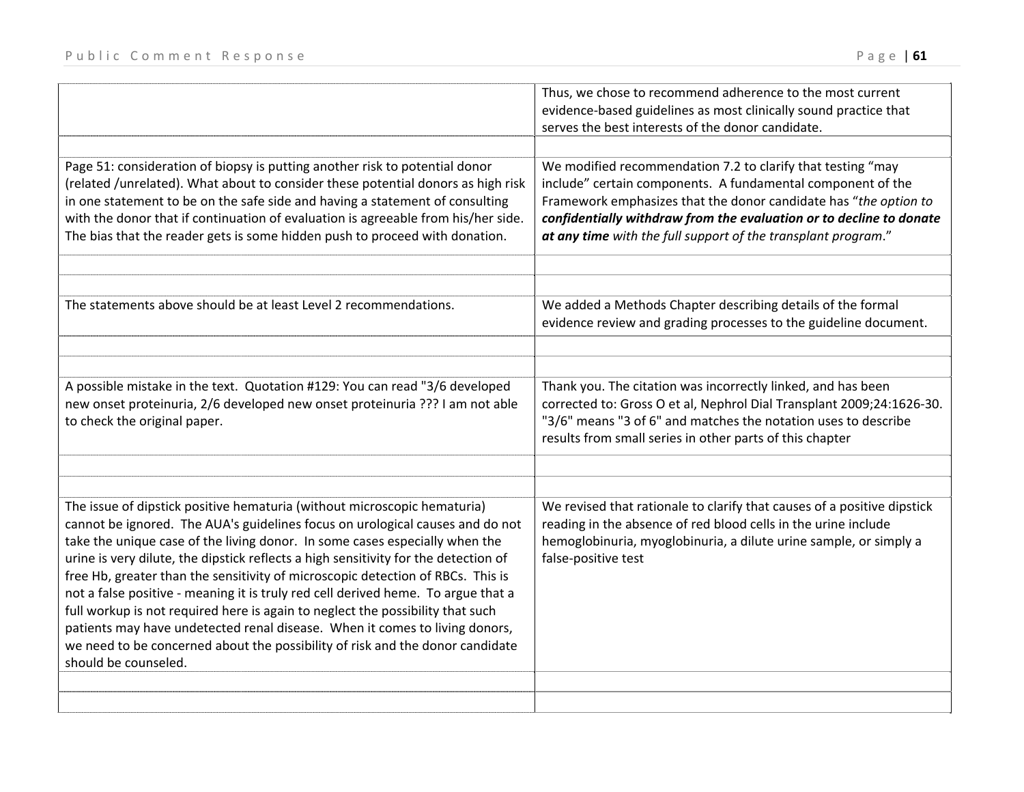|                                                                                                                                                                                                                                                                                                                                                                                                                                                                                                                                                                                                                                                                                                                                                                                   | Thus, we chose to recommend adherence to the most current<br>evidence-based guidelines as most clinically sound practice that<br>serves the best interests of the donor candidate.                                                                                                                                                     |
|-----------------------------------------------------------------------------------------------------------------------------------------------------------------------------------------------------------------------------------------------------------------------------------------------------------------------------------------------------------------------------------------------------------------------------------------------------------------------------------------------------------------------------------------------------------------------------------------------------------------------------------------------------------------------------------------------------------------------------------------------------------------------------------|----------------------------------------------------------------------------------------------------------------------------------------------------------------------------------------------------------------------------------------------------------------------------------------------------------------------------------------|
|                                                                                                                                                                                                                                                                                                                                                                                                                                                                                                                                                                                                                                                                                                                                                                                   |                                                                                                                                                                                                                                                                                                                                        |
| Page 51: consideration of biopsy is putting another risk to potential donor<br>(related /unrelated). What about to consider these potential donors as high risk<br>in one statement to be on the safe side and having a statement of consulting<br>with the donor that if continuation of evaluation is agreeable from his/her side.<br>The bias that the reader gets is some hidden push to proceed with donation.                                                                                                                                                                                                                                                                                                                                                               | We modified recommendation 7.2 to clarify that testing "may<br>include" certain components. A fundamental component of the<br>Framework emphasizes that the donor candidate has "the option to<br>confidentially withdraw from the evaluation or to decline to donate<br>at any time with the full support of the transplant program." |
|                                                                                                                                                                                                                                                                                                                                                                                                                                                                                                                                                                                                                                                                                                                                                                                   |                                                                                                                                                                                                                                                                                                                                        |
| The statements above should be at least Level 2 recommendations.                                                                                                                                                                                                                                                                                                                                                                                                                                                                                                                                                                                                                                                                                                                  | We added a Methods Chapter describing details of the formal<br>evidence review and grading processes to the guideline document.                                                                                                                                                                                                        |
|                                                                                                                                                                                                                                                                                                                                                                                                                                                                                                                                                                                                                                                                                                                                                                                   |                                                                                                                                                                                                                                                                                                                                        |
| A possible mistake in the text. Quotation #129: You can read "3/6 developed<br>new onset proteinuria, 2/6 developed new onset proteinuria ??? I am not able<br>to check the original paper.                                                                                                                                                                                                                                                                                                                                                                                                                                                                                                                                                                                       | Thank you. The citation was incorrectly linked, and has been<br>corrected to: Gross O et al, Nephrol Dial Transplant 2009;24:1626-30.<br>"3/6" means "3 of 6" and matches the notation uses to describe<br>results from small series in other parts of this chapter                                                                    |
|                                                                                                                                                                                                                                                                                                                                                                                                                                                                                                                                                                                                                                                                                                                                                                                   |                                                                                                                                                                                                                                                                                                                                        |
| The issue of dipstick positive hematuria (without microscopic hematuria)<br>cannot be ignored. The AUA's guidelines focus on urological causes and do not<br>take the unique case of the living donor. In some cases especially when the<br>urine is very dilute, the dipstick reflects a high sensitivity for the detection of<br>free Hb, greater than the sensitivity of microscopic detection of RBCs. This is<br>not a false positive - meaning it is truly red cell derived heme. To argue that a<br>full workup is not required here is again to neglect the possibility that such<br>patients may have undetected renal disease. When it comes to living donors,<br>we need to be concerned about the possibility of risk and the donor candidate<br>should be counseled. | We revised that rationale to clarify that causes of a positive dipstick<br>reading in the absence of red blood cells in the urine include<br>hemoglobinuria, myoglobinuria, a dilute urine sample, or simply a<br>false-positive test                                                                                                  |
|                                                                                                                                                                                                                                                                                                                                                                                                                                                                                                                                                                                                                                                                                                                                                                                   |                                                                                                                                                                                                                                                                                                                                        |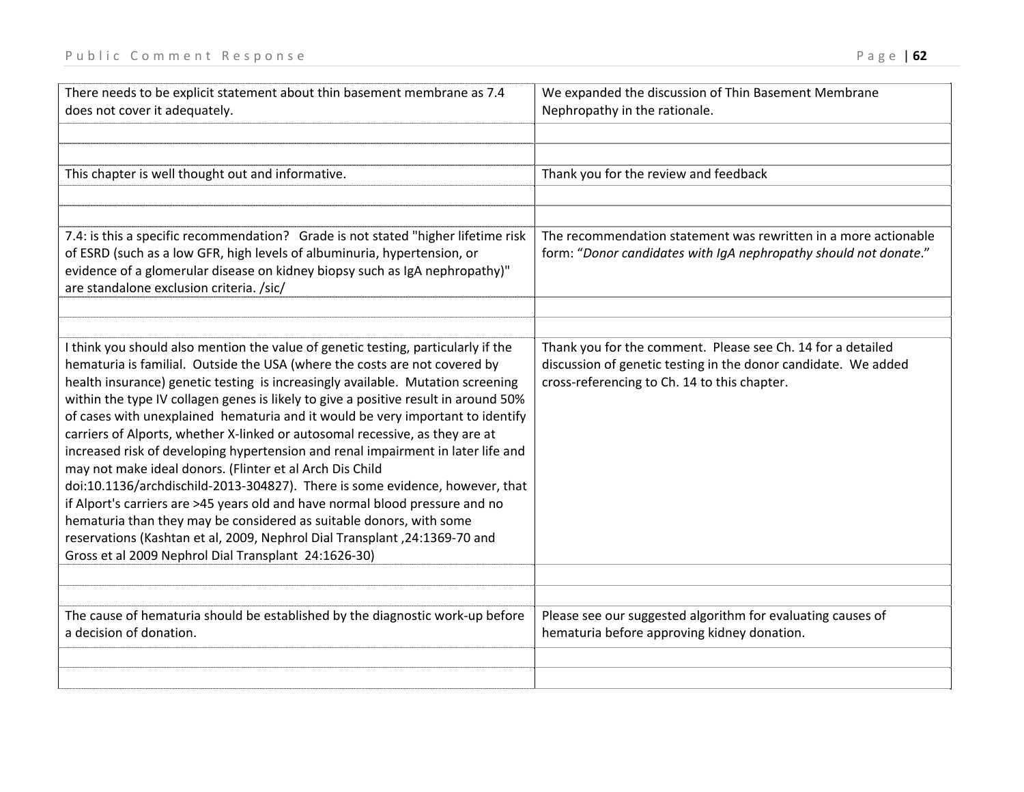| There needs to be explicit statement about thin basement membrane as 7.4<br>does not cover it adequately.                                                                                                                                                                                                                                                                                                                                                                                                                                                                                                                                                                                                                                                                                                                                                                                                                                                                                                                                | We expanded the discussion of Thin Basement Membrane<br>Nephropathy in the rationale.                                                                                         |
|------------------------------------------------------------------------------------------------------------------------------------------------------------------------------------------------------------------------------------------------------------------------------------------------------------------------------------------------------------------------------------------------------------------------------------------------------------------------------------------------------------------------------------------------------------------------------------------------------------------------------------------------------------------------------------------------------------------------------------------------------------------------------------------------------------------------------------------------------------------------------------------------------------------------------------------------------------------------------------------------------------------------------------------|-------------------------------------------------------------------------------------------------------------------------------------------------------------------------------|
|                                                                                                                                                                                                                                                                                                                                                                                                                                                                                                                                                                                                                                                                                                                                                                                                                                                                                                                                                                                                                                          |                                                                                                                                                                               |
|                                                                                                                                                                                                                                                                                                                                                                                                                                                                                                                                                                                                                                                                                                                                                                                                                                                                                                                                                                                                                                          |                                                                                                                                                                               |
| This chapter is well thought out and informative.                                                                                                                                                                                                                                                                                                                                                                                                                                                                                                                                                                                                                                                                                                                                                                                                                                                                                                                                                                                        | Thank you for the review and feedback                                                                                                                                         |
|                                                                                                                                                                                                                                                                                                                                                                                                                                                                                                                                                                                                                                                                                                                                                                                                                                                                                                                                                                                                                                          |                                                                                                                                                                               |
|                                                                                                                                                                                                                                                                                                                                                                                                                                                                                                                                                                                                                                                                                                                                                                                                                                                                                                                                                                                                                                          |                                                                                                                                                                               |
| 7.4: is this a specific recommendation? Grade is not stated "higher lifetime risk<br>of ESRD (such as a low GFR, high levels of albuminuria, hypertension, or<br>evidence of a glomerular disease on kidney biopsy such as IgA nephropathy)"<br>are standalone exclusion criteria. /sic/                                                                                                                                                                                                                                                                                                                                                                                                                                                                                                                                                                                                                                                                                                                                                 | The recommendation statement was rewritten in a more actionable<br>form: "Donor candidates with IgA nephropathy should not donate."                                           |
|                                                                                                                                                                                                                                                                                                                                                                                                                                                                                                                                                                                                                                                                                                                                                                                                                                                                                                                                                                                                                                          |                                                                                                                                                                               |
| I think you should also mention the value of genetic testing, particularly if the<br>hematuria is familial. Outside the USA (where the costs are not covered by<br>health insurance) genetic testing is increasingly available. Mutation screening<br>within the type IV collagen genes is likely to give a positive result in around 50%<br>of cases with unexplained hematuria and it would be very important to identify<br>carriers of Alports, whether X-linked or autosomal recessive, as they are at<br>increased risk of developing hypertension and renal impairment in later life and<br>may not make ideal donors. (Flinter et al Arch Dis Child<br>doi:10.1136/archdischild-2013-304827). There is some evidence, however, that<br>if Alport's carriers are >45 years old and have normal blood pressure and no<br>hematuria than they may be considered as suitable donors, with some<br>reservations (Kashtan et al, 2009, Nephrol Dial Transplant, 24:1369-70 and<br>Gross et al 2009 Nephrol Dial Transplant 24:1626-30) | Thank you for the comment. Please see Ch. 14 for a detailed<br>discussion of genetic testing in the donor candidate. We added<br>cross-referencing to Ch. 14 to this chapter. |
|                                                                                                                                                                                                                                                                                                                                                                                                                                                                                                                                                                                                                                                                                                                                                                                                                                                                                                                                                                                                                                          |                                                                                                                                                                               |
| The cause of hematuria should be established by the diagnostic work-up before<br>a decision of donation.                                                                                                                                                                                                                                                                                                                                                                                                                                                                                                                                                                                                                                                                                                                                                                                                                                                                                                                                 | Please see our suggested algorithm for evaluating causes of<br>hematuria before approving kidney donation.                                                                    |
|                                                                                                                                                                                                                                                                                                                                                                                                                                                                                                                                                                                                                                                                                                                                                                                                                                                                                                                                                                                                                                          |                                                                                                                                                                               |
|                                                                                                                                                                                                                                                                                                                                                                                                                                                                                                                                                                                                                                                                                                                                                                                                                                                                                                                                                                                                                                          |                                                                                                                                                                               |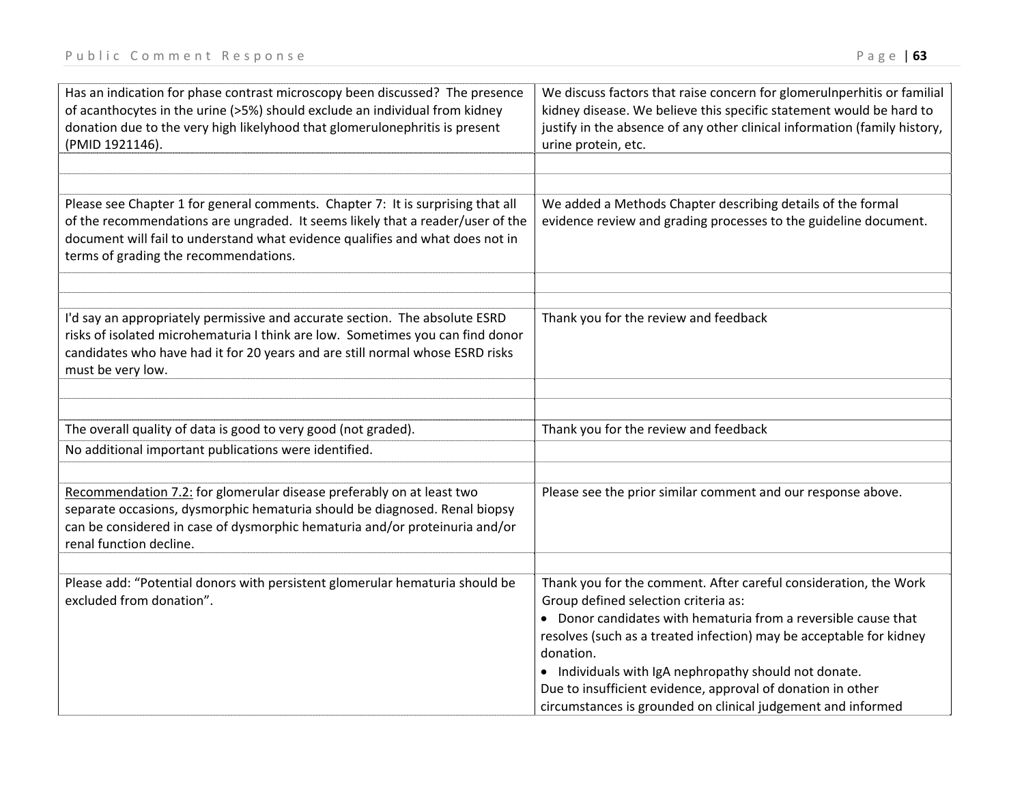| Has an indication for phase contrast microscopy been discussed? The presence<br>of acanthocytes in the urine (>5%) should exclude an individual from kidney<br>donation due to the very high likelyhood that glomerulonephritis is present<br>(PMID 1921146).                               | We discuss factors that raise concern for glomerulnperhitis or familial<br>kidney disease. We believe this specific statement would be hard to<br>justify in the absence of any other clinical information (family history,<br>urine protein, etc.                                                                                                                                                                                                     |
|---------------------------------------------------------------------------------------------------------------------------------------------------------------------------------------------------------------------------------------------------------------------------------------------|--------------------------------------------------------------------------------------------------------------------------------------------------------------------------------------------------------------------------------------------------------------------------------------------------------------------------------------------------------------------------------------------------------------------------------------------------------|
| Please see Chapter 1 for general comments. Chapter 7: It is surprising that all<br>of the recommendations are ungraded. It seems likely that a reader/user of the<br>document will fail to understand what evidence qualifies and what does not in<br>terms of grading the recommendations. | We added a Methods Chapter describing details of the formal<br>evidence review and grading processes to the guideline document.                                                                                                                                                                                                                                                                                                                        |
| I'd say an appropriately permissive and accurate section. The absolute ESRD<br>risks of isolated microhematuria I think are low. Sometimes you can find donor<br>candidates who have had it for 20 years and are still normal whose ESRD risks<br>must be very low.                         | Thank you for the review and feedback                                                                                                                                                                                                                                                                                                                                                                                                                  |
| The overall quality of data is good to very good (not graded).                                                                                                                                                                                                                              | Thank you for the review and feedback                                                                                                                                                                                                                                                                                                                                                                                                                  |
| No additional important publications were identified.                                                                                                                                                                                                                                       |                                                                                                                                                                                                                                                                                                                                                                                                                                                        |
| Recommendation 7.2: for glomerular disease preferably on at least two<br>separate occasions, dysmorphic hematuria should be diagnosed. Renal biopsy<br>can be considered in case of dysmorphic hematuria and/or proteinuria and/or<br>renal function decline.                               | Please see the prior similar comment and our response above.                                                                                                                                                                                                                                                                                                                                                                                           |
| Please add: "Potential donors with persistent glomerular hematuria should be<br>excluded from donation".                                                                                                                                                                                    | Thank you for the comment. After careful consideration, the Work<br>Group defined selection criteria as:<br>• Donor candidates with hematuria from a reversible cause that<br>resolves (such as a treated infection) may be acceptable for kidney<br>donation.<br>• Individuals with IgA nephropathy should not donate.<br>Due to insufficient evidence, approval of donation in other<br>circumstances is grounded on clinical judgement and informed |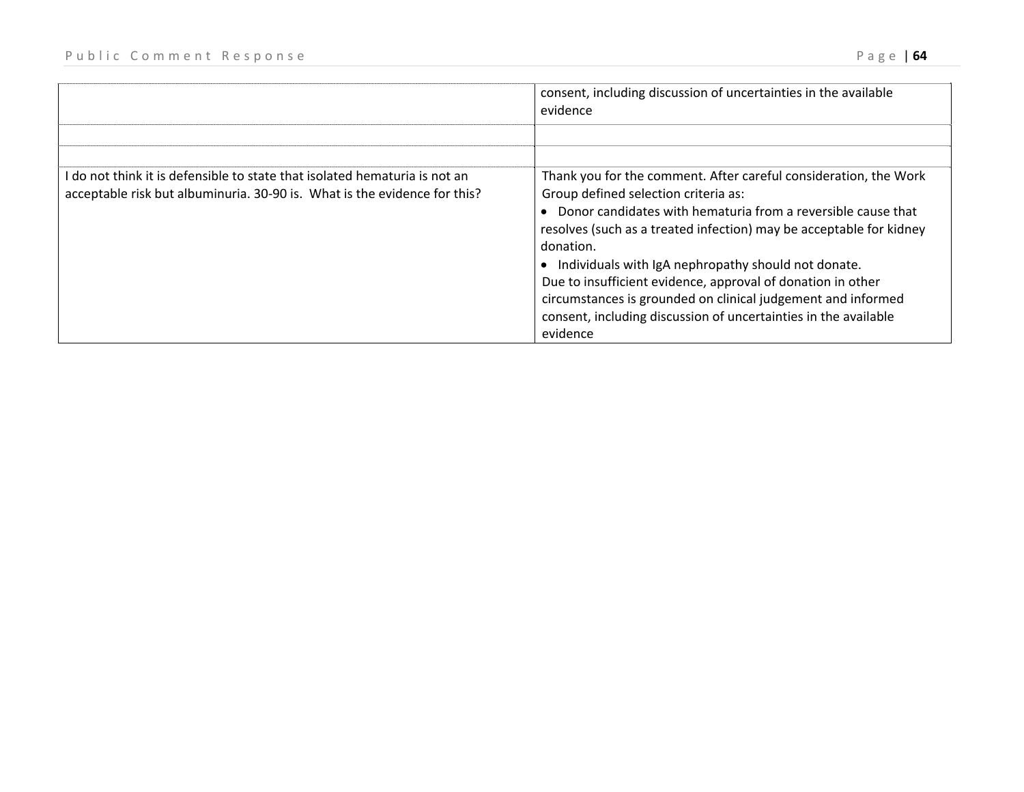|                                                                                                                                                         | consent, including discussion of uncertainties in the available<br>evidence                                                                                                                                                                                                                                                                                                                                                                                                                                                       |
|---------------------------------------------------------------------------------------------------------------------------------------------------------|-----------------------------------------------------------------------------------------------------------------------------------------------------------------------------------------------------------------------------------------------------------------------------------------------------------------------------------------------------------------------------------------------------------------------------------------------------------------------------------------------------------------------------------|
|                                                                                                                                                         |                                                                                                                                                                                                                                                                                                                                                                                                                                                                                                                                   |
| I do not think it is defensible to state that isolated hematuria is not an<br>acceptable risk but albuminuria. 30-90 is. What is the evidence for this? | Thank you for the comment. After careful consideration, the Work<br>Group defined selection criteria as:<br>Donor candidates with hematuria from a reversible cause that<br>resolves (such as a treated infection) may be acceptable for kidney<br>donation.<br>Individuals with IgA nephropathy should not donate.<br>Due to insufficient evidence, approval of donation in other<br>circumstances is grounded on clinical judgement and informed<br>consent, including discussion of uncertainties in the available<br>evidence |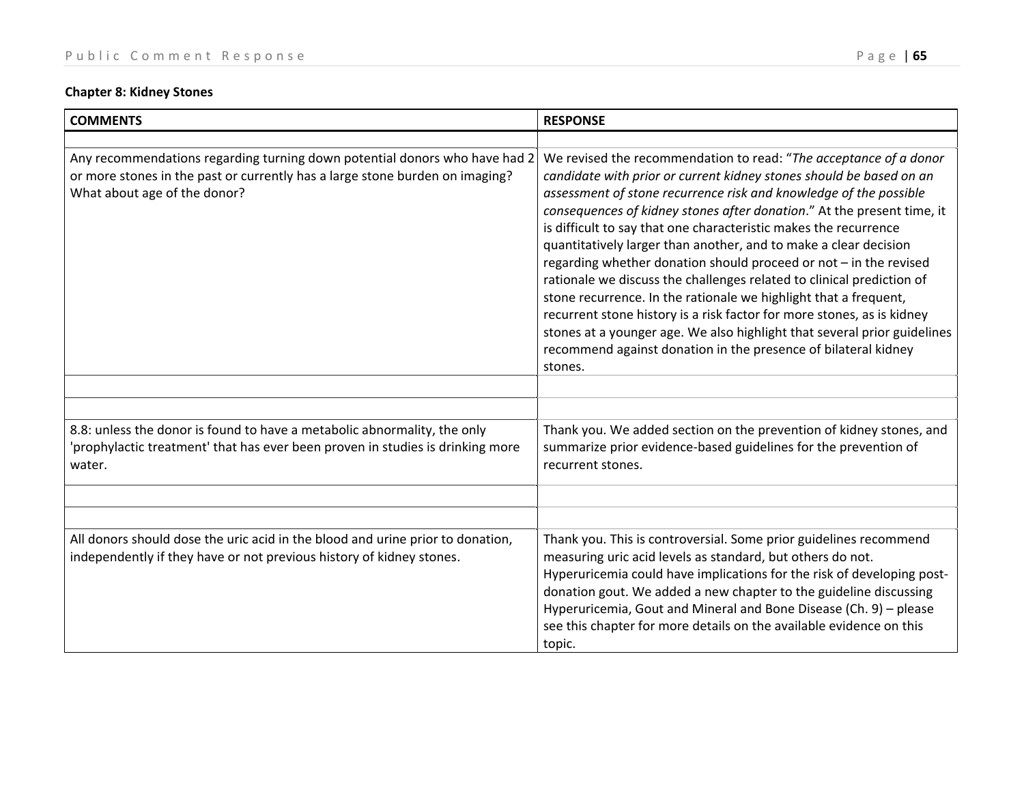# **Chapter 8: Kidney Stones**

| <b>COMMENTS</b>                                                                                                                                                                            | <b>RESPONSE</b>                                                                                                                                                                                                                                                                                                                                                                                                                                                                                                                                                                                                                                                                                                                                                                                                                                                                      |
|--------------------------------------------------------------------------------------------------------------------------------------------------------------------------------------------|--------------------------------------------------------------------------------------------------------------------------------------------------------------------------------------------------------------------------------------------------------------------------------------------------------------------------------------------------------------------------------------------------------------------------------------------------------------------------------------------------------------------------------------------------------------------------------------------------------------------------------------------------------------------------------------------------------------------------------------------------------------------------------------------------------------------------------------------------------------------------------------|
|                                                                                                                                                                                            |                                                                                                                                                                                                                                                                                                                                                                                                                                                                                                                                                                                                                                                                                                                                                                                                                                                                                      |
| Any recommendations regarding turning down potential donors who have had 2<br>or more stones in the past or currently has a large stone burden on imaging?<br>What about age of the donor? | We revised the recommendation to read: "The acceptance of a donor<br>candidate with prior or current kidney stones should be based on an<br>assessment of stone recurrence risk and knowledge of the possible<br>consequences of kidney stones after donation." At the present time, it<br>is difficult to say that one characteristic makes the recurrence<br>quantitatively larger than another, and to make a clear decision<br>regarding whether donation should proceed or not - in the revised<br>rationale we discuss the challenges related to clinical prediction of<br>stone recurrence. In the rationale we highlight that a frequent,<br>recurrent stone history is a risk factor for more stones, as is kidney<br>stones at a younger age. We also highlight that several prior guidelines<br>recommend against donation in the presence of bilateral kidney<br>stones. |
|                                                                                                                                                                                            |                                                                                                                                                                                                                                                                                                                                                                                                                                                                                                                                                                                                                                                                                                                                                                                                                                                                                      |
|                                                                                                                                                                                            |                                                                                                                                                                                                                                                                                                                                                                                                                                                                                                                                                                                                                                                                                                                                                                                                                                                                                      |
| 8.8: unless the donor is found to have a metabolic abnormality, the only<br>'prophylactic treatment' that has ever been proven in studies is drinking more<br>water.                       | Thank you. We added section on the prevention of kidney stones, and<br>summarize prior evidence-based guidelines for the prevention of<br>recurrent stones.                                                                                                                                                                                                                                                                                                                                                                                                                                                                                                                                                                                                                                                                                                                          |
|                                                                                                                                                                                            |                                                                                                                                                                                                                                                                                                                                                                                                                                                                                                                                                                                                                                                                                                                                                                                                                                                                                      |
|                                                                                                                                                                                            |                                                                                                                                                                                                                                                                                                                                                                                                                                                                                                                                                                                                                                                                                                                                                                                                                                                                                      |
| All donors should dose the uric acid in the blood and urine prior to donation,<br>independently if they have or not previous history of kidney stones.                                     | Thank you. This is controversial. Some prior guidelines recommend<br>measuring uric acid levels as standard, but others do not.<br>Hyperuricemia could have implications for the risk of developing post-<br>donation gout. We added a new chapter to the guideline discussing<br>Hyperuricemia, Gout and Mineral and Bone Disease (Ch. 9) - please<br>see this chapter for more details on the available evidence on this<br>topic.                                                                                                                                                                                                                                                                                                                                                                                                                                                 |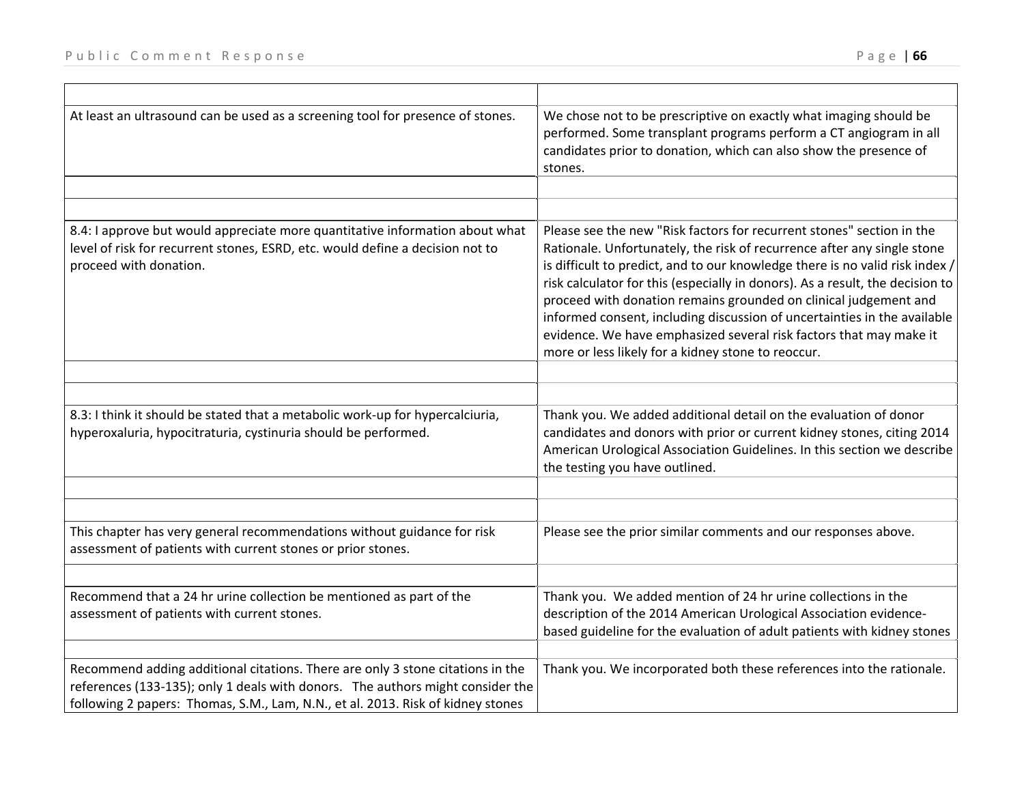| At least an ultrasound can be used as a screening tool for presence of stones.                                                                                                                                                                      | We chose not to be prescriptive on exactly what imaging should be<br>performed. Some transplant programs perform a CT angiogram in all<br>candidates prior to donation, which can also show the presence of<br>stones.                                                                                                                                                                                                                                                                                                                                                                        |
|-----------------------------------------------------------------------------------------------------------------------------------------------------------------------------------------------------------------------------------------------------|-----------------------------------------------------------------------------------------------------------------------------------------------------------------------------------------------------------------------------------------------------------------------------------------------------------------------------------------------------------------------------------------------------------------------------------------------------------------------------------------------------------------------------------------------------------------------------------------------|
|                                                                                                                                                                                                                                                     |                                                                                                                                                                                                                                                                                                                                                                                                                                                                                                                                                                                               |
| 8.4: I approve but would appreciate more quantitative information about what<br>level of risk for recurrent stones, ESRD, etc. would define a decision not to<br>proceed with donation.                                                             | Please see the new "Risk factors for recurrent stones" section in the<br>Rationale. Unfortunately, the risk of recurrence after any single stone<br>is difficult to predict, and to our knowledge there is no valid risk index /<br>risk calculator for this (especially in donors). As a result, the decision to<br>proceed with donation remains grounded on clinical judgement and<br>informed consent, including discussion of uncertainties in the available<br>evidence. We have emphasized several risk factors that may make it<br>more or less likely for a kidney stone to reoccur. |
|                                                                                                                                                                                                                                                     |                                                                                                                                                                                                                                                                                                                                                                                                                                                                                                                                                                                               |
| 8.3: I think it should be stated that a metabolic work-up for hypercalciuria,<br>hyperoxaluria, hypocitraturia, cystinuria should be performed.                                                                                                     | Thank you. We added additional detail on the evaluation of donor<br>candidates and donors with prior or current kidney stones, citing 2014<br>American Urological Association Guidelines. In this section we describe<br>the testing you have outlined.                                                                                                                                                                                                                                                                                                                                       |
|                                                                                                                                                                                                                                                     |                                                                                                                                                                                                                                                                                                                                                                                                                                                                                                                                                                                               |
| This chapter has very general recommendations without guidance for risk<br>assessment of patients with current stones or prior stones.                                                                                                              | Please see the prior similar comments and our responses above.                                                                                                                                                                                                                                                                                                                                                                                                                                                                                                                                |
|                                                                                                                                                                                                                                                     |                                                                                                                                                                                                                                                                                                                                                                                                                                                                                                                                                                                               |
| Recommend that a 24 hr urine collection be mentioned as part of the<br>assessment of patients with current stones.                                                                                                                                  | Thank you. We added mention of 24 hr urine collections in the<br>description of the 2014 American Urological Association evidence-<br>based guideline for the evaluation of adult patients with kidney stones                                                                                                                                                                                                                                                                                                                                                                                 |
| Recommend adding additional citations. There are only 3 stone citations in the<br>references (133-135); only 1 deals with donors. The authors might consider the<br>following 2 papers: Thomas, S.M., Lam, N.N., et al. 2013. Risk of kidney stones | Thank you. We incorporated both these references into the rationale.                                                                                                                                                                                                                                                                                                                                                                                                                                                                                                                          |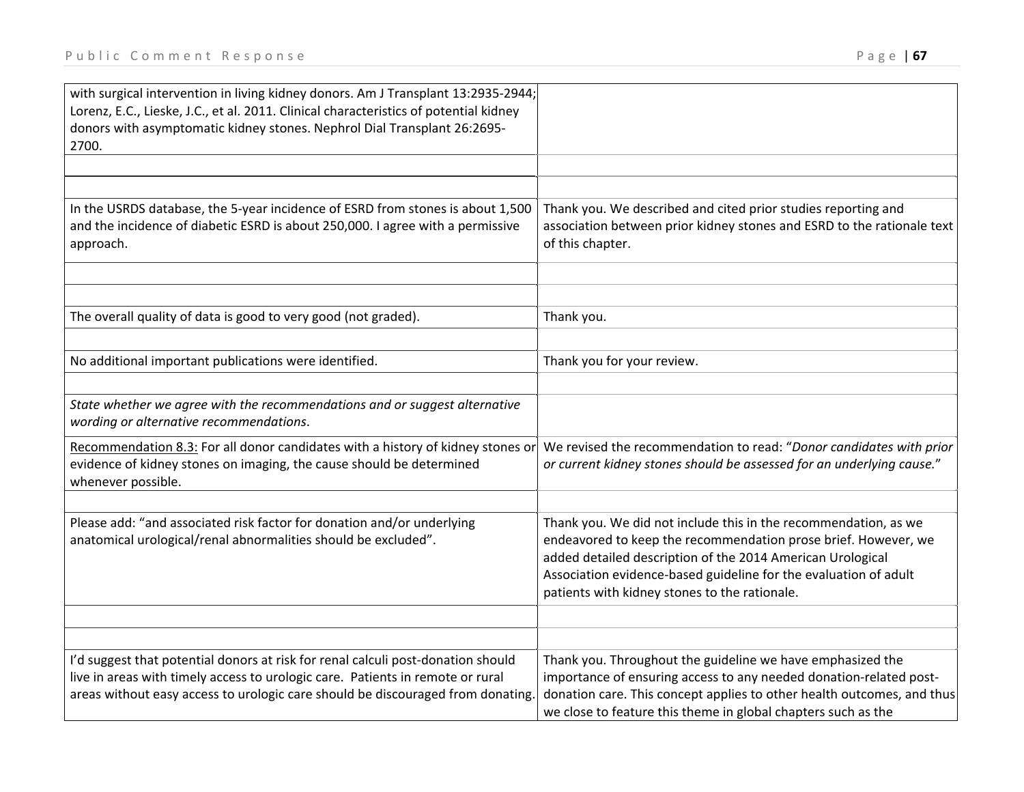| with surgical intervention in living kidney donors. Am J Transplant 13:2935-2944;                                                                                  |                                                                                                                                                                                                                                                                                                                      |
|--------------------------------------------------------------------------------------------------------------------------------------------------------------------|----------------------------------------------------------------------------------------------------------------------------------------------------------------------------------------------------------------------------------------------------------------------------------------------------------------------|
| Lorenz, E.C., Lieske, J.C., et al. 2011. Clinical characteristics of potential kidney<br>donors with asymptomatic kidney stones. Nephrol Dial Transplant 26:2695-  |                                                                                                                                                                                                                                                                                                                      |
| 2700.                                                                                                                                                              |                                                                                                                                                                                                                                                                                                                      |
|                                                                                                                                                                    |                                                                                                                                                                                                                                                                                                                      |
|                                                                                                                                                                    |                                                                                                                                                                                                                                                                                                                      |
| In the USRDS database, the 5-year incidence of ESRD from stones is about 1,500<br>and the incidence of diabetic ESRD is about 250,000. I agree with a permissive   | Thank you. We described and cited prior studies reporting and<br>association between prior kidney stones and ESRD to the rationale text                                                                                                                                                                              |
| approach.                                                                                                                                                          | of this chapter.                                                                                                                                                                                                                                                                                                     |
|                                                                                                                                                                    |                                                                                                                                                                                                                                                                                                                      |
|                                                                                                                                                                    |                                                                                                                                                                                                                                                                                                                      |
| The overall quality of data is good to very good (not graded).                                                                                                     | Thank you.                                                                                                                                                                                                                                                                                                           |
| No additional important publications were identified.                                                                                                              | Thank you for your review.                                                                                                                                                                                                                                                                                           |
|                                                                                                                                                                    |                                                                                                                                                                                                                                                                                                                      |
| State whether we agree with the recommendations and or suggest alternative                                                                                         |                                                                                                                                                                                                                                                                                                                      |
| wording or alternative recommendations.                                                                                                                            |                                                                                                                                                                                                                                                                                                                      |
| Recommendation 8.3: For all donor candidates with a history of kidney stones or                                                                                    | We revised the recommendation to read: "Donor candidates with prior                                                                                                                                                                                                                                                  |
| evidence of kidney stones on imaging, the cause should be determined<br>whenever possible.                                                                         | or current kidney stones should be assessed for an underlying cause."                                                                                                                                                                                                                                                |
|                                                                                                                                                                    |                                                                                                                                                                                                                                                                                                                      |
| Please add: "and associated risk factor for donation and/or underlying<br>anatomical urological/renal abnormalities should be excluded".                           | Thank you. We did not include this in the recommendation, as we<br>endeavored to keep the recommendation prose brief. However, we<br>added detailed description of the 2014 American Urological<br>Association evidence-based guideline for the evaluation of adult<br>patients with kidney stones to the rationale. |
|                                                                                                                                                                    |                                                                                                                                                                                                                                                                                                                      |
|                                                                                                                                                                    |                                                                                                                                                                                                                                                                                                                      |
| I'd suggest that potential donors at risk for renal calculi post-donation should<br>live in areas with timely access to urologic care. Patients in remote or rural | Thank you. Throughout the guideline we have emphasized the<br>importance of ensuring access to any needed donation-related post-                                                                                                                                                                                     |
| areas without easy access to urologic care should be discouraged from donating.                                                                                    | donation care. This concept applies to other health outcomes, and thus<br>we close to feature this theme in global chapters such as the                                                                                                                                                                              |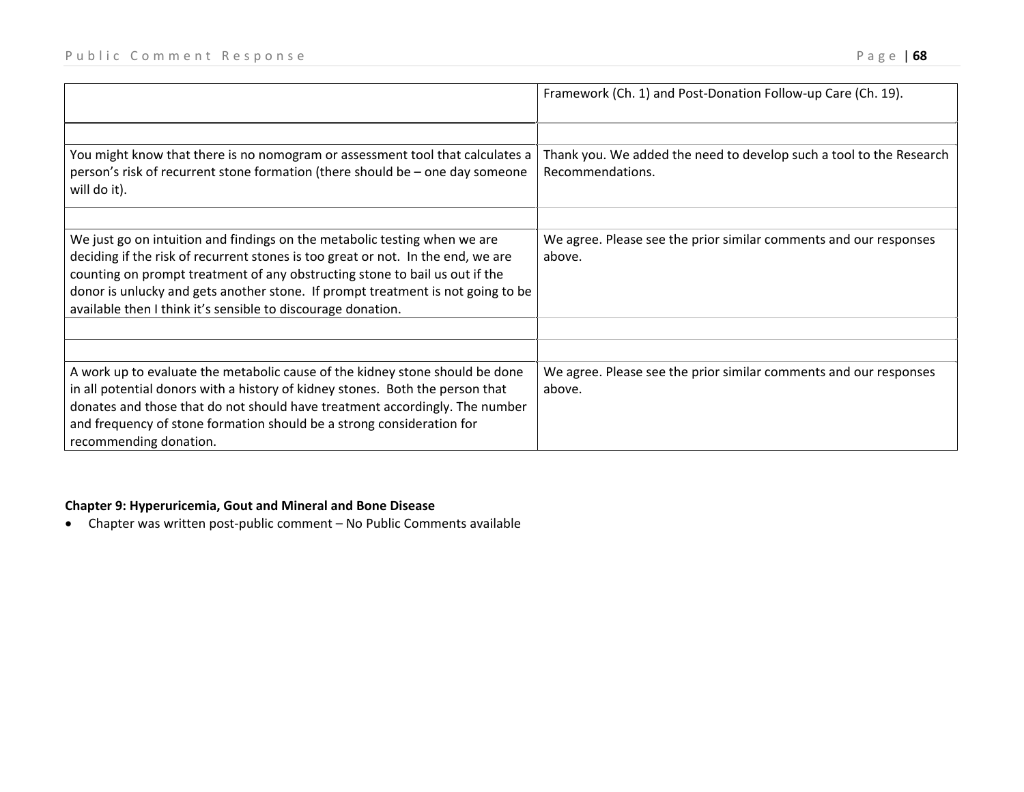|                                                                                                                                                                                                                                                                                                                                                                                                 | Framework (Ch. 1) and Post-Donation Follow-up Care (Ch. 19).                            |
|-------------------------------------------------------------------------------------------------------------------------------------------------------------------------------------------------------------------------------------------------------------------------------------------------------------------------------------------------------------------------------------------------|-----------------------------------------------------------------------------------------|
|                                                                                                                                                                                                                                                                                                                                                                                                 |                                                                                         |
| You might know that there is no nomogram or assessment tool that calculates a<br>person's risk of recurrent stone formation (there should be - one day someone<br>will do it).                                                                                                                                                                                                                  | Thank you. We added the need to develop such a tool to the Research<br>Recommendations. |
|                                                                                                                                                                                                                                                                                                                                                                                                 |                                                                                         |
| We just go on intuition and findings on the metabolic testing when we are<br>deciding if the risk of recurrent stones is too great or not. In the end, we are<br>counting on prompt treatment of any obstructing stone to bail us out if the<br>donor is unlucky and gets another stone. If prompt treatment is not going to be<br>available then I think it's sensible to discourage donation. | We agree. Please see the prior similar comments and our responses<br>above.             |
|                                                                                                                                                                                                                                                                                                                                                                                                 |                                                                                         |
| A work up to evaluate the metabolic cause of the kidney stone should be done<br>in all potential donors with a history of kidney stones. Both the person that<br>donates and those that do not should have treatment accordingly. The number<br>and frequency of stone formation should be a strong consideration for<br>recommending donation.                                                 | We agree. Please see the prior similar comments and our responses<br>above.             |

## **Chapter 9: Hyperuricemia, Gout and Mineral and Bone Disease**

● Chapter was written post-public comment – No Public Comments available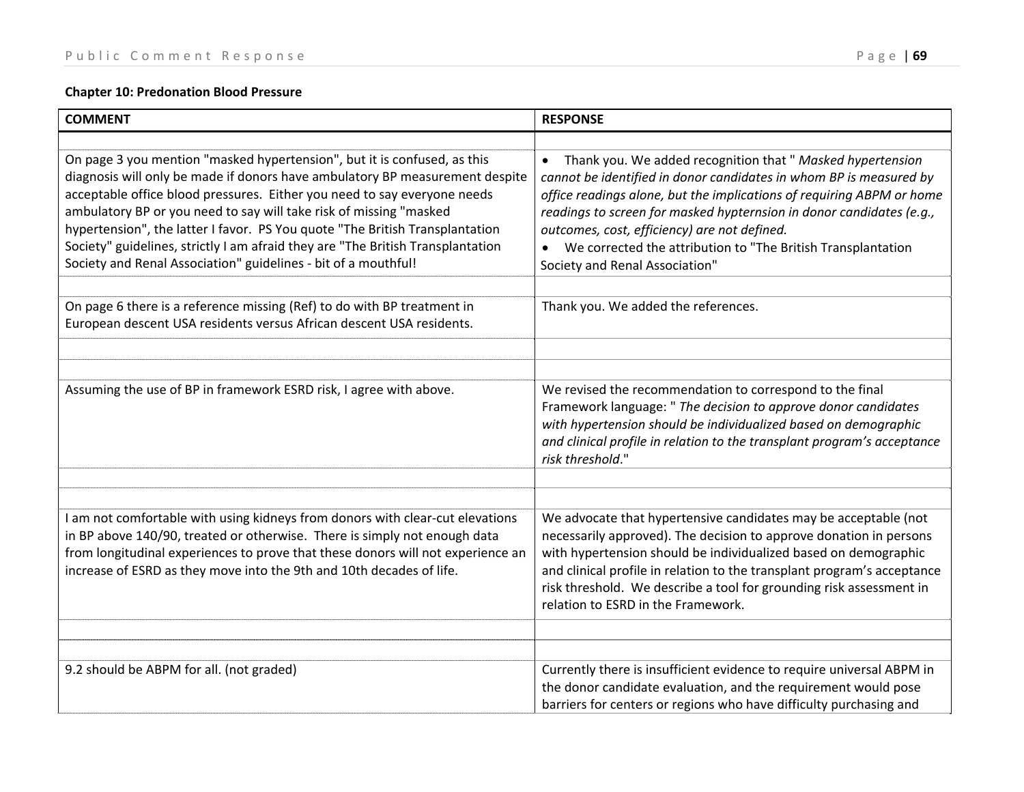# **Chapter 10: Predonation Blood Pressure**

| <b>COMMENT</b>                                                                                                                                                                                                                                                                                                                                                                                                                                                                                                                                  | <b>RESPONSE</b>                                                                                                                                                                                                                                                                                                                                                                                                                                    |
|-------------------------------------------------------------------------------------------------------------------------------------------------------------------------------------------------------------------------------------------------------------------------------------------------------------------------------------------------------------------------------------------------------------------------------------------------------------------------------------------------------------------------------------------------|----------------------------------------------------------------------------------------------------------------------------------------------------------------------------------------------------------------------------------------------------------------------------------------------------------------------------------------------------------------------------------------------------------------------------------------------------|
|                                                                                                                                                                                                                                                                                                                                                                                                                                                                                                                                                 |                                                                                                                                                                                                                                                                                                                                                                                                                                                    |
| On page 3 you mention "masked hypertension", but it is confused, as this<br>diagnosis will only be made if donors have ambulatory BP measurement despite<br>acceptable office blood pressures. Either you need to say everyone needs<br>ambulatory BP or you need to say will take risk of missing "masked<br>hypertension", the latter I favor. PS You quote "The British Transplantation<br>Society" guidelines, strictly I am afraid they are "The British Transplantation<br>Society and Renal Association" guidelines - bit of a mouthful! | Thank you. We added recognition that " Masked hypertension<br>$\bullet$<br>cannot be identified in donor candidates in whom BP is measured by<br>office readings alone, but the implications of requiring ABPM or home<br>readings to screen for masked hypternsion in donor candidates (e.g.,<br>outcomes, cost, efficiency) are not defined.<br>• We corrected the attribution to "The British Transplantation<br>Society and Renal Association" |
|                                                                                                                                                                                                                                                                                                                                                                                                                                                                                                                                                 |                                                                                                                                                                                                                                                                                                                                                                                                                                                    |
| On page 6 there is a reference missing (Ref) to do with BP treatment in<br>European descent USA residents versus African descent USA residents.                                                                                                                                                                                                                                                                                                                                                                                                 | Thank you. We added the references.                                                                                                                                                                                                                                                                                                                                                                                                                |
|                                                                                                                                                                                                                                                                                                                                                                                                                                                                                                                                                 |                                                                                                                                                                                                                                                                                                                                                                                                                                                    |
|                                                                                                                                                                                                                                                                                                                                                                                                                                                                                                                                                 |                                                                                                                                                                                                                                                                                                                                                                                                                                                    |
| Assuming the use of BP in framework ESRD risk, I agree with above.                                                                                                                                                                                                                                                                                                                                                                                                                                                                              | We revised the recommendation to correspond to the final<br>Framework language: " The decision to approve donor candidates<br>with hypertension should be individualized based on demographic<br>and clinical profile in relation to the transplant program's acceptance<br>risk threshold."                                                                                                                                                       |
|                                                                                                                                                                                                                                                                                                                                                                                                                                                                                                                                                 |                                                                                                                                                                                                                                                                                                                                                                                                                                                    |
|                                                                                                                                                                                                                                                                                                                                                                                                                                                                                                                                                 |                                                                                                                                                                                                                                                                                                                                                                                                                                                    |
| I am not comfortable with using kidneys from donors with clear-cut elevations<br>in BP above 140/90, treated or otherwise. There is simply not enough data<br>from longitudinal experiences to prove that these donors will not experience an<br>increase of ESRD as they move into the 9th and 10th decades of life.                                                                                                                                                                                                                           | We advocate that hypertensive candidates may be acceptable (not<br>necessarily approved). The decision to approve donation in persons<br>with hypertension should be individualized based on demographic<br>and clinical profile in relation to the transplant program's acceptance<br>risk threshold. We describe a tool for grounding risk assessment in<br>relation to ESRD in the Framework.                                                   |
|                                                                                                                                                                                                                                                                                                                                                                                                                                                                                                                                                 |                                                                                                                                                                                                                                                                                                                                                                                                                                                    |
|                                                                                                                                                                                                                                                                                                                                                                                                                                                                                                                                                 |                                                                                                                                                                                                                                                                                                                                                                                                                                                    |
| 9.2 should be ABPM for all. (not graded)                                                                                                                                                                                                                                                                                                                                                                                                                                                                                                        | Currently there is insufficient evidence to require universal ABPM in<br>the donor candidate evaluation, and the requirement would pose<br>barriers for centers or regions who have difficulty purchasing and                                                                                                                                                                                                                                      |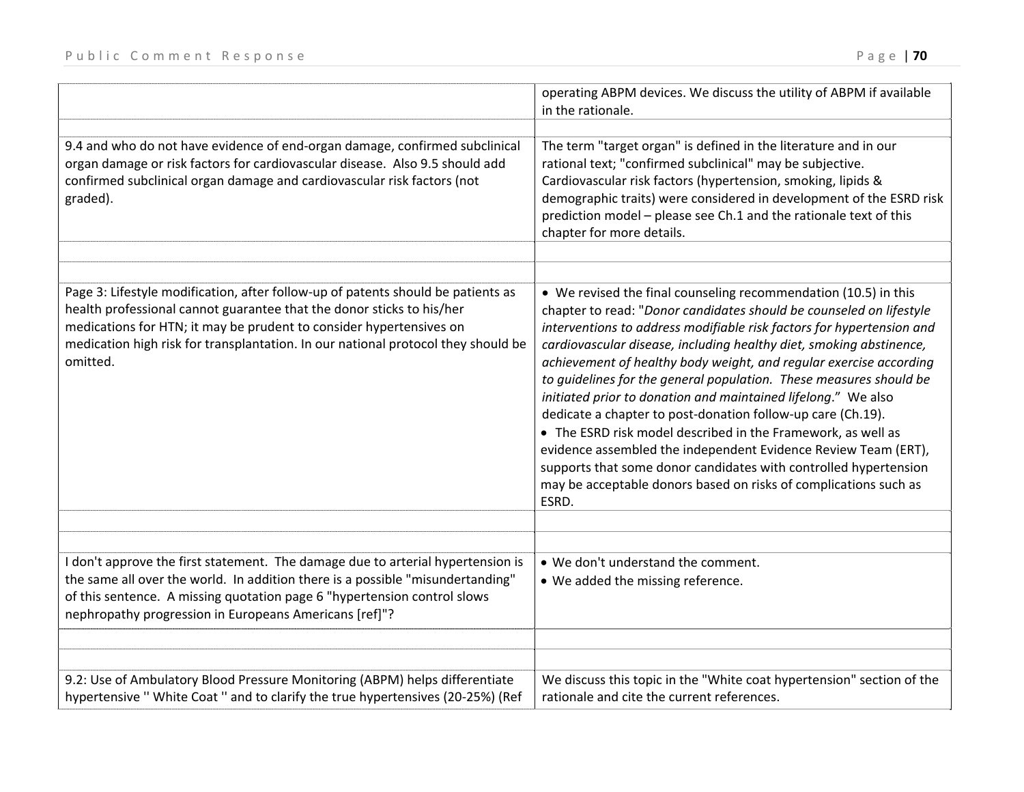| 9.4 and who do not have evidence of end-organ damage, confirmed subclinical<br>organ damage or risk factors for cardiovascular disease. Also 9.5 should add<br>confirmed subclinical organ damage and cardiovascular risk factors (not<br>graded).                                                                                | operating ABPM devices. We discuss the utility of ABPM if available<br>in the rationale.<br>The term "target organ" is defined in the literature and in our<br>rational text; "confirmed subclinical" may be subjective.<br>Cardiovascular risk factors (hypertension, smoking, lipids &<br>demographic traits) were considered in development of the ESRD risk<br>prediction model - please see Ch.1 and the rationale text of this<br>chapter for more details.                                                                                                                                                                                                                                                                                                                                                                                     |
|-----------------------------------------------------------------------------------------------------------------------------------------------------------------------------------------------------------------------------------------------------------------------------------------------------------------------------------|-------------------------------------------------------------------------------------------------------------------------------------------------------------------------------------------------------------------------------------------------------------------------------------------------------------------------------------------------------------------------------------------------------------------------------------------------------------------------------------------------------------------------------------------------------------------------------------------------------------------------------------------------------------------------------------------------------------------------------------------------------------------------------------------------------------------------------------------------------|
| Page 3: Lifestyle modification, after follow-up of patents should be patients as<br>health professional cannot guarantee that the donor sticks to his/her<br>medications for HTN; it may be prudent to consider hypertensives on<br>medication high risk for transplantation. In our national protocol they should be<br>omitted. | • We revised the final counseling recommendation (10.5) in this<br>chapter to read: "Donor candidates should be counseled on lifestyle<br>interventions to address modifiable risk factors for hypertension and<br>cardiovascular disease, including healthy diet, smoking abstinence,<br>achievement of healthy body weight, and regular exercise according<br>to guidelines for the general population. These measures should be<br>initiated prior to donation and maintained lifelong." We also<br>dedicate a chapter to post-donation follow-up care (Ch.19).<br>• The ESRD risk model described in the Framework, as well as<br>evidence assembled the independent Evidence Review Team (ERT),<br>supports that some donor candidates with controlled hypertension<br>may be acceptable donors based on risks of complications such as<br>ESRD. |
| I don't approve the first statement. The damage due to arterial hypertension is<br>the same all over the world. In addition there is a possible "misundertanding"<br>of this sentence. A missing quotation page 6 "hypertension control slows<br>nephropathy progression in Europeans Americans [ref]"?                           | . We don't understand the comment.<br>• We added the missing reference.                                                                                                                                                                                                                                                                                                                                                                                                                                                                                                                                                                                                                                                                                                                                                                               |
| 9.2: Use of Ambulatory Blood Pressure Monitoring (ABPM) helps differentiate<br>hypertensive " White Coat " and to clarify the true hypertensives (20-25%) (Ref                                                                                                                                                                    | We discuss this topic in the "White coat hypertension" section of the<br>rationale and cite the current references.                                                                                                                                                                                                                                                                                                                                                                                                                                                                                                                                                                                                                                                                                                                                   |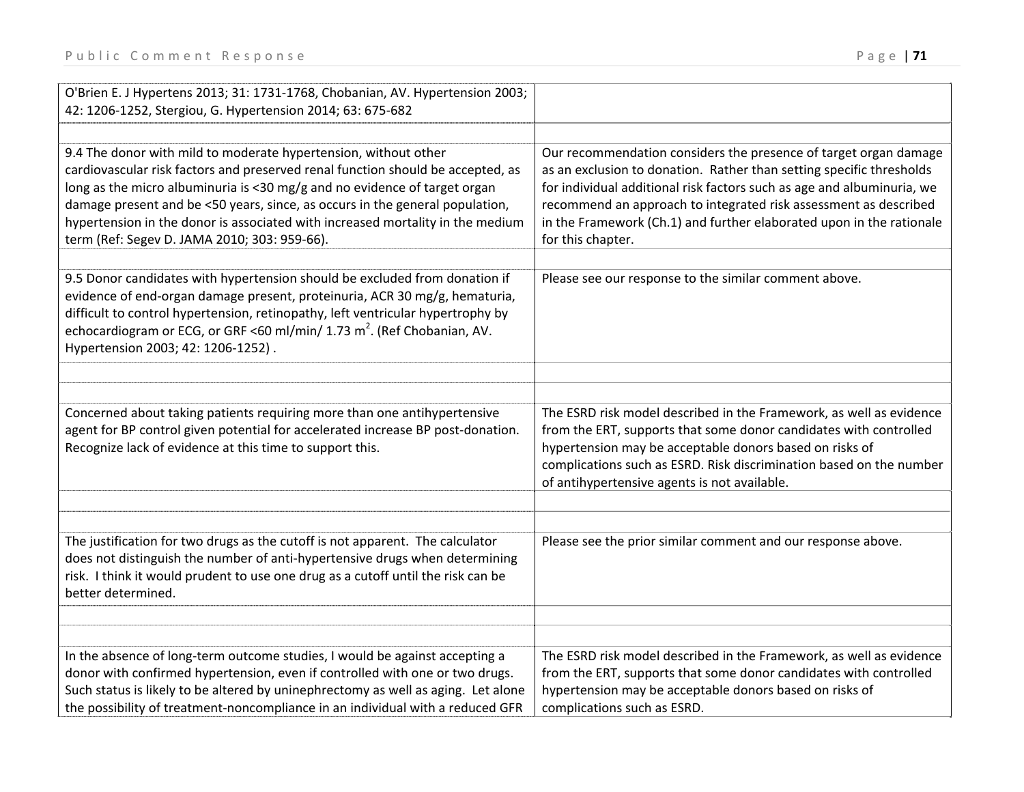| O'Brien E. J Hypertens 2013; 31: 1731-1768, Chobanian, AV. Hypertension 2003;<br>42: 1206-1252, Stergiou, G. Hypertension 2014; 63: 675-682                                                                                                                                                                                                                                                                                                       |                                                                                                                                                                                                                                                                                                                                                                                     |
|---------------------------------------------------------------------------------------------------------------------------------------------------------------------------------------------------------------------------------------------------------------------------------------------------------------------------------------------------------------------------------------------------------------------------------------------------|-------------------------------------------------------------------------------------------------------------------------------------------------------------------------------------------------------------------------------------------------------------------------------------------------------------------------------------------------------------------------------------|
|                                                                                                                                                                                                                                                                                                                                                                                                                                                   |                                                                                                                                                                                                                                                                                                                                                                                     |
| 9.4 The donor with mild to moderate hypertension, without other<br>cardiovascular risk factors and preserved renal function should be accepted, as<br>long as the micro albuminuria is <30 mg/g and no evidence of target organ<br>damage present and be <50 years, since, as occurs in the general population,<br>hypertension in the donor is associated with increased mortality in the medium<br>term (Ref: Segev D. JAMA 2010; 303: 959-66). | Our recommendation considers the presence of target organ damage<br>as an exclusion to donation. Rather than setting specific thresholds<br>for individual additional risk factors such as age and albuminuria, we<br>recommend an approach to integrated risk assessment as described<br>in the Framework (Ch.1) and further elaborated upon in the rationale<br>for this chapter. |
| 9.5 Donor candidates with hypertension should be excluded from donation if<br>evidence of end-organ damage present, proteinuria, ACR 30 mg/g, hematuria,<br>difficult to control hypertension, retinopathy, left ventricular hypertrophy by<br>echocardiogram or ECG, or GRF <60 ml/min/ 1.73 m <sup>2</sup> . (Ref Chobanian, AV.<br>Hypertension 2003; 42: 1206-1252).                                                                          | Please see our response to the similar comment above.                                                                                                                                                                                                                                                                                                                               |
|                                                                                                                                                                                                                                                                                                                                                                                                                                                   |                                                                                                                                                                                                                                                                                                                                                                                     |
| Concerned about taking patients requiring more than one antihypertensive<br>agent for BP control given potential for accelerated increase BP post-donation.<br>Recognize lack of evidence at this time to support this.                                                                                                                                                                                                                           | The ESRD risk model described in the Framework, as well as evidence<br>from the ERT, supports that some donor candidates with controlled<br>hypertension may be acceptable donors based on risks of<br>complications such as ESRD. Risk discrimination based on the number<br>of antihypertensive agents is not available.                                                          |
|                                                                                                                                                                                                                                                                                                                                                                                                                                                   |                                                                                                                                                                                                                                                                                                                                                                                     |
| The justification for two drugs as the cutoff is not apparent. The calculator<br>does not distinguish the number of anti-hypertensive drugs when determining<br>risk. I think it would prudent to use one drug as a cutoff until the risk can be<br>better determined.                                                                                                                                                                            | Please see the prior similar comment and our response above.                                                                                                                                                                                                                                                                                                                        |
|                                                                                                                                                                                                                                                                                                                                                                                                                                                   |                                                                                                                                                                                                                                                                                                                                                                                     |
|                                                                                                                                                                                                                                                                                                                                                                                                                                                   |                                                                                                                                                                                                                                                                                                                                                                                     |
| In the absence of long-term outcome studies, I would be against accepting a<br>donor with confirmed hypertension, even if controlled with one or two drugs.<br>Such status is likely to be altered by uninephrectomy as well as aging. Let alone<br>the possibility of treatment-noncompliance in an individual with a reduced GFR                                                                                                                | The ESRD risk model described in the Framework, as well as evidence<br>from the ERT, supports that some donor candidates with controlled<br>hypertension may be acceptable donors based on risks of<br>complications such as ESRD.                                                                                                                                                  |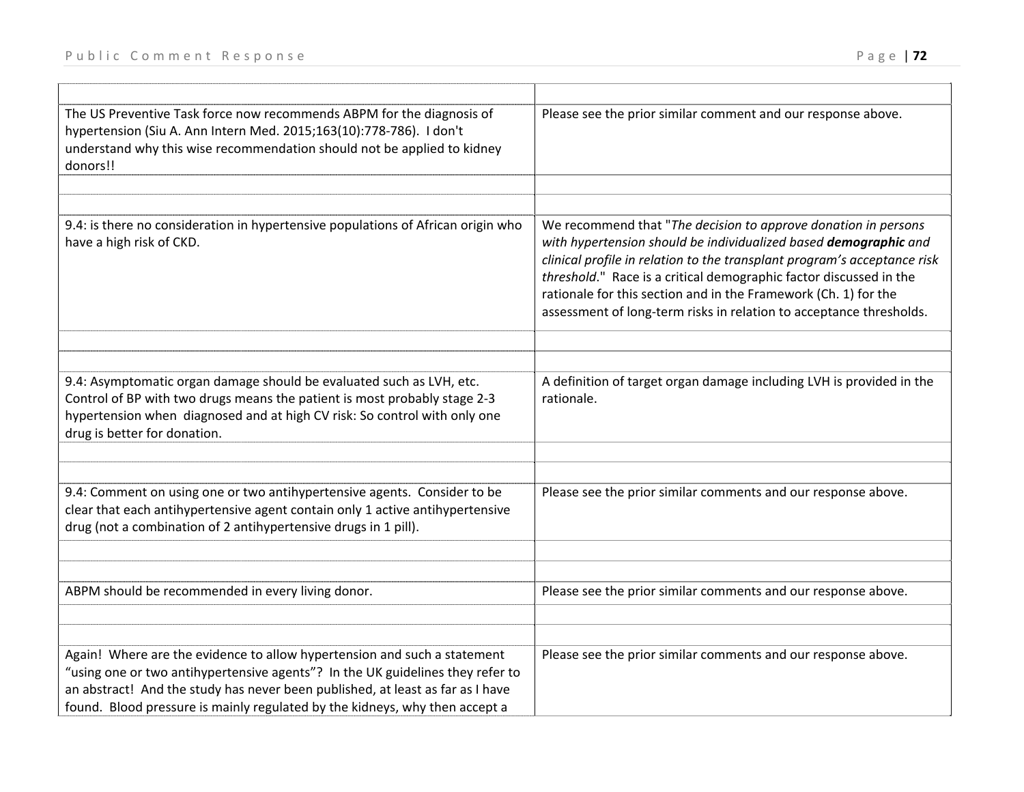| The US Preventive Task force now recommends ABPM for the diagnosis of<br>hypertension (Siu A. Ann Intern Med. 2015;163(10):778-786). I don't<br>understand why this wise recommendation should not be applied to kidney<br>donors!!                                                                                         | Please see the prior similar comment and our response above.                                                                                                                                                                                                                                                                                                                                                                   |
|-----------------------------------------------------------------------------------------------------------------------------------------------------------------------------------------------------------------------------------------------------------------------------------------------------------------------------|--------------------------------------------------------------------------------------------------------------------------------------------------------------------------------------------------------------------------------------------------------------------------------------------------------------------------------------------------------------------------------------------------------------------------------|
| 9.4: is there no consideration in hypertensive populations of African origin who<br>have a high risk of CKD.                                                                                                                                                                                                                | We recommend that "The decision to approve donation in persons<br>with hypertension should be individualized based demographic and<br>clinical profile in relation to the transplant program's acceptance risk<br>threshold." Race is a critical demographic factor discussed in the<br>rationale for this section and in the Framework (Ch. 1) for the<br>assessment of long-term risks in relation to acceptance thresholds. |
| 9.4: Asymptomatic organ damage should be evaluated such as LVH, etc.<br>Control of BP with two drugs means the patient is most probably stage 2-3<br>hypertension when diagnosed and at high CV risk: So control with only one<br>drug is better for donation.                                                              | A definition of target organ damage including LVH is provided in the<br>rationale.                                                                                                                                                                                                                                                                                                                                             |
| 9.4: Comment on using one or two antihypertensive agents. Consider to be<br>clear that each antihypertensive agent contain only 1 active antihypertensive<br>drug (not a combination of 2 antihypertensive drugs in 1 pill).                                                                                                | Please see the prior similar comments and our response above.                                                                                                                                                                                                                                                                                                                                                                  |
| ABPM should be recommended in every living donor.                                                                                                                                                                                                                                                                           | Please see the prior similar comments and our response above.                                                                                                                                                                                                                                                                                                                                                                  |
| Again! Where are the evidence to allow hypertension and such a statement<br>"using one or two antihypertensive agents"? In the UK guidelines they refer to<br>an abstract! And the study has never been published, at least as far as I have<br>found. Blood pressure is mainly regulated by the kidneys, why then accept a | Please see the prior similar comments and our response above.                                                                                                                                                                                                                                                                                                                                                                  |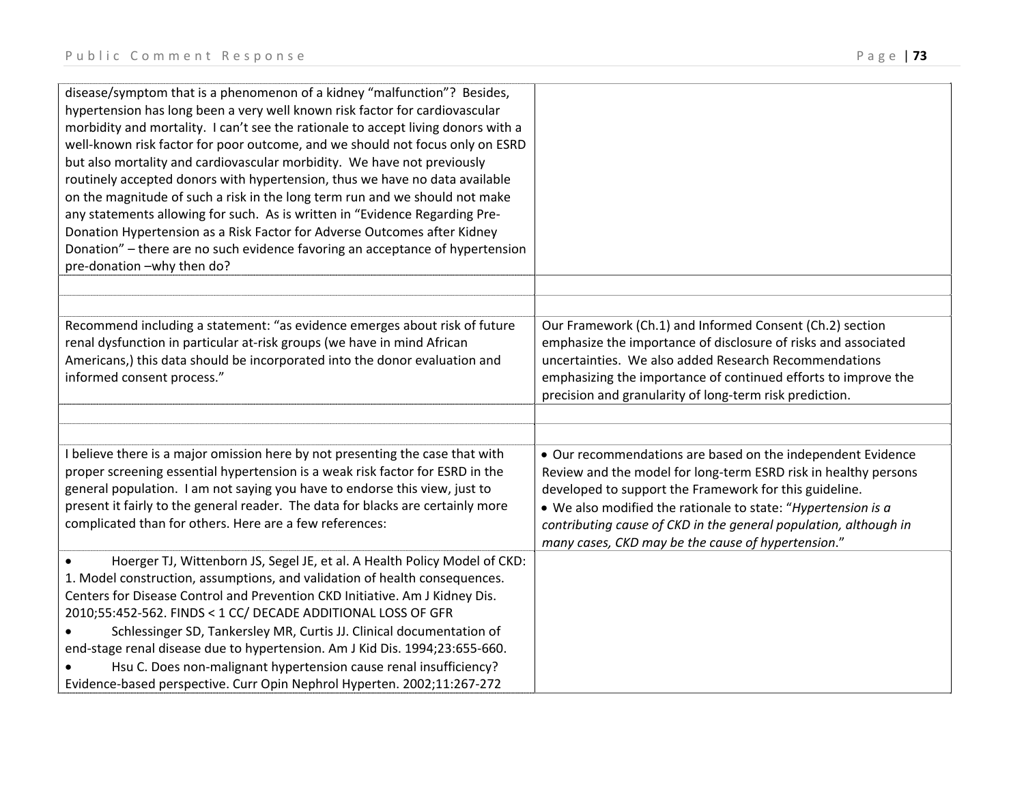| disease/symptom that is a phenomenon of a kidney "malfunction"? Besides,<br>hypertension has long been a very well known risk factor for cardiovascular   |                                                                  |
|-----------------------------------------------------------------------------------------------------------------------------------------------------------|------------------------------------------------------------------|
| morbidity and mortality. I can't see the rationale to accept living donors with a                                                                         |                                                                  |
| well-known risk factor for poor outcome, and we should not focus only on ESRD                                                                             |                                                                  |
| but also mortality and cardiovascular morbidity. We have not previously                                                                                   |                                                                  |
| routinely accepted donors with hypertension, thus we have no data available                                                                               |                                                                  |
| on the magnitude of such a risk in the long term run and we should not make                                                                               |                                                                  |
| any statements allowing for such. As is written in "Evidence Regarding Pre-                                                                               |                                                                  |
| Donation Hypertension as a Risk Factor for Adverse Outcomes after Kidney                                                                                  |                                                                  |
| Donation" – there are no such evidence favoring an acceptance of hypertension                                                                             |                                                                  |
| pre-donation -why then do?                                                                                                                                |                                                                  |
|                                                                                                                                                           |                                                                  |
|                                                                                                                                                           |                                                                  |
| Recommend including a statement: "as evidence emerges about risk of future                                                                                | Our Framework (Ch.1) and Informed Consent (Ch.2) section         |
| renal dysfunction in particular at-risk groups (we have in mind African                                                                                   | emphasize the importance of disclosure of risks and associated   |
| Americans,) this data should be incorporated into the donor evaluation and                                                                                | uncertainties. We also added Research Recommendations            |
| informed consent process."                                                                                                                                | emphasizing the importance of continued efforts to improve the   |
|                                                                                                                                                           | precision and granularity of long-term risk prediction.          |
|                                                                                                                                                           |                                                                  |
|                                                                                                                                                           |                                                                  |
| I believe there is a major omission here by not presenting the case that with                                                                             | • Our recommendations are based on the independent Evidence      |
| proper screening essential hypertension is a weak risk factor for ESRD in the                                                                             | Review and the model for long-term ESRD risk in healthy persons  |
| general population. I am not saying you have to endorse this view, just to                                                                                | developed to support the Framework for this guideline.           |
| present it fairly to the general reader. The data for blacks are certainly more                                                                           | • We also modified the rationale to state: "Hypertension is a    |
| complicated than for others. Here are a few references:                                                                                                   | contributing cause of CKD in the general population, although in |
|                                                                                                                                                           | many cases, CKD may be the cause of hypertension."               |
| Hoerger TJ, Wittenborn JS, Segel JE, et al. A Health Policy Model of CKD:                                                                                 |                                                                  |
| 1. Model construction, assumptions, and validation of health consequences.<br>Centers for Disease Control and Prevention CKD Initiative. Am J Kidney Dis. |                                                                  |
| 2010;55:452-562. FINDS < 1 CC/ DECADE ADDITIONAL LOSS OF GFR                                                                                              |                                                                  |
| Schlessinger SD, Tankersley MR, Curtis JJ. Clinical documentation of                                                                                      |                                                                  |
| end-stage renal disease due to hypertension. Am J Kid Dis. 1994;23:655-660.                                                                               |                                                                  |
| Hsu C. Does non-malignant hypertension cause renal insufficiency?                                                                                         |                                                                  |
|                                                                                                                                                           |                                                                  |
| Evidence-based perspective. Curr Opin Nephrol Hyperten. 2002;11:267-272                                                                                   |                                                                  |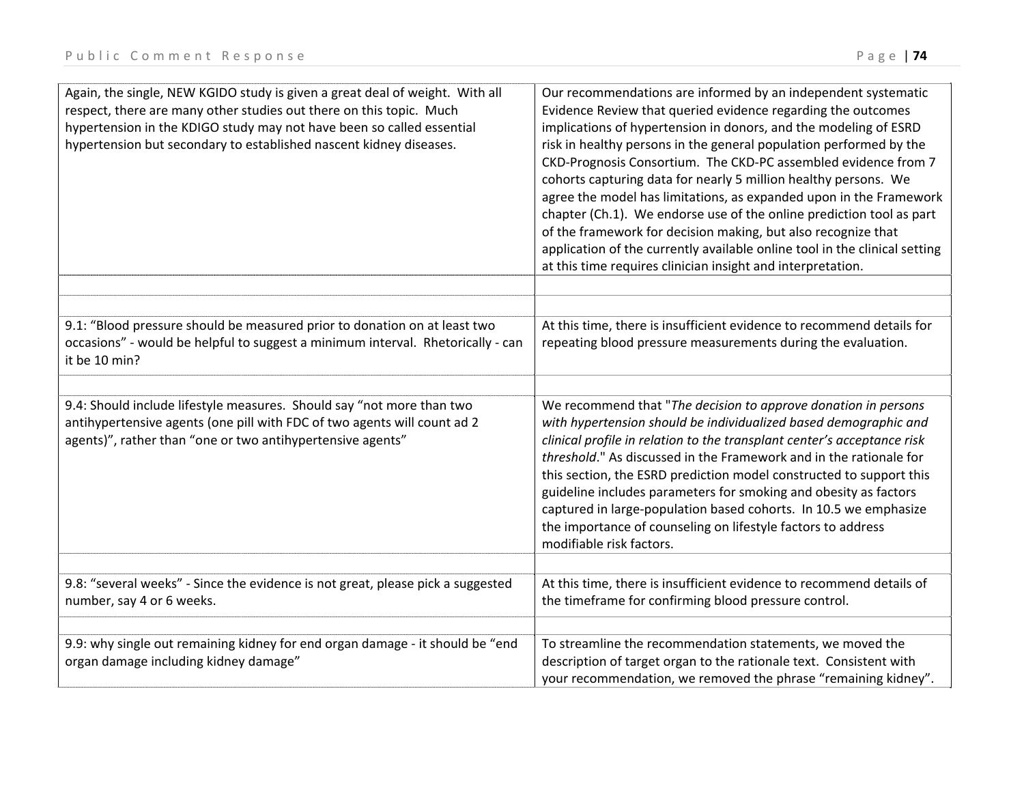| Again, the single, NEW KGIDO study is given a great deal of weight. With all<br>respect, there are many other studies out there on this topic. Much<br>hypertension in the KDIGO study may not have been so called essential<br>hypertension but secondary to established nascent kidney diseases. | Our recommendations are informed by an independent systematic<br>Evidence Review that queried evidence regarding the outcomes<br>implications of hypertension in donors, and the modeling of ESRD<br>risk in healthy persons in the general population performed by the<br>CKD-Prognosis Consortium. The CKD-PC assembled evidence from 7<br>cohorts capturing data for nearly 5 million healthy persons. We<br>agree the model has limitations, as expanded upon in the Framework<br>chapter (Ch.1). We endorse use of the online prediction tool as part<br>of the framework for decision making, but also recognize that<br>application of the currently available online tool in the clinical setting<br>at this time requires clinician insight and interpretation. |
|----------------------------------------------------------------------------------------------------------------------------------------------------------------------------------------------------------------------------------------------------------------------------------------------------|--------------------------------------------------------------------------------------------------------------------------------------------------------------------------------------------------------------------------------------------------------------------------------------------------------------------------------------------------------------------------------------------------------------------------------------------------------------------------------------------------------------------------------------------------------------------------------------------------------------------------------------------------------------------------------------------------------------------------------------------------------------------------|
|                                                                                                                                                                                                                                                                                                    |                                                                                                                                                                                                                                                                                                                                                                                                                                                                                                                                                                                                                                                                                                                                                                          |
| 9.1: "Blood pressure should be measured prior to donation on at least two<br>occasions" - would be helpful to suggest a minimum interval. Rhetorically - can<br>it be 10 min?                                                                                                                      | At this time, there is insufficient evidence to recommend details for<br>repeating blood pressure measurements during the evaluation.                                                                                                                                                                                                                                                                                                                                                                                                                                                                                                                                                                                                                                    |
|                                                                                                                                                                                                                                                                                                    |                                                                                                                                                                                                                                                                                                                                                                                                                                                                                                                                                                                                                                                                                                                                                                          |
| 9.4: Should include lifestyle measures. Should say "not more than two<br>antihypertensive agents (one pill with FDC of two agents will count ad 2<br>agents)", rather than "one or two antihypertensive agents"                                                                                    | We recommend that "The decision to approve donation in persons<br>with hypertension should be individualized based demographic and<br>clinical profile in relation to the transplant center's acceptance risk<br>threshold." As discussed in the Framework and in the rationale for<br>this section, the ESRD prediction model constructed to support this<br>guideline includes parameters for smoking and obesity as factors<br>captured in large-population based cohorts. In 10.5 we emphasize<br>the importance of counseling on lifestyle factors to address<br>modifiable risk factors.                                                                                                                                                                           |
|                                                                                                                                                                                                                                                                                                    |                                                                                                                                                                                                                                                                                                                                                                                                                                                                                                                                                                                                                                                                                                                                                                          |
| 9.8: "several weeks" - Since the evidence is not great, please pick a suggested<br>number, say 4 or 6 weeks.                                                                                                                                                                                       | At this time, there is insufficient evidence to recommend details of<br>the timeframe for confirming blood pressure control.                                                                                                                                                                                                                                                                                                                                                                                                                                                                                                                                                                                                                                             |
| 9.9: why single out remaining kidney for end organ damage - it should be "end                                                                                                                                                                                                                      | To streamline the recommendation statements, we moved the                                                                                                                                                                                                                                                                                                                                                                                                                                                                                                                                                                                                                                                                                                                |
| organ damage including kidney damage"                                                                                                                                                                                                                                                              | description of target organ to the rationale text. Consistent with<br>your recommendation, we removed the phrase "remaining kidney".                                                                                                                                                                                                                                                                                                                                                                                                                                                                                                                                                                                                                                     |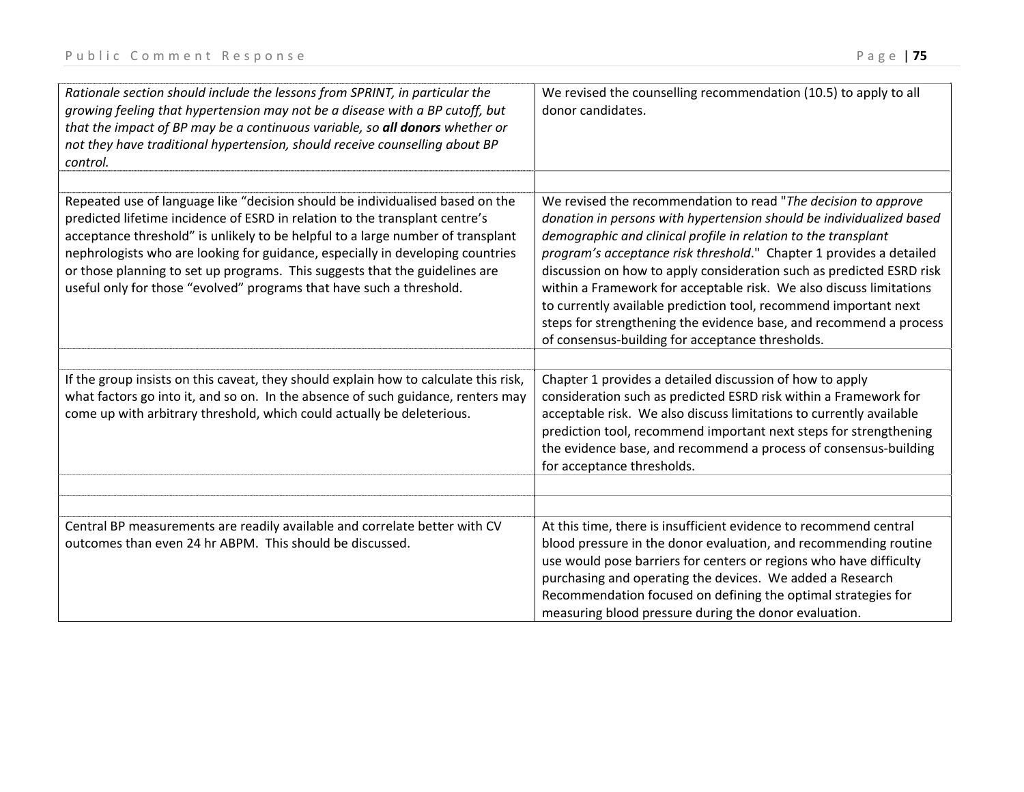| Rationale section should include the lessons from SPRINT, in particular the<br>growing feeling that hypertension may not be a disease with a BP cutoff, but<br>that the impact of BP may be a continuous variable, so all donors whether or<br>not they have traditional hypertension, should receive counselling about BP<br>control.                                                                                                                                                   | We revised the counselling recommendation (10.5) to apply to all<br>donor candidates.                                                                                                                                                                                                                                                                                                                                                                                                                                                                                                                                        |
|------------------------------------------------------------------------------------------------------------------------------------------------------------------------------------------------------------------------------------------------------------------------------------------------------------------------------------------------------------------------------------------------------------------------------------------------------------------------------------------|------------------------------------------------------------------------------------------------------------------------------------------------------------------------------------------------------------------------------------------------------------------------------------------------------------------------------------------------------------------------------------------------------------------------------------------------------------------------------------------------------------------------------------------------------------------------------------------------------------------------------|
| Repeated use of language like "decision should be individualised based on the<br>predicted lifetime incidence of ESRD in relation to the transplant centre's<br>acceptance threshold" is unlikely to be helpful to a large number of transplant<br>nephrologists who are looking for guidance, especially in developing countries<br>or those planning to set up programs. This suggests that the guidelines are<br>useful only for those "evolved" programs that have such a threshold. | We revised the recommendation to read "The decision to approve<br>donation in persons with hypertension should be individualized based<br>demographic and clinical profile in relation to the transplant<br>program's acceptance risk threshold." Chapter 1 provides a detailed<br>discussion on how to apply consideration such as predicted ESRD risk<br>within a Framework for acceptable risk. We also discuss limitations<br>to currently available prediction tool, recommend important next<br>steps for strengthening the evidence base, and recommend a process<br>of consensus-building for acceptance thresholds. |
| If the group insists on this caveat, they should explain how to calculate this risk,<br>what factors go into it, and so on. In the absence of such guidance, renters may<br>come up with arbitrary threshold, which could actually be deleterious.                                                                                                                                                                                                                                       | Chapter 1 provides a detailed discussion of how to apply<br>consideration such as predicted ESRD risk within a Framework for<br>acceptable risk. We also discuss limitations to currently available<br>prediction tool, recommend important next steps for strengthening<br>the evidence base, and recommend a process of consensus-building<br>for acceptance thresholds.                                                                                                                                                                                                                                                   |
| Central BP measurements are readily available and correlate better with CV<br>outcomes than even 24 hr ABPM. This should be discussed.                                                                                                                                                                                                                                                                                                                                                   | At this time, there is insufficient evidence to recommend central<br>blood pressure in the donor evaluation, and recommending routine<br>use would pose barriers for centers or regions who have difficulty<br>purchasing and operating the devices. We added a Research<br>Recommendation focused on defining the optimal strategies for<br>measuring blood pressure during the donor evaluation.                                                                                                                                                                                                                           |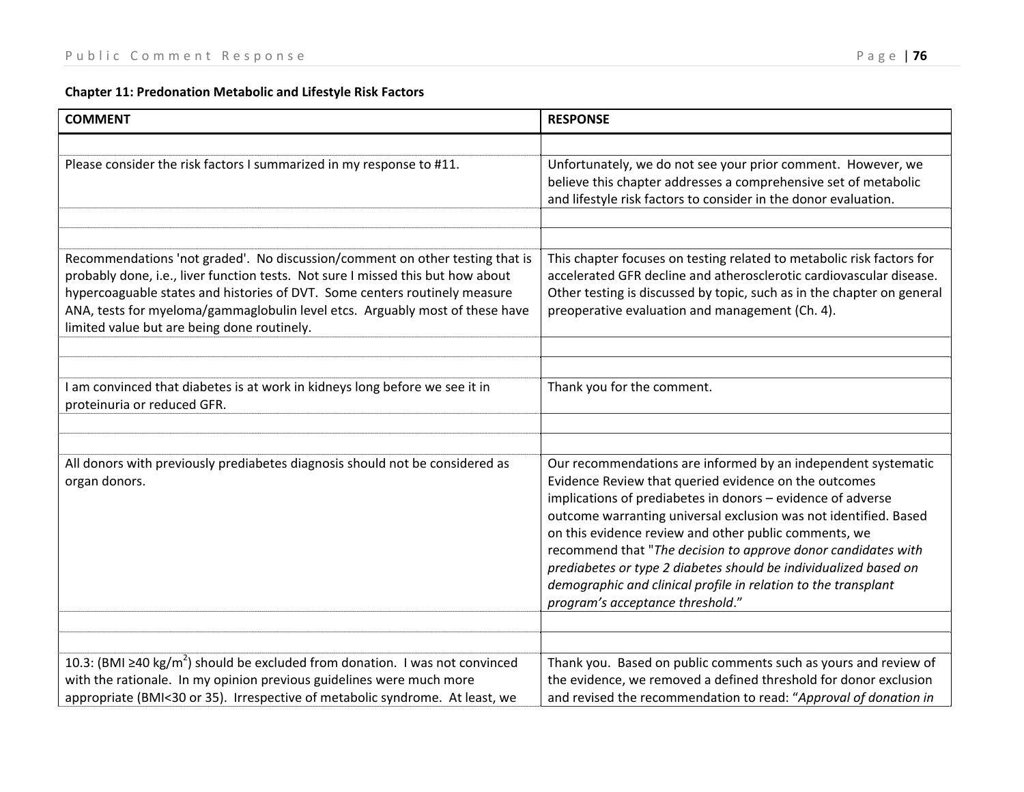## **Chapter 11: Predonation Metabolic and Lifestyle Risk Factors**

| <b>COMMENT</b>                                                                                                                                                                                                                                                                                                                                                               | <b>RESPONSE</b>                                                                                                                                                                                                                                                                                                                                                                                                                                                                                                                                               |
|------------------------------------------------------------------------------------------------------------------------------------------------------------------------------------------------------------------------------------------------------------------------------------------------------------------------------------------------------------------------------|---------------------------------------------------------------------------------------------------------------------------------------------------------------------------------------------------------------------------------------------------------------------------------------------------------------------------------------------------------------------------------------------------------------------------------------------------------------------------------------------------------------------------------------------------------------|
|                                                                                                                                                                                                                                                                                                                                                                              |                                                                                                                                                                                                                                                                                                                                                                                                                                                                                                                                                               |
| Please consider the risk factors I summarized in my response to #11.                                                                                                                                                                                                                                                                                                         | Unfortunately, we do not see your prior comment. However, we<br>believe this chapter addresses a comprehensive set of metabolic<br>and lifestyle risk factors to consider in the donor evaluation.                                                                                                                                                                                                                                                                                                                                                            |
|                                                                                                                                                                                                                                                                                                                                                                              |                                                                                                                                                                                                                                                                                                                                                                                                                                                                                                                                                               |
| Recommendations 'not graded'. No discussion/comment on other testing that is<br>probably done, i.e., liver function tests. Not sure I missed this but how about<br>hypercoaguable states and histories of DVT. Some centers routinely measure<br>ANA, tests for myeloma/gammaglobulin level etcs. Arguably most of these have<br>limited value but are being done routinely. | This chapter focuses on testing related to metabolic risk factors for<br>accelerated GFR decline and atherosclerotic cardiovascular disease.<br>Other testing is discussed by topic, such as in the chapter on general<br>preoperative evaluation and management (Ch. 4).                                                                                                                                                                                                                                                                                     |
|                                                                                                                                                                                                                                                                                                                                                                              |                                                                                                                                                                                                                                                                                                                                                                                                                                                                                                                                                               |
|                                                                                                                                                                                                                                                                                                                                                                              |                                                                                                                                                                                                                                                                                                                                                                                                                                                                                                                                                               |
| I am convinced that diabetes is at work in kidneys long before we see it in<br>proteinuria or reduced GFR.                                                                                                                                                                                                                                                                   | Thank you for the comment.                                                                                                                                                                                                                                                                                                                                                                                                                                                                                                                                    |
|                                                                                                                                                                                                                                                                                                                                                                              |                                                                                                                                                                                                                                                                                                                                                                                                                                                                                                                                                               |
|                                                                                                                                                                                                                                                                                                                                                                              |                                                                                                                                                                                                                                                                                                                                                                                                                                                                                                                                                               |
| All donors with previously prediabetes diagnosis should not be considered as<br>organ donors.                                                                                                                                                                                                                                                                                | Our recommendations are informed by an independent systematic<br>Evidence Review that queried evidence on the outcomes<br>implications of prediabetes in donors - evidence of adverse<br>outcome warranting universal exclusion was not identified. Based<br>on this evidence review and other public comments, we<br>recommend that "The decision to approve donor candidates with<br>prediabetes or type 2 diabetes should be individualized based on<br>demographic and clinical profile in relation to the transplant<br>program's acceptance threshold." |
|                                                                                                                                                                                                                                                                                                                                                                              |                                                                                                                                                                                                                                                                                                                                                                                                                                                                                                                                                               |
| 10.3: (BMI $\geq$ 40 kg/m <sup>2</sup> ) should be excluded from donation. I was not convinced<br>with the rationale. In my opinion previous guidelines were much more<br>appropriate (BMI<30 or 35). Irrespective of metabolic syndrome. At least, we                                                                                                                       | Thank you. Based on public comments such as yours and review of<br>the evidence, we removed a defined threshold for donor exclusion<br>and revised the recommendation to read: "Approval of donation in                                                                                                                                                                                                                                                                                                                                                       |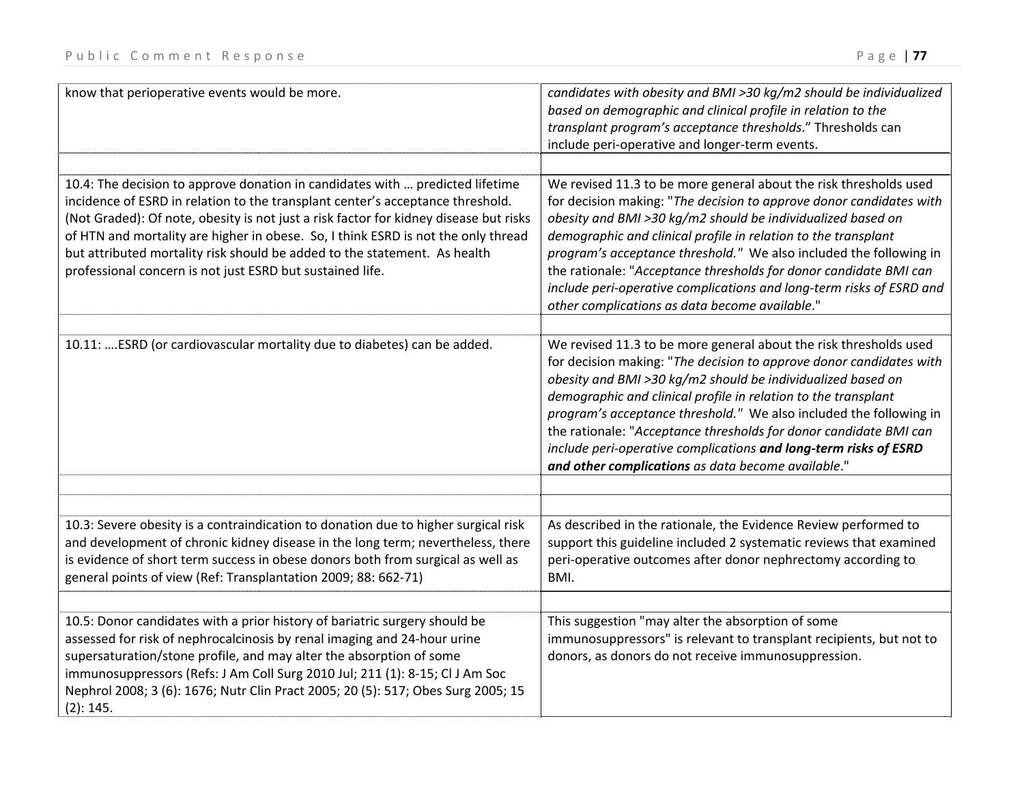| know that perioperative events would be more.                                                                                                                                                                                                                                                                                                                                                                                                                                           | candidates with obesity and BMI >30 kg/m2 should be individualized<br>based on demographic and clinical profile in relation to the<br>transplant program's acceptance thresholds." Thresholds can<br>include peri-operative and longer-term events.                                                                                                                                                                                                                                                                                            |
|-----------------------------------------------------------------------------------------------------------------------------------------------------------------------------------------------------------------------------------------------------------------------------------------------------------------------------------------------------------------------------------------------------------------------------------------------------------------------------------------|------------------------------------------------------------------------------------------------------------------------------------------------------------------------------------------------------------------------------------------------------------------------------------------------------------------------------------------------------------------------------------------------------------------------------------------------------------------------------------------------------------------------------------------------|
| 10.4: The decision to approve donation in candidates with  predicted lifetime<br>incidence of ESRD in relation to the transplant center's acceptance threshold.<br>(Not Graded): Of note, obesity is not just a risk factor for kidney disease but risks<br>of HTN and mortality are higher in obese. So, I think ESRD is not the only thread<br>but attributed mortality risk should be added to the statement. As health<br>professional concern is not just ESRD but sustained life. | We revised 11.3 to be more general about the risk thresholds used<br>for decision making: "The decision to approve donor candidates with<br>obesity and BMI >30 kg/m2 should be individualized based on<br>demographic and clinical profile in relation to the transplant<br>program's acceptance threshold." We also included the following in<br>the rationale: "Acceptance thresholds for donor candidate BMI can<br>include peri-operative complications and long-term risks of ESRD and<br>other complications as data become available." |
| 10.11: ESRD (or cardiovascular mortality due to diabetes) can be added.                                                                                                                                                                                                                                                                                                                                                                                                                 | We revised 11.3 to be more general about the risk thresholds used<br>for decision making: "The decision to approve donor candidates with<br>obesity and BMI >30 kg/m2 should be individualized based on<br>demographic and clinical profile in relation to the transplant<br>program's acceptance threshold." We also included the following in<br>the rationale: "Acceptance thresholds for donor candidate BMI can<br>include peri-operative complications and long-term risks of ESRD<br>and other complications as data become available." |
| 10.3: Severe obesity is a contraindication to donation due to higher surgical risk<br>and development of chronic kidney disease in the long term; nevertheless, there<br>is evidence of short term success in obese donors both from surgical as well as<br>general points of view (Ref: Transplantation 2009; 88: 662-71)                                                                                                                                                              | As described in the rationale, the Evidence Review performed to<br>support this guideline included 2 systematic reviews that examined<br>peri-operative outcomes after donor nephrectomy according to<br>BMI.                                                                                                                                                                                                                                                                                                                                  |
| 10.5: Donor candidates with a prior history of bariatric surgery should be<br>assessed for risk of nephrocalcinosis by renal imaging and 24-hour urine<br>supersaturation/stone profile, and may alter the absorption of some<br>immunosuppressors (Refs: J Am Coll Surg 2010 Jul; 211 (1): 8-15; Cl J Am Soc<br>Nephrol 2008; 3 (6): 1676; Nutr Clin Pract 2005; 20 (5): 517; Obes Surg 2005; 15<br>(2): 145.                                                                          | This suggestion "may alter the absorption of some<br>immunosuppressors" is relevant to transplant recipients, but not to<br>donors, as donors do not receive immunosuppression.                                                                                                                                                                                                                                                                                                                                                                |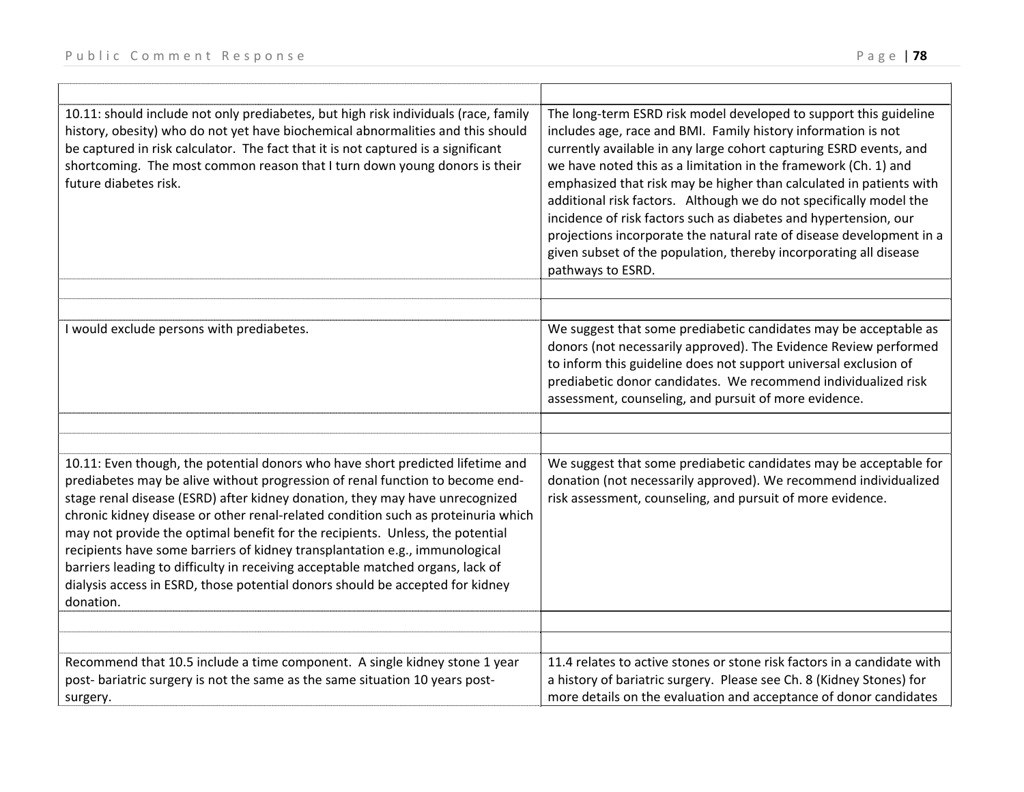| 10.11: should include not only prediabetes, but high risk individuals (race, family<br>history, obesity) who do not yet have biochemical abnormalities and this should<br>be captured in risk calculator. The fact that it is not captured is a significant<br>shortcoming. The most common reason that I turn down young donors is their<br>future diabetes risk.                                                                                                                                                                                                                                                                                                                   | The long-term ESRD risk model developed to support this guideline<br>includes age, race and BMI. Family history information is not<br>currently available in any large cohort capturing ESRD events, and<br>we have noted this as a limitation in the framework (Ch. 1) and<br>emphasized that risk may be higher than calculated in patients with<br>additional risk factors. Although we do not specifically model the<br>incidence of risk factors such as diabetes and hypertension, our<br>projections incorporate the natural rate of disease development in a<br>given subset of the population, thereby incorporating all disease<br>pathways to ESRD. |
|--------------------------------------------------------------------------------------------------------------------------------------------------------------------------------------------------------------------------------------------------------------------------------------------------------------------------------------------------------------------------------------------------------------------------------------------------------------------------------------------------------------------------------------------------------------------------------------------------------------------------------------------------------------------------------------|----------------------------------------------------------------------------------------------------------------------------------------------------------------------------------------------------------------------------------------------------------------------------------------------------------------------------------------------------------------------------------------------------------------------------------------------------------------------------------------------------------------------------------------------------------------------------------------------------------------------------------------------------------------|
|                                                                                                                                                                                                                                                                                                                                                                                                                                                                                                                                                                                                                                                                                      |                                                                                                                                                                                                                                                                                                                                                                                                                                                                                                                                                                                                                                                                |
| I would exclude persons with prediabetes.                                                                                                                                                                                                                                                                                                                                                                                                                                                                                                                                                                                                                                            | We suggest that some prediabetic candidates may be acceptable as<br>donors (not necessarily approved). The Evidence Review performed<br>to inform this guideline does not support universal exclusion of<br>prediabetic donor candidates. We recommend individualized risk<br>assessment, counseling, and pursuit of more evidence.                                                                                                                                                                                                                                                                                                                            |
|                                                                                                                                                                                                                                                                                                                                                                                                                                                                                                                                                                                                                                                                                      |                                                                                                                                                                                                                                                                                                                                                                                                                                                                                                                                                                                                                                                                |
|                                                                                                                                                                                                                                                                                                                                                                                                                                                                                                                                                                                                                                                                                      |                                                                                                                                                                                                                                                                                                                                                                                                                                                                                                                                                                                                                                                                |
| 10.11: Even though, the potential donors who have short predicted lifetime and<br>prediabetes may be alive without progression of renal function to become end-<br>stage renal disease (ESRD) after kidney donation, they may have unrecognized<br>chronic kidney disease or other renal-related condition such as proteinuria which<br>may not provide the optimal benefit for the recipients. Unless, the potential<br>recipients have some barriers of kidney transplantation e.g., immunological<br>barriers leading to difficulty in receiving acceptable matched organs, lack of<br>dialysis access in ESRD, those potential donors should be accepted for kidney<br>donation. | We suggest that some prediabetic candidates may be acceptable for<br>donation (not necessarily approved). We recommend individualized<br>risk assessment, counseling, and pursuit of more evidence.                                                                                                                                                                                                                                                                                                                                                                                                                                                            |
|                                                                                                                                                                                                                                                                                                                                                                                                                                                                                                                                                                                                                                                                                      |                                                                                                                                                                                                                                                                                                                                                                                                                                                                                                                                                                                                                                                                |
| Recommend that 10.5 include a time component. A single kidney stone 1 year<br>post- bariatric surgery is not the same as the same situation 10 years post-<br>surgery.                                                                                                                                                                                                                                                                                                                                                                                                                                                                                                               | 11.4 relates to active stones or stone risk factors in a candidate with<br>a history of bariatric surgery. Please see Ch. 8 (Kidney Stones) for<br>more details on the evaluation and acceptance of donor candidates                                                                                                                                                                                                                                                                                                                                                                                                                                           |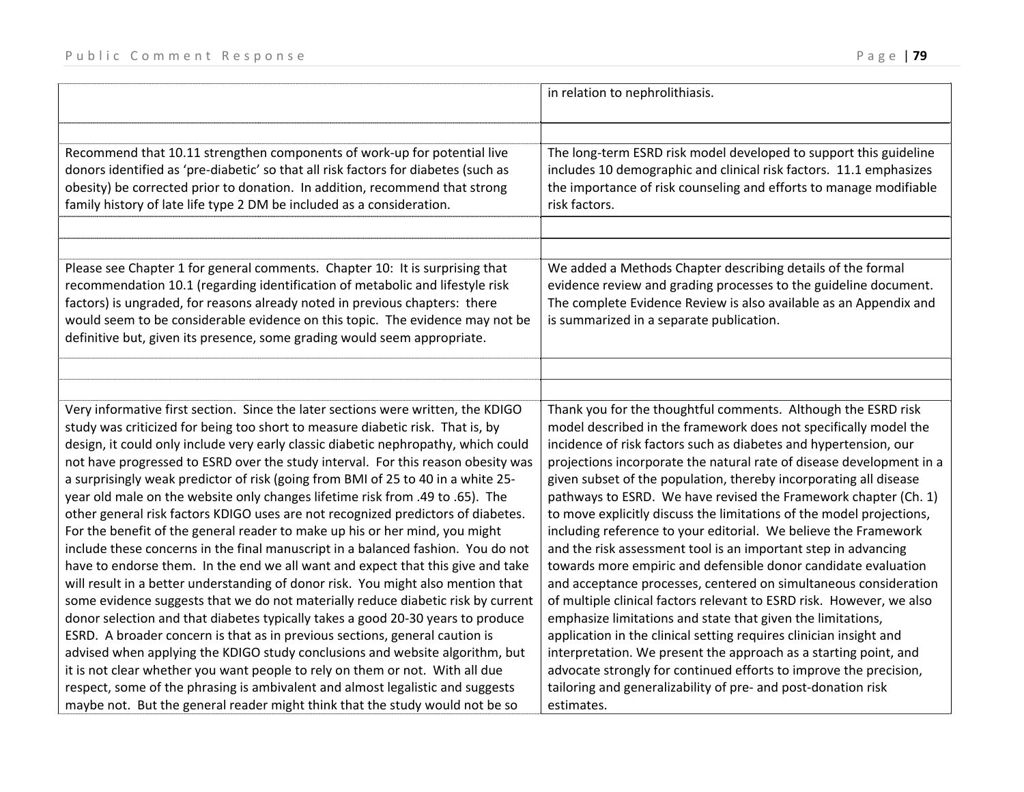|                                                                                                                                                                                                                                                                                                                                                                                                                                                                                                                                                                                                                                                                                                                                                                                                                                                                                                                                                                                                                                                                                                                                                                                                       | in relation to nephrolithiasis.                                                                                                                                                                                                                                                                                                                                                                                                                                                                                                                                                                                                                                                                                                                                                                                                                                                                                                                                                       |
|-------------------------------------------------------------------------------------------------------------------------------------------------------------------------------------------------------------------------------------------------------------------------------------------------------------------------------------------------------------------------------------------------------------------------------------------------------------------------------------------------------------------------------------------------------------------------------------------------------------------------------------------------------------------------------------------------------------------------------------------------------------------------------------------------------------------------------------------------------------------------------------------------------------------------------------------------------------------------------------------------------------------------------------------------------------------------------------------------------------------------------------------------------------------------------------------------------|---------------------------------------------------------------------------------------------------------------------------------------------------------------------------------------------------------------------------------------------------------------------------------------------------------------------------------------------------------------------------------------------------------------------------------------------------------------------------------------------------------------------------------------------------------------------------------------------------------------------------------------------------------------------------------------------------------------------------------------------------------------------------------------------------------------------------------------------------------------------------------------------------------------------------------------------------------------------------------------|
| Recommend that 10.11 strengthen components of work-up for potential live<br>donors identified as 'pre-diabetic' so that all risk factors for diabetes (such as                                                                                                                                                                                                                                                                                                                                                                                                                                                                                                                                                                                                                                                                                                                                                                                                                                                                                                                                                                                                                                        | The long-term ESRD risk model developed to support this guideline<br>includes 10 demographic and clinical risk factors. 11.1 emphasizes                                                                                                                                                                                                                                                                                                                                                                                                                                                                                                                                                                                                                                                                                                                                                                                                                                               |
| obesity) be corrected prior to donation. In addition, recommend that strong<br>family history of late life type 2 DM be included as a consideration.                                                                                                                                                                                                                                                                                                                                                                                                                                                                                                                                                                                                                                                                                                                                                                                                                                                                                                                                                                                                                                                  | the importance of risk counseling and efforts to manage modifiable<br>risk factors.                                                                                                                                                                                                                                                                                                                                                                                                                                                                                                                                                                                                                                                                                                                                                                                                                                                                                                   |
|                                                                                                                                                                                                                                                                                                                                                                                                                                                                                                                                                                                                                                                                                                                                                                                                                                                                                                                                                                                                                                                                                                                                                                                                       |                                                                                                                                                                                                                                                                                                                                                                                                                                                                                                                                                                                                                                                                                                                                                                                                                                                                                                                                                                                       |
| Please see Chapter 1 for general comments. Chapter 10: It is surprising that<br>recommendation 10.1 (regarding identification of metabolic and lifestyle risk<br>factors) is ungraded, for reasons already noted in previous chapters: there<br>would seem to be considerable evidence on this topic. The evidence may not be<br>definitive but, given its presence, some grading would seem appropriate.                                                                                                                                                                                                                                                                                                                                                                                                                                                                                                                                                                                                                                                                                                                                                                                             | We added a Methods Chapter describing details of the formal<br>evidence review and grading processes to the guideline document.<br>The complete Evidence Review is also available as an Appendix and<br>is summarized in a separate publication.                                                                                                                                                                                                                                                                                                                                                                                                                                                                                                                                                                                                                                                                                                                                      |
|                                                                                                                                                                                                                                                                                                                                                                                                                                                                                                                                                                                                                                                                                                                                                                                                                                                                                                                                                                                                                                                                                                                                                                                                       |                                                                                                                                                                                                                                                                                                                                                                                                                                                                                                                                                                                                                                                                                                                                                                                                                                                                                                                                                                                       |
| Very informative first section. Since the later sections were written, the KDIGO<br>study was criticized for being too short to measure diabetic risk. That is, by<br>design, it could only include very early classic diabetic nephropathy, which could<br>not have progressed to ESRD over the study interval. For this reason obesity was<br>a surprisingly weak predictor of risk (going from BMI of 25 to 40 in a white 25-<br>year old male on the website only changes lifetime risk from .49 to .65). The<br>other general risk factors KDIGO uses are not recognized predictors of diabetes.<br>For the benefit of the general reader to make up his or her mind, you might<br>include these concerns in the final manuscript in a balanced fashion. You do not<br>have to endorse them. In the end we all want and expect that this give and take<br>will result in a better understanding of donor risk. You might also mention that<br>some evidence suggests that we do not materially reduce diabetic risk by current<br>donor selection and that diabetes typically takes a good 20-30 years to produce<br>ESRD. A broader concern is that as in previous sections, general caution is | Thank you for the thoughtful comments. Although the ESRD risk<br>model described in the framework does not specifically model the<br>incidence of risk factors such as diabetes and hypertension, our<br>projections incorporate the natural rate of disease development in a<br>given subset of the population, thereby incorporating all disease<br>pathways to ESRD. We have revised the Framework chapter (Ch. 1)<br>to move explicitly discuss the limitations of the model projections,<br>including reference to your editorial. We believe the Framework<br>and the risk assessment tool is an important step in advancing<br>towards more empiric and defensible donor candidate evaluation<br>and acceptance processes, centered on simultaneous consideration<br>of multiple clinical factors relevant to ESRD risk. However, we also<br>emphasize limitations and state that given the limitations,<br>application in the clinical setting requires clinician insight and |
| advised when applying the KDIGO study conclusions and website algorithm, but                                                                                                                                                                                                                                                                                                                                                                                                                                                                                                                                                                                                                                                                                                                                                                                                                                                                                                                                                                                                                                                                                                                          | interpretation. We present the approach as a starting point, and                                                                                                                                                                                                                                                                                                                                                                                                                                                                                                                                                                                                                                                                                                                                                                                                                                                                                                                      |
| it is not clear whether you want people to rely on them or not. With all due<br>respect, some of the phrasing is ambivalent and almost legalistic and suggests<br>maybe not. But the general reader might think that the study would not be so                                                                                                                                                                                                                                                                                                                                                                                                                                                                                                                                                                                                                                                                                                                                                                                                                                                                                                                                                        | advocate strongly for continued efforts to improve the precision,<br>tailoring and generalizability of pre- and post-donation risk<br>estimates.                                                                                                                                                                                                                                                                                                                                                                                                                                                                                                                                                                                                                                                                                                                                                                                                                                      |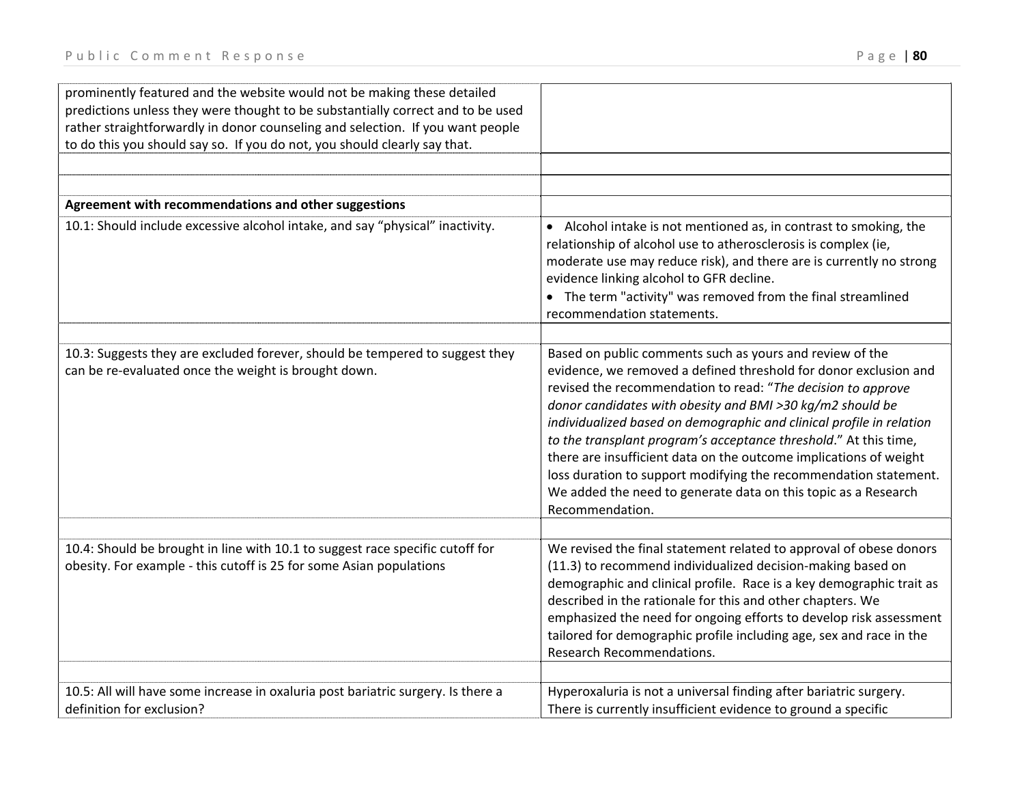| prominently featured and the website would not be making these detailed<br>predictions unless they were thought to be substantially correct and to be used<br>rather straightforwardly in donor counseling and selection. If you want people<br>to do this you should say so. If you do not, you should clearly say that. |                                                                                                                                                                                                                                                                                                                                                                                                                                                                                                                                                                                                                                     |
|---------------------------------------------------------------------------------------------------------------------------------------------------------------------------------------------------------------------------------------------------------------------------------------------------------------------------|-------------------------------------------------------------------------------------------------------------------------------------------------------------------------------------------------------------------------------------------------------------------------------------------------------------------------------------------------------------------------------------------------------------------------------------------------------------------------------------------------------------------------------------------------------------------------------------------------------------------------------------|
|                                                                                                                                                                                                                                                                                                                           |                                                                                                                                                                                                                                                                                                                                                                                                                                                                                                                                                                                                                                     |
| Agreement with recommendations and other suggestions                                                                                                                                                                                                                                                                      |                                                                                                                                                                                                                                                                                                                                                                                                                                                                                                                                                                                                                                     |
| 10.1: Should include excessive alcohol intake, and say "physical" inactivity.                                                                                                                                                                                                                                             | • Alcohol intake is not mentioned as, in contrast to smoking, the<br>relationship of alcohol use to atherosclerosis is complex (ie,<br>moderate use may reduce risk), and there are is currently no strong<br>evidence linking alcohol to GFR decline.<br>• The term "activity" was removed from the final streamlined<br>recommendation statements.                                                                                                                                                                                                                                                                                |
|                                                                                                                                                                                                                                                                                                                           |                                                                                                                                                                                                                                                                                                                                                                                                                                                                                                                                                                                                                                     |
| 10.3: Suggests they are excluded forever, should be tempered to suggest they<br>can be re-evaluated once the weight is brought down.                                                                                                                                                                                      | Based on public comments such as yours and review of the<br>evidence, we removed a defined threshold for donor exclusion and<br>revised the recommendation to read: "The decision to approve<br>donor candidates with obesity and BMI >30 kg/m2 should be<br>individualized based on demographic and clinical profile in relation<br>to the transplant program's acceptance threshold." At this time,<br>there are insufficient data on the outcome implications of weight<br>loss duration to support modifying the recommendation statement.<br>We added the need to generate data on this topic as a Research<br>Recommendation. |
| 10.4: Should be brought in line with 10.1 to suggest race specific cutoff for<br>obesity. For example - this cutoff is 25 for some Asian populations                                                                                                                                                                      | We revised the final statement related to approval of obese donors<br>(11.3) to recommend individualized decision-making based on<br>demographic and clinical profile. Race is a key demographic trait as<br>described in the rationale for this and other chapters. We<br>emphasized the need for ongoing efforts to develop risk assessment<br>tailored for demographic profile including age, sex and race in the<br>Research Recommendations.                                                                                                                                                                                   |
| 10.5: All will have some increase in oxaluria post bariatric surgery. Is there a<br>definition for exclusion?                                                                                                                                                                                                             | Hyperoxaluria is not a universal finding after bariatric surgery.<br>There is currently insufficient evidence to ground a specific                                                                                                                                                                                                                                                                                                                                                                                                                                                                                                  |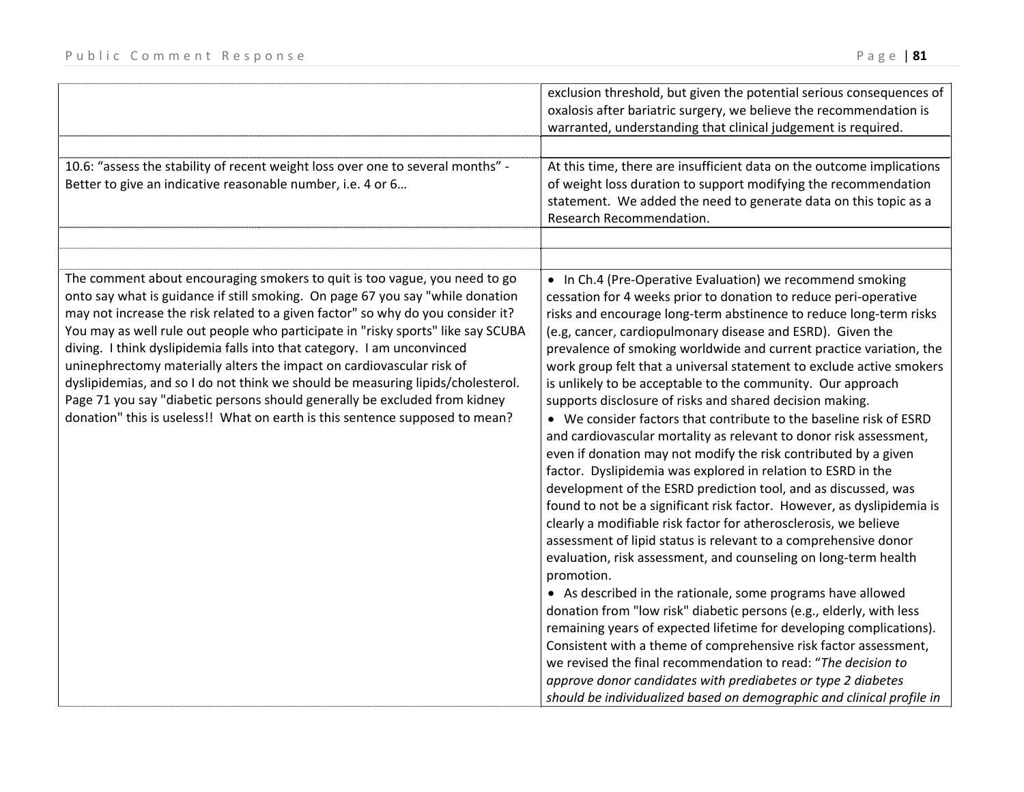| 10.6: "assess the stability of recent weight loss over one to several months" -<br>Better to give an indicative reasonable number, i.e. 4 or 6                                                                                                                                                                                                                                                                                                                                                                                                                                                                                                                                                                                           | exclusion threshold, but given the potential serious consequences of<br>oxalosis after bariatric surgery, we believe the recommendation is<br>warranted, understanding that clinical judgement is required.<br>At this time, there are insufficient data on the outcome implications<br>of weight loss duration to support modifying the recommendation<br>statement. We added the need to generate data on this topic as a<br>Research Recommendation.                                                                                                                                                                                                                                                                                                                                                                                                                                                                                                                                                                                                                                                                                                                                                                                                                                                                                                                                                                                                                                                                                                                                                                                                                                   |
|------------------------------------------------------------------------------------------------------------------------------------------------------------------------------------------------------------------------------------------------------------------------------------------------------------------------------------------------------------------------------------------------------------------------------------------------------------------------------------------------------------------------------------------------------------------------------------------------------------------------------------------------------------------------------------------------------------------------------------------|-------------------------------------------------------------------------------------------------------------------------------------------------------------------------------------------------------------------------------------------------------------------------------------------------------------------------------------------------------------------------------------------------------------------------------------------------------------------------------------------------------------------------------------------------------------------------------------------------------------------------------------------------------------------------------------------------------------------------------------------------------------------------------------------------------------------------------------------------------------------------------------------------------------------------------------------------------------------------------------------------------------------------------------------------------------------------------------------------------------------------------------------------------------------------------------------------------------------------------------------------------------------------------------------------------------------------------------------------------------------------------------------------------------------------------------------------------------------------------------------------------------------------------------------------------------------------------------------------------------------------------------------------------------------------------------------|
|                                                                                                                                                                                                                                                                                                                                                                                                                                                                                                                                                                                                                                                                                                                                          |                                                                                                                                                                                                                                                                                                                                                                                                                                                                                                                                                                                                                                                                                                                                                                                                                                                                                                                                                                                                                                                                                                                                                                                                                                                                                                                                                                                                                                                                                                                                                                                                                                                                                           |
| The comment about encouraging smokers to quit is too vague, you need to go<br>onto say what is guidance if still smoking. On page 67 you say "while donation<br>may not increase the risk related to a given factor" so why do you consider it?<br>You may as well rule out people who participate in "risky sports" like say SCUBA<br>diving. I think dyslipidemia falls into that category. I am unconvinced<br>uninephrectomy materially alters the impact on cardiovascular risk of<br>dyslipidemias, and so I do not think we should be measuring lipids/cholesterol.<br>Page 71 you say "diabetic persons should generally be excluded from kidney<br>donation" this is useless!! What on earth is this sentence supposed to mean? | • In Ch.4 (Pre-Operative Evaluation) we recommend smoking<br>cessation for 4 weeks prior to donation to reduce peri-operative<br>risks and encourage long-term abstinence to reduce long-term risks<br>(e.g, cancer, cardiopulmonary disease and ESRD). Given the<br>prevalence of smoking worldwide and current practice variation, the<br>work group felt that a universal statement to exclude active smokers<br>is unlikely to be acceptable to the community. Our approach<br>supports disclosure of risks and shared decision making.<br>• We consider factors that contribute to the baseline risk of ESRD<br>and cardiovascular mortality as relevant to donor risk assessment,<br>even if donation may not modify the risk contributed by a given<br>factor. Dyslipidemia was explored in relation to ESRD in the<br>development of the ESRD prediction tool, and as discussed, was<br>found to not be a significant risk factor. However, as dyslipidemia is<br>clearly a modifiable risk factor for atherosclerosis, we believe<br>assessment of lipid status is relevant to a comprehensive donor<br>evaluation, risk assessment, and counseling on long-term health<br>promotion.<br>• As described in the rationale, some programs have allowed<br>donation from "low risk" diabetic persons (e.g., elderly, with less<br>remaining years of expected lifetime for developing complications).<br>Consistent with a theme of comprehensive risk factor assessment,<br>we revised the final recommendation to read: "The decision to<br>approve donor candidates with prediabetes or type 2 diabetes<br>should be individualized based on demographic and clinical profile in |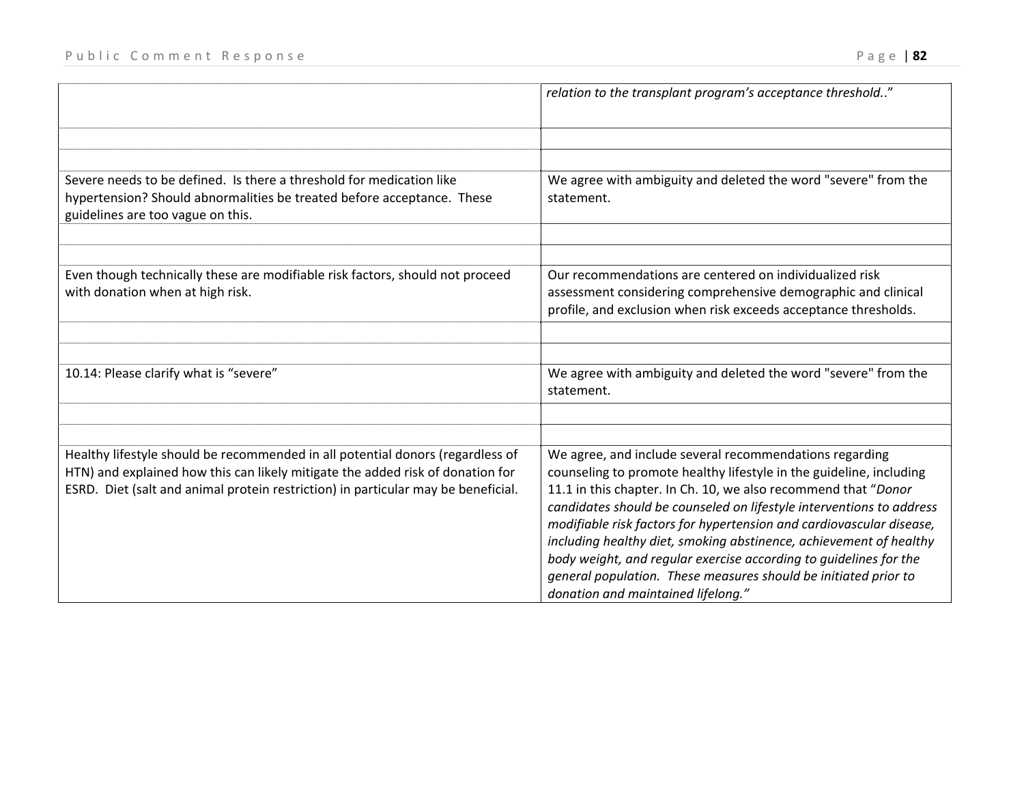|                                                                                                                                                                                                                                                       | relation to the transplant program's acceptance threshold"                                                                                                                                                                                                                                                                                       |
|-------------------------------------------------------------------------------------------------------------------------------------------------------------------------------------------------------------------------------------------------------|--------------------------------------------------------------------------------------------------------------------------------------------------------------------------------------------------------------------------------------------------------------------------------------------------------------------------------------------------|
| Severe needs to be defined. Is there a threshold for medication like<br>hypertension? Should abnormalities be treated before acceptance. These<br>guidelines are too vague on this.                                                                   | We agree with ambiguity and deleted the word "severe" from the<br>statement.                                                                                                                                                                                                                                                                     |
| Even though technically these are modifiable risk factors, should not proceed<br>with donation when at high risk.                                                                                                                                     | Our recommendations are centered on individualized risk<br>assessment considering comprehensive demographic and clinical<br>profile, and exclusion when risk exceeds acceptance thresholds.                                                                                                                                                      |
| 10.14: Please clarify what is "severe"                                                                                                                                                                                                                | We agree with ambiguity and deleted the word "severe" from the<br>statement.                                                                                                                                                                                                                                                                     |
| Healthy lifestyle should be recommended in all potential donors (regardless of<br>HTN) and explained how this can likely mitigate the added risk of donation for<br>ESRD. Diet (salt and animal protein restriction) in particular may be beneficial. | We agree, and include several recommendations regarding<br>counseling to promote healthy lifestyle in the guideline, including<br>11.1 in this chapter. In Ch. 10, we also recommend that "Donor<br>candidates should be counseled on lifestyle interventions to address<br>modifiable risk factors for hypertension and cardiovascular disease, |

*including healthy diet, smoking abstinence, achievement of healthy body weight, and regular exercise according to guidelines for the general population. These measures should be initiated prior to*

*donation and maintained lifelong."*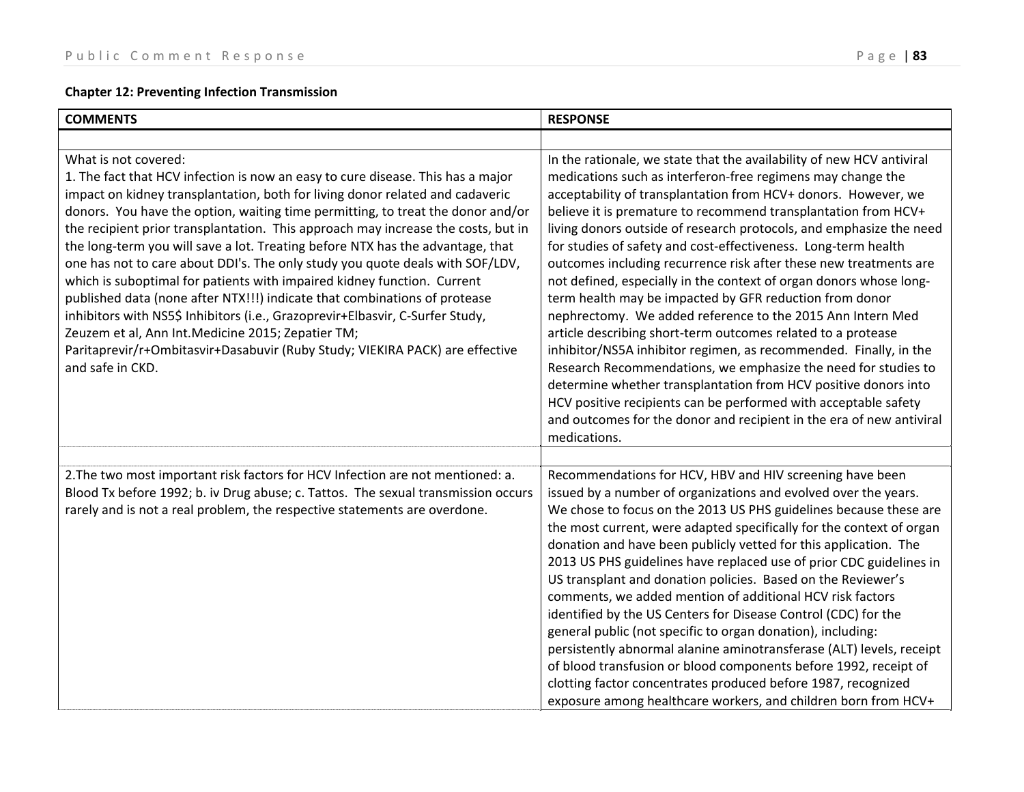# **Chapter 12: Preventing Infection Transmission**

| <b>COMMENTS</b>                                                                                                                                                                                                                                                                                                                                                                                                                                                                                                                                                                                                                                                                                                                                                                                                                                                                                                                        | <b>RESPONSE</b>                                                                                                                                                                                                                                                                                                                                                                                                                                                                                                                                                                                                                                                                                                                                                                                                                                                                                                                                                                                                                                                                                                            |
|----------------------------------------------------------------------------------------------------------------------------------------------------------------------------------------------------------------------------------------------------------------------------------------------------------------------------------------------------------------------------------------------------------------------------------------------------------------------------------------------------------------------------------------------------------------------------------------------------------------------------------------------------------------------------------------------------------------------------------------------------------------------------------------------------------------------------------------------------------------------------------------------------------------------------------------|----------------------------------------------------------------------------------------------------------------------------------------------------------------------------------------------------------------------------------------------------------------------------------------------------------------------------------------------------------------------------------------------------------------------------------------------------------------------------------------------------------------------------------------------------------------------------------------------------------------------------------------------------------------------------------------------------------------------------------------------------------------------------------------------------------------------------------------------------------------------------------------------------------------------------------------------------------------------------------------------------------------------------------------------------------------------------------------------------------------------------|
|                                                                                                                                                                                                                                                                                                                                                                                                                                                                                                                                                                                                                                                                                                                                                                                                                                                                                                                                        |                                                                                                                                                                                                                                                                                                                                                                                                                                                                                                                                                                                                                                                                                                                                                                                                                                                                                                                                                                                                                                                                                                                            |
| What is not covered:<br>1. The fact that HCV infection is now an easy to cure disease. This has a major<br>impact on kidney transplantation, both for living donor related and cadaveric<br>donors. You have the option, waiting time permitting, to treat the donor and/or<br>the recipient prior transplantation. This approach may increase the costs, but in<br>the long-term you will save a lot. Treating before NTX has the advantage, that<br>one has not to care about DDI's. The only study you quote deals with SOF/LDV,<br>which is suboptimal for patients with impaired kidney function. Current<br>published data (none after NTX!!!) indicate that combinations of protease<br>inhibitors with NS5\$ Inhibitors (i.e., Grazoprevir+Elbasvir, C-Surfer Study,<br>Zeuzem et al, Ann Int. Medicine 2015; Zepatier TM;<br>Paritaprevir/r+Ombitasvir+Dasabuvir (Ruby Study; VIEKIRA PACK) are effective<br>and safe in CKD. | In the rationale, we state that the availability of new HCV antiviral<br>medications such as interferon-free regimens may change the<br>acceptability of transplantation from HCV+ donors. However, we<br>believe it is premature to recommend transplantation from HCV+<br>living donors outside of research protocols, and emphasize the need<br>for studies of safety and cost-effectiveness. Long-term health<br>outcomes including recurrence risk after these new treatments are<br>not defined, especially in the context of organ donors whose long-<br>term health may be impacted by GFR reduction from donor<br>nephrectomy. We added reference to the 2015 Ann Intern Med<br>article describing short-term outcomes related to a protease<br>inhibitor/NS5A inhibitor regimen, as recommended. Finally, in the<br>Research Recommendations, we emphasize the need for studies to<br>determine whether transplantation from HCV positive donors into<br>HCV positive recipients can be performed with acceptable safety<br>and outcomes for the donor and recipient in the era of new antiviral<br>medications. |
| 2. The two most important risk factors for HCV Infection are not mentioned: a.<br>Blood Tx before 1992; b. iv Drug abuse; c. Tattos. The sexual transmission occurs<br>rarely and is not a real problem, the respective statements are overdone.                                                                                                                                                                                                                                                                                                                                                                                                                                                                                                                                                                                                                                                                                       | Recommendations for HCV, HBV and HIV screening have been<br>issued by a number of organizations and evolved over the years.<br>We chose to focus on the 2013 US PHS guidelines because these are<br>the most current, were adapted specifically for the context of organ<br>donation and have been publicly vetted for this application. The<br>2013 US PHS guidelines have replaced use of prior CDC guidelines in<br>US transplant and donation policies. Based on the Reviewer's<br>comments, we added mention of additional HCV risk factors<br>identified by the US Centers for Disease Control (CDC) for the<br>general public (not specific to organ donation), including:<br>persistently abnormal alanine aminotransferase (ALT) levels, receipt<br>of blood transfusion or blood components before 1992, receipt of<br>clotting factor concentrates produced before 1987, recognized<br>exposure among healthcare workers, and children born from HCV+                                                                                                                                                           |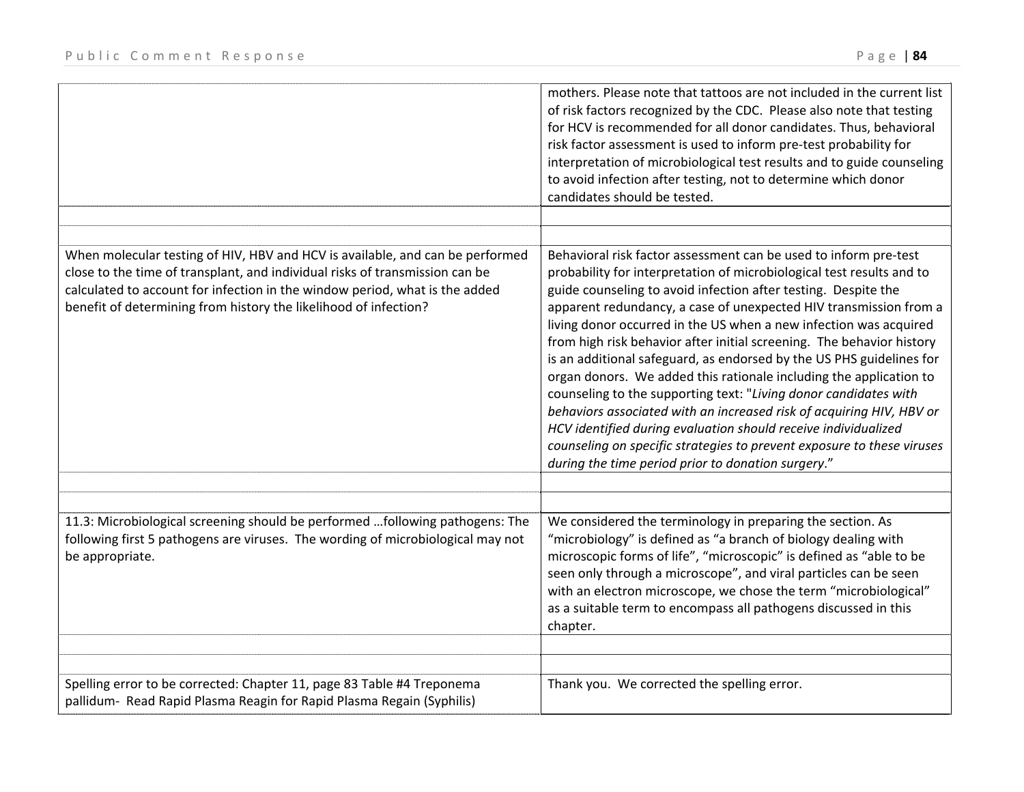|                                                                                                                                                                                                                                                                                                                  | mothers. Please note that tattoos are not included in the current list<br>of risk factors recognized by the CDC. Please also note that testing<br>for HCV is recommended for all donor candidates. Thus, behavioral<br>risk factor assessment is used to inform pre-test probability for<br>interpretation of microbiological test results and to guide counseling<br>to avoid infection after testing, not to determine which donor<br>candidates should be tested.                                                                                                                                                                                                                                                                                                                                                                                                                                                       |
|------------------------------------------------------------------------------------------------------------------------------------------------------------------------------------------------------------------------------------------------------------------------------------------------------------------|----------------------------------------------------------------------------------------------------------------------------------------------------------------------------------------------------------------------------------------------------------------------------------------------------------------------------------------------------------------------------------------------------------------------------------------------------------------------------------------------------------------------------------------------------------------------------------------------------------------------------------------------------------------------------------------------------------------------------------------------------------------------------------------------------------------------------------------------------------------------------------------------------------------------------|
| When molecular testing of HIV, HBV and HCV is available, and can be performed<br>close to the time of transplant, and individual risks of transmission can be<br>calculated to account for infection in the window period, what is the added<br>benefit of determining from history the likelihood of infection? | Behavioral risk factor assessment can be used to inform pre-test<br>probability for interpretation of microbiological test results and to<br>guide counseling to avoid infection after testing. Despite the<br>apparent redundancy, a case of unexpected HIV transmission from a<br>living donor occurred in the US when a new infection was acquired<br>from high risk behavior after initial screening. The behavior history<br>is an additional safeguard, as endorsed by the US PHS guidelines for<br>organ donors. We added this rationale including the application to<br>counseling to the supporting text: "Living donor candidates with<br>behaviors associated with an increased risk of acquiring HIV, HBV or<br>HCV identified during evaluation should receive individualized<br>counseling on specific strategies to prevent exposure to these viruses<br>during the time period prior to donation surgery." |
| 11.3: Microbiological screening should be performed following pathogens: The<br>following first 5 pathogens are viruses. The wording of microbiological may not<br>be appropriate.                                                                                                                               | We considered the terminology in preparing the section. As<br>"microbiology" is defined as "a branch of biology dealing with<br>microscopic forms of life", "microscopic" is defined as "able to be<br>seen only through a microscope", and viral particles can be seen<br>with an electron microscope, we chose the term "microbiological"<br>as a suitable term to encompass all pathogens discussed in this<br>chapter.                                                                                                                                                                                                                                                                                                                                                                                                                                                                                                 |
| Spelling error to be corrected: Chapter 11, page 83 Table #4 Treponema<br>pallidum- Read Rapid Plasma Reagin for Rapid Plasma Regain (Syphilis)                                                                                                                                                                  | Thank you. We corrected the spelling error.                                                                                                                                                                                                                                                                                                                                                                                                                                                                                                                                                                                                                                                                                                                                                                                                                                                                                |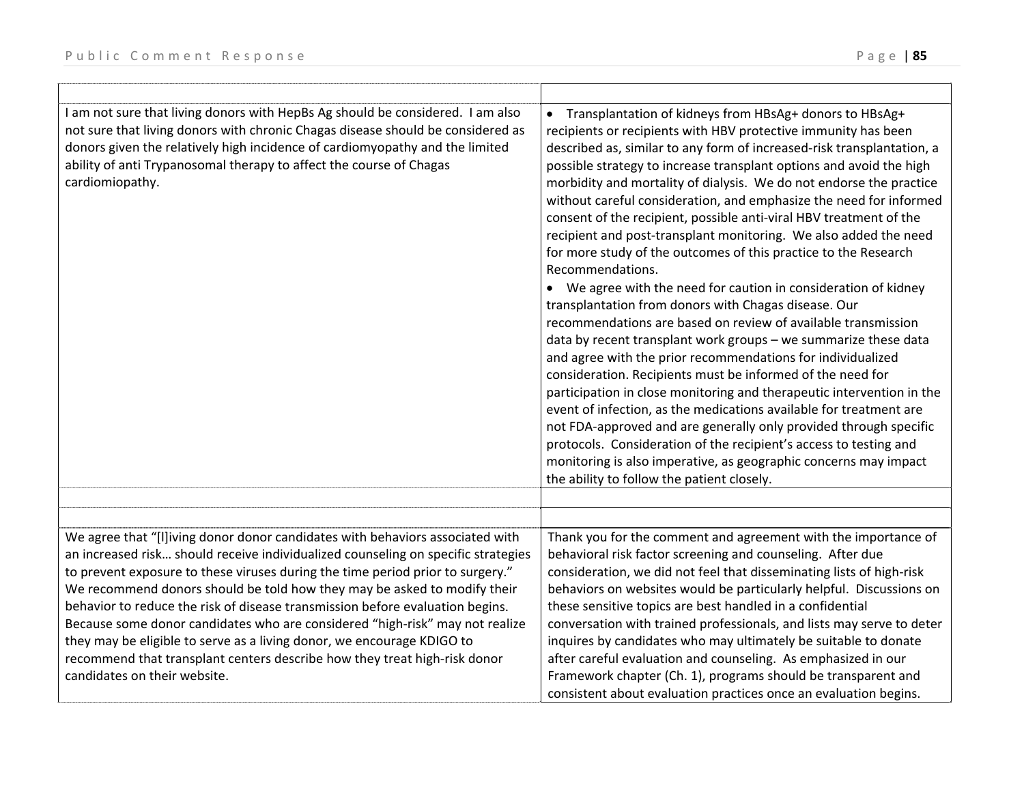| I am not sure that living donors with HepBs Ag should be considered. I am also<br>not sure that living donors with chronic Chagas disease should be considered as<br>donors given the relatively high incidence of cardiomyopathy and the limited<br>ability of anti Trypanosomal therapy to affect the course of Chagas<br>cardiomiopathy.                                                                                                                                                                                                                                                                                                                                              | Transplantation of kidneys from HBsAg+ donors to HBsAg+<br>$\bullet$<br>recipients or recipients with HBV protective immunity has been<br>described as, similar to any form of increased-risk transplantation, a<br>possible strategy to increase transplant options and avoid the high<br>morbidity and mortality of dialysis. We do not endorse the practice<br>without careful consideration, and emphasize the need for informed<br>consent of the recipient, possible anti-viral HBV treatment of the<br>recipient and post-transplant monitoring. We also added the need<br>for more study of the outcomes of this practice to the Research<br>Recommendations.<br>We agree with the need for caution in consideration of kidney<br>transplantation from donors with Chagas disease. Our<br>recommendations are based on review of available transmission<br>data by recent transplant work groups - we summarize these data<br>and agree with the prior recommendations for individualized<br>consideration. Recipients must be informed of the need for<br>participation in close monitoring and therapeutic intervention in the<br>event of infection, as the medications available for treatment are<br>not FDA-approved and are generally only provided through specific<br>protocols. Consideration of the recipient's access to testing and<br>monitoring is also imperative, as geographic concerns may impact<br>the ability to follow the patient closely. |
|------------------------------------------------------------------------------------------------------------------------------------------------------------------------------------------------------------------------------------------------------------------------------------------------------------------------------------------------------------------------------------------------------------------------------------------------------------------------------------------------------------------------------------------------------------------------------------------------------------------------------------------------------------------------------------------|----------------------------------------------------------------------------------------------------------------------------------------------------------------------------------------------------------------------------------------------------------------------------------------------------------------------------------------------------------------------------------------------------------------------------------------------------------------------------------------------------------------------------------------------------------------------------------------------------------------------------------------------------------------------------------------------------------------------------------------------------------------------------------------------------------------------------------------------------------------------------------------------------------------------------------------------------------------------------------------------------------------------------------------------------------------------------------------------------------------------------------------------------------------------------------------------------------------------------------------------------------------------------------------------------------------------------------------------------------------------------------------------------------------------------------------------------------------------------|
|                                                                                                                                                                                                                                                                                                                                                                                                                                                                                                                                                                                                                                                                                          |                                                                                                                                                                                                                                                                                                                                                                                                                                                                                                                                                                                                                                                                                                                                                                                                                                                                                                                                                                                                                                                                                                                                                                                                                                                                                                                                                                                                                                                                            |
|                                                                                                                                                                                                                                                                                                                                                                                                                                                                                                                                                                                                                                                                                          |                                                                                                                                                                                                                                                                                                                                                                                                                                                                                                                                                                                                                                                                                                                                                                                                                                                                                                                                                                                                                                                                                                                                                                                                                                                                                                                                                                                                                                                                            |
| We agree that "[I]iving donor donor candidates with behaviors associated with<br>an increased risk should receive individualized counseling on specific strategies<br>to prevent exposure to these viruses during the time period prior to surgery."<br>We recommend donors should be told how they may be asked to modify their<br>behavior to reduce the risk of disease transmission before evaluation begins.<br>Because some donor candidates who are considered "high-risk" may not realize<br>they may be eligible to serve as a living donor, we encourage KDIGO to<br>recommend that transplant centers describe how they treat high-risk donor<br>candidates on their website. | Thank you for the comment and agreement with the importance of<br>behavioral risk factor screening and counseling. After due<br>consideration, we did not feel that disseminating lists of high-risk<br>behaviors on websites would be particularly helpful. Discussions on<br>these sensitive topics are best handled in a confidential<br>conversation with trained professionals, and lists may serve to deter<br>inquires by candidates who may ultimately be suitable to donate<br>after careful evaluation and counseling. As emphasized in our<br>Framework chapter (Ch. 1), programs should be transparent and<br>consistent about evaluation practices once an evaluation begins.                                                                                                                                                                                                                                                                                                                                                                                                                                                                                                                                                                                                                                                                                                                                                                                 |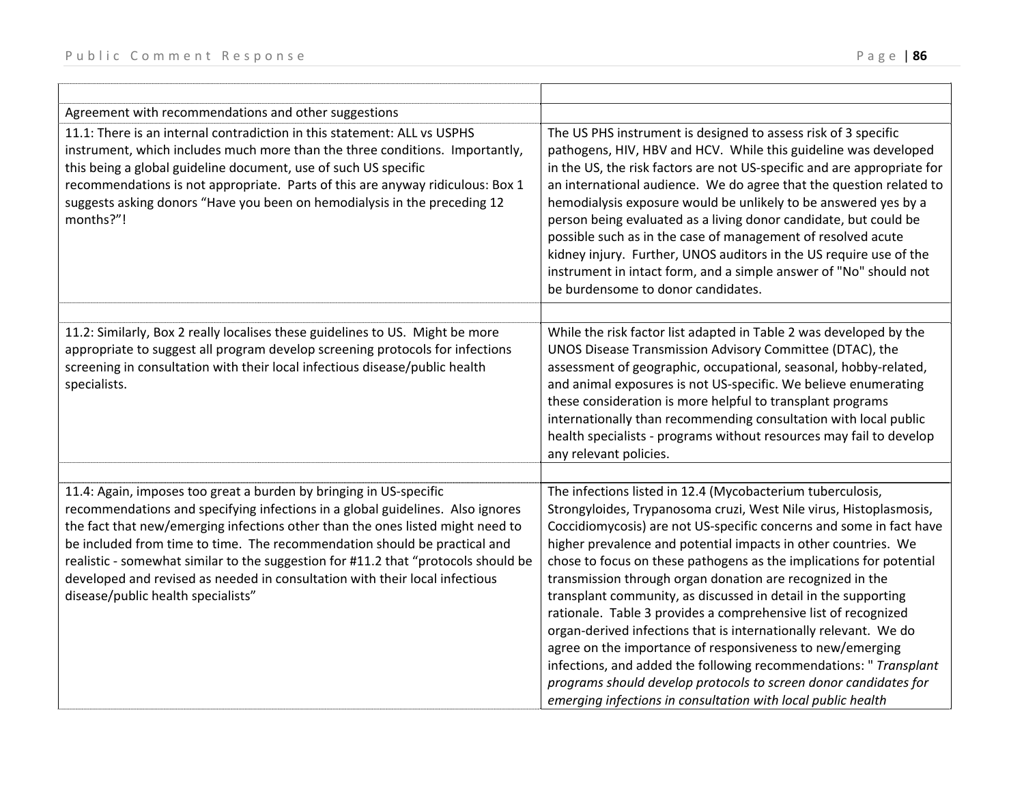| Agreement with recommendations and other suggestions                                                                                                                                                                                                                                                                                                                                                                                                                                                                           |                                                                                                                                                                                                                                                                                                                                                                                                                                                                                                                                                                                                                                                                                                                                                                                                                                                                                             |
|--------------------------------------------------------------------------------------------------------------------------------------------------------------------------------------------------------------------------------------------------------------------------------------------------------------------------------------------------------------------------------------------------------------------------------------------------------------------------------------------------------------------------------|---------------------------------------------------------------------------------------------------------------------------------------------------------------------------------------------------------------------------------------------------------------------------------------------------------------------------------------------------------------------------------------------------------------------------------------------------------------------------------------------------------------------------------------------------------------------------------------------------------------------------------------------------------------------------------------------------------------------------------------------------------------------------------------------------------------------------------------------------------------------------------------------|
| 11.1: There is an internal contradiction in this statement: ALL vs USPHS<br>instrument, which includes much more than the three conditions. Importantly,<br>this being a global guideline document, use of such US specific<br>recommendations is not appropriate. Parts of this are anyway ridiculous: Box 1<br>suggests asking donors "Have you been on hemodialysis in the preceding 12<br>months?"!                                                                                                                        | The US PHS instrument is designed to assess risk of 3 specific<br>pathogens, HIV, HBV and HCV. While this guideline was developed<br>in the US, the risk factors are not US-specific and are appropriate for<br>an international audience. We do agree that the question related to<br>hemodialysis exposure would be unlikely to be answered yes by a<br>person being evaluated as a living donor candidate, but could be<br>possible such as in the case of management of resolved acute<br>kidney injury. Further, UNOS auditors in the US require use of the<br>instrument in intact form, and a simple answer of "No" should not<br>be burdensome to donor candidates.                                                                                                                                                                                                                 |
| 11.2: Similarly, Box 2 really localises these guidelines to US. Might be more<br>appropriate to suggest all program develop screening protocols for infections<br>screening in consultation with their local infectious disease/public health<br>specialists.                                                                                                                                                                                                                                                                  | While the risk factor list adapted in Table 2 was developed by the<br>UNOS Disease Transmission Advisory Committee (DTAC), the<br>assessment of geographic, occupational, seasonal, hobby-related,<br>and animal exposures is not US-specific. We believe enumerating<br>these consideration is more helpful to transplant programs<br>internationally than recommending consultation with local public<br>health specialists - programs without resources may fail to develop<br>any relevant policies.                                                                                                                                                                                                                                                                                                                                                                                    |
| 11.4: Again, imposes too great a burden by bringing in US-specific<br>recommendations and specifying infections in a global guidelines. Also ignores<br>the fact that new/emerging infections other than the ones listed might need to<br>be included from time to time. The recommendation should be practical and<br>realistic - somewhat similar to the suggestion for #11.2 that "protocols should be<br>developed and revised as needed in consultation with their local infectious<br>disease/public health specialists" | The infections listed in 12.4 (Mycobacterium tuberculosis,<br>Strongyloides, Trypanosoma cruzi, West Nile virus, Histoplasmosis,<br>Coccidiomycosis) are not US-specific concerns and some in fact have<br>higher prevalence and potential impacts in other countries. We<br>chose to focus on these pathogens as the implications for potential<br>transmission through organ donation are recognized in the<br>transplant community, as discussed in detail in the supporting<br>rationale. Table 3 provides a comprehensive list of recognized<br>organ-derived infections that is internationally relevant. We do<br>agree on the importance of responsiveness to new/emerging<br>infections, and added the following recommendations: " Transplant<br>programs should develop protocols to screen donor candidates for<br>emerging infections in consultation with local public health |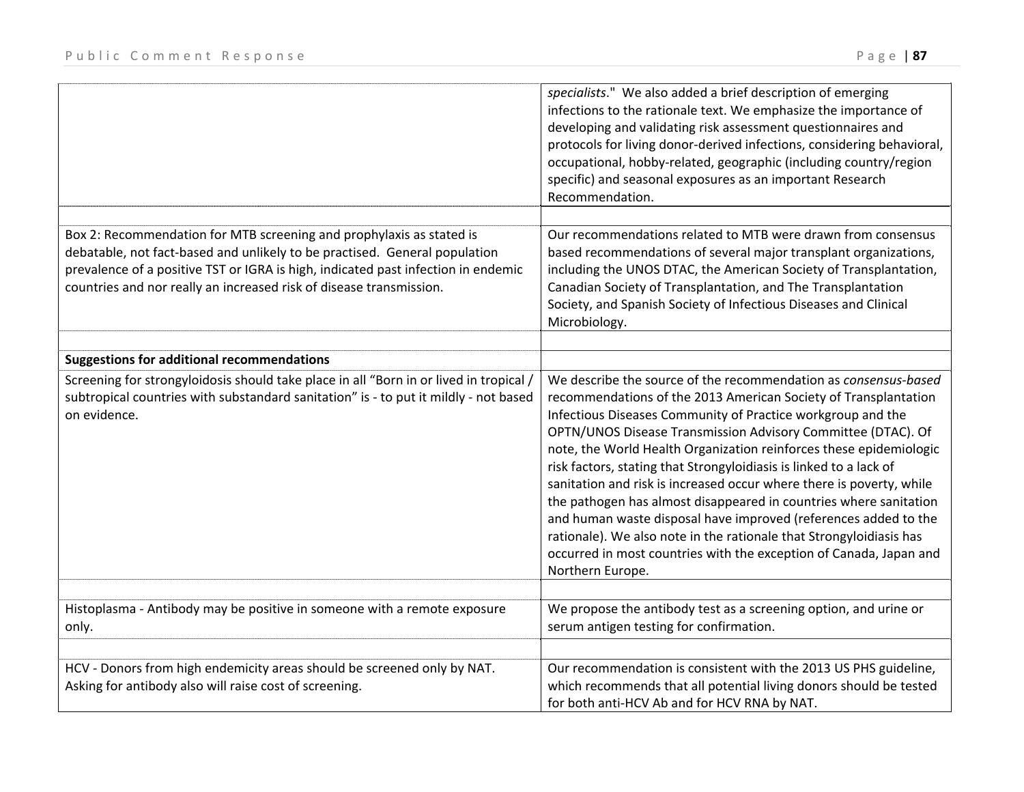|                                                                                                                                                          | specialists." We also added a brief description of emerging<br>infections to the rationale text. We emphasize the importance of<br>developing and validating risk assessment questionnaires and<br>protocols for living donor-derived infections, considering behavioral,<br>occupational, hobby-related, geographic (including country/region<br>specific) and seasonal exposures as an important Research<br>Recommendation. |
|----------------------------------------------------------------------------------------------------------------------------------------------------------|--------------------------------------------------------------------------------------------------------------------------------------------------------------------------------------------------------------------------------------------------------------------------------------------------------------------------------------------------------------------------------------------------------------------------------|
|                                                                                                                                                          |                                                                                                                                                                                                                                                                                                                                                                                                                                |
| Box 2: Recommendation for MTB screening and prophylaxis as stated is                                                                                     | Our recommendations related to MTB were drawn from consensus                                                                                                                                                                                                                                                                                                                                                                   |
| debatable, not fact-based and unlikely to be practised. General population                                                                               | based recommendations of several major transplant organizations,                                                                                                                                                                                                                                                                                                                                                               |
| prevalence of a positive TST or IGRA is high, indicated past infection in endemic<br>countries and nor really an increased risk of disease transmission. | including the UNOS DTAC, the American Society of Transplantation,<br>Canadian Society of Transplantation, and The Transplantation                                                                                                                                                                                                                                                                                              |
|                                                                                                                                                          | Society, and Spanish Society of Infectious Diseases and Clinical                                                                                                                                                                                                                                                                                                                                                               |
|                                                                                                                                                          | Microbiology.                                                                                                                                                                                                                                                                                                                                                                                                                  |
|                                                                                                                                                          |                                                                                                                                                                                                                                                                                                                                                                                                                                |
| <b>Suggestions for additional recommendations</b>                                                                                                        |                                                                                                                                                                                                                                                                                                                                                                                                                                |
| Screening for strongyloidosis should take place in all "Born in or lived in tropical /                                                                   | We describe the source of the recommendation as consensus-based                                                                                                                                                                                                                                                                                                                                                                |
| subtropical countries with substandard sanitation" is - to put it mildly - not based                                                                     | recommendations of the 2013 American Society of Transplantation                                                                                                                                                                                                                                                                                                                                                                |
| on evidence.                                                                                                                                             | Infectious Diseases Community of Practice workgroup and the                                                                                                                                                                                                                                                                                                                                                                    |
|                                                                                                                                                          | OPTN/UNOS Disease Transmission Advisory Committee (DTAC). Of                                                                                                                                                                                                                                                                                                                                                                   |
|                                                                                                                                                          | note, the World Health Organization reinforces these epidemiologic                                                                                                                                                                                                                                                                                                                                                             |
|                                                                                                                                                          | risk factors, stating that Strongyloidiasis is linked to a lack of                                                                                                                                                                                                                                                                                                                                                             |
|                                                                                                                                                          | sanitation and risk is increased occur where there is poverty, while                                                                                                                                                                                                                                                                                                                                                           |
|                                                                                                                                                          | the pathogen has almost disappeared in countries where sanitation                                                                                                                                                                                                                                                                                                                                                              |
|                                                                                                                                                          | and human waste disposal have improved (references added to the                                                                                                                                                                                                                                                                                                                                                                |
|                                                                                                                                                          | rationale). We also note in the rationale that Strongyloidiasis has                                                                                                                                                                                                                                                                                                                                                            |
|                                                                                                                                                          | occurred in most countries with the exception of Canada, Japan and                                                                                                                                                                                                                                                                                                                                                             |
|                                                                                                                                                          | Northern Europe.                                                                                                                                                                                                                                                                                                                                                                                                               |
| Histoplasma - Antibody may be positive in someone with a remote exposure                                                                                 | We propose the antibody test as a screening option, and urine or                                                                                                                                                                                                                                                                                                                                                               |
| only.                                                                                                                                                    | serum antigen testing for confirmation.                                                                                                                                                                                                                                                                                                                                                                                        |
|                                                                                                                                                          |                                                                                                                                                                                                                                                                                                                                                                                                                                |
| HCV - Donors from high endemicity areas should be screened only by NAT.                                                                                  | Our recommendation is consistent with the 2013 US PHS guideline,                                                                                                                                                                                                                                                                                                                                                               |
| Asking for antibody also will raise cost of screening.                                                                                                   | which recommends that all potential living donors should be tested                                                                                                                                                                                                                                                                                                                                                             |
|                                                                                                                                                          | for both anti-HCV Ab and for HCV RNA by NAT.                                                                                                                                                                                                                                                                                                                                                                                   |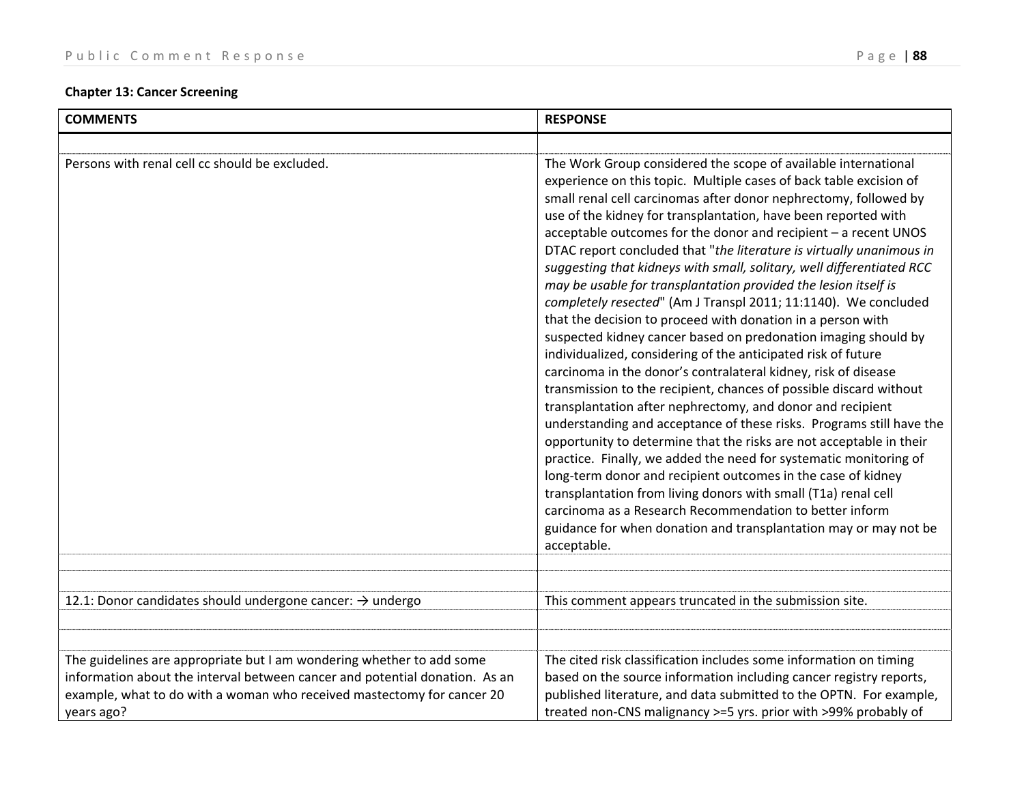## **Chapter 13: Cancer Screening**

| <b>COMMENTS</b>                                                                                                                                                                                                                              | <b>RESPONSE</b>                                                                                                                                                                                                                                                                                                                                                                                                                                                                                                                                                                                                                                                                                                                                                                                                                                                                                                                                                                                                                                                                                                                                                                                                                                                                                                                                                                                                                                                                                                                                  |
|----------------------------------------------------------------------------------------------------------------------------------------------------------------------------------------------------------------------------------------------|--------------------------------------------------------------------------------------------------------------------------------------------------------------------------------------------------------------------------------------------------------------------------------------------------------------------------------------------------------------------------------------------------------------------------------------------------------------------------------------------------------------------------------------------------------------------------------------------------------------------------------------------------------------------------------------------------------------------------------------------------------------------------------------------------------------------------------------------------------------------------------------------------------------------------------------------------------------------------------------------------------------------------------------------------------------------------------------------------------------------------------------------------------------------------------------------------------------------------------------------------------------------------------------------------------------------------------------------------------------------------------------------------------------------------------------------------------------------------------------------------------------------------------------------------|
|                                                                                                                                                                                                                                              |                                                                                                                                                                                                                                                                                                                                                                                                                                                                                                                                                                                                                                                                                                                                                                                                                                                                                                                                                                                                                                                                                                                                                                                                                                                                                                                                                                                                                                                                                                                                                  |
| Persons with renal cell cc should be excluded.                                                                                                                                                                                               | The Work Group considered the scope of available international<br>experience on this topic. Multiple cases of back table excision of<br>small renal cell carcinomas after donor nephrectomy, followed by<br>use of the kidney for transplantation, have been reported with<br>acceptable outcomes for the donor and recipient - a recent UNOS<br>DTAC report concluded that "the literature is virtually unanimous in<br>suggesting that kidneys with small, solitary, well differentiated RCC<br>may be usable for transplantation provided the lesion itself is<br>completely resected" (Am J Transpl 2011; 11:1140). We concluded<br>that the decision to proceed with donation in a person with<br>suspected kidney cancer based on predonation imaging should by<br>individualized, considering of the anticipated risk of future<br>carcinoma in the donor's contralateral kidney, risk of disease<br>transmission to the recipient, chances of possible discard without<br>transplantation after nephrectomy, and donor and recipient<br>understanding and acceptance of these risks. Programs still have the<br>opportunity to determine that the risks are not acceptable in their<br>practice. Finally, we added the need for systematic monitoring of<br>long-term donor and recipient outcomes in the case of kidney<br>transplantation from living donors with small (T1a) renal cell<br>carcinoma as a Research Recommendation to better inform<br>guidance for when donation and transplantation may or may not be<br>acceptable. |
| 12.1: Donor candidates should undergone cancer: → undergo                                                                                                                                                                                    | This comment appears truncated in the submission site.                                                                                                                                                                                                                                                                                                                                                                                                                                                                                                                                                                                                                                                                                                                                                                                                                                                                                                                                                                                                                                                                                                                                                                                                                                                                                                                                                                                                                                                                                           |
| The guidelines are appropriate but I am wondering whether to add some<br>information about the interval between cancer and potential donation. As an<br>example, what to do with a woman who received mastectomy for cancer 20<br>years ago? | The cited risk classification includes some information on timing<br>based on the source information including cancer registry reports,<br>published literature, and data submitted to the OPTN. For example,<br>treated non-CNS malignancy >=5 yrs. prior with >99% probably of                                                                                                                                                                                                                                                                                                                                                                                                                                                                                                                                                                                                                                                                                                                                                                                                                                                                                                                                                                                                                                                                                                                                                                                                                                                                 |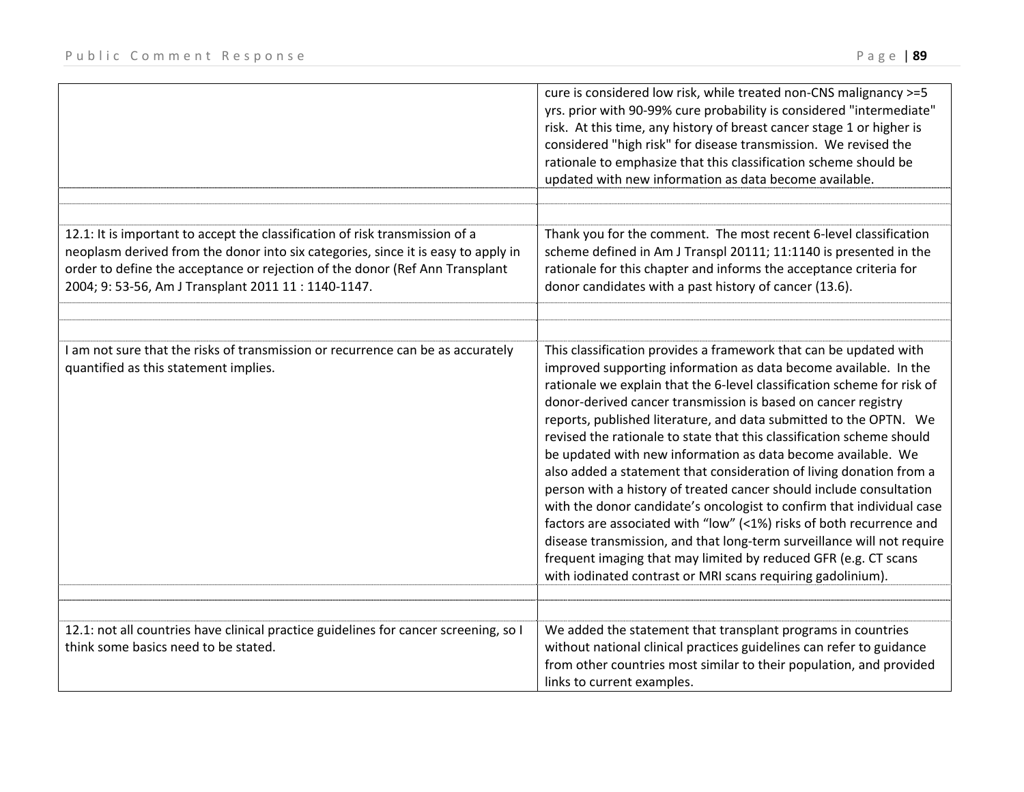|                                                                                                                                                                                                                                                                                                          | cure is considered low risk, while treated non-CNS malignancy >=5<br>yrs. prior with 90-99% cure probability is considered "intermediate"<br>risk. At this time, any history of breast cancer stage 1 or higher is<br>considered "high risk" for disease transmission. We revised the<br>rationale to emphasize that this classification scheme should be<br>updated with new information as data become available.                                                                                                                                                                                                                                                                                                                                                                                                                                                                                                                                                                                        |
|----------------------------------------------------------------------------------------------------------------------------------------------------------------------------------------------------------------------------------------------------------------------------------------------------------|------------------------------------------------------------------------------------------------------------------------------------------------------------------------------------------------------------------------------------------------------------------------------------------------------------------------------------------------------------------------------------------------------------------------------------------------------------------------------------------------------------------------------------------------------------------------------------------------------------------------------------------------------------------------------------------------------------------------------------------------------------------------------------------------------------------------------------------------------------------------------------------------------------------------------------------------------------------------------------------------------------|
|                                                                                                                                                                                                                                                                                                          |                                                                                                                                                                                                                                                                                                                                                                                                                                                                                                                                                                                                                                                                                                                                                                                                                                                                                                                                                                                                            |
| 12.1: It is important to accept the classification of risk transmission of a<br>neoplasm derived from the donor into six categories, since it is easy to apply in<br>order to define the acceptance or rejection of the donor (Ref Ann Transplant<br>2004; 9: 53-56, Am J Transplant 2011 11: 1140-1147. | Thank you for the comment. The most recent 6-level classification<br>scheme defined in Am J Transpl 20111; 11:1140 is presented in the<br>rationale for this chapter and informs the acceptance criteria for<br>donor candidates with a past history of cancer (13.6).                                                                                                                                                                                                                                                                                                                                                                                                                                                                                                                                                                                                                                                                                                                                     |
|                                                                                                                                                                                                                                                                                                          |                                                                                                                                                                                                                                                                                                                                                                                                                                                                                                                                                                                                                                                                                                                                                                                                                                                                                                                                                                                                            |
| I am not sure that the risks of transmission or recurrence can be as accurately<br>quantified as this statement implies.                                                                                                                                                                                 | This classification provides a framework that can be updated with<br>improved supporting information as data become available. In the<br>rationale we explain that the 6-level classification scheme for risk of<br>donor-derived cancer transmission is based on cancer registry<br>reports, published literature, and data submitted to the OPTN. We<br>revised the rationale to state that this classification scheme should<br>be updated with new information as data become available. We<br>also added a statement that consideration of living donation from a<br>person with a history of treated cancer should include consultation<br>with the donor candidate's oncologist to confirm that individual case<br>factors are associated with "low" (<1%) risks of both recurrence and<br>disease transmission, and that long-term surveillance will not require<br>frequent imaging that may limited by reduced GFR (e.g. CT scans<br>with iodinated contrast or MRI scans requiring gadolinium). |
|                                                                                                                                                                                                                                                                                                          |                                                                                                                                                                                                                                                                                                                                                                                                                                                                                                                                                                                                                                                                                                                                                                                                                                                                                                                                                                                                            |
| 12.1: not all countries have clinical practice guidelines for cancer screening, so I<br>think some basics need to be stated.                                                                                                                                                                             | We added the statement that transplant programs in countries<br>without national clinical practices guidelines can refer to guidance<br>from other countries most similar to their population, and provided<br>links to current examples.                                                                                                                                                                                                                                                                                                                                                                                                                                                                                                                                                                                                                                                                                                                                                                  |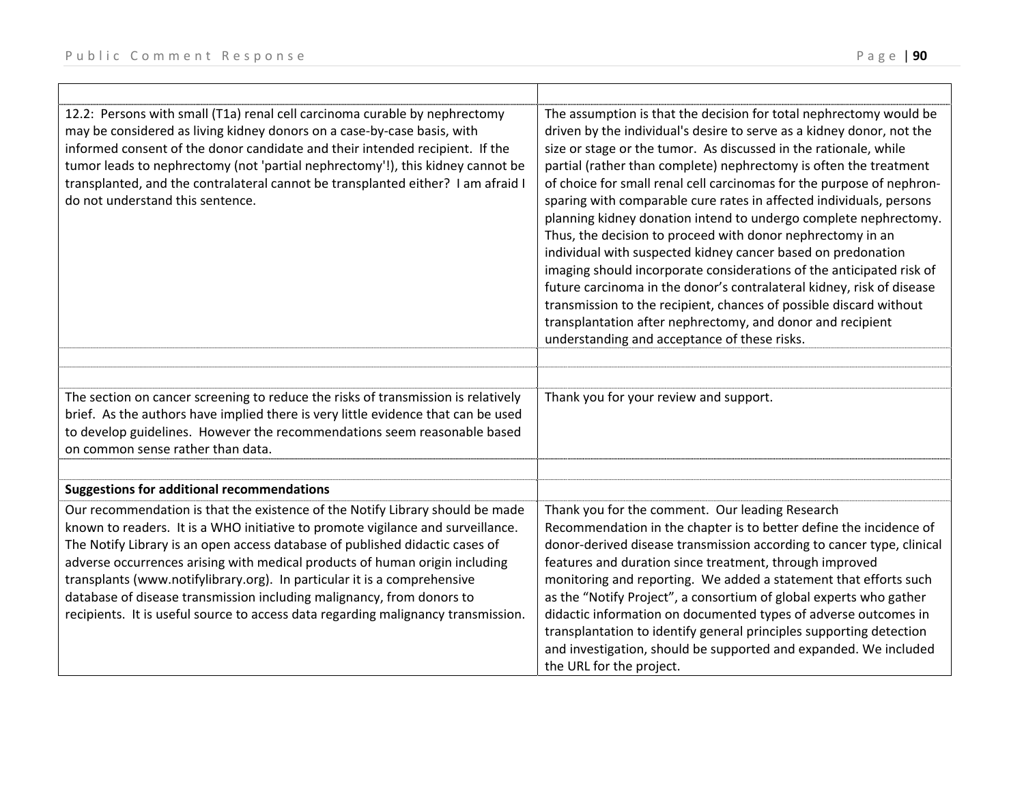$\Gamma$ 

| 12.2: Persons with small (T1a) renal cell carcinoma curable by nephrectomy<br>may be considered as living kidney donors on a case-by-case basis, with<br>informed consent of the donor candidate and their intended recipient. If the<br>tumor leads to nephrectomy (not 'partial nephrectomy'!), this kidney cannot be<br>transplanted, and the contralateral cannot be transplanted either? I am afraid I<br>do not understand this sentence.                                                                                                                           | The assumption is that the decision for total nephrectomy would be<br>driven by the individual's desire to serve as a kidney donor, not the<br>size or stage or the tumor. As discussed in the rationale, while<br>partial (rather than complete) nephrectomy is often the treatment<br>of choice for small renal cell carcinomas for the purpose of nephron-<br>sparing with comparable cure rates in affected individuals, persons<br>planning kidney donation intend to undergo complete nephrectomy.<br>Thus, the decision to proceed with donor nephrectomy in an<br>individual with suspected kidney cancer based on predonation<br>imaging should incorporate considerations of the anticipated risk of<br>future carcinoma in the donor's contralateral kidney, risk of disease<br>transmission to the recipient, chances of possible discard without<br>transplantation after nephrectomy, and donor and recipient<br>understanding and acceptance of these risks. |
|---------------------------------------------------------------------------------------------------------------------------------------------------------------------------------------------------------------------------------------------------------------------------------------------------------------------------------------------------------------------------------------------------------------------------------------------------------------------------------------------------------------------------------------------------------------------------|-----------------------------------------------------------------------------------------------------------------------------------------------------------------------------------------------------------------------------------------------------------------------------------------------------------------------------------------------------------------------------------------------------------------------------------------------------------------------------------------------------------------------------------------------------------------------------------------------------------------------------------------------------------------------------------------------------------------------------------------------------------------------------------------------------------------------------------------------------------------------------------------------------------------------------------------------------------------------------|
|                                                                                                                                                                                                                                                                                                                                                                                                                                                                                                                                                                           |                                                                                                                                                                                                                                                                                                                                                                                                                                                                                                                                                                                                                                                                                                                                                                                                                                                                                                                                                                             |
| The section on cancer screening to reduce the risks of transmission is relatively<br>brief. As the authors have implied there is very little evidence that can be used<br>to develop guidelines. However the recommendations seem reasonable based<br>on common sense rather than data.                                                                                                                                                                                                                                                                                   | Thank you for your review and support.                                                                                                                                                                                                                                                                                                                                                                                                                                                                                                                                                                                                                                                                                                                                                                                                                                                                                                                                      |
|                                                                                                                                                                                                                                                                                                                                                                                                                                                                                                                                                                           |                                                                                                                                                                                                                                                                                                                                                                                                                                                                                                                                                                                                                                                                                                                                                                                                                                                                                                                                                                             |
| <b>Suggestions for additional recommendations</b>                                                                                                                                                                                                                                                                                                                                                                                                                                                                                                                         |                                                                                                                                                                                                                                                                                                                                                                                                                                                                                                                                                                                                                                                                                                                                                                                                                                                                                                                                                                             |
| Our recommendation is that the existence of the Notify Library should be made<br>known to readers. It is a WHO initiative to promote vigilance and surveillance.<br>The Notify Library is an open access database of published didactic cases of<br>adverse occurrences arising with medical products of human origin including<br>transplants (www.notifylibrary.org). In particular it is a comprehensive<br>database of disease transmission including malignancy, from donors to<br>recipients. It is useful source to access data regarding malignancy transmission. | Thank you for the comment. Our leading Research<br>Recommendation in the chapter is to better define the incidence of<br>donor-derived disease transmission according to cancer type, clinical<br>features and duration since treatment, through improved<br>monitoring and reporting. We added a statement that efforts such<br>as the "Notify Project", a consortium of global experts who gather<br>didactic information on documented types of adverse outcomes in<br>transplantation to identify general principles supporting detection<br>and investigation, should be supported and expanded. We included<br>the URL for the project.                                                                                                                                                                                                                                                                                                                               |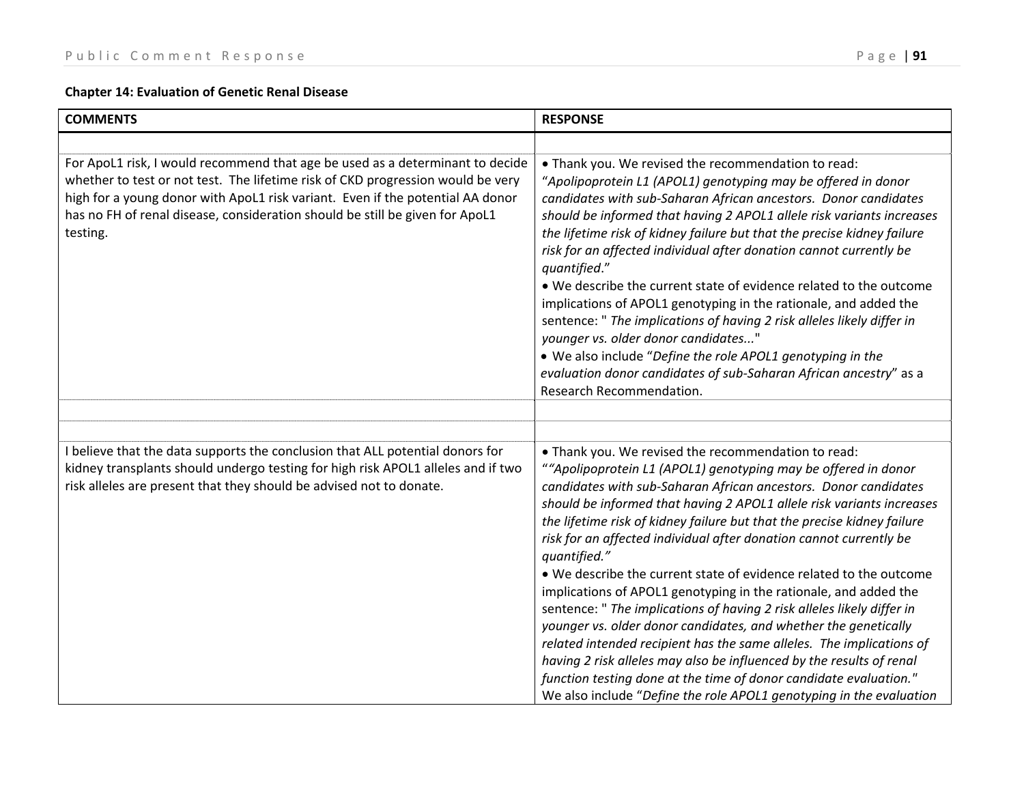## **Chapter 14: Evaluation of Genetic Renal Disease**

| <b>COMMENTS</b>                                                                                                                                                                                                                                                                                                                                | <b>RESPONSE</b>                                                                                                                                                                                                                                                                                                                                                                                                                                                                                                                                                                                                                                                                                                                                                                                                                                                                                                                                                |
|------------------------------------------------------------------------------------------------------------------------------------------------------------------------------------------------------------------------------------------------------------------------------------------------------------------------------------------------|----------------------------------------------------------------------------------------------------------------------------------------------------------------------------------------------------------------------------------------------------------------------------------------------------------------------------------------------------------------------------------------------------------------------------------------------------------------------------------------------------------------------------------------------------------------------------------------------------------------------------------------------------------------------------------------------------------------------------------------------------------------------------------------------------------------------------------------------------------------------------------------------------------------------------------------------------------------|
|                                                                                                                                                                                                                                                                                                                                                |                                                                                                                                                                                                                                                                                                                                                                                                                                                                                                                                                                                                                                                                                                                                                                                                                                                                                                                                                                |
| For ApoL1 risk, I would recommend that age be used as a determinant to decide<br>whether to test or not test. The lifetime risk of CKD progression would be very<br>high for a young donor with ApoL1 risk variant. Even if the potential AA donor<br>has no FH of renal disease, consideration should be still be given for ApoL1<br>testing. | • Thank you. We revised the recommendation to read:<br>"Apolipoprotein L1 (APOL1) genotyping may be offered in donor<br>candidates with sub-Saharan African ancestors. Donor candidates<br>should be informed that having 2 APOL1 allele risk variants increases<br>the lifetime risk of kidney failure but that the precise kidney failure<br>risk for an affected individual after donation cannot currently be<br>quantified."<br>• We describe the current state of evidence related to the outcome<br>implications of APOL1 genotyping in the rationale, and added the<br>sentence: " The implications of having 2 risk alleles likely differ in<br>younger vs. older donor candidates"<br>. We also include "Define the role APOL1 genotyping in the<br>evaluation donor candidates of sub-Saharan African ancestry" as a<br>Research Recommendation.                                                                                                    |
|                                                                                                                                                                                                                                                                                                                                                |                                                                                                                                                                                                                                                                                                                                                                                                                                                                                                                                                                                                                                                                                                                                                                                                                                                                                                                                                                |
| I believe that the data supports the conclusion that ALL potential donors for                                                                                                                                                                                                                                                                  | . Thank you. We revised the recommendation to read:                                                                                                                                                                                                                                                                                                                                                                                                                                                                                                                                                                                                                                                                                                                                                                                                                                                                                                            |
| kidney transplants should undergo testing for high risk APOL1 alleles and if two<br>risk alleles are present that they should be advised not to donate.                                                                                                                                                                                        | ""Apolipoprotein L1 (APOL1) genotyping may be offered in donor<br>candidates with sub-Saharan African ancestors. Donor candidates<br>should be informed that having 2 APOL1 allele risk variants increases<br>the lifetime risk of kidney failure but that the precise kidney failure<br>risk for an affected individual after donation cannot currently be<br>quantified."<br>• We describe the current state of evidence related to the outcome<br>implications of APOL1 genotyping in the rationale, and added the<br>sentence: " The implications of having 2 risk alleles likely differ in<br>younger vs. older donor candidates, and whether the genetically<br>related intended recipient has the same alleles. The implications of<br>having 2 risk alleles may also be influenced by the results of renal<br>function testing done at the time of donor candidate evaluation."<br>We also include "Define the role APOL1 genotyping in the evaluation |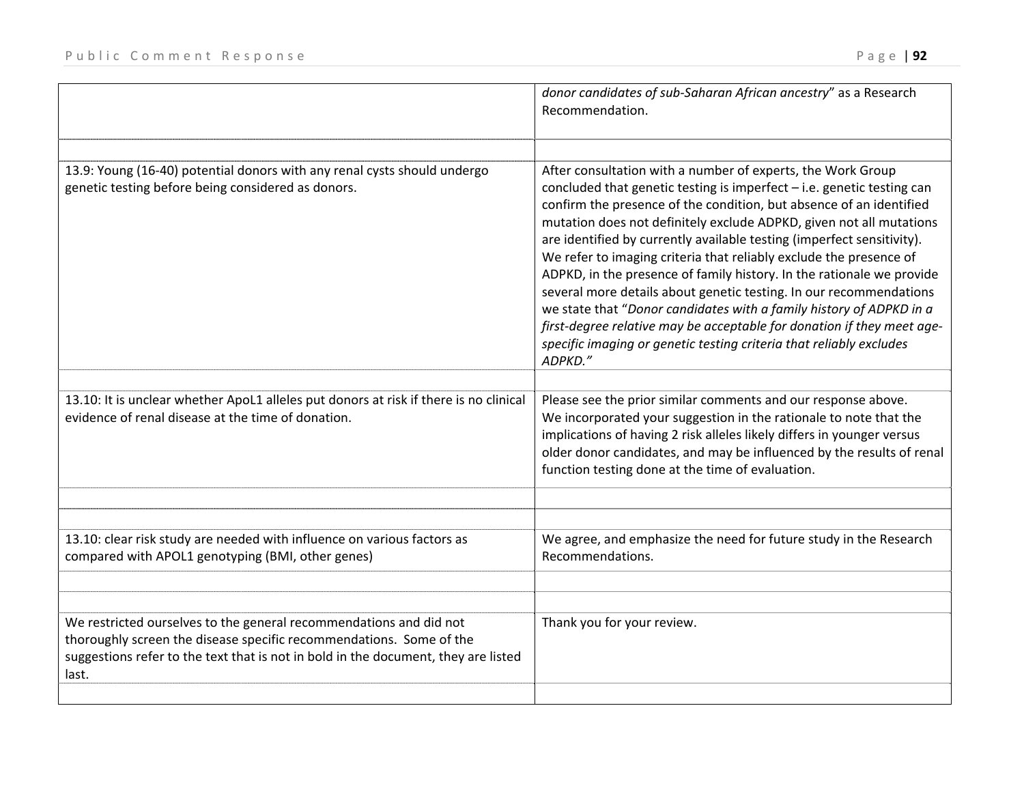|                                                                                                                                                                                                                                          | donor candidates of sub-Saharan African ancestry" as a Research<br>Recommendation.                                                                                                                                                                                                                                                                                                                                                                                                                                                                                                                                                                                                                                                                                                                                      |
|------------------------------------------------------------------------------------------------------------------------------------------------------------------------------------------------------------------------------------------|-------------------------------------------------------------------------------------------------------------------------------------------------------------------------------------------------------------------------------------------------------------------------------------------------------------------------------------------------------------------------------------------------------------------------------------------------------------------------------------------------------------------------------------------------------------------------------------------------------------------------------------------------------------------------------------------------------------------------------------------------------------------------------------------------------------------------|
| 13.9: Young (16-40) potential donors with any renal cysts should undergo<br>genetic testing before being considered as donors.                                                                                                           | After consultation with a number of experts, the Work Group<br>concluded that genetic testing is imperfect $-$ i.e. genetic testing can<br>confirm the presence of the condition, but absence of an identified<br>mutation does not definitely exclude ADPKD, given not all mutations<br>are identified by currently available testing (imperfect sensitivity).<br>We refer to imaging criteria that reliably exclude the presence of<br>ADPKD, in the presence of family history. In the rationale we provide<br>several more details about genetic testing. In our recommendations<br>we state that "Donor candidates with a family history of ADPKD in a<br>first-degree relative may be acceptable for donation if they meet age-<br>specific imaging or genetic testing criteria that reliably excludes<br>ADPKD." |
| 13.10: It is unclear whether ApoL1 alleles put donors at risk if there is no clinical<br>evidence of renal disease at the time of donation.                                                                                              | Please see the prior similar comments and our response above.<br>We incorporated your suggestion in the rationale to note that the<br>implications of having 2 risk alleles likely differs in younger versus<br>older donor candidates, and may be influenced by the results of renal<br>function testing done at the time of evaluation.                                                                                                                                                                                                                                                                                                                                                                                                                                                                               |
|                                                                                                                                                                                                                                          |                                                                                                                                                                                                                                                                                                                                                                                                                                                                                                                                                                                                                                                                                                                                                                                                                         |
| 13.10: clear risk study are needed with influence on various factors as<br>compared with APOL1 genotyping (BMI, other genes)                                                                                                             | We agree, and emphasize the need for future study in the Research<br>Recommendations.                                                                                                                                                                                                                                                                                                                                                                                                                                                                                                                                                                                                                                                                                                                                   |
|                                                                                                                                                                                                                                          |                                                                                                                                                                                                                                                                                                                                                                                                                                                                                                                                                                                                                                                                                                                                                                                                                         |
| We restricted ourselves to the general recommendations and did not<br>thoroughly screen the disease specific recommendations. Some of the<br>suggestions refer to the text that is not in bold in the document, they are listed<br>last. | Thank you for your review.                                                                                                                                                                                                                                                                                                                                                                                                                                                                                                                                                                                                                                                                                                                                                                                              |
|                                                                                                                                                                                                                                          |                                                                                                                                                                                                                                                                                                                                                                                                                                                                                                                                                                                                                                                                                                                                                                                                                         |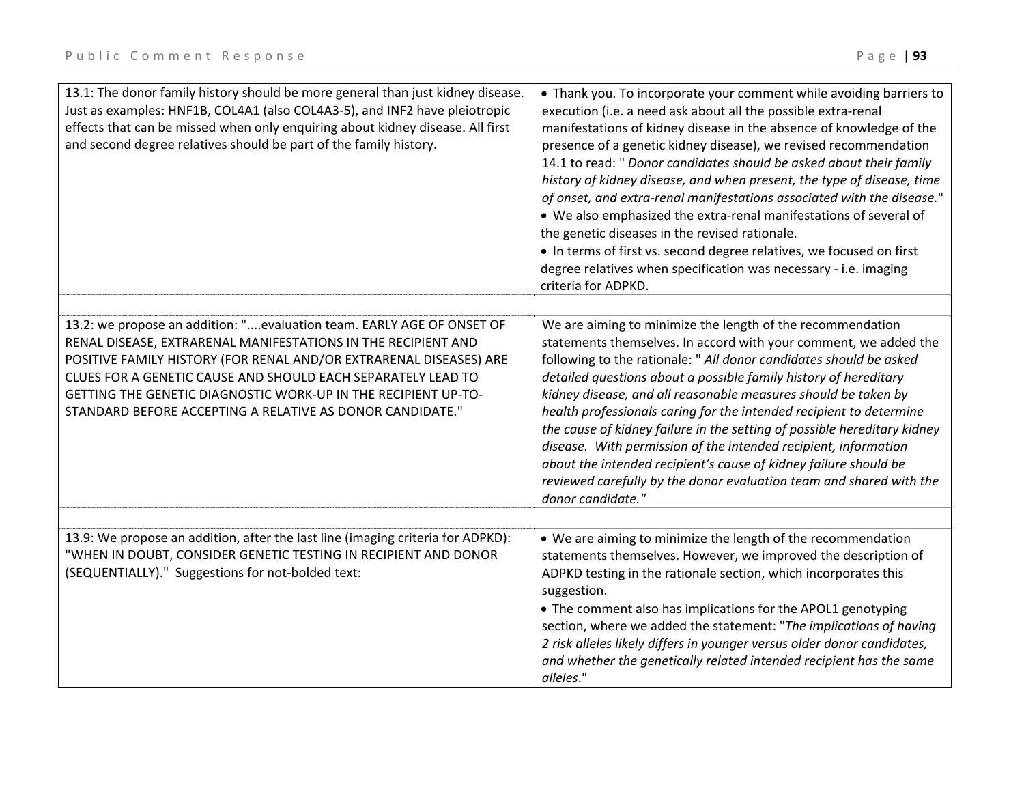| 13.1: The donor family history should be more general than just kidney disease.<br>Just as examples: HNF1B, COL4A1 (also COL4A3-5), and INF2 have pleiotropic<br>effects that can be missed when only enquiring about kidney disease. All first<br>and second degree relatives should be part of the family history.                                                                                        | • Thank you. To incorporate your comment while avoiding barriers to<br>execution (i.e. a need ask about all the possible extra-renal<br>manifestations of kidney disease in the absence of knowledge of the<br>presence of a genetic kidney disease), we revised recommendation<br>14.1 to read: " Donor candidates should be asked about their family<br>history of kidney disease, and when present, the type of disease, time<br>of onset, and extra-renal manifestations associated with the disease."<br>• We also emphasized the extra-renal manifestations of several of<br>the genetic diseases in the revised rationale.<br>• In terms of first vs. second degree relatives, we focused on first<br>degree relatives when specification was necessary - i.e. imaging<br>criteria for ADPKD. |
|-------------------------------------------------------------------------------------------------------------------------------------------------------------------------------------------------------------------------------------------------------------------------------------------------------------------------------------------------------------------------------------------------------------|------------------------------------------------------------------------------------------------------------------------------------------------------------------------------------------------------------------------------------------------------------------------------------------------------------------------------------------------------------------------------------------------------------------------------------------------------------------------------------------------------------------------------------------------------------------------------------------------------------------------------------------------------------------------------------------------------------------------------------------------------------------------------------------------------|
| 13.2: we propose an addition: "evaluation team. EARLY AGE OF ONSET OF<br>RENAL DISEASE, EXTRARENAL MANIFESTATIONS IN THE RECIPIENT AND<br>POSITIVE FAMILY HISTORY (FOR RENAL AND/OR EXTRARENAL DISEASES) ARE<br>CLUES FOR A GENETIC CAUSE AND SHOULD EACH SEPARATELY LEAD TO<br>GETTING THE GENETIC DIAGNOSTIC WORK-UP IN THE RECIPIENT UP-TO-<br>STANDARD BEFORE ACCEPTING A RELATIVE AS DONOR CANDIDATE." | We are aiming to minimize the length of the recommendation<br>statements themselves. In accord with your comment, we added the<br>following to the rationale: " All donor candidates should be asked<br>detailed questions about a possible family history of hereditary<br>kidney disease, and all reasonable measures should be taken by<br>health professionals caring for the intended recipient to determine<br>the cause of kidney failure in the setting of possible hereditary kidney<br>disease. With permission of the intended recipient, information<br>about the intended recipient's cause of kidney failure should be<br>reviewed carefully by the donor evaluation team and shared with the<br>donor candidate."                                                                     |
|                                                                                                                                                                                                                                                                                                                                                                                                             |                                                                                                                                                                                                                                                                                                                                                                                                                                                                                                                                                                                                                                                                                                                                                                                                      |
| 13.9: We propose an addition, after the last line (imaging criteria for ADPKD):<br>"WHEN IN DOUBT, CONSIDER GENETIC TESTING IN RECIPIENT AND DONOR<br>(SEQUENTIALLY)." Suggestions for not-bolded text:                                                                                                                                                                                                     | • We are aiming to minimize the length of the recommendation<br>statements themselves. However, we improved the description of<br>ADPKD testing in the rationale section, which incorporates this<br>suggestion.<br>• The comment also has implications for the APOL1 genotyping<br>section, where we added the statement: "The implications of having<br>2 risk alleles likely differs in younger versus older donor candidates,<br>and whether the genetically related intended recipient has the same<br>alleles."                                                                                                                                                                                                                                                                                |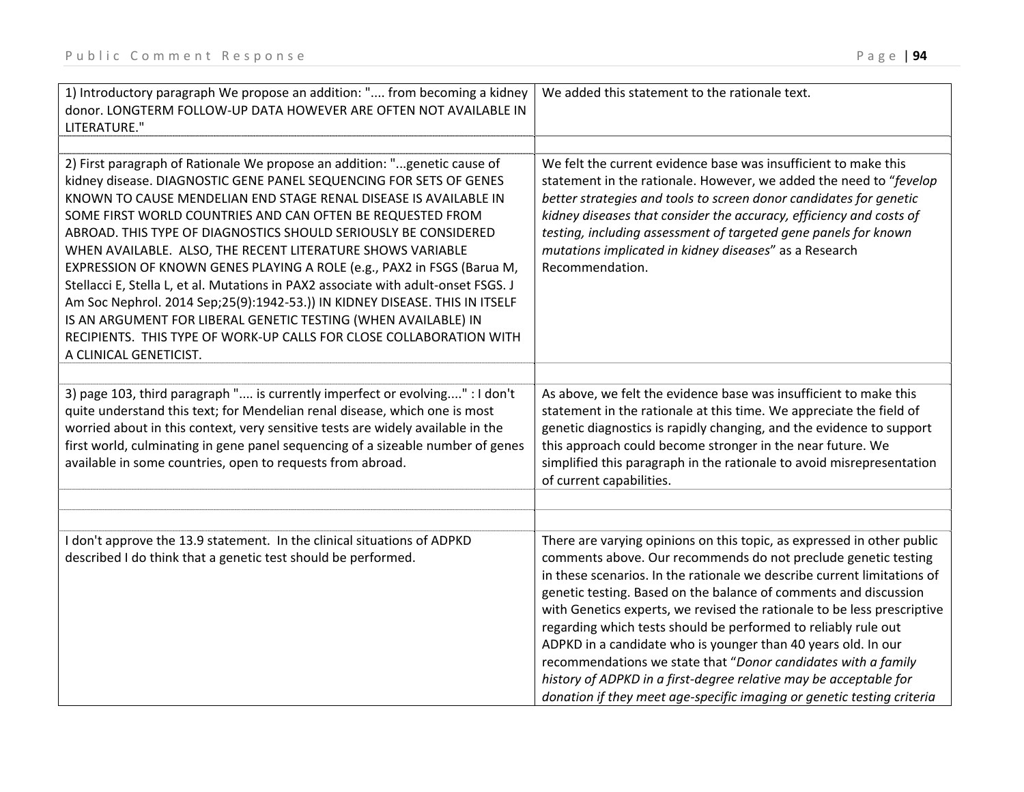| 1) Introductory paragraph We propose an addition: " from becoming a kidney<br>donor. LONGTERM FOLLOW-UP DATA HOWEVER ARE OFTEN NOT AVAILABLE IN<br>LITERATURE."                                                                                                                                                                                                                                                                                                                                                                                                                                                                                                                                                                                                                                                                      | We added this statement to the rationale text.                                                                                                                                                                                                                                                                                                                                                                                                                                                                                                                                                                                                                                                                        |
|--------------------------------------------------------------------------------------------------------------------------------------------------------------------------------------------------------------------------------------------------------------------------------------------------------------------------------------------------------------------------------------------------------------------------------------------------------------------------------------------------------------------------------------------------------------------------------------------------------------------------------------------------------------------------------------------------------------------------------------------------------------------------------------------------------------------------------------|-----------------------------------------------------------------------------------------------------------------------------------------------------------------------------------------------------------------------------------------------------------------------------------------------------------------------------------------------------------------------------------------------------------------------------------------------------------------------------------------------------------------------------------------------------------------------------------------------------------------------------------------------------------------------------------------------------------------------|
|                                                                                                                                                                                                                                                                                                                                                                                                                                                                                                                                                                                                                                                                                                                                                                                                                                      |                                                                                                                                                                                                                                                                                                                                                                                                                                                                                                                                                                                                                                                                                                                       |
| 2) First paragraph of Rationale We propose an addition: "genetic cause of<br>kidney disease. DIAGNOSTIC GENE PANEL SEQUENCING FOR SETS OF GENES<br>KNOWN TO CAUSE MENDELIAN END STAGE RENAL DISEASE IS AVAILABLE IN<br>SOME FIRST WORLD COUNTRIES AND CAN OFTEN BE REQUESTED FROM<br>ABROAD. THIS TYPE OF DIAGNOSTICS SHOULD SERIOUSLY BE CONSIDERED<br>WHEN AVAILABLE. ALSO, THE RECENT LITERATURE SHOWS VARIABLE<br>EXPRESSION OF KNOWN GENES PLAYING A ROLE (e.g., PAX2 in FSGS (Barua M,<br>Stellacci E, Stella L, et al. Mutations in PAX2 associate with adult-onset FSGS. J<br>Am Soc Nephrol. 2014 Sep;25(9):1942-53.)) IN KIDNEY DISEASE. THIS IN ITSELF<br>IS AN ARGUMENT FOR LIBERAL GENETIC TESTING (WHEN AVAILABLE) IN<br>RECIPIENTS. THIS TYPE OF WORK-UP CALLS FOR CLOSE COLLABORATION WITH<br>A CLINICAL GENETICIST. | We felt the current evidence base was insufficient to make this<br>statement in the rationale. However, we added the need to "fevelop<br>better strategies and tools to screen donor candidates for genetic<br>kidney diseases that consider the accuracy, efficiency and costs of<br>testing, including assessment of targeted gene panels for known<br>mutations implicated in kidney diseases" as a Research<br>Recommendation.                                                                                                                                                                                                                                                                                    |
|                                                                                                                                                                                                                                                                                                                                                                                                                                                                                                                                                                                                                                                                                                                                                                                                                                      |                                                                                                                                                                                                                                                                                                                                                                                                                                                                                                                                                                                                                                                                                                                       |
| 3) page 103, third paragraph " is currently imperfect or evolving" : I don't<br>quite understand this text; for Mendelian renal disease, which one is most<br>worried about in this context, very sensitive tests are widely available in the<br>first world, culminating in gene panel sequencing of a sizeable number of genes<br>available in some countries, open to requests from abroad.                                                                                                                                                                                                                                                                                                                                                                                                                                       | As above, we felt the evidence base was insufficient to make this<br>statement in the rationale at this time. We appreciate the field of<br>genetic diagnostics is rapidly changing, and the evidence to support<br>this approach could become stronger in the near future. We<br>simplified this paragraph in the rationale to avoid misrepresentation<br>of current capabilities.                                                                                                                                                                                                                                                                                                                                   |
|                                                                                                                                                                                                                                                                                                                                                                                                                                                                                                                                                                                                                                                                                                                                                                                                                                      |                                                                                                                                                                                                                                                                                                                                                                                                                                                                                                                                                                                                                                                                                                                       |
|                                                                                                                                                                                                                                                                                                                                                                                                                                                                                                                                                                                                                                                                                                                                                                                                                                      |                                                                                                                                                                                                                                                                                                                                                                                                                                                                                                                                                                                                                                                                                                                       |
| I don't approve the 13.9 statement. In the clinical situations of ADPKD<br>described I do think that a genetic test should be performed.                                                                                                                                                                                                                                                                                                                                                                                                                                                                                                                                                                                                                                                                                             | There are varying opinions on this topic, as expressed in other public<br>comments above. Our recommends do not preclude genetic testing<br>in these scenarios. In the rationale we describe current limitations of<br>genetic testing. Based on the balance of comments and discussion<br>with Genetics experts, we revised the rationale to be less prescriptive<br>regarding which tests should be performed to reliably rule out<br>ADPKD in a candidate who is younger than 40 years old. In our<br>recommendations we state that "Donor candidates with a family<br>history of ADPKD in a first-degree relative may be acceptable for<br>donation if they meet age-specific imaging or genetic testing criteria |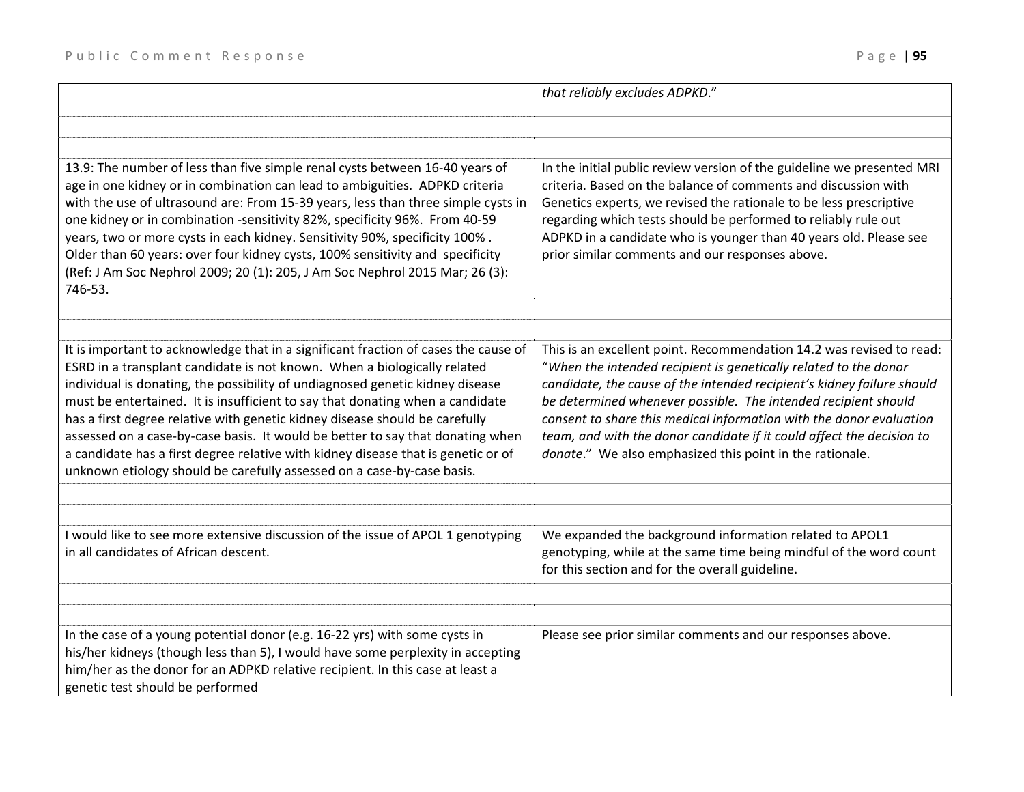|                                                                                                                                                                                                                                                                                                                                                                                                                                                                                                                                                                                                                                                                   | that reliably excludes ADPKD."                                                                                                                                                                                                                                                                                                                                                                                                                                                                   |
|-------------------------------------------------------------------------------------------------------------------------------------------------------------------------------------------------------------------------------------------------------------------------------------------------------------------------------------------------------------------------------------------------------------------------------------------------------------------------------------------------------------------------------------------------------------------------------------------------------------------------------------------------------------------|--------------------------------------------------------------------------------------------------------------------------------------------------------------------------------------------------------------------------------------------------------------------------------------------------------------------------------------------------------------------------------------------------------------------------------------------------------------------------------------------------|
|                                                                                                                                                                                                                                                                                                                                                                                                                                                                                                                                                                                                                                                                   |                                                                                                                                                                                                                                                                                                                                                                                                                                                                                                  |
| 13.9: The number of less than five simple renal cysts between 16-40 years of<br>age in one kidney or in combination can lead to ambiguities. ADPKD criteria<br>with the use of ultrasound are: From 15-39 years, less than three simple cysts in<br>one kidney or in combination -sensitivity 82%, specificity 96%. From 40-59<br>years, two or more cysts in each kidney. Sensitivity 90%, specificity 100%.<br>Older than 60 years: over four kidney cysts, 100% sensitivity and specificity<br>(Ref: J Am Soc Nephrol 2009; 20 (1): 205, J Am Soc Nephrol 2015 Mar; 26 (3):<br>746-53.                                                                         | In the initial public review version of the guideline we presented MRI<br>criteria. Based on the balance of comments and discussion with<br>Genetics experts, we revised the rationale to be less prescriptive<br>regarding which tests should be performed to reliably rule out<br>ADPKD in a candidate who is younger than 40 years old. Please see<br>prior similar comments and our responses above.                                                                                         |
| It is important to acknowledge that in a significant fraction of cases the cause of<br>ESRD in a transplant candidate is not known. When a biologically related<br>individual is donating, the possibility of undiagnosed genetic kidney disease<br>must be entertained. It is insufficient to say that donating when a candidate<br>has a first degree relative with genetic kidney disease should be carefully<br>assessed on a case-by-case basis. It would be better to say that donating when<br>a candidate has a first degree relative with kidney disease that is genetic or of<br>unknown etiology should be carefully assessed on a case-by-case basis. | This is an excellent point. Recommendation 14.2 was revised to read:<br>"When the intended recipient is genetically related to the donor<br>candidate, the cause of the intended recipient's kidney failure should<br>be determined whenever possible. The intended recipient should<br>consent to share this medical information with the donor evaluation<br>team, and with the donor candidate if it could affect the decision to<br>donate." We also emphasized this point in the rationale. |
| I would like to see more extensive discussion of the issue of APOL 1 genotyping<br>in all candidates of African descent.                                                                                                                                                                                                                                                                                                                                                                                                                                                                                                                                          | We expanded the background information related to APOL1<br>genotyping, while at the same time being mindful of the word count<br>for this section and for the overall guideline.                                                                                                                                                                                                                                                                                                                 |
| In the case of a young potential donor (e.g. 16-22 yrs) with some cysts in<br>his/her kidneys (though less than 5), I would have some perplexity in accepting<br>him/her as the donor for an ADPKD relative recipient. In this case at least a<br>genetic test should be performed                                                                                                                                                                                                                                                                                                                                                                                | Please see prior similar comments and our responses above.                                                                                                                                                                                                                                                                                                                                                                                                                                       |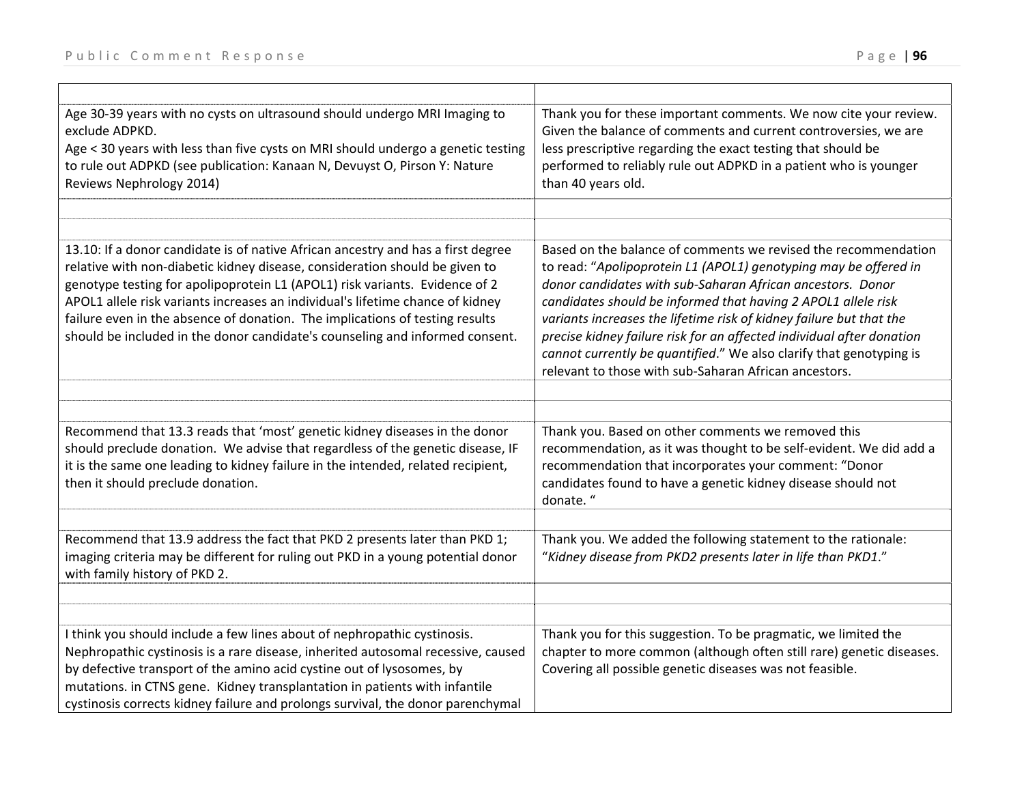| Age 30-39 years with no cysts on ultrasound should undergo MRI Imaging to<br>exclude ADPKD.<br>Age < 30 years with less than five cysts on MRI should undergo a genetic testing<br>to rule out ADPKD (see publication: Kanaan N, Devuyst O, Pirson Y: Nature<br>Reviews Nephrology 2014)                                                                                                                                                                                                         | Thank you for these important comments. We now cite your review.<br>Given the balance of comments and current controversies, we are<br>less prescriptive regarding the exact testing that should be<br>performed to reliably rule out ADPKD in a patient who is younger<br>than 40 years old.                                                                                                                                                                                                                                                     |
|--------------------------------------------------------------------------------------------------------------------------------------------------------------------------------------------------------------------------------------------------------------------------------------------------------------------------------------------------------------------------------------------------------------------------------------------------------------------------------------------------|---------------------------------------------------------------------------------------------------------------------------------------------------------------------------------------------------------------------------------------------------------------------------------------------------------------------------------------------------------------------------------------------------------------------------------------------------------------------------------------------------------------------------------------------------|
|                                                                                                                                                                                                                                                                                                                                                                                                                                                                                                  |                                                                                                                                                                                                                                                                                                                                                                                                                                                                                                                                                   |
| 13.10: If a donor candidate is of native African ancestry and has a first degree<br>relative with non-diabetic kidney disease, consideration should be given to<br>genotype testing for apolipoprotein L1 (APOL1) risk variants. Evidence of 2<br>APOL1 allele risk variants increases an individual's lifetime chance of kidney<br>failure even in the absence of donation. The implications of testing results<br>should be included in the donor candidate's counseling and informed consent. | Based on the balance of comments we revised the recommendation<br>to read: "Apolipoprotein L1 (APOL1) genotyping may be offered in<br>donor candidates with sub-Saharan African ancestors. Donor<br>candidates should be informed that having 2 APOL1 allele risk<br>variants increases the lifetime risk of kidney failure but that the<br>precise kidney failure risk for an affected individual after donation<br>cannot currently be quantified." We also clarify that genotyping is<br>relevant to those with sub-Saharan African ancestors. |
|                                                                                                                                                                                                                                                                                                                                                                                                                                                                                                  |                                                                                                                                                                                                                                                                                                                                                                                                                                                                                                                                                   |
| Recommend that 13.3 reads that 'most' genetic kidney diseases in the donor<br>should preclude donation. We advise that regardless of the genetic disease, IF<br>it is the same one leading to kidney failure in the intended, related recipient,<br>then it should preclude donation.                                                                                                                                                                                                            | Thank you. Based on other comments we removed this<br>recommendation, as it was thought to be self-evident. We did add a<br>recommendation that incorporates your comment: "Donor<br>candidates found to have a genetic kidney disease should not<br>donate."                                                                                                                                                                                                                                                                                     |
|                                                                                                                                                                                                                                                                                                                                                                                                                                                                                                  |                                                                                                                                                                                                                                                                                                                                                                                                                                                                                                                                                   |
| Recommend that 13.9 address the fact that PKD 2 presents later than PKD 1;<br>imaging criteria may be different for ruling out PKD in a young potential donor<br>with family history of PKD 2.                                                                                                                                                                                                                                                                                                   | Thank you. We added the following statement to the rationale:<br>"Kidney disease from PKD2 presents later in life than PKD1."                                                                                                                                                                                                                                                                                                                                                                                                                     |
|                                                                                                                                                                                                                                                                                                                                                                                                                                                                                                  |                                                                                                                                                                                                                                                                                                                                                                                                                                                                                                                                                   |
| I think you should include a few lines about of nephropathic cystinosis.<br>Nephropathic cystinosis is a rare disease, inherited autosomal recessive, caused<br>by defective transport of the amino acid cystine out of lysosomes, by<br>mutations. in CTNS gene. Kidney transplantation in patients with infantile<br>cystinosis corrects kidney failure and prolongs survival, the donor parenchymal                                                                                           | Thank you for this suggestion. To be pragmatic, we limited the<br>chapter to more common (although often still rare) genetic diseases.<br>Covering all possible genetic diseases was not feasible.                                                                                                                                                                                                                                                                                                                                                |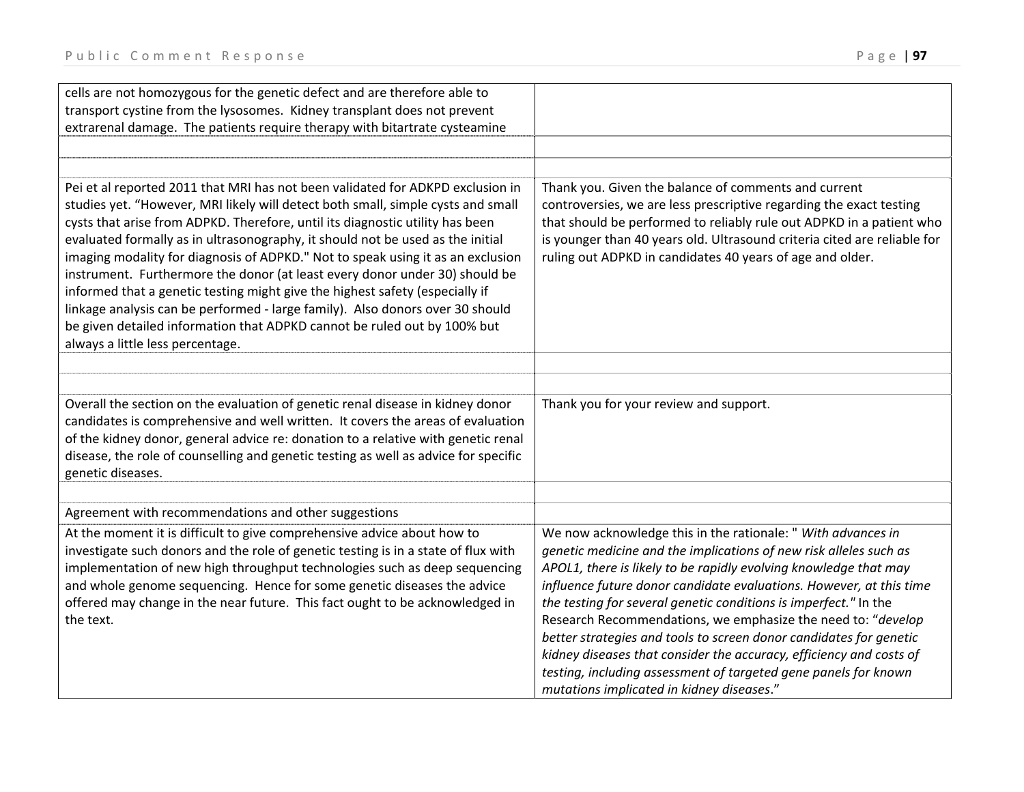$\blacksquare$ 

| cells are not homozygous for the genetic defect and are therefore able to           |                                                                          |
|-------------------------------------------------------------------------------------|--------------------------------------------------------------------------|
| transport cystine from the lysosomes. Kidney transplant does not prevent            |                                                                          |
| extrarenal damage. The patients require therapy with bitartrate cysteamine          |                                                                          |
|                                                                                     |                                                                          |
|                                                                                     |                                                                          |
| Pei et al reported 2011 that MRI has not been validated for ADKPD exclusion in      | Thank you. Given the balance of comments and current                     |
| studies yet. "However, MRI likely will detect both small, simple cysts and small    | controversies, we are less prescriptive regarding the exact testing      |
| cysts that arise from ADPKD. Therefore, until its diagnostic utility has been       | that should be performed to reliably rule out ADPKD in a patient who     |
| evaluated formally as in ultrasonography, it should not be used as the initial      | is younger than 40 years old. Ultrasound criteria cited are reliable for |
| imaging modality for diagnosis of ADPKD." Not to speak using it as an exclusion     | ruling out ADPKD in candidates 40 years of age and older.                |
| instrument. Furthermore the donor (at least every donor under 30) should be         |                                                                          |
| informed that a genetic testing might give the highest safety (especially if        |                                                                          |
| linkage analysis can be performed - large family). Also donors over 30 should       |                                                                          |
| be given detailed information that ADPKD cannot be ruled out by 100% but            |                                                                          |
| always a little less percentage.                                                    |                                                                          |
|                                                                                     |                                                                          |
|                                                                                     |                                                                          |
| Overall the section on the evaluation of genetic renal disease in kidney donor      | Thank you for your review and support.                                   |
| candidates is comprehensive and well written. It covers the areas of evaluation     |                                                                          |
| of the kidney donor, general advice re: donation to a relative with genetic renal   |                                                                          |
| disease, the role of counselling and genetic testing as well as advice for specific |                                                                          |
| genetic diseases.                                                                   |                                                                          |
|                                                                                     |                                                                          |
| Agreement with recommendations and other suggestions                                |                                                                          |
| At the moment it is difficult to give comprehensive advice about how to             | We now acknowledge this in the rationale: " With advances in             |
| investigate such donors and the role of genetic testing is in a state of flux with  | genetic medicine and the implications of new risk alleles such as        |
| implementation of new high throughput technologies such as deep sequencing          | APOL1, there is likely to be rapidly evolving knowledge that may         |
| and whole genome sequencing. Hence for some genetic diseases the advice             | influence future donor candidate evaluations. However, at this time      |
| offered may change in the near future. This fact ought to be acknowledged in        | the testing for several genetic conditions is imperfect." In the         |
| the text.                                                                           | Research Recommendations, we emphasize the need to: "develop             |
|                                                                                     | better strategies and tools to screen donor candidates for genetic       |
|                                                                                     | kidney diseases that consider the accuracy, efficiency and costs of      |
|                                                                                     | testing, including assessment of targeted gene panels for known          |
|                                                                                     | mutations implicated in kidney diseases."                                |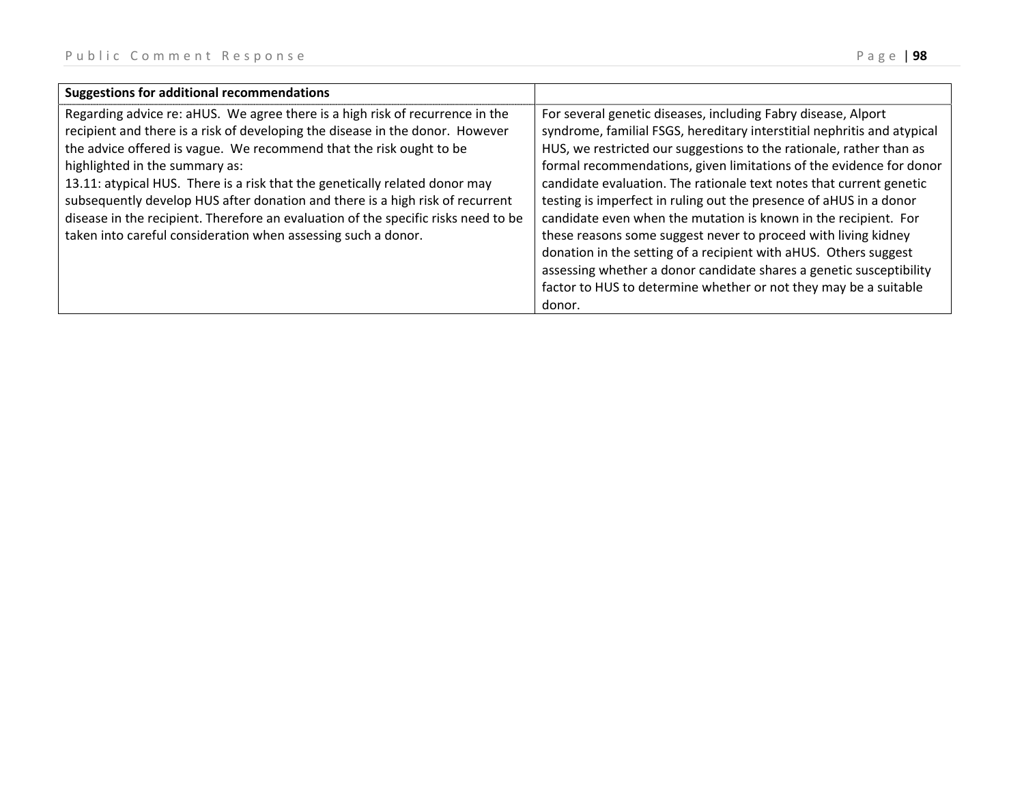| Regarding advice re: aHUS. We agree there is a high risk of recurrence in the<br>For several genetic diseases, including Fabry disease, Alport<br>recipient and there is a risk of developing the disease in the donor. However<br>the advice offered is vague. We recommend that the risk ought to be<br>HUS, we restricted our suggestions to the rationale, rather than as<br>highlighted in the summary as:<br>13.11: atypical HUS. There is a risk that the genetically related donor may<br>candidate evaluation. The rationale text notes that current genetic                                                                                                    | <b>Suggestions for additional recommendations</b> |                                                                                                                                                |
|--------------------------------------------------------------------------------------------------------------------------------------------------------------------------------------------------------------------------------------------------------------------------------------------------------------------------------------------------------------------------------------------------------------------------------------------------------------------------------------------------------------------------------------------------------------------------------------------------------------------------------------------------------------------------|---------------------------------------------------|------------------------------------------------------------------------------------------------------------------------------------------------|
| subsequently develop HUS after donation and there is a high risk of recurrent<br>testing is imperfect in ruling out the presence of aHUS in a donor<br>disease in the recipient. Therefore an evaluation of the specific risks need to be<br>candidate even when the mutation is known in the recipient. For<br>taken into careful consideration when assessing such a donor.<br>these reasons some suggest never to proceed with living kidney<br>donation in the setting of a recipient with aHUS. Others suggest<br>assessing whether a donor candidate shares a genetic susceptibility<br>factor to HUS to determine whether or not they may be a suitable<br>donor. |                                                   | syndrome, familial FSGS, hereditary interstitial nephritis and atypical<br>formal recommendations, given limitations of the evidence for donor |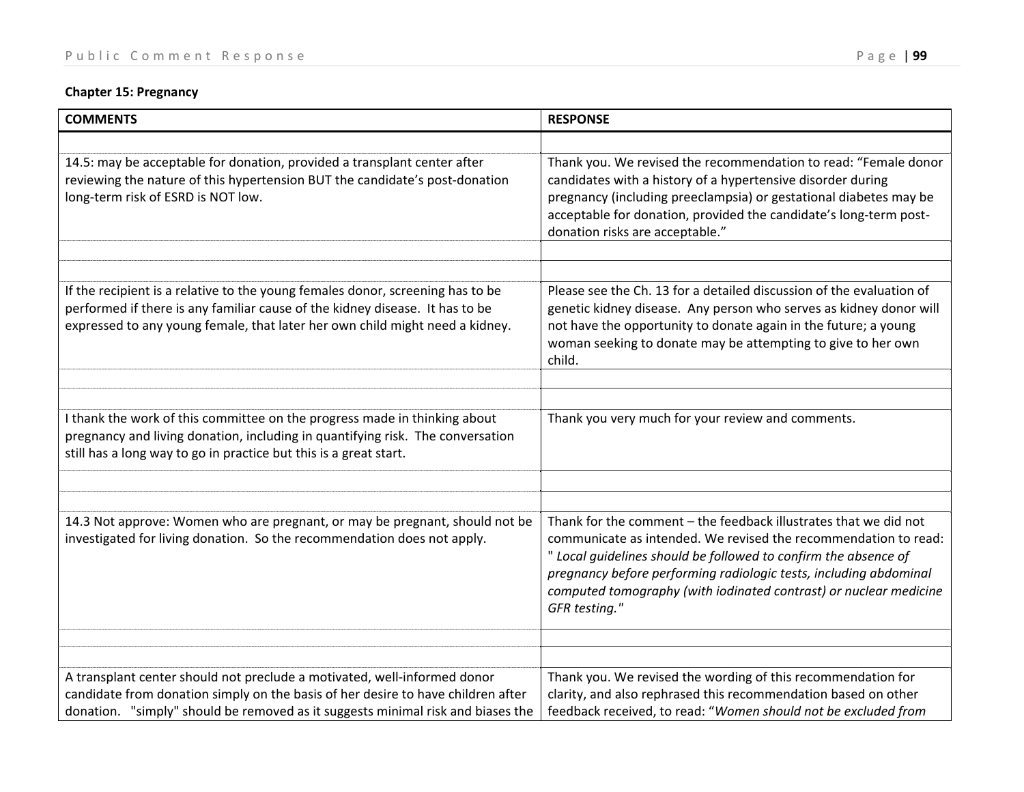## **Chapter 15: Pregnancy**

| <b>COMMENTS</b>                                                                                                                                                                                                                                 | <b>RESPONSE</b>                                                                                                                                                                                                                                                                                                                                                   |
|-------------------------------------------------------------------------------------------------------------------------------------------------------------------------------------------------------------------------------------------------|-------------------------------------------------------------------------------------------------------------------------------------------------------------------------------------------------------------------------------------------------------------------------------------------------------------------------------------------------------------------|
|                                                                                                                                                                                                                                                 |                                                                                                                                                                                                                                                                                                                                                                   |
| 14.5: may be acceptable for donation, provided a transplant center after<br>reviewing the nature of this hypertension BUT the candidate's post-donation<br>long-term risk of ESRD is NOT low.                                                   | Thank you. We revised the recommendation to read: "Female donor<br>candidates with a history of a hypertensive disorder during<br>pregnancy (including preeclampsia) or gestational diabetes may be<br>acceptable for donation, provided the candidate's long-term post-<br>donation risks are acceptable."                                                       |
|                                                                                                                                                                                                                                                 |                                                                                                                                                                                                                                                                                                                                                                   |
|                                                                                                                                                                                                                                                 |                                                                                                                                                                                                                                                                                                                                                                   |
| If the recipient is a relative to the young females donor, screening has to be<br>performed if there is any familiar cause of the kidney disease. It has to be<br>expressed to any young female, that later her own child might need a kidney.  | Please see the Ch. 13 for a detailed discussion of the evaluation of<br>genetic kidney disease. Any person who serves as kidney donor will<br>not have the opportunity to donate again in the future; a young<br>woman seeking to donate may be attempting to give to her own<br>child.                                                                           |
|                                                                                                                                                                                                                                                 |                                                                                                                                                                                                                                                                                                                                                                   |
|                                                                                                                                                                                                                                                 |                                                                                                                                                                                                                                                                                                                                                                   |
| I thank the work of this committee on the progress made in thinking about<br>pregnancy and living donation, including in quantifying risk. The conversation<br>still has a long way to go in practice but this is a great start.                | Thank you very much for your review and comments.                                                                                                                                                                                                                                                                                                                 |
|                                                                                                                                                                                                                                                 |                                                                                                                                                                                                                                                                                                                                                                   |
|                                                                                                                                                                                                                                                 |                                                                                                                                                                                                                                                                                                                                                                   |
| 14.3 Not approve: Women who are pregnant, or may be pregnant, should not be<br>investigated for living donation. So the recommendation does not apply.                                                                                          | Thank for the comment - the feedback illustrates that we did not<br>communicate as intended. We revised the recommendation to read:<br>" Local guidelines should be followed to confirm the absence of<br>pregnancy before performing radiologic tests, including abdominal<br>computed tomography (with iodinated contrast) or nuclear medicine<br>GFR testing." |
|                                                                                                                                                                                                                                                 |                                                                                                                                                                                                                                                                                                                                                                   |
|                                                                                                                                                                                                                                                 |                                                                                                                                                                                                                                                                                                                                                                   |
| A transplant center should not preclude a motivated, well-informed donor<br>candidate from donation simply on the basis of her desire to have children after<br>donation. "simply" should be removed as it suggests minimal risk and biases the | Thank you. We revised the wording of this recommendation for<br>clarity, and also rephrased this recommendation based on other<br>feedback received, to read: "Women should not be excluded from                                                                                                                                                                  |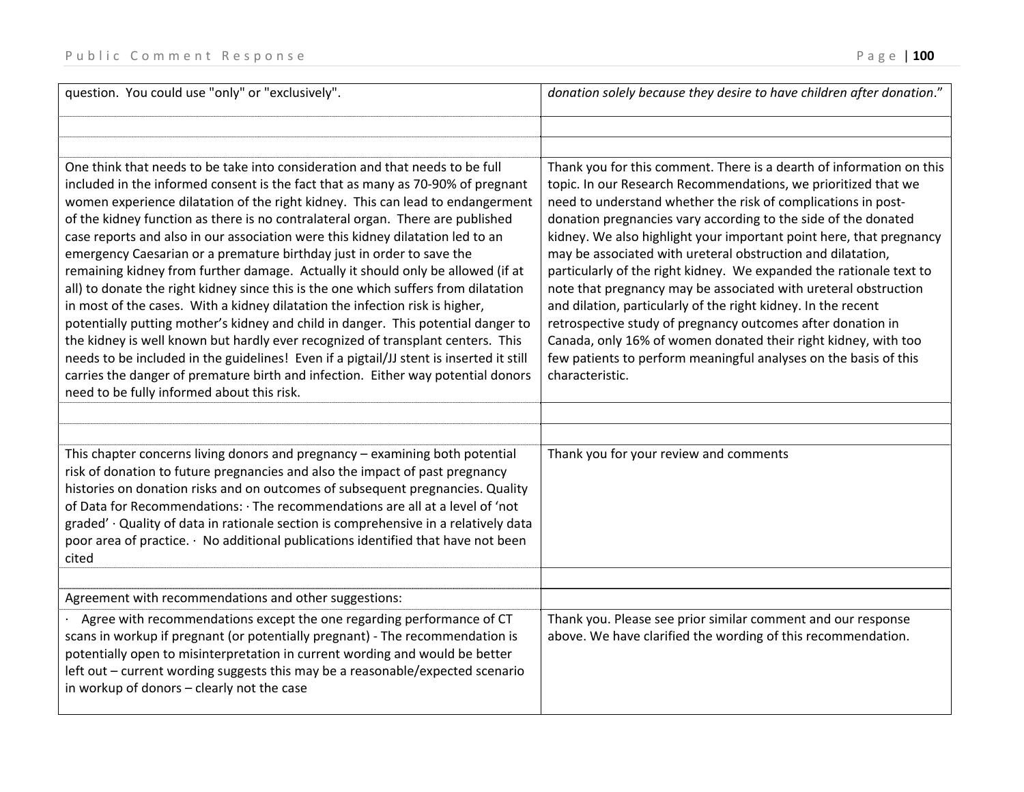| question. You could use "only" or "exclusively".                                                                                                                                                                                                                                                                                                                                                                                                                                                                                                                                                                                                                                                                                                                                                                                                                                                                                                                                                                                                                                                                                                              | donation solely because they desire to have children after donation."                                                                                                                                                                                                                                                                                                                                                                                                                                                                                                                                                                                                                                                                                                                                                                              |
|---------------------------------------------------------------------------------------------------------------------------------------------------------------------------------------------------------------------------------------------------------------------------------------------------------------------------------------------------------------------------------------------------------------------------------------------------------------------------------------------------------------------------------------------------------------------------------------------------------------------------------------------------------------------------------------------------------------------------------------------------------------------------------------------------------------------------------------------------------------------------------------------------------------------------------------------------------------------------------------------------------------------------------------------------------------------------------------------------------------------------------------------------------------|----------------------------------------------------------------------------------------------------------------------------------------------------------------------------------------------------------------------------------------------------------------------------------------------------------------------------------------------------------------------------------------------------------------------------------------------------------------------------------------------------------------------------------------------------------------------------------------------------------------------------------------------------------------------------------------------------------------------------------------------------------------------------------------------------------------------------------------------------|
|                                                                                                                                                                                                                                                                                                                                                                                                                                                                                                                                                                                                                                                                                                                                                                                                                                                                                                                                                                                                                                                                                                                                                               |                                                                                                                                                                                                                                                                                                                                                                                                                                                                                                                                                                                                                                                                                                                                                                                                                                                    |
| One think that needs to be take into consideration and that needs to be full<br>included in the informed consent is the fact that as many as 70-90% of pregnant<br>women experience dilatation of the right kidney. This can lead to endangerment<br>of the kidney function as there is no contralateral organ. There are published<br>case reports and also in our association were this kidney dilatation led to an<br>emergency Caesarian or a premature birthday just in order to save the<br>remaining kidney from further damage. Actually it should only be allowed (if at<br>all) to donate the right kidney since this is the one which suffers from dilatation<br>in most of the cases. With a kidney dilatation the infection risk is higher,<br>potentially putting mother's kidney and child in danger. This potential danger to<br>the kidney is well known but hardly ever recognized of transplant centers. This<br>needs to be included in the guidelines! Even if a pigtail/JJ stent is inserted it still<br>carries the danger of premature birth and infection. Either way potential donors<br>need to be fully informed about this risk. | Thank you for this comment. There is a dearth of information on this<br>topic. In our Research Recommendations, we prioritized that we<br>need to understand whether the risk of complications in post-<br>donation pregnancies vary according to the side of the donated<br>kidney. We also highlight your important point here, that pregnancy<br>may be associated with ureteral obstruction and dilatation,<br>particularly of the right kidney. We expanded the rationale text to<br>note that pregnancy may be associated with ureteral obstruction<br>and dilation, particularly of the right kidney. In the recent<br>retrospective study of pregnancy outcomes after donation in<br>Canada, only 16% of women donated their right kidney, with too<br>few patients to perform meaningful analyses on the basis of this<br>characteristic. |
| This chapter concerns living donors and pregnancy - examining both potential<br>risk of donation to future pregnancies and also the impact of past pregnancy<br>histories on donation risks and on outcomes of subsequent pregnancies. Quality<br>of Data for Recommendations: · The recommendations are all at a level of 'not<br>graded' · Quality of data in rationale section is comprehensive in a relatively data<br>poor area of practice. · No additional publications identified that have not been<br>cited                                                                                                                                                                                                                                                                                                                                                                                                                                                                                                                                                                                                                                         | Thank you for your review and comments                                                                                                                                                                                                                                                                                                                                                                                                                                                                                                                                                                                                                                                                                                                                                                                                             |
| Agreement with recommendations and other suggestions:                                                                                                                                                                                                                                                                                                                                                                                                                                                                                                                                                                                                                                                                                                                                                                                                                                                                                                                                                                                                                                                                                                         |                                                                                                                                                                                                                                                                                                                                                                                                                                                                                                                                                                                                                                                                                                                                                                                                                                                    |
| Agree with recommendations except the one regarding performance of CT<br>scans in workup if pregnant (or potentially pregnant) - The recommendation is<br>potentially open to misinterpretation in current wording and would be better<br>left out - current wording suggests this may be a reasonable/expected scenario<br>in workup of donors - clearly not the case                                                                                                                                                                                                                                                                                                                                                                                                                                                                                                                                                                                                                                                                                                                                                                                        | Thank you. Please see prior similar comment and our response<br>above. We have clarified the wording of this recommendation.                                                                                                                                                                                                                                                                                                                                                                                                                                                                                                                                                                                                                                                                                                                       |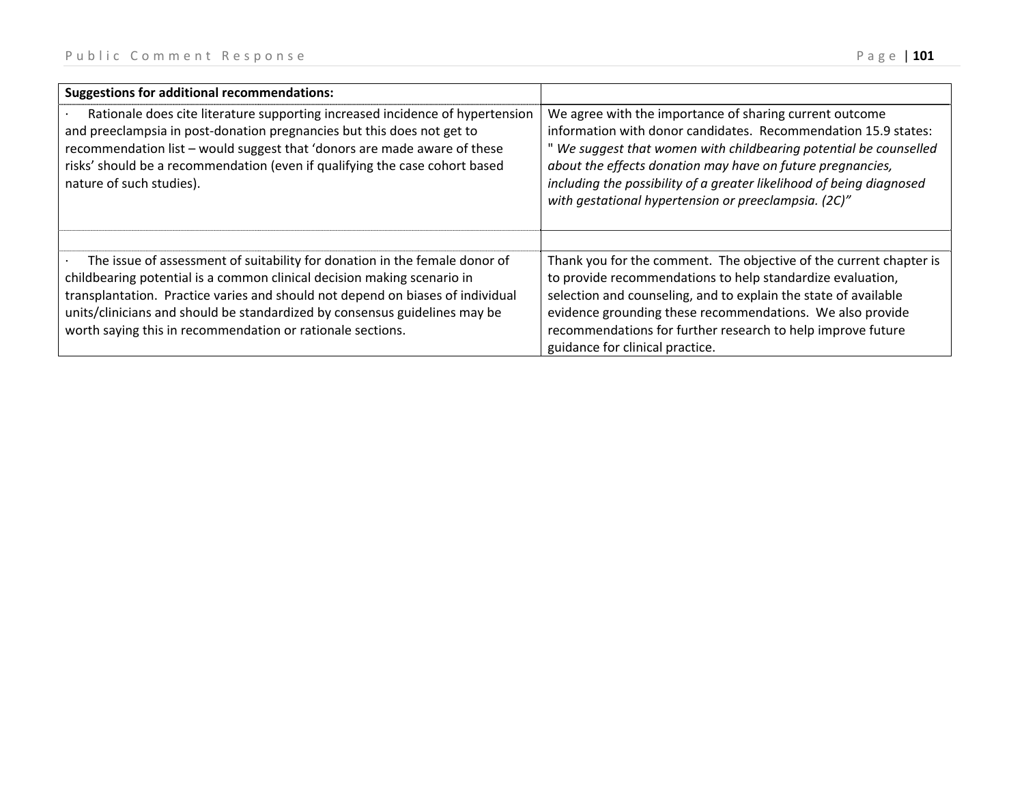| <b>Suggestions for additional recommendations:</b>                                                                                                                                                                                                                                                                                                                                  |                                                                                                                                                                                                                                                                                                                                                                                              |
|-------------------------------------------------------------------------------------------------------------------------------------------------------------------------------------------------------------------------------------------------------------------------------------------------------------------------------------------------------------------------------------|----------------------------------------------------------------------------------------------------------------------------------------------------------------------------------------------------------------------------------------------------------------------------------------------------------------------------------------------------------------------------------------------|
| Rationale does cite literature supporting increased incidence of hypertension<br>and preeclampsia in post-donation pregnancies but this does not get to<br>recommendation list - would suggest that 'donors are made aware of these<br>risks' should be a recommendation (even if qualifying the case cohort based<br>nature of such studies).                                      | We agree with the importance of sharing current outcome<br>information with donor candidates. Recommendation 15.9 states:<br>" We suggest that women with childbearing potential be counselled<br>about the effects donation may have on future pregnancies,<br>including the possibility of a greater likelihood of being diagnosed<br>with gestational hypertension or preeclampsia. (2C)" |
| The issue of assessment of suitability for donation in the female donor of<br>childbearing potential is a common clinical decision making scenario in<br>transplantation. Practice varies and should not depend on biases of individual<br>units/clinicians and should be standardized by consensus guidelines may be<br>worth saying this in recommendation or rationale sections. | Thank you for the comment. The objective of the current chapter is<br>to provide recommendations to help standardize evaluation,<br>selection and counseling, and to explain the state of available<br>evidence grounding these recommendations. We also provide<br>recommendations for further research to help improve future<br>guidance for clinical practice.                           |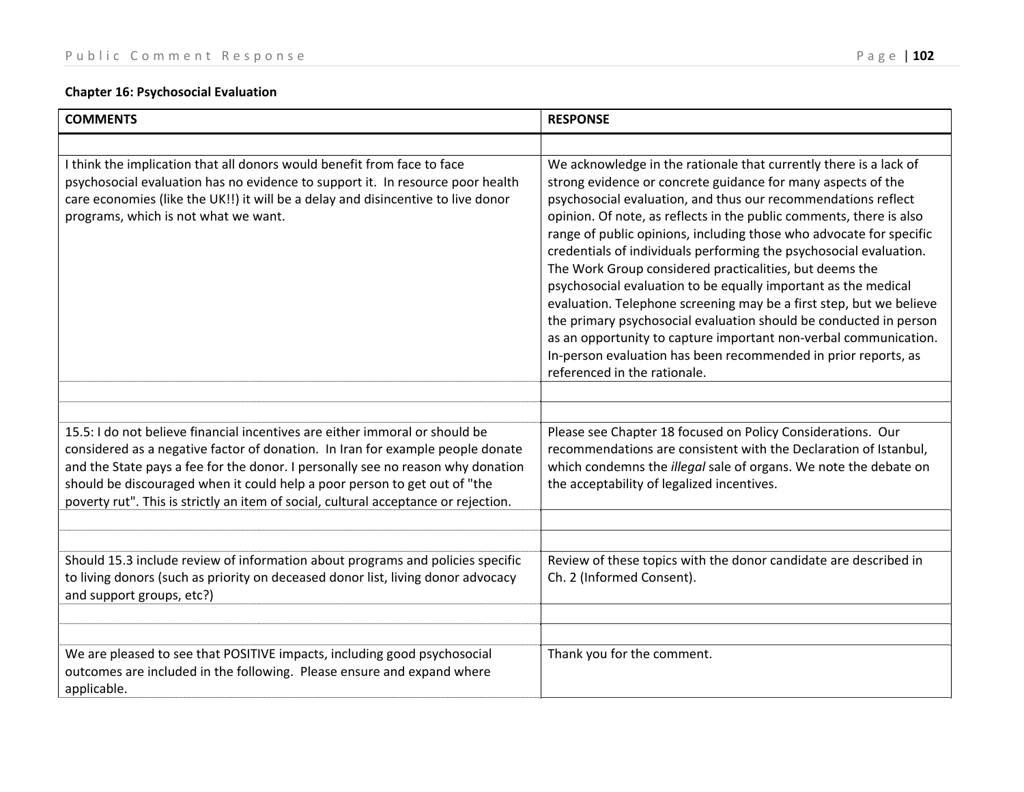## **Chapter 16: Psychosocial Evaluation**

| <b>COMMENTS</b>                                                                                                                                                                                                                                                                                                                                                                                                      | <b>RESPONSE</b>                                                                                                                                                                                                                                                                                                                                                                                                                                                                                                                                                                                                                                                                                                                                                                                                                                                       |
|----------------------------------------------------------------------------------------------------------------------------------------------------------------------------------------------------------------------------------------------------------------------------------------------------------------------------------------------------------------------------------------------------------------------|-----------------------------------------------------------------------------------------------------------------------------------------------------------------------------------------------------------------------------------------------------------------------------------------------------------------------------------------------------------------------------------------------------------------------------------------------------------------------------------------------------------------------------------------------------------------------------------------------------------------------------------------------------------------------------------------------------------------------------------------------------------------------------------------------------------------------------------------------------------------------|
|                                                                                                                                                                                                                                                                                                                                                                                                                      |                                                                                                                                                                                                                                                                                                                                                                                                                                                                                                                                                                                                                                                                                                                                                                                                                                                                       |
| I think the implication that all donors would benefit from face to face<br>psychosocial evaluation has no evidence to support it. In resource poor health<br>care economies (like the UK!!) it will be a delay and disincentive to live donor<br>programs, which is not what we want.                                                                                                                                | We acknowledge in the rationale that currently there is a lack of<br>strong evidence or concrete guidance for many aspects of the<br>psychosocial evaluation, and thus our recommendations reflect<br>opinion. Of note, as reflects in the public comments, there is also<br>range of public opinions, including those who advocate for specific<br>credentials of individuals performing the psychosocial evaluation.<br>The Work Group considered practicalities, but deems the<br>psychosocial evaluation to be equally important as the medical<br>evaluation. Telephone screening may be a first step, but we believe<br>the primary psychosocial evaluation should be conducted in person<br>as an opportunity to capture important non-verbal communication.<br>In-person evaluation has been recommended in prior reports, as<br>referenced in the rationale. |
|                                                                                                                                                                                                                                                                                                                                                                                                                      |                                                                                                                                                                                                                                                                                                                                                                                                                                                                                                                                                                                                                                                                                                                                                                                                                                                                       |
| 15.5: I do not believe financial incentives are either immoral or should be<br>considered as a negative factor of donation. In Iran for example people donate<br>and the State pays a fee for the donor. I personally see no reason why donation<br>should be discouraged when it could help a poor person to get out of "the<br>poverty rut". This is strictly an item of social, cultural acceptance or rejection. | Please see Chapter 18 focused on Policy Considerations. Our<br>recommendations are consistent with the Declaration of Istanbul,<br>which condemns the <i>illegal</i> sale of organs. We note the debate on<br>the acceptability of legalized incentives.                                                                                                                                                                                                                                                                                                                                                                                                                                                                                                                                                                                                              |
|                                                                                                                                                                                                                                                                                                                                                                                                                      |                                                                                                                                                                                                                                                                                                                                                                                                                                                                                                                                                                                                                                                                                                                                                                                                                                                                       |
| Should 15.3 include review of information about programs and policies specific<br>to living donors (such as priority on deceased donor list, living donor advocacy<br>and support groups, etc?)                                                                                                                                                                                                                      | Review of these topics with the donor candidate are described in<br>Ch. 2 (Informed Consent).                                                                                                                                                                                                                                                                                                                                                                                                                                                                                                                                                                                                                                                                                                                                                                         |
| We are pleased to see that POSITIVE impacts, including good psychosocial<br>outcomes are included in the following. Please ensure and expand where<br>applicable.                                                                                                                                                                                                                                                    | Thank you for the comment.                                                                                                                                                                                                                                                                                                                                                                                                                                                                                                                                                                                                                                                                                                                                                                                                                                            |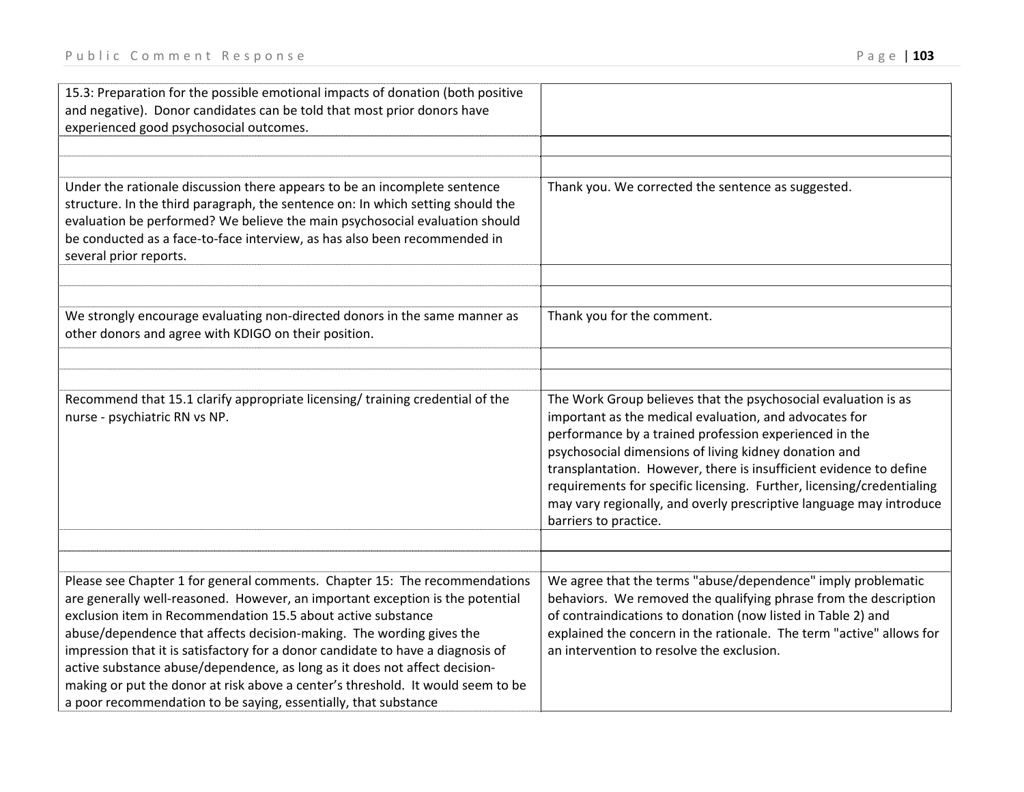| 15.3: Preparation for the possible emotional impacts of donation (both positive<br>and negative). Donor candidates can be told that most prior donors have<br>experienced good psychosocial outcomes.                                                                                                                                                                                                                                                                                                                                                                                                                      |                                                                                                                                                                                                                                                                                                                                                                                                                                                                                            |
|----------------------------------------------------------------------------------------------------------------------------------------------------------------------------------------------------------------------------------------------------------------------------------------------------------------------------------------------------------------------------------------------------------------------------------------------------------------------------------------------------------------------------------------------------------------------------------------------------------------------------|--------------------------------------------------------------------------------------------------------------------------------------------------------------------------------------------------------------------------------------------------------------------------------------------------------------------------------------------------------------------------------------------------------------------------------------------------------------------------------------------|
|                                                                                                                                                                                                                                                                                                                                                                                                                                                                                                                                                                                                                            |                                                                                                                                                                                                                                                                                                                                                                                                                                                                                            |
| Under the rationale discussion there appears to be an incomplete sentence<br>structure. In the third paragraph, the sentence on: In which setting should the<br>evaluation be performed? We believe the main psychosocial evaluation should<br>be conducted as a face-to-face interview, as has also been recommended in<br>several prior reports.                                                                                                                                                                                                                                                                         | Thank you. We corrected the sentence as suggested.                                                                                                                                                                                                                                                                                                                                                                                                                                         |
|                                                                                                                                                                                                                                                                                                                                                                                                                                                                                                                                                                                                                            |                                                                                                                                                                                                                                                                                                                                                                                                                                                                                            |
| We strongly encourage evaluating non-directed donors in the same manner as<br>other donors and agree with KDIGO on their position.                                                                                                                                                                                                                                                                                                                                                                                                                                                                                         | Thank you for the comment.                                                                                                                                                                                                                                                                                                                                                                                                                                                                 |
|                                                                                                                                                                                                                                                                                                                                                                                                                                                                                                                                                                                                                            |                                                                                                                                                                                                                                                                                                                                                                                                                                                                                            |
| Recommend that 15.1 clarify appropriate licensing/ training credential of the<br>nurse - psychiatric RN vs NP.                                                                                                                                                                                                                                                                                                                                                                                                                                                                                                             | The Work Group believes that the psychosocial evaluation is as<br>important as the medical evaluation, and advocates for<br>performance by a trained profession experienced in the<br>psychosocial dimensions of living kidney donation and<br>transplantation. However, there is insufficient evidence to define<br>requirements for specific licensing. Further, licensing/credentialing<br>may vary regionally, and overly prescriptive language may introduce<br>barriers to practice. |
|                                                                                                                                                                                                                                                                                                                                                                                                                                                                                                                                                                                                                            |                                                                                                                                                                                                                                                                                                                                                                                                                                                                                            |
| Please see Chapter 1 for general comments. Chapter 15: The recommendations<br>are generally well-reasoned. However, an important exception is the potential<br>exclusion item in Recommendation 15.5 about active substance<br>abuse/dependence that affects decision-making. The wording gives the<br>impression that it is satisfactory for a donor candidate to have a diagnosis of<br>active substance abuse/dependence, as long as it does not affect decision-<br>making or put the donor at risk above a center's threshold. It would seem to be<br>a poor recommendation to be saying, essentially, that substance | We agree that the terms "abuse/dependence" imply problematic<br>behaviors. We removed the qualifying phrase from the description<br>of contraindications to donation (now listed in Table 2) and<br>explained the concern in the rationale. The term "active" allows for<br>an intervention to resolve the exclusion.                                                                                                                                                                      |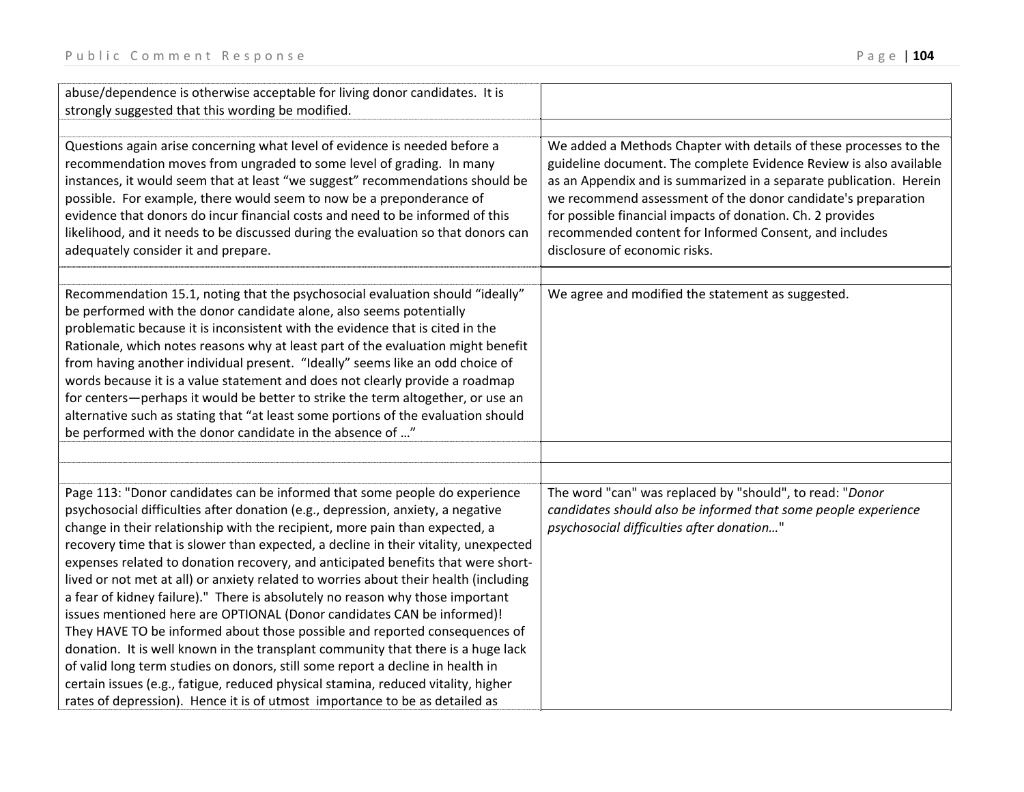| abuse/dependence is otherwise acceptable for living donor candidates. It is<br>strongly suggested that this wording be modified.                                                                                                                                                                                                                                                                                                                                                                                                                                                                                                                                                                                                                                                                                                                                                                                                                                                                                                                                                                   |                                                                                                                                                                                                                                                                                                                                                                                                                                        |
|----------------------------------------------------------------------------------------------------------------------------------------------------------------------------------------------------------------------------------------------------------------------------------------------------------------------------------------------------------------------------------------------------------------------------------------------------------------------------------------------------------------------------------------------------------------------------------------------------------------------------------------------------------------------------------------------------------------------------------------------------------------------------------------------------------------------------------------------------------------------------------------------------------------------------------------------------------------------------------------------------------------------------------------------------------------------------------------------------|----------------------------------------------------------------------------------------------------------------------------------------------------------------------------------------------------------------------------------------------------------------------------------------------------------------------------------------------------------------------------------------------------------------------------------------|
| Questions again arise concerning what level of evidence is needed before a<br>recommendation moves from ungraded to some level of grading. In many<br>instances, it would seem that at least "we suggest" recommendations should be<br>possible. For example, there would seem to now be a preponderance of<br>evidence that donors do incur financial costs and need to be informed of this<br>likelihood, and it needs to be discussed during the evaluation so that donors can<br>adequately consider it and prepare.                                                                                                                                                                                                                                                                                                                                                                                                                                                                                                                                                                           | We added a Methods Chapter with details of these processes to the<br>guideline document. The complete Evidence Review is also available<br>as an Appendix and is summarized in a separate publication. Herein<br>we recommend assessment of the donor candidate's preparation<br>for possible financial impacts of donation. Ch. 2 provides<br>recommended content for Informed Consent, and includes<br>disclosure of economic risks. |
| Recommendation 15.1, noting that the psychosocial evaluation should "ideally"<br>be performed with the donor candidate alone, also seems potentially<br>problematic because it is inconsistent with the evidence that is cited in the<br>Rationale, which notes reasons why at least part of the evaluation might benefit<br>from having another individual present. "Ideally" seems like an odd choice of<br>words because it is a value statement and does not clearly provide a roadmap<br>for centers-perhaps it would be better to strike the term altogether, or use an<br>alternative such as stating that "at least some portions of the evaluation should<br>be performed with the donor candidate in the absence of "                                                                                                                                                                                                                                                                                                                                                                    | We agree and modified the statement as suggested.                                                                                                                                                                                                                                                                                                                                                                                      |
|                                                                                                                                                                                                                                                                                                                                                                                                                                                                                                                                                                                                                                                                                                                                                                                                                                                                                                                                                                                                                                                                                                    |                                                                                                                                                                                                                                                                                                                                                                                                                                        |
| Page 113: "Donor candidates can be informed that some people do experience<br>psychosocial difficulties after donation (e.g., depression, anxiety, a negative<br>change in their relationship with the recipient, more pain than expected, a<br>recovery time that is slower than expected, a decline in their vitality, unexpected<br>expenses related to donation recovery, and anticipated benefits that were short-<br>lived or not met at all) or anxiety related to worries about their health (including<br>a fear of kidney failure)." There is absolutely no reason why those important<br>issues mentioned here are OPTIONAL (Donor candidates CAN be informed)!<br>They HAVE TO be informed about those possible and reported consequences of<br>donation. It is well known in the transplant community that there is a huge lack<br>of valid long term studies on donors, still some report a decline in health in<br>certain issues (e.g., fatigue, reduced physical stamina, reduced vitality, higher<br>rates of depression). Hence it is of utmost importance to be as detailed as | The word "can" was replaced by "should", to read: "Donor<br>candidates should also be informed that some people experience<br>psychosocial difficulties after donation"                                                                                                                                                                                                                                                                |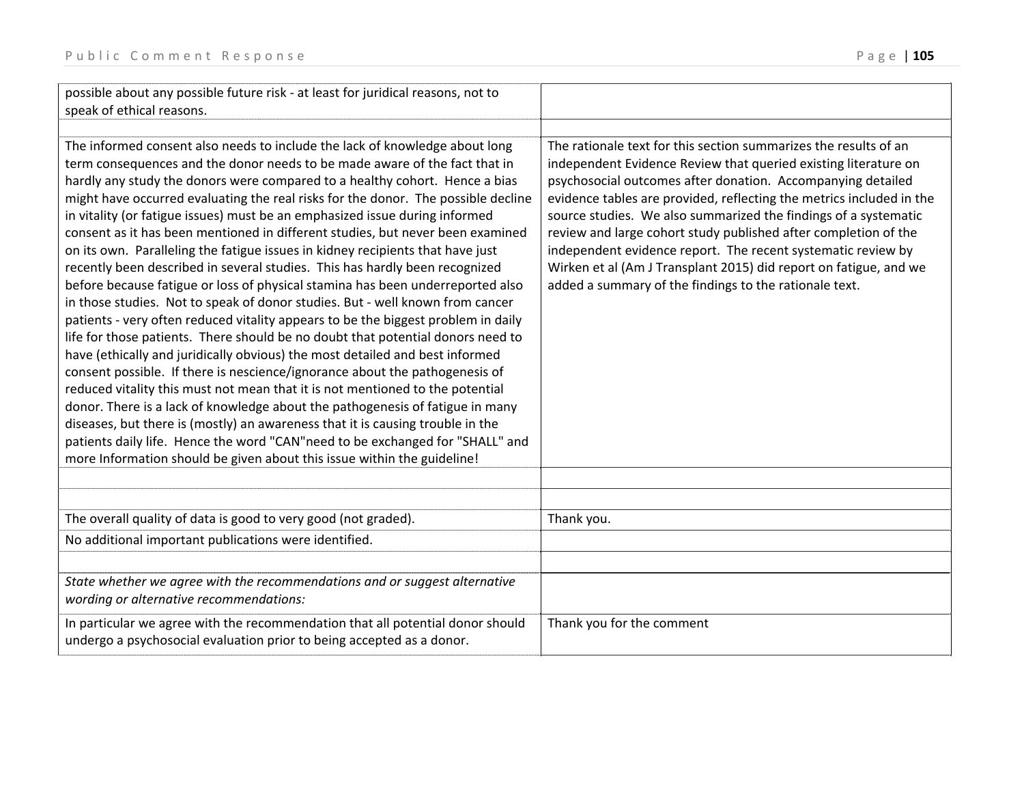| possible about any possible future risk - at least for juridical reasons, not to<br>speak of ethical reasons.                                                                                                                                                                                                                                                                                                                                                                                                                                                                                                                                                                                                                                                                                                                                                                                                                                                                                                                                                                                                                                                                                                                                                                                                                                                                                                                                                                                                                                                                             |                                                                                                                                                                                                                                                                                                                                                                                                                                                                                                                                                                                                                 |
|-------------------------------------------------------------------------------------------------------------------------------------------------------------------------------------------------------------------------------------------------------------------------------------------------------------------------------------------------------------------------------------------------------------------------------------------------------------------------------------------------------------------------------------------------------------------------------------------------------------------------------------------------------------------------------------------------------------------------------------------------------------------------------------------------------------------------------------------------------------------------------------------------------------------------------------------------------------------------------------------------------------------------------------------------------------------------------------------------------------------------------------------------------------------------------------------------------------------------------------------------------------------------------------------------------------------------------------------------------------------------------------------------------------------------------------------------------------------------------------------------------------------------------------------------------------------------------------------|-----------------------------------------------------------------------------------------------------------------------------------------------------------------------------------------------------------------------------------------------------------------------------------------------------------------------------------------------------------------------------------------------------------------------------------------------------------------------------------------------------------------------------------------------------------------------------------------------------------------|
| The informed consent also needs to include the lack of knowledge about long<br>term consequences and the donor needs to be made aware of the fact that in<br>hardly any study the donors were compared to a healthy cohort. Hence a bias<br>might have occurred evaluating the real risks for the donor. The possible decline<br>in vitality (or fatigue issues) must be an emphasized issue during informed<br>consent as it has been mentioned in different studies, but never been examined<br>on its own. Paralleling the fatigue issues in kidney recipients that have just<br>recently been described in several studies. This has hardly been recognized<br>before because fatigue or loss of physical stamina has been underreported also<br>in those studies. Not to speak of donor studies. But - well known from cancer<br>patients - very often reduced vitality appears to be the biggest problem in daily<br>life for those patients. There should be no doubt that potential donors need to<br>have (ethically and juridically obvious) the most detailed and best informed<br>consent possible. If there is nescience/ignorance about the pathogenesis of<br>reduced vitality this must not mean that it is not mentioned to the potential<br>donor. There is a lack of knowledge about the pathogenesis of fatigue in many<br>diseases, but there is (mostly) an awareness that it is causing trouble in the<br>patients daily life. Hence the word "CAN"need to be exchanged for "SHALL" and<br>more Information should be given about this issue within the guideline! | The rationale text for this section summarizes the results of an<br>independent Evidence Review that queried existing literature on<br>psychosocial outcomes after donation. Accompanying detailed<br>evidence tables are provided, reflecting the metrics included in the<br>source studies. We also summarized the findings of a systematic<br>review and large cohort study published after completion of the<br>independent evidence report. The recent systematic review by<br>Wirken et al (Am J Transplant 2015) did report on fatigue, and we<br>added a summary of the findings to the rationale text. |
| The overall quality of data is good to very good (not graded).                                                                                                                                                                                                                                                                                                                                                                                                                                                                                                                                                                                                                                                                                                                                                                                                                                                                                                                                                                                                                                                                                                                                                                                                                                                                                                                                                                                                                                                                                                                            | Thank you.                                                                                                                                                                                                                                                                                                                                                                                                                                                                                                                                                                                                      |
| No additional important publications were identified.                                                                                                                                                                                                                                                                                                                                                                                                                                                                                                                                                                                                                                                                                                                                                                                                                                                                                                                                                                                                                                                                                                                                                                                                                                                                                                                                                                                                                                                                                                                                     |                                                                                                                                                                                                                                                                                                                                                                                                                                                                                                                                                                                                                 |
| State whether we agree with the recommendations and or suggest alternative<br>wording or alternative recommendations:                                                                                                                                                                                                                                                                                                                                                                                                                                                                                                                                                                                                                                                                                                                                                                                                                                                                                                                                                                                                                                                                                                                                                                                                                                                                                                                                                                                                                                                                     |                                                                                                                                                                                                                                                                                                                                                                                                                                                                                                                                                                                                                 |
| In particular we agree with the recommendation that all potential donor should<br>undergo a psychosocial evaluation prior to being accepted as a donor.                                                                                                                                                                                                                                                                                                                                                                                                                                                                                                                                                                                                                                                                                                                                                                                                                                                                                                                                                                                                                                                                                                                                                                                                                                                                                                                                                                                                                                   | Thank you for the comment                                                                                                                                                                                                                                                                                                                                                                                                                                                                                                                                                                                       |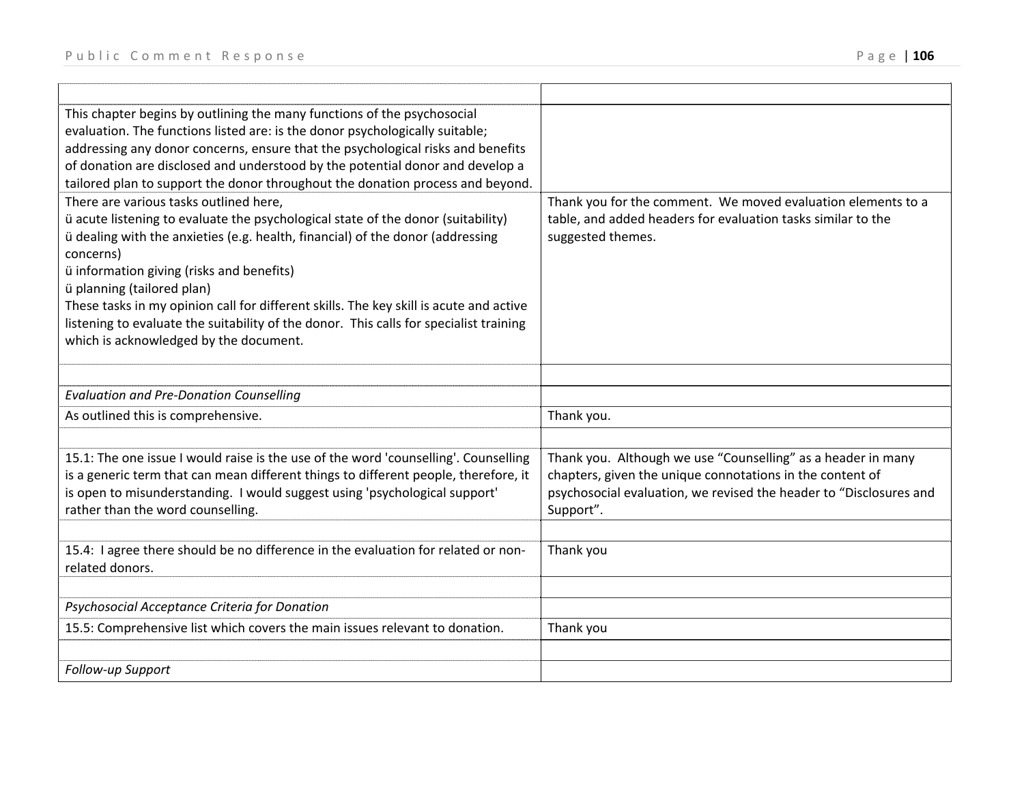| This chapter begins by outlining the many functions of the psychosocial<br>evaluation. The functions listed are: is the donor psychologically suitable;<br>addressing any donor concerns, ensure that the psychological risks and benefits<br>of donation are disclosed and understood by the potential donor and develop a<br>tailored plan to support the donor throughout the donation process and beyond.<br>There are various tasks outlined here, | Thank you for the comment. We moved evaluation elements to a                                                                                                                                                 |
|---------------------------------------------------------------------------------------------------------------------------------------------------------------------------------------------------------------------------------------------------------------------------------------------------------------------------------------------------------------------------------------------------------------------------------------------------------|--------------------------------------------------------------------------------------------------------------------------------------------------------------------------------------------------------------|
| ü acute listening to evaluate the psychological state of the donor (suitability)<br>ü dealing with the anxieties (e.g. health, financial) of the donor (addressing<br>concerns)<br>ü information giving (risks and benefits)                                                                                                                                                                                                                            | table, and added headers for evaluation tasks similar to the<br>suggested themes.                                                                                                                            |
| ü planning (tailored plan)<br>These tasks in my opinion call for different skills. The key skill is acute and active<br>listening to evaluate the suitability of the donor. This calls for specialist training                                                                                                                                                                                                                                          |                                                                                                                                                                                                              |
| which is acknowledged by the document.                                                                                                                                                                                                                                                                                                                                                                                                                  |                                                                                                                                                                                                              |
|                                                                                                                                                                                                                                                                                                                                                                                                                                                         |                                                                                                                                                                                                              |
| <b>Evaluation and Pre-Donation Counselling</b>                                                                                                                                                                                                                                                                                                                                                                                                          |                                                                                                                                                                                                              |
| As outlined this is comprehensive.                                                                                                                                                                                                                                                                                                                                                                                                                      | Thank you.                                                                                                                                                                                                   |
|                                                                                                                                                                                                                                                                                                                                                                                                                                                         |                                                                                                                                                                                                              |
| 15.1: The one issue I would raise is the use of the word 'counselling'. Counselling<br>is a generic term that can mean different things to different people, therefore, it<br>is open to misunderstanding. I would suggest using 'psychological support'<br>rather than the word counselling.                                                                                                                                                           | Thank you. Although we use "Counselling" as a header in many<br>chapters, given the unique connotations in the content of<br>psychosocial evaluation, we revised the header to "Disclosures and<br>Support". |
|                                                                                                                                                                                                                                                                                                                                                                                                                                                         |                                                                                                                                                                                                              |
| 15.4: I agree there should be no difference in the evaluation for related or non-<br>related donors.                                                                                                                                                                                                                                                                                                                                                    | Thank you                                                                                                                                                                                                    |
|                                                                                                                                                                                                                                                                                                                                                                                                                                                         |                                                                                                                                                                                                              |
| Psychosocial Acceptance Criteria for Donation                                                                                                                                                                                                                                                                                                                                                                                                           |                                                                                                                                                                                                              |
|                                                                                                                                                                                                                                                                                                                                                                                                                                                         |                                                                                                                                                                                                              |
| 15.5: Comprehensive list which covers the main issues relevant to donation.                                                                                                                                                                                                                                                                                                                                                                             | Thank you                                                                                                                                                                                                    |
|                                                                                                                                                                                                                                                                                                                                                                                                                                                         |                                                                                                                                                                                                              |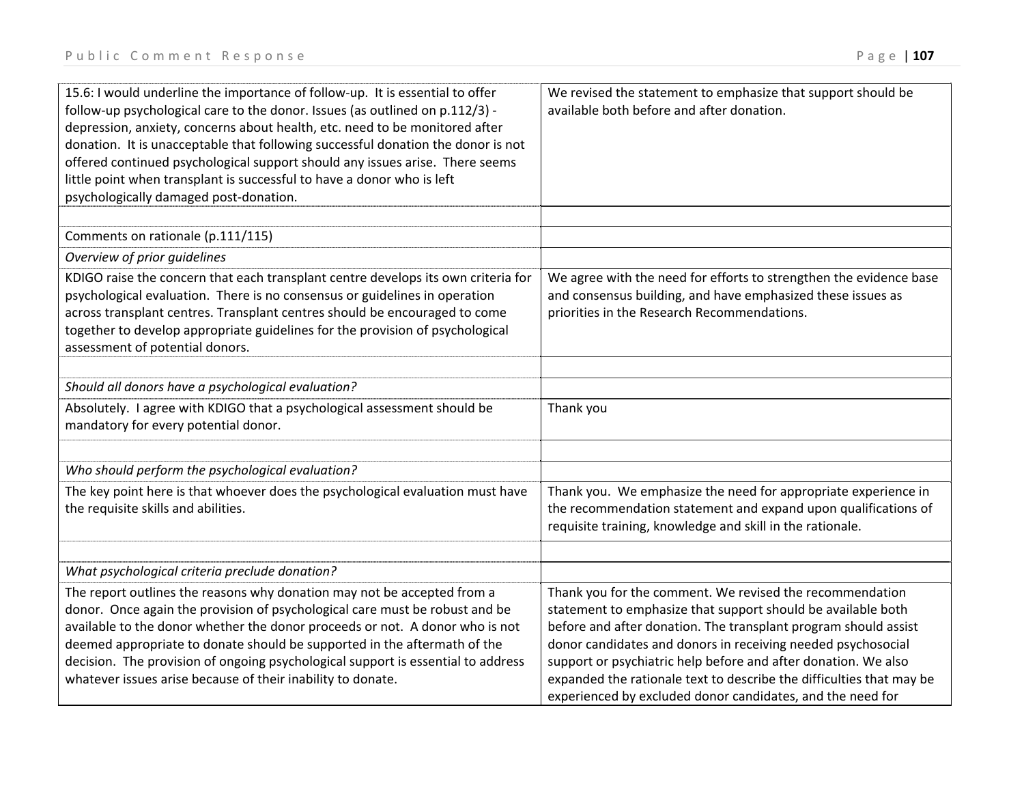| 15.6: I would underline the importance of follow-up. It is essential to offer<br>follow-up psychological care to the donor. Issues (as outlined on p.112/3) -<br>depression, anxiety, concerns about health, etc. need to be monitored after<br>donation. It is unacceptable that following successful donation the donor is not<br>offered continued psychological support should any issues arise. There seems<br>little point when transplant is successful to have a donor who is left<br>psychologically damaged post-donation. | We revised the statement to emphasize that support should be<br>available both before and after donation.                                                                                                                                                                                                                                                                                               |
|--------------------------------------------------------------------------------------------------------------------------------------------------------------------------------------------------------------------------------------------------------------------------------------------------------------------------------------------------------------------------------------------------------------------------------------------------------------------------------------------------------------------------------------|---------------------------------------------------------------------------------------------------------------------------------------------------------------------------------------------------------------------------------------------------------------------------------------------------------------------------------------------------------------------------------------------------------|
| Comments on rationale (p.111/115)                                                                                                                                                                                                                                                                                                                                                                                                                                                                                                    |                                                                                                                                                                                                                                                                                                                                                                                                         |
| Overview of prior guidelines                                                                                                                                                                                                                                                                                                                                                                                                                                                                                                         |                                                                                                                                                                                                                                                                                                                                                                                                         |
| KDIGO raise the concern that each transplant centre develops its own criteria for<br>psychological evaluation. There is no consensus or guidelines in operation<br>across transplant centres. Transplant centres should be encouraged to come<br>together to develop appropriate guidelines for the provision of psychological<br>assessment of potential donors.                                                                                                                                                                    | We agree with the need for efforts to strengthen the evidence base<br>and consensus building, and have emphasized these issues as<br>priorities in the Research Recommendations.                                                                                                                                                                                                                        |
| Should all donors have a psychological evaluation?                                                                                                                                                                                                                                                                                                                                                                                                                                                                                   |                                                                                                                                                                                                                                                                                                                                                                                                         |
| Absolutely. I agree with KDIGO that a psychological assessment should be<br>mandatory for every potential donor.                                                                                                                                                                                                                                                                                                                                                                                                                     | Thank you                                                                                                                                                                                                                                                                                                                                                                                               |
| Who should perform the psychological evaluation?                                                                                                                                                                                                                                                                                                                                                                                                                                                                                     |                                                                                                                                                                                                                                                                                                                                                                                                         |
| The key point here is that whoever does the psychological evaluation must have<br>the requisite skills and abilities.                                                                                                                                                                                                                                                                                                                                                                                                                | Thank you. We emphasize the need for appropriate experience in<br>the recommendation statement and expand upon qualifications of<br>requisite training, knowledge and skill in the rationale.                                                                                                                                                                                                           |
| What psychological criteria preclude donation?                                                                                                                                                                                                                                                                                                                                                                                                                                                                                       |                                                                                                                                                                                                                                                                                                                                                                                                         |
| The report outlines the reasons why donation may not be accepted from a                                                                                                                                                                                                                                                                                                                                                                                                                                                              | Thank you for the comment. We revised the recommendation                                                                                                                                                                                                                                                                                                                                                |
| donor. Once again the provision of psychological care must be robust and be<br>available to the donor whether the donor proceeds or not. A donor who is not<br>deemed appropriate to donate should be supported in the aftermath of the<br>decision. The provision of ongoing psychological support is essential to address<br>whatever issues arise because of their inability to donate.                                                                                                                                           | statement to emphasize that support should be available both<br>before and after donation. The transplant program should assist<br>donor candidates and donors in receiving needed psychosocial<br>support or psychiatric help before and after donation. We also<br>expanded the rationale text to describe the difficulties that may be<br>experienced by excluded donor candidates, and the need for |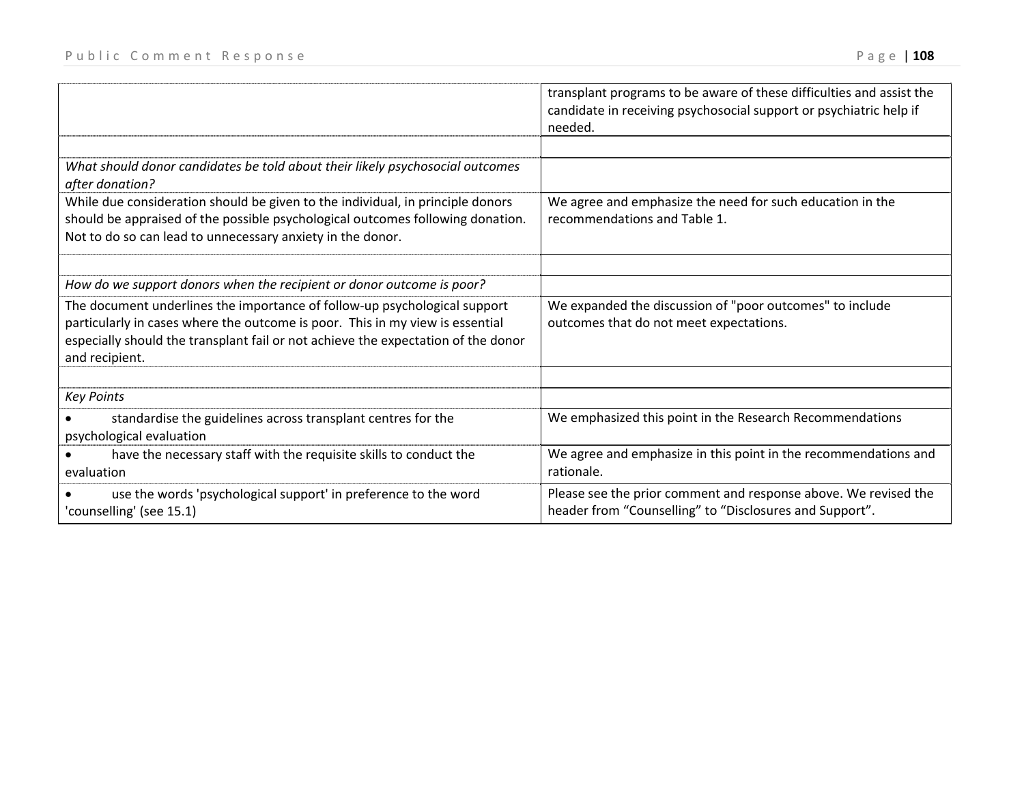|  |  | 108 |
|--|--|-----|
|--|--|-----|

|                                                                                                                                                                                                                                                                   | transplant programs to be aware of these difficulties and assist the<br>candidate in receiving psychosocial support or psychiatric help if<br>needed. |
|-------------------------------------------------------------------------------------------------------------------------------------------------------------------------------------------------------------------------------------------------------------------|-------------------------------------------------------------------------------------------------------------------------------------------------------|
|                                                                                                                                                                                                                                                                   |                                                                                                                                                       |
| What should donor candidates be told about their likely psychosocial outcomes<br>after donation?                                                                                                                                                                  |                                                                                                                                                       |
| While due consideration should be given to the individual, in principle donors<br>should be appraised of the possible psychological outcomes following donation.<br>Not to do so can lead to unnecessary anxiety in the donor.                                    | We agree and emphasize the need for such education in the<br>recommendations and Table 1.                                                             |
| How do we support donors when the recipient or donor outcome is poor?                                                                                                                                                                                             |                                                                                                                                                       |
| The document underlines the importance of follow-up psychological support<br>particularly in cases where the outcome is poor. This in my view is essential<br>especially should the transplant fail or not achieve the expectation of the donor<br>and recipient. | We expanded the discussion of "poor outcomes" to include<br>outcomes that do not meet expectations.                                                   |
| <b>Key Points</b>                                                                                                                                                                                                                                                 |                                                                                                                                                       |
| standardise the guidelines across transplant centres for the<br>psychological evaluation                                                                                                                                                                          | We emphasized this point in the Research Recommendations                                                                                              |
| have the necessary staff with the requisite skills to conduct the<br>evaluation                                                                                                                                                                                   | We agree and emphasize in this point in the recommendations and<br>rationale.                                                                         |
| use the words 'psychological support' in preference to the word<br>'counselling' (see 15.1)                                                                                                                                                                       | Please see the prior comment and response above. We revised the<br>header from "Counselling" to "Disclosures and Support".                            |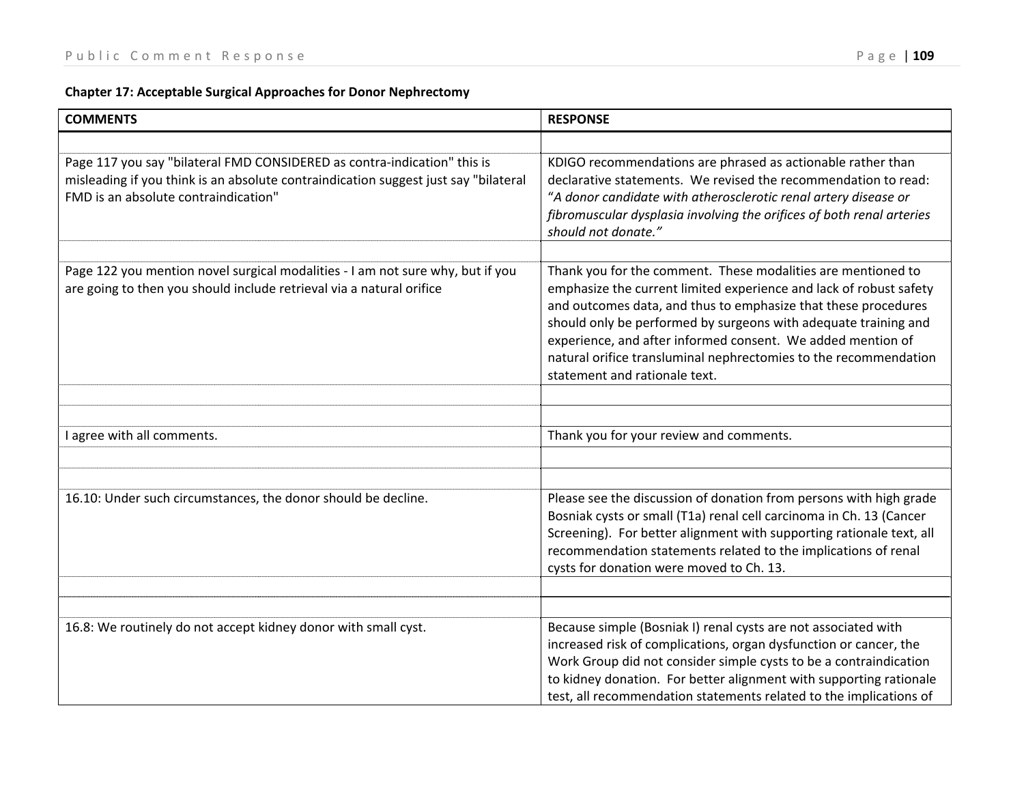|  |  | <b>Chapter 17: Acceptable Surgical Approaches for Donor Nephrectomy</b> |  |  |
|--|--|-------------------------------------------------------------------------|--|--|
|--|--|-------------------------------------------------------------------------|--|--|

| <b>COMMENTS</b>                                                                                                                                                                                         | <b>RESPONSE</b>                                                                                                                                                                                                                                                                                                                                                                                                                             |
|---------------------------------------------------------------------------------------------------------------------------------------------------------------------------------------------------------|---------------------------------------------------------------------------------------------------------------------------------------------------------------------------------------------------------------------------------------------------------------------------------------------------------------------------------------------------------------------------------------------------------------------------------------------|
|                                                                                                                                                                                                         |                                                                                                                                                                                                                                                                                                                                                                                                                                             |
| Page 117 you say "bilateral FMD CONSIDERED as contra-indication" this is<br>misleading if you think is an absolute contraindication suggest just say "bilateral<br>FMD is an absolute contraindication" | KDIGO recommendations are phrased as actionable rather than<br>declarative statements. We revised the recommendation to read:<br>"A donor candidate with atherosclerotic renal artery disease or<br>fibromuscular dysplasia involving the orifices of both renal arteries<br>should not donate."                                                                                                                                            |
|                                                                                                                                                                                                         |                                                                                                                                                                                                                                                                                                                                                                                                                                             |
| Page 122 you mention novel surgical modalities - I am not sure why, but if you<br>are going to then you should include retrieval via a natural orifice                                                  | Thank you for the comment. These modalities are mentioned to<br>emphasize the current limited experience and lack of robust safety<br>and outcomes data, and thus to emphasize that these procedures<br>should only be performed by surgeons with adequate training and<br>experience, and after informed consent. We added mention of<br>natural orifice transluminal nephrectomies to the recommendation<br>statement and rationale text. |
|                                                                                                                                                                                                         |                                                                                                                                                                                                                                                                                                                                                                                                                                             |
|                                                                                                                                                                                                         |                                                                                                                                                                                                                                                                                                                                                                                                                                             |
| I agree with all comments.                                                                                                                                                                              | Thank you for your review and comments.                                                                                                                                                                                                                                                                                                                                                                                                     |
|                                                                                                                                                                                                         |                                                                                                                                                                                                                                                                                                                                                                                                                                             |
|                                                                                                                                                                                                         |                                                                                                                                                                                                                                                                                                                                                                                                                                             |
| 16.10: Under such circumstances, the donor should be decline.                                                                                                                                           | Please see the discussion of donation from persons with high grade<br>Bosniak cysts or small (T1a) renal cell carcinoma in Ch. 13 (Cancer<br>Screening). For better alignment with supporting rationale text, all<br>recommendation statements related to the implications of renal<br>cysts for donation were moved to Ch. 13.                                                                                                             |
|                                                                                                                                                                                                         |                                                                                                                                                                                                                                                                                                                                                                                                                                             |
|                                                                                                                                                                                                         |                                                                                                                                                                                                                                                                                                                                                                                                                                             |
| 16.8: We routinely do not accept kidney donor with small cyst.                                                                                                                                          | Because simple (Bosniak I) renal cysts are not associated with<br>increased risk of complications, organ dysfunction or cancer, the<br>Work Group did not consider simple cysts to be a contraindication<br>to kidney donation. For better alignment with supporting rationale<br>test, all recommendation statements related to the implications of                                                                                        |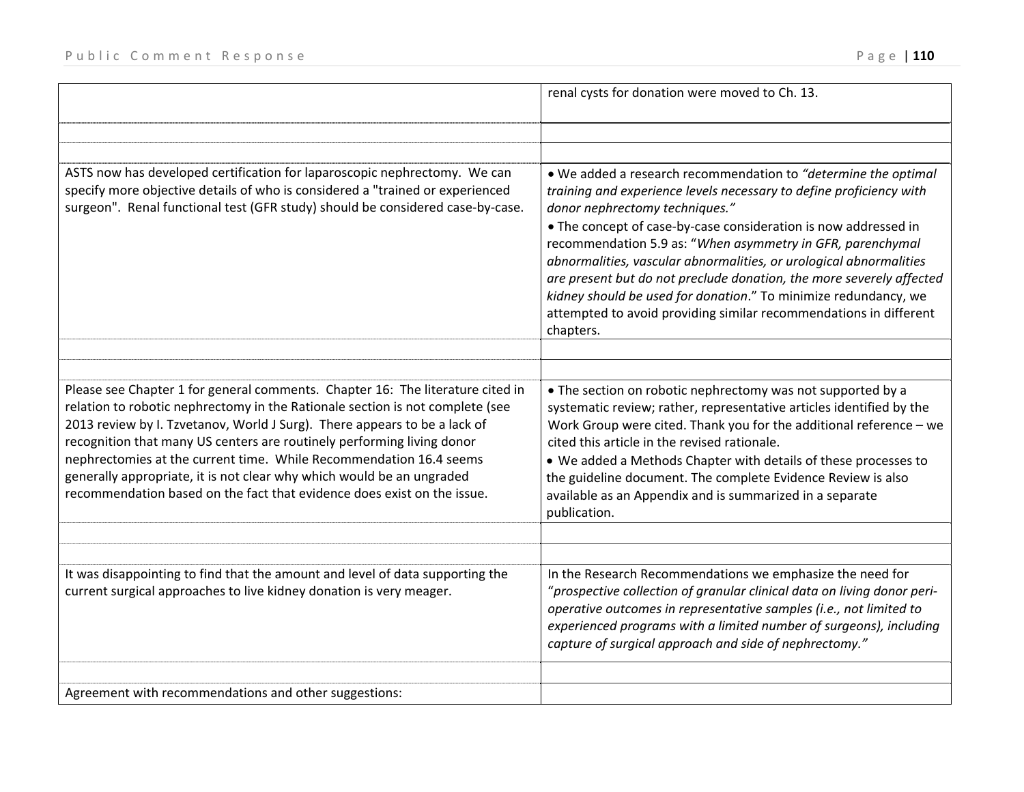|                                                                                                                                                                                                                                                                                                                                                                                                                                                                                                                                                  | renal cysts for donation were moved to Ch. 13.                                                                                                                                                                                                                                                                                                                                                                                                                                                                                                                                                               |
|--------------------------------------------------------------------------------------------------------------------------------------------------------------------------------------------------------------------------------------------------------------------------------------------------------------------------------------------------------------------------------------------------------------------------------------------------------------------------------------------------------------------------------------------------|--------------------------------------------------------------------------------------------------------------------------------------------------------------------------------------------------------------------------------------------------------------------------------------------------------------------------------------------------------------------------------------------------------------------------------------------------------------------------------------------------------------------------------------------------------------------------------------------------------------|
|                                                                                                                                                                                                                                                                                                                                                                                                                                                                                                                                                  |                                                                                                                                                                                                                                                                                                                                                                                                                                                                                                                                                                                                              |
| ASTS now has developed certification for laparoscopic nephrectomy. We can<br>specify more objective details of who is considered a "trained or experienced<br>surgeon". Renal functional test (GFR study) should be considered case-by-case.                                                                                                                                                                                                                                                                                                     | . We added a research recommendation to "determine the optimal"<br>training and experience levels necessary to define proficiency with<br>donor nephrectomy techniques."<br>• The concept of case-by-case consideration is now addressed in<br>recommendation 5.9 as: "When asymmetry in GFR, parenchymal<br>abnormalities, vascular abnormalities, or urological abnormalities<br>are present but do not preclude donation, the more severely affected<br>kidney should be used for donation." To minimize redundancy, we<br>attempted to avoid providing similar recommendations in different<br>chapters. |
|                                                                                                                                                                                                                                                                                                                                                                                                                                                                                                                                                  |                                                                                                                                                                                                                                                                                                                                                                                                                                                                                                                                                                                                              |
| Please see Chapter 1 for general comments. Chapter 16: The literature cited in<br>relation to robotic nephrectomy in the Rationale section is not complete (see<br>2013 review by I. Tzvetanov, World J Surg). There appears to be a lack of<br>recognition that many US centers are routinely performing living donor<br>nephrectomies at the current time. While Recommendation 16.4 seems<br>generally appropriate, it is not clear why which would be an ungraded<br>recommendation based on the fact that evidence does exist on the issue. | • The section on robotic nephrectomy was not supported by a<br>systematic review; rather, representative articles identified by the<br>Work Group were cited. Thank you for the additional reference $-$ we<br>cited this article in the revised rationale.<br>. We added a Methods Chapter with details of these processes to<br>the guideline document. The complete Evidence Review is also<br>available as an Appendix and is summarized in a separate<br>publication.                                                                                                                                   |
| It was disappointing to find that the amount and level of data supporting the<br>current surgical approaches to live kidney donation is very meager.                                                                                                                                                                                                                                                                                                                                                                                             | In the Research Recommendations we emphasize the need for<br>"prospective collection of granular clinical data on living donor peri-<br>operative outcomes in representative samples (i.e., not limited to<br>experienced programs with a limited number of surgeons), including<br>capture of surgical approach and side of nephrectomy."                                                                                                                                                                                                                                                                   |
| Agreement with recommendations and other suggestions:                                                                                                                                                                                                                                                                                                                                                                                                                                                                                            |                                                                                                                                                                                                                                                                                                                                                                                                                                                                                                                                                                                                              |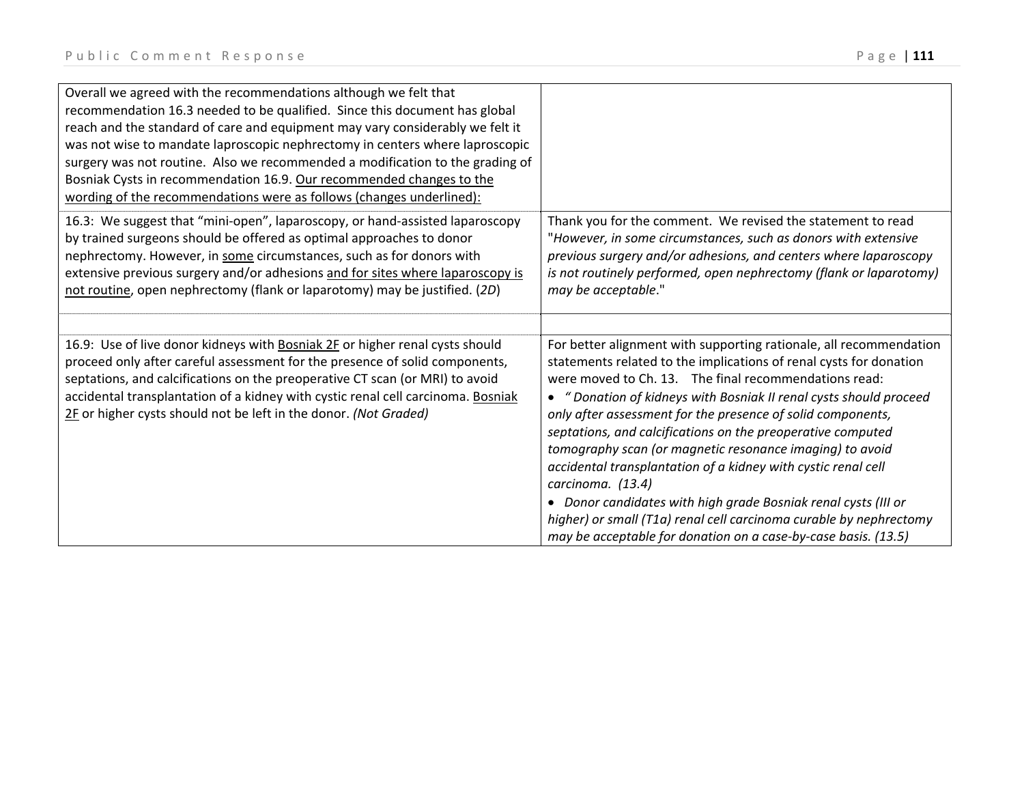| Overall we agreed with the recommendations although we felt that<br>recommendation 16.3 needed to be qualified. Since this document has global<br>reach and the standard of care and equipment may vary considerably we felt it<br>was not wise to mandate laproscopic nephrectomy in centers where laproscopic<br>surgery was not routine. Also we recommended a modification to the grading of<br>Bosniak Cysts in recommendation 16.9. Our recommended changes to the |                                                                                                                                                                                                                                 |
|--------------------------------------------------------------------------------------------------------------------------------------------------------------------------------------------------------------------------------------------------------------------------------------------------------------------------------------------------------------------------------------------------------------------------------------------------------------------------|---------------------------------------------------------------------------------------------------------------------------------------------------------------------------------------------------------------------------------|
| wording of the recommendations were as follows (changes underlined):<br>16.3: We suggest that "mini-open", laparoscopy, or hand-assisted laparoscopy                                                                                                                                                                                                                                                                                                                     | Thank you for the comment. We revised the statement to read                                                                                                                                                                     |
| by trained surgeons should be offered as optimal approaches to donor<br>nephrectomy. However, in some circumstances, such as for donors with<br>extensive previous surgery and/or adhesions and for sites where laparoscopy is<br>not routine, open nephrectomy (flank or laparotomy) may be justified. (2D)                                                                                                                                                             | "However, in some circumstances, such as donors with extensive<br>previous surgery and/or adhesions, and centers where laparoscopy<br>is not routinely performed, open nephrectomy (flank or laparotomy)<br>may be acceptable." |
|                                                                                                                                                                                                                                                                                                                                                                                                                                                                          |                                                                                                                                                                                                                                 |
| 16.9: Use of live donor kidneys with Bosniak 2F or higher renal cysts should                                                                                                                                                                                                                                                                                                                                                                                             | For better alignment with supporting rationale, all recommendation                                                                                                                                                              |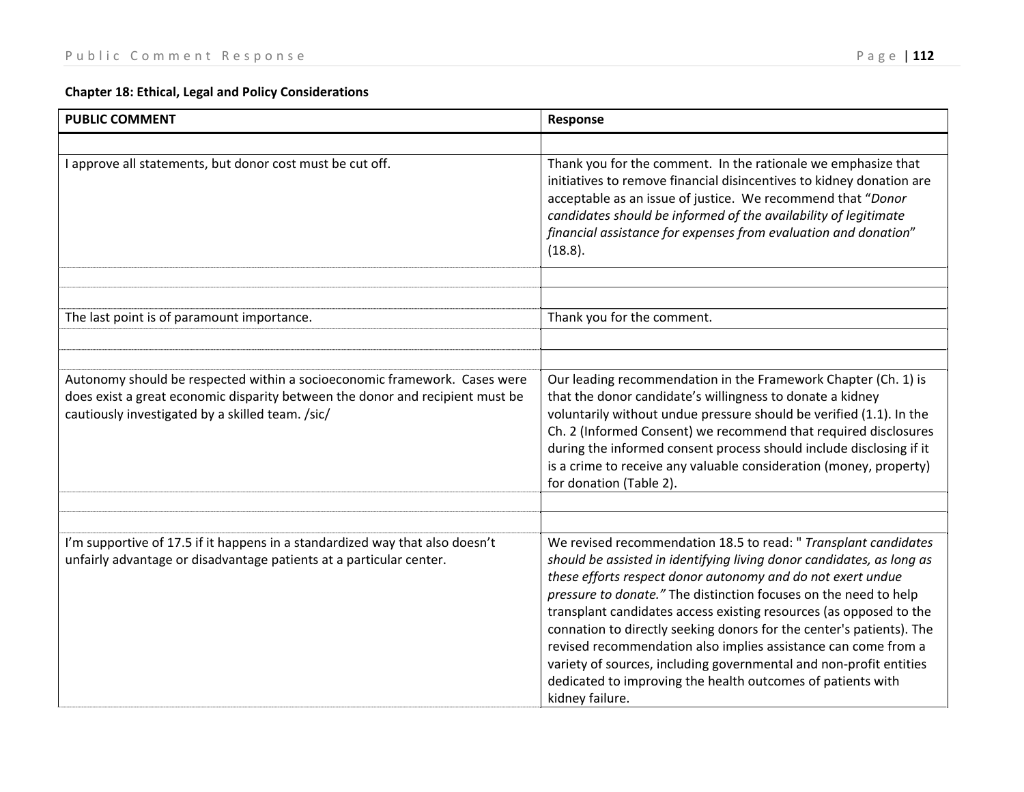## **Chapter 18: Ethical, Legal and Policy Considerations**

| <b>PUBLIC COMMENT</b>                                                                                                                                                                                          | Response                                                                                                                                                                                                                                                                                                                                                                                                                                                                                                                                                                                                                                            |
|----------------------------------------------------------------------------------------------------------------------------------------------------------------------------------------------------------------|-----------------------------------------------------------------------------------------------------------------------------------------------------------------------------------------------------------------------------------------------------------------------------------------------------------------------------------------------------------------------------------------------------------------------------------------------------------------------------------------------------------------------------------------------------------------------------------------------------------------------------------------------------|
|                                                                                                                                                                                                                |                                                                                                                                                                                                                                                                                                                                                                                                                                                                                                                                                                                                                                                     |
| I approve all statements, but donor cost must be cut off.                                                                                                                                                      | Thank you for the comment. In the rationale we emphasize that<br>initiatives to remove financial disincentives to kidney donation are<br>acceptable as an issue of justice. We recommend that "Donor<br>candidates should be informed of the availability of legitimate<br>financial assistance for expenses from evaluation and donation"<br>(18.8).                                                                                                                                                                                                                                                                                               |
|                                                                                                                                                                                                                |                                                                                                                                                                                                                                                                                                                                                                                                                                                                                                                                                                                                                                                     |
| The last point is of paramount importance.                                                                                                                                                                     | Thank you for the comment.                                                                                                                                                                                                                                                                                                                                                                                                                                                                                                                                                                                                                          |
|                                                                                                                                                                                                                |                                                                                                                                                                                                                                                                                                                                                                                                                                                                                                                                                                                                                                                     |
|                                                                                                                                                                                                                |                                                                                                                                                                                                                                                                                                                                                                                                                                                                                                                                                                                                                                                     |
| Autonomy should be respected within a socioeconomic framework. Cases were<br>does exist a great economic disparity between the donor and recipient must be<br>cautiously investigated by a skilled team. /sic/ | Our leading recommendation in the Framework Chapter (Ch. 1) is<br>that the donor candidate's willingness to donate a kidney<br>voluntarily without undue pressure should be verified (1.1). In the<br>Ch. 2 (Informed Consent) we recommend that required disclosures<br>during the informed consent process should include disclosing if it<br>is a crime to receive any valuable consideration (money, property)<br>for donation (Table 2).                                                                                                                                                                                                       |
|                                                                                                                                                                                                                |                                                                                                                                                                                                                                                                                                                                                                                                                                                                                                                                                                                                                                                     |
| I'm supportive of 17.5 if it happens in a standardized way that also doesn't<br>unfairly advantage or disadvantage patients at a particular center.                                                            | We revised recommendation 18.5 to read: " Transplant candidates<br>should be assisted in identifying living donor candidates, as long as<br>these efforts respect donor autonomy and do not exert undue<br>pressure to donate." The distinction focuses on the need to help<br>transplant candidates access existing resources (as opposed to the<br>connation to directly seeking donors for the center's patients). The<br>revised recommendation also implies assistance can come from a<br>variety of sources, including governmental and non-profit entities<br>dedicated to improving the health outcomes of patients with<br>kidney failure. |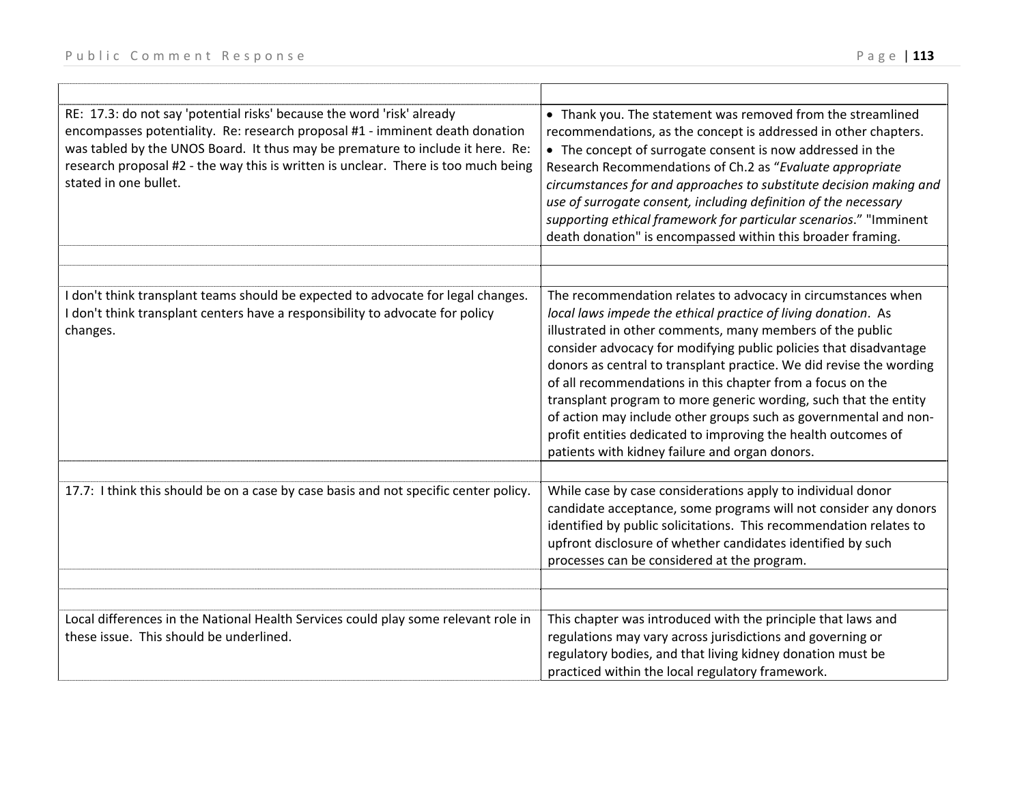| RE: 17.3: do not say 'potential risks' because the word 'risk' already<br>encompasses potentiality. Re: research proposal #1 - imminent death donation<br>was tabled by the UNOS Board. It thus may be premature to include it here. Re:<br>research proposal #2 - the way this is written is unclear. There is too much being<br>stated in one bullet. | • Thank you. The statement was removed from the streamlined<br>recommendations, as the concept is addressed in other chapters.<br>• The concept of surrogate consent is now addressed in the<br>Research Recommendations of Ch.2 as "Evaluate appropriate<br>circumstances for and approaches to substitute decision making and<br>use of surrogate consent, including definition of the necessary<br>supporting ethical framework for particular scenarios." "Imminent<br>death donation" is encompassed within this broader framing.                                                                                                                          |
|---------------------------------------------------------------------------------------------------------------------------------------------------------------------------------------------------------------------------------------------------------------------------------------------------------------------------------------------------------|-----------------------------------------------------------------------------------------------------------------------------------------------------------------------------------------------------------------------------------------------------------------------------------------------------------------------------------------------------------------------------------------------------------------------------------------------------------------------------------------------------------------------------------------------------------------------------------------------------------------------------------------------------------------|
|                                                                                                                                                                                                                                                                                                                                                         |                                                                                                                                                                                                                                                                                                                                                                                                                                                                                                                                                                                                                                                                 |
| I don't think transplant teams should be expected to advocate for legal changes.<br>I don't think transplant centers have a responsibility to advocate for policy<br>changes.                                                                                                                                                                           | The recommendation relates to advocacy in circumstances when<br>local laws impede the ethical practice of living donation. As<br>illustrated in other comments, many members of the public<br>consider advocacy for modifying public policies that disadvantage<br>donors as central to transplant practice. We did revise the wording<br>of all recommendations in this chapter from a focus on the<br>transplant program to more generic wording, such that the entity<br>of action may include other groups such as governmental and non-<br>profit entities dedicated to improving the health outcomes of<br>patients with kidney failure and organ donors. |
|                                                                                                                                                                                                                                                                                                                                                         |                                                                                                                                                                                                                                                                                                                                                                                                                                                                                                                                                                                                                                                                 |
| 17.7: I think this should be on a case by case basis and not specific center policy.                                                                                                                                                                                                                                                                    | While case by case considerations apply to individual donor<br>candidate acceptance, some programs will not consider any donors<br>identified by public solicitations. This recommendation relates to<br>upfront disclosure of whether candidates identified by such<br>processes can be considered at the program.                                                                                                                                                                                                                                                                                                                                             |
|                                                                                                                                                                                                                                                                                                                                                         |                                                                                                                                                                                                                                                                                                                                                                                                                                                                                                                                                                                                                                                                 |
| Local differences in the National Health Services could play some relevant role in<br>these issue. This should be underlined.                                                                                                                                                                                                                           | This chapter was introduced with the principle that laws and<br>regulations may vary across jurisdictions and governing or<br>regulatory bodies, and that living kidney donation must be<br>practiced within the local regulatory framework.                                                                                                                                                                                                                                                                                                                                                                                                                    |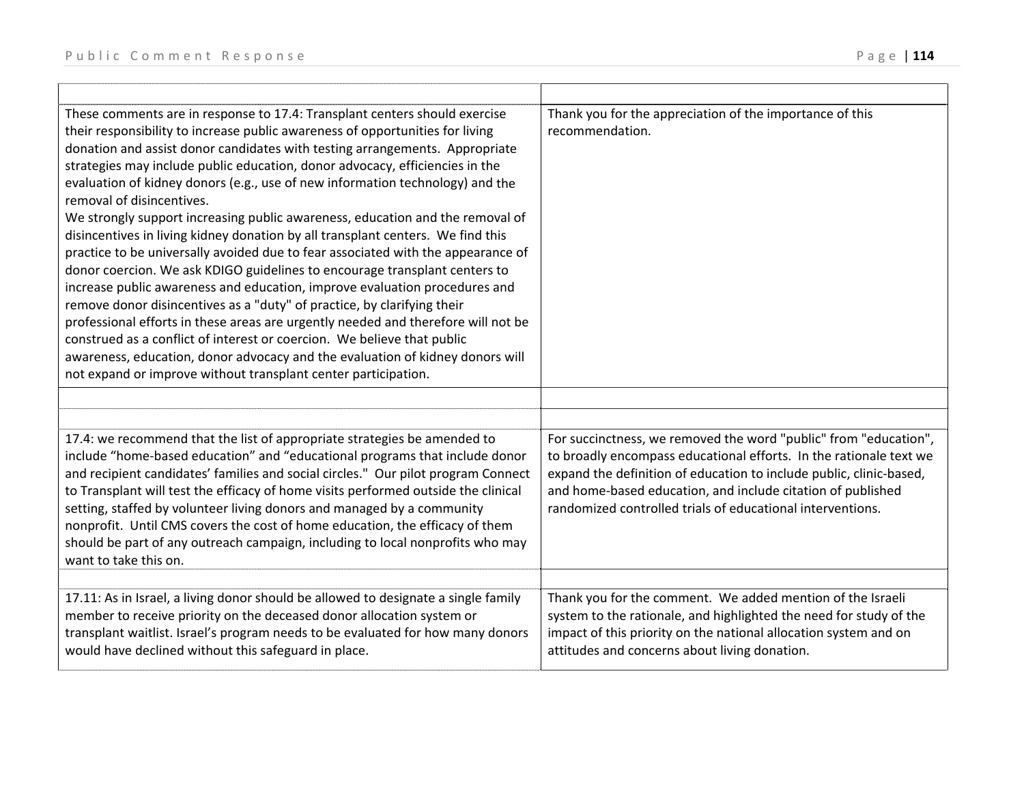| These comments are in response to 17.4: Transplant centers should exercise<br>their responsibility to increase public awareness of opportunities for living<br>donation and assist donor candidates with testing arrangements. Appropriate<br>strategies may include public education, donor advocacy, efficiencies in the<br>evaluation of kidney donors (e.g., use of new information technology) and the<br>removal of disincentives.<br>We strongly support increasing public awareness, education and the removal of<br>disincentives in living kidney donation by all transplant centers. We find this<br>practice to be universally avoided due to fear associated with the appearance of<br>donor coercion. We ask KDIGO guidelines to encourage transplant centers to<br>increase public awareness and education, improve evaluation procedures and<br>remove donor disincentives as a "duty" of practice, by clarifying their<br>professional efforts in these areas are urgently needed and therefore will not be<br>construed as a conflict of interest or coercion. We believe that public<br>awareness, education, donor advocacy and the evaluation of kidney donors will<br>not expand or improve without transplant center participation. | Thank you for the appreciation of the importance of this<br>recommendation.                                                                                                                                                                                                                                                                |
|------------------------------------------------------------------------------------------------------------------------------------------------------------------------------------------------------------------------------------------------------------------------------------------------------------------------------------------------------------------------------------------------------------------------------------------------------------------------------------------------------------------------------------------------------------------------------------------------------------------------------------------------------------------------------------------------------------------------------------------------------------------------------------------------------------------------------------------------------------------------------------------------------------------------------------------------------------------------------------------------------------------------------------------------------------------------------------------------------------------------------------------------------------------------------------------------------------------------------------------------------------|--------------------------------------------------------------------------------------------------------------------------------------------------------------------------------------------------------------------------------------------------------------------------------------------------------------------------------------------|
|                                                                                                                                                                                                                                                                                                                                                                                                                                                                                                                                                                                                                                                                                                                                                                                                                                                                                                                                                                                                                                                                                                                                                                                                                                                            |                                                                                                                                                                                                                                                                                                                                            |
| 17.4: we recommend that the list of appropriate strategies be amended to<br>include "home-based education" and "educational programs that include donor<br>and recipient candidates' families and social circles." Our pilot program Connect<br>to Transplant will test the efficacy of home visits performed outside the clinical<br>setting, staffed by volunteer living donors and managed by a community<br>nonprofit. Until CMS covers the cost of home education, the efficacy of them<br>should be part of any outreach campaign, including to local nonprofits who may<br>want to take this on.                                                                                                                                                                                                                                                                                                                                                                                                                                                                                                                                                                                                                                                    | For succinctness, we removed the word "public" from "education",<br>to broadly encompass educational efforts. In the rationale text we<br>expand the definition of education to include public, clinic-based,<br>and home-based education, and include citation of published<br>randomized controlled trials of educational interventions. |
| 17.11: As in Israel, a living donor should be allowed to designate a single family<br>member to receive priority on the deceased donor allocation system or<br>transplant waitlist. Israel's program needs to be evaluated for how many donors<br>would have declined without this safeguard in place.                                                                                                                                                                                                                                                                                                                                                                                                                                                                                                                                                                                                                                                                                                                                                                                                                                                                                                                                                     | Thank you for the comment. We added mention of the Israeli<br>system to the rationale, and highlighted the need for study of the<br>impact of this priority on the national allocation system and on<br>attitudes and concerns about living donation.                                                                                      |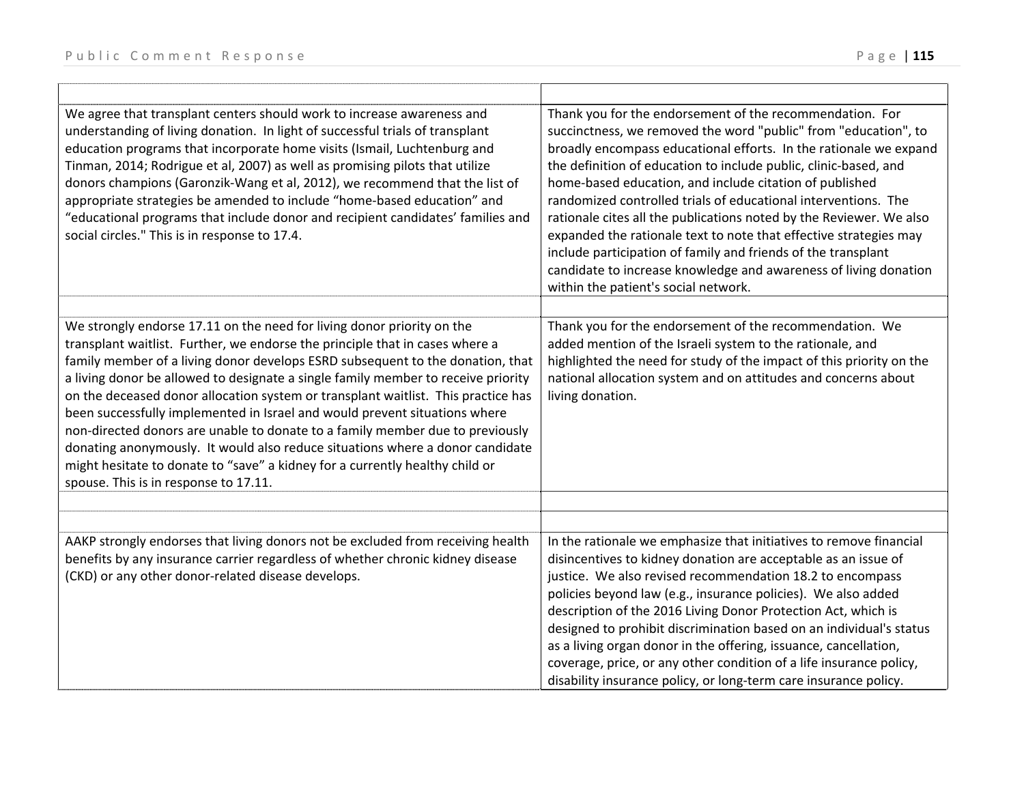| We agree that transplant centers should work to increase awareness and<br>understanding of living donation. In light of successful trials of transplant<br>education programs that incorporate home visits (Ismail, Luchtenburg and<br>Tinman, 2014; Rodrigue et al, 2007) as well as promising pilots that utilize<br>donors champions (Garonzik-Wang et al, 2012), we recommend that the list of<br>appropriate strategies be amended to include "home-based education" and<br>"educational programs that include donor and recipient candidates' families and<br>social circles." This is in response to 17.4.                                                                                                 | Thank you for the endorsement of the recommendation. For<br>succinctness, we removed the word "public" from "education", to<br>broadly encompass educational efforts. In the rationale we expand<br>the definition of education to include public, clinic-based, and<br>home-based education, and include citation of published<br>randomized controlled trials of educational interventions. The<br>rationale cites all the publications noted by the Reviewer. We also<br>expanded the rationale text to note that effective strategies may<br>include participation of family and friends of the transplant<br>candidate to increase knowledge and awareness of living donation<br>within the patient's social network. |
|-------------------------------------------------------------------------------------------------------------------------------------------------------------------------------------------------------------------------------------------------------------------------------------------------------------------------------------------------------------------------------------------------------------------------------------------------------------------------------------------------------------------------------------------------------------------------------------------------------------------------------------------------------------------------------------------------------------------|----------------------------------------------------------------------------------------------------------------------------------------------------------------------------------------------------------------------------------------------------------------------------------------------------------------------------------------------------------------------------------------------------------------------------------------------------------------------------------------------------------------------------------------------------------------------------------------------------------------------------------------------------------------------------------------------------------------------------|
| We strongly endorse 17.11 on the need for living donor priority on the                                                                                                                                                                                                                                                                                                                                                                                                                                                                                                                                                                                                                                            | Thank you for the endorsement of the recommendation. We                                                                                                                                                                                                                                                                                                                                                                                                                                                                                                                                                                                                                                                                    |
| transplant waitlist. Further, we endorse the principle that in cases where a<br>family member of a living donor develops ESRD subsequent to the donation, that<br>a living donor be allowed to designate a single family member to receive priority<br>on the deceased donor allocation system or transplant waitlist. This practice has<br>been successfully implemented in Israel and would prevent situations where<br>non-directed donors are unable to donate to a family member due to previously<br>donating anonymously. It would also reduce situations where a donor candidate<br>might hesitate to donate to "save" a kidney for a currently healthy child or<br>spouse. This is in response to 17.11. | added mention of the Israeli system to the rationale, and<br>highlighted the need for study of the impact of this priority on the<br>national allocation system and on attitudes and concerns about<br>living donation.                                                                                                                                                                                                                                                                                                                                                                                                                                                                                                    |
|                                                                                                                                                                                                                                                                                                                                                                                                                                                                                                                                                                                                                                                                                                                   |                                                                                                                                                                                                                                                                                                                                                                                                                                                                                                                                                                                                                                                                                                                            |
| AAKP strongly endorses that living donors not be excluded from receiving health<br>benefits by any insurance carrier regardless of whether chronic kidney disease<br>(CKD) or any other donor-related disease develops.                                                                                                                                                                                                                                                                                                                                                                                                                                                                                           | In the rationale we emphasize that initiatives to remove financial<br>disincentives to kidney donation are acceptable as an issue of<br>justice. We also revised recommendation 18.2 to encompass<br>policies beyond law (e.g., insurance policies). We also added<br>description of the 2016 Living Donor Protection Act, which is<br>designed to prohibit discrimination based on an individual's status<br>as a living organ donor in the offering, issuance, cancellation,<br>coverage, price, or any other condition of a life insurance policy,<br>disability insurance policy, or long-term care insurance policy.                                                                                                  |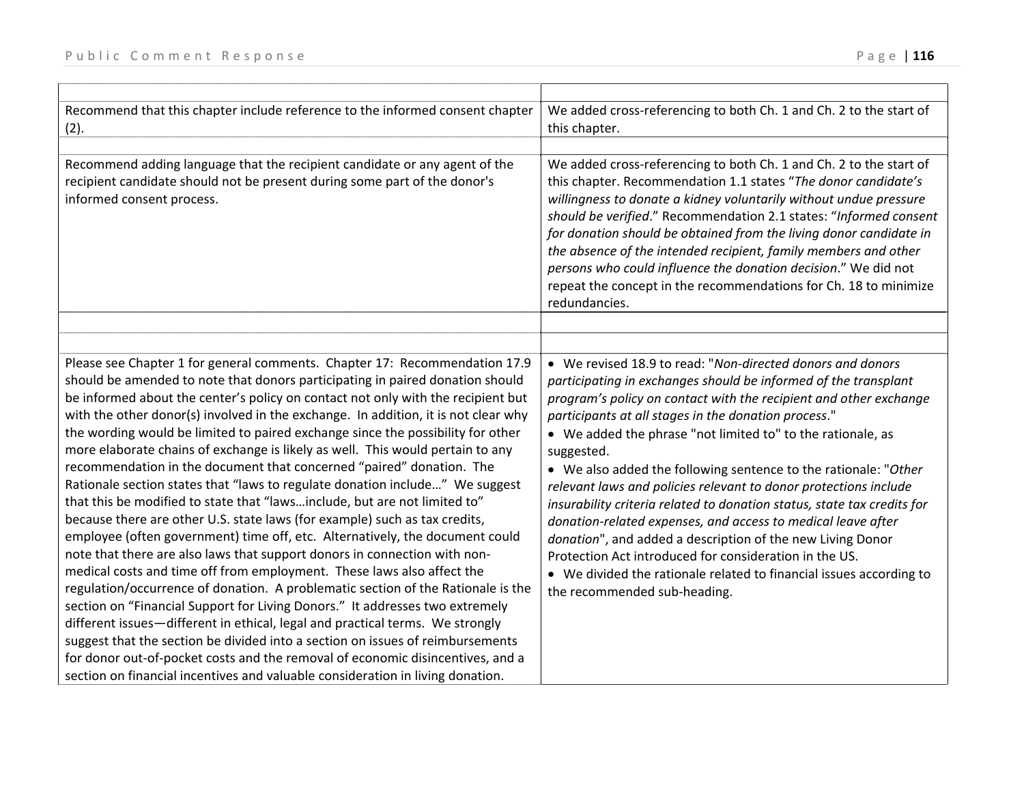| Recommend that this chapter include reference to the informed consent chapter<br>(2).                                                                                                                                                                                                                                                                                                                                                                                                                                                                                                                                                                                                                                                                                                                                                                                                                                                                                                                                                                                                                                                                                                                                                                                                                                                                                                                                                                                                                                                                                           | We added cross-referencing to both Ch. 1 and Ch. 2 to the start of<br>this chapter.                                                                                                                                                                                                                                                                                                                                                                                                                                                                                                                                                                                                                                                                                                                                                                    |
|---------------------------------------------------------------------------------------------------------------------------------------------------------------------------------------------------------------------------------------------------------------------------------------------------------------------------------------------------------------------------------------------------------------------------------------------------------------------------------------------------------------------------------------------------------------------------------------------------------------------------------------------------------------------------------------------------------------------------------------------------------------------------------------------------------------------------------------------------------------------------------------------------------------------------------------------------------------------------------------------------------------------------------------------------------------------------------------------------------------------------------------------------------------------------------------------------------------------------------------------------------------------------------------------------------------------------------------------------------------------------------------------------------------------------------------------------------------------------------------------------------------------------------------------------------------------------------|--------------------------------------------------------------------------------------------------------------------------------------------------------------------------------------------------------------------------------------------------------------------------------------------------------------------------------------------------------------------------------------------------------------------------------------------------------------------------------------------------------------------------------------------------------------------------------------------------------------------------------------------------------------------------------------------------------------------------------------------------------------------------------------------------------------------------------------------------------|
|                                                                                                                                                                                                                                                                                                                                                                                                                                                                                                                                                                                                                                                                                                                                                                                                                                                                                                                                                                                                                                                                                                                                                                                                                                                                                                                                                                                                                                                                                                                                                                                 |                                                                                                                                                                                                                                                                                                                                                                                                                                                                                                                                                                                                                                                                                                                                                                                                                                                        |
| Recommend adding language that the recipient candidate or any agent of the<br>recipient candidate should not be present during some part of the donor's<br>informed consent process.                                                                                                                                                                                                                                                                                                                                                                                                                                                                                                                                                                                                                                                                                                                                                                                                                                                                                                                                                                                                                                                                                                                                                                                                                                                                                                                                                                                            | We added cross-referencing to both Ch. 1 and Ch. 2 to the start of<br>this chapter. Recommendation 1.1 states "The donor candidate's<br>willingness to donate a kidney voluntarily without undue pressure<br>should be verified." Recommendation 2.1 states: "Informed consent<br>for donation should be obtained from the living donor candidate in<br>the absence of the intended recipient, family members and other<br>persons who could influence the donation decision." We did not<br>repeat the concept in the recommendations for Ch. 18 to minimize<br>redundancies.                                                                                                                                                                                                                                                                         |
|                                                                                                                                                                                                                                                                                                                                                                                                                                                                                                                                                                                                                                                                                                                                                                                                                                                                                                                                                                                                                                                                                                                                                                                                                                                                                                                                                                                                                                                                                                                                                                                 |                                                                                                                                                                                                                                                                                                                                                                                                                                                                                                                                                                                                                                                                                                                                                                                                                                                        |
|                                                                                                                                                                                                                                                                                                                                                                                                                                                                                                                                                                                                                                                                                                                                                                                                                                                                                                                                                                                                                                                                                                                                                                                                                                                                                                                                                                                                                                                                                                                                                                                 |                                                                                                                                                                                                                                                                                                                                                                                                                                                                                                                                                                                                                                                                                                                                                                                                                                                        |
| Please see Chapter 1 for general comments. Chapter 17: Recommendation 17.9<br>should be amended to note that donors participating in paired donation should<br>be informed about the center's policy on contact not only with the recipient but<br>with the other donor(s) involved in the exchange. In addition, it is not clear why<br>the wording would be limited to paired exchange since the possibility for other<br>more elaborate chains of exchange is likely as well. This would pertain to any<br>recommendation in the document that concerned "paired" donation. The<br>Rationale section states that "laws to regulate donation include" We suggest<br>that this be modified to state that "lawsinclude, but are not limited to"<br>because there are other U.S. state laws (for example) such as tax credits,<br>employee (often government) time off, etc. Alternatively, the document could<br>note that there are also laws that support donors in connection with non-<br>medical costs and time off from employment. These laws also affect the<br>regulation/occurrence of donation. A problematic section of the Rationale is the<br>section on "Financial Support for Living Donors." It addresses two extremely<br>different issues-different in ethical, legal and practical terms. We strongly<br>suggest that the section be divided into a section on issues of reimbursements<br>for donor out-of-pocket costs and the removal of economic disincentives, and a<br>section on financial incentives and valuable consideration in living donation. | • We revised 18.9 to read: "Non-directed donors and donors<br>participating in exchanges should be informed of the transplant<br>program's policy on contact with the recipient and other exchange<br>participants at all stages in the donation process."<br>• We added the phrase "not limited to" to the rationale, as<br>suggested.<br>• We also added the following sentence to the rationale: "Other<br>relevant laws and policies relevant to donor protections include<br>insurability criteria related to donation status, state tax credits for<br>donation-related expenses, and access to medical leave after<br>donation", and added a description of the new Living Donor<br>Protection Act introduced for consideration in the US.<br>We divided the rationale related to financial issues according to<br>the recommended sub-heading. |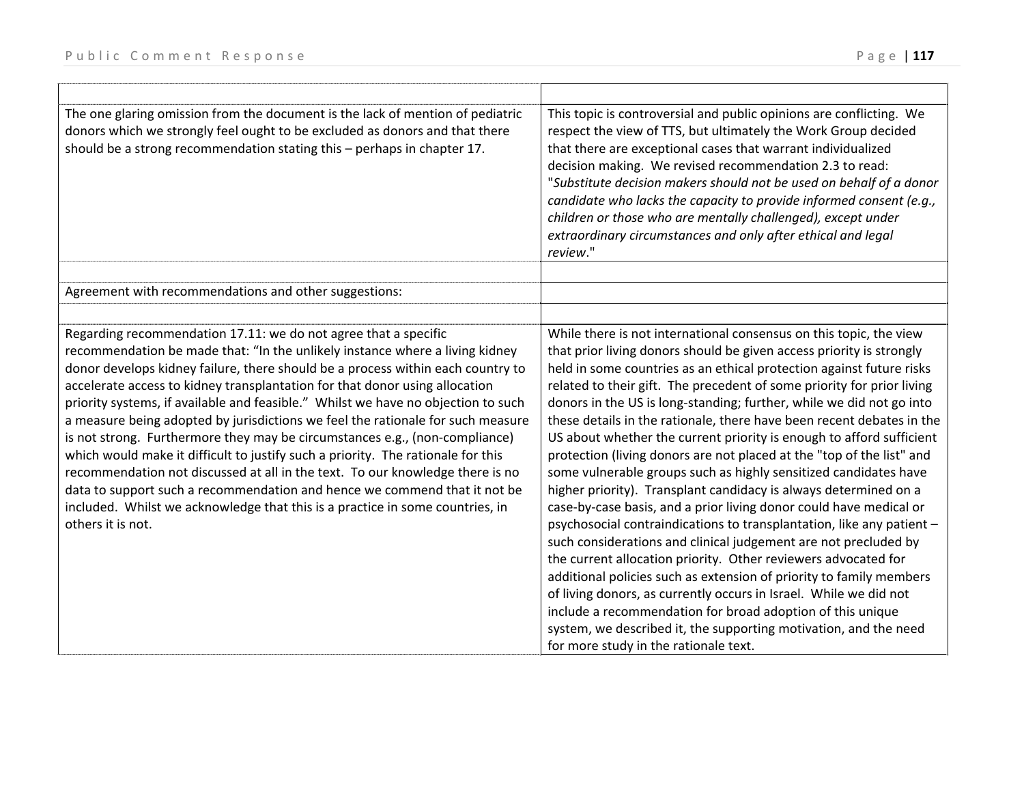| The one glaring omission from the document is the lack of mention of pediatric<br>donors which we strongly feel ought to be excluded as donors and that there<br>should be a strong recommendation stating this - perhaps in chapter 17.                                                                                                                                                                                                                                                                                                                                                                                                                                                                                                                                                                                                                                                                                         | This topic is controversial and public opinions are conflicting. We<br>respect the view of TTS, but ultimately the Work Group decided<br>that there are exceptional cases that warrant individualized<br>decision making. We revised recommendation 2.3 to read:<br>"Substitute decision makers should not be used on behalf of a donor<br>candidate who lacks the capacity to provide informed consent (e.g.,<br>children or those who are mentally challenged), except under<br>extraordinary circumstances and only after ethical and legal<br>review."                                                                                                                                                                                                                                                                                                                                                                                                                                                                                                                                                                                                                                                                                                                                                                                        |
|----------------------------------------------------------------------------------------------------------------------------------------------------------------------------------------------------------------------------------------------------------------------------------------------------------------------------------------------------------------------------------------------------------------------------------------------------------------------------------------------------------------------------------------------------------------------------------------------------------------------------------------------------------------------------------------------------------------------------------------------------------------------------------------------------------------------------------------------------------------------------------------------------------------------------------|---------------------------------------------------------------------------------------------------------------------------------------------------------------------------------------------------------------------------------------------------------------------------------------------------------------------------------------------------------------------------------------------------------------------------------------------------------------------------------------------------------------------------------------------------------------------------------------------------------------------------------------------------------------------------------------------------------------------------------------------------------------------------------------------------------------------------------------------------------------------------------------------------------------------------------------------------------------------------------------------------------------------------------------------------------------------------------------------------------------------------------------------------------------------------------------------------------------------------------------------------------------------------------------------------------------------------------------------------|
|                                                                                                                                                                                                                                                                                                                                                                                                                                                                                                                                                                                                                                                                                                                                                                                                                                                                                                                                  |                                                                                                                                                                                                                                                                                                                                                                                                                                                                                                                                                                                                                                                                                                                                                                                                                                                                                                                                                                                                                                                                                                                                                                                                                                                                                                                                                   |
| Agreement with recommendations and other suggestions:                                                                                                                                                                                                                                                                                                                                                                                                                                                                                                                                                                                                                                                                                                                                                                                                                                                                            |                                                                                                                                                                                                                                                                                                                                                                                                                                                                                                                                                                                                                                                                                                                                                                                                                                                                                                                                                                                                                                                                                                                                                                                                                                                                                                                                                   |
|                                                                                                                                                                                                                                                                                                                                                                                                                                                                                                                                                                                                                                                                                                                                                                                                                                                                                                                                  |                                                                                                                                                                                                                                                                                                                                                                                                                                                                                                                                                                                                                                                                                                                                                                                                                                                                                                                                                                                                                                                                                                                                                                                                                                                                                                                                                   |
| Regarding recommendation 17.11: we do not agree that a specific<br>recommendation be made that: "In the unlikely instance where a living kidney<br>donor develops kidney failure, there should be a process within each country to<br>accelerate access to kidney transplantation for that donor using allocation<br>priority systems, if available and feasible." Whilst we have no objection to such<br>a measure being adopted by jurisdictions we feel the rationale for such measure<br>is not strong. Furthermore they may be circumstances e.g., (non-compliance)<br>which would make it difficult to justify such a priority. The rationale for this<br>recommendation not discussed at all in the text. To our knowledge there is no<br>data to support such a recommendation and hence we commend that it not be<br>included. Whilst we acknowledge that this is a practice in some countries, in<br>others it is not. | While there is not international consensus on this topic, the view<br>that prior living donors should be given access priority is strongly<br>held in some countries as an ethical protection against future risks<br>related to their gift. The precedent of some priority for prior living<br>donors in the US is long-standing; further, while we did not go into<br>these details in the rationale, there have been recent debates in the<br>US about whether the current priority is enough to afford sufficient<br>protection (living donors are not placed at the "top of the list" and<br>some vulnerable groups such as highly sensitized candidates have<br>higher priority). Transplant candidacy is always determined on a<br>case-by-case basis, and a prior living donor could have medical or<br>psychosocial contraindications to transplantation, like any patient -<br>such considerations and clinical judgement are not precluded by<br>the current allocation priority. Other reviewers advocated for<br>additional policies such as extension of priority to family members<br>of living donors, as currently occurs in Israel. While we did not<br>include a recommendation for broad adoption of this unique<br>system, we described it, the supporting motivation, and the need<br>for more study in the rationale text. |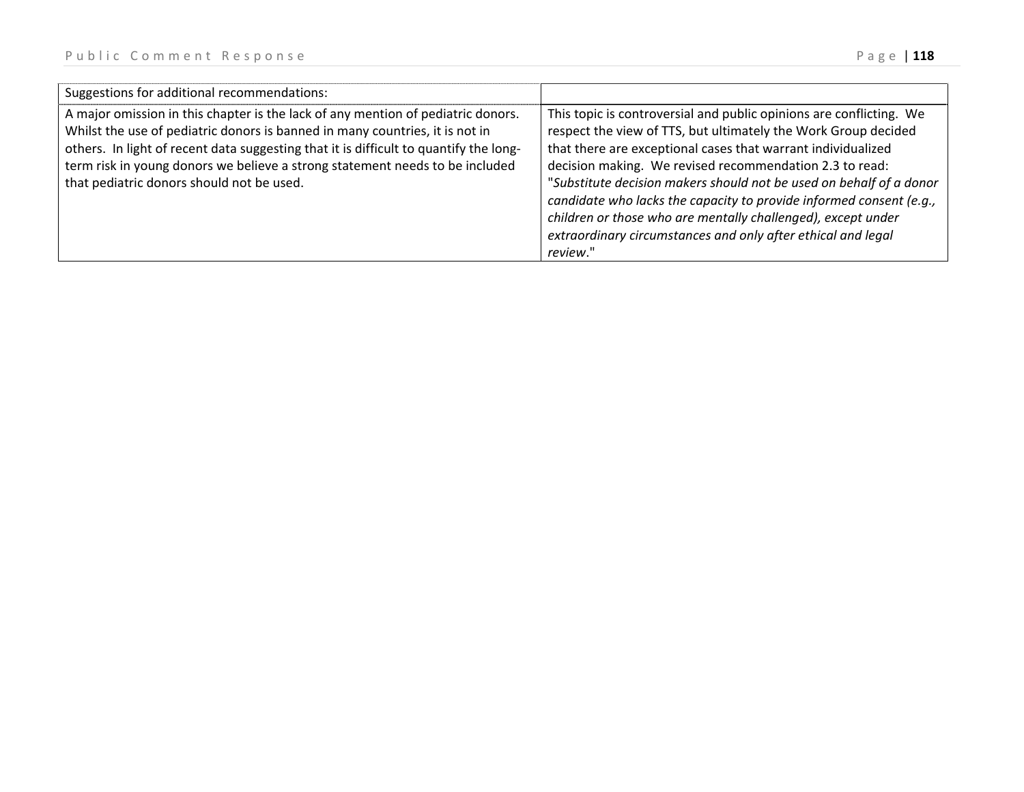| Suggestions for additional recommendations:                                                                                                                                                                                                                                                                                                                                            |                                                                                                                                                                                                                                                                                                                                                                                                                                                                                                                                                            |
|----------------------------------------------------------------------------------------------------------------------------------------------------------------------------------------------------------------------------------------------------------------------------------------------------------------------------------------------------------------------------------------|------------------------------------------------------------------------------------------------------------------------------------------------------------------------------------------------------------------------------------------------------------------------------------------------------------------------------------------------------------------------------------------------------------------------------------------------------------------------------------------------------------------------------------------------------------|
| A major omission in this chapter is the lack of any mention of pediatric donors.<br>Whilst the use of pediatric donors is banned in many countries, it is not in<br>others. In light of recent data suggesting that it is difficult to quantify the long-<br>term risk in young donors we believe a strong statement needs to be included<br>that pediatric donors should not be used. | This topic is controversial and public opinions are conflicting. We<br>respect the view of TTS, but ultimately the Work Group decided<br>that there are exceptional cases that warrant individualized<br>decision making. We revised recommendation 2.3 to read:<br>"Substitute decision makers should not be used on behalf of a donor<br>candidate who lacks the capacity to provide informed consent (e.g.,<br>children or those who are mentally challenged), except under<br>extraordinary circumstances and only after ethical and legal<br>review." |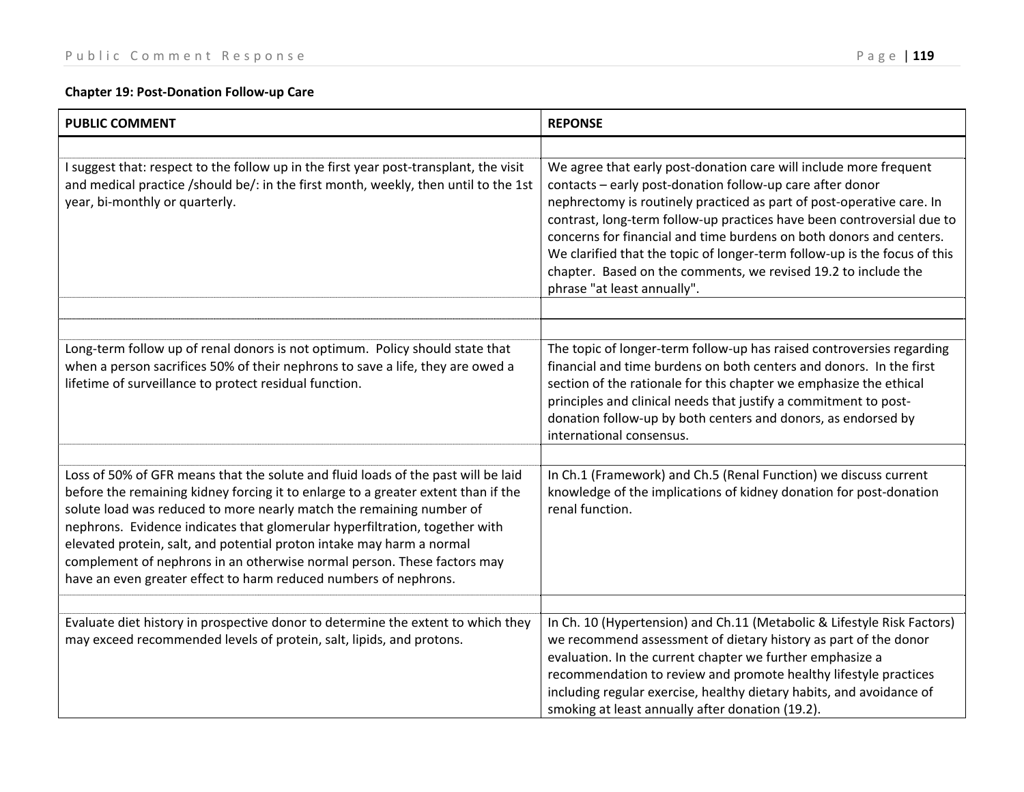## **Chapter 19: Post‐Donation Follow‐up Care**

| <b>PUBLIC COMMENT</b>                                                                                                                                                                                                                                                                                                                                                                                                                                                                                                                                 | <b>REPONSE</b>                                                                                                                                                                                                                                                                                                                                                                                                                                                                                                                         |
|-------------------------------------------------------------------------------------------------------------------------------------------------------------------------------------------------------------------------------------------------------------------------------------------------------------------------------------------------------------------------------------------------------------------------------------------------------------------------------------------------------------------------------------------------------|----------------------------------------------------------------------------------------------------------------------------------------------------------------------------------------------------------------------------------------------------------------------------------------------------------------------------------------------------------------------------------------------------------------------------------------------------------------------------------------------------------------------------------------|
|                                                                                                                                                                                                                                                                                                                                                                                                                                                                                                                                                       |                                                                                                                                                                                                                                                                                                                                                                                                                                                                                                                                        |
| I suggest that: respect to the follow up in the first year post-transplant, the visit<br>and medical practice /should be/: in the first month, weekly, then until to the 1st<br>year, bi-monthly or quarterly.                                                                                                                                                                                                                                                                                                                                        | We agree that early post-donation care will include more frequent<br>contacts - early post-donation follow-up care after donor<br>nephrectomy is routinely practiced as part of post-operative care. In<br>contrast, long-term follow-up practices have been controversial due to<br>concerns for financial and time burdens on both donors and centers.<br>We clarified that the topic of longer-term follow-up is the focus of this<br>chapter. Based on the comments, we revised 19.2 to include the<br>phrase "at least annually". |
|                                                                                                                                                                                                                                                                                                                                                                                                                                                                                                                                                       |                                                                                                                                                                                                                                                                                                                                                                                                                                                                                                                                        |
| Long-term follow up of renal donors is not optimum. Policy should state that<br>when a person sacrifices 50% of their nephrons to save a life, they are owed a<br>lifetime of surveillance to protect residual function.                                                                                                                                                                                                                                                                                                                              | The topic of longer-term follow-up has raised controversies regarding<br>financial and time burdens on both centers and donors. In the first<br>section of the rationale for this chapter we emphasize the ethical<br>principles and clinical needs that justify a commitment to post-<br>donation follow-up by both centers and donors, as endorsed by<br>international consensus.                                                                                                                                                    |
|                                                                                                                                                                                                                                                                                                                                                                                                                                                                                                                                                       |                                                                                                                                                                                                                                                                                                                                                                                                                                                                                                                                        |
| Loss of 50% of GFR means that the solute and fluid loads of the past will be laid<br>before the remaining kidney forcing it to enlarge to a greater extent than if the<br>solute load was reduced to more nearly match the remaining number of<br>nephrons. Evidence indicates that glomerular hyperfiltration, together with<br>elevated protein, salt, and potential proton intake may harm a normal<br>complement of nephrons in an otherwise normal person. These factors may<br>have an even greater effect to harm reduced numbers of nephrons. | In Ch.1 (Framework) and Ch.5 (Renal Function) we discuss current<br>knowledge of the implications of kidney donation for post-donation<br>renal function.                                                                                                                                                                                                                                                                                                                                                                              |
|                                                                                                                                                                                                                                                                                                                                                                                                                                                                                                                                                       |                                                                                                                                                                                                                                                                                                                                                                                                                                                                                                                                        |
| Evaluate diet history in prospective donor to determine the extent to which they<br>may exceed recommended levels of protein, salt, lipids, and protons.                                                                                                                                                                                                                                                                                                                                                                                              | In Ch. 10 (Hypertension) and Ch.11 (Metabolic & Lifestyle Risk Factors)<br>we recommend assessment of dietary history as part of the donor<br>evaluation. In the current chapter we further emphasize a<br>recommendation to review and promote healthy lifestyle practices<br>including regular exercise, healthy dietary habits, and avoidance of<br>smoking at least annually after donation (19.2).                                                                                                                                |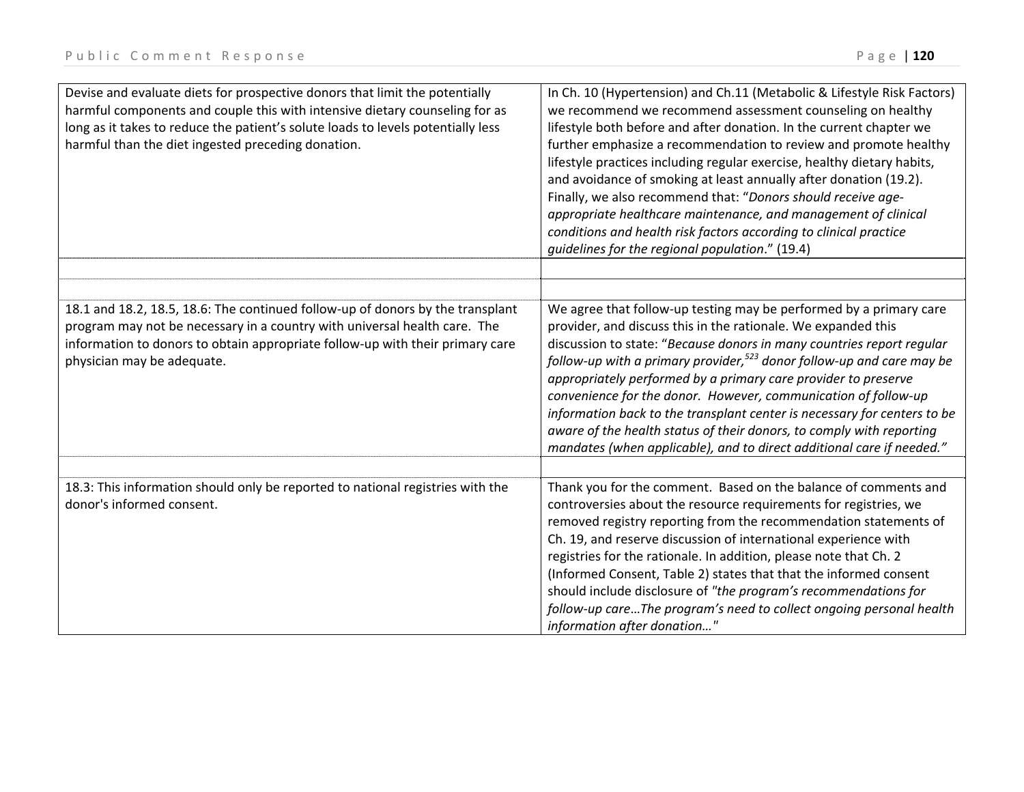| Devise and evaluate diets for prospective donors that limit the potentially<br>harmful components and couple this with intensive dietary counseling for as<br>long as it takes to reduce the patient's solute loads to levels potentially less<br>harmful than the diet ingested preceding donation. | In Ch. 10 (Hypertension) and Ch.11 (Metabolic & Lifestyle Risk Factors)<br>we recommend we recommend assessment counseling on healthy<br>lifestyle both before and after donation. In the current chapter we<br>further emphasize a recommendation to review and promote healthy<br>lifestyle practices including regular exercise, healthy dietary habits,<br>and avoidance of smoking at least annually after donation (19.2).<br>Finally, we also recommend that: "Donors should receive age-<br>appropriate healthcare maintenance, and management of clinical<br>conditions and health risk factors according to clinical practice<br>guidelines for the regional population." (19.4) |
|------------------------------------------------------------------------------------------------------------------------------------------------------------------------------------------------------------------------------------------------------------------------------------------------------|--------------------------------------------------------------------------------------------------------------------------------------------------------------------------------------------------------------------------------------------------------------------------------------------------------------------------------------------------------------------------------------------------------------------------------------------------------------------------------------------------------------------------------------------------------------------------------------------------------------------------------------------------------------------------------------------|
|                                                                                                                                                                                                                                                                                                      |                                                                                                                                                                                                                                                                                                                                                                                                                                                                                                                                                                                                                                                                                            |
|                                                                                                                                                                                                                                                                                                      |                                                                                                                                                                                                                                                                                                                                                                                                                                                                                                                                                                                                                                                                                            |
| 18.1 and 18.2, 18.5, 18.6: The continued follow-up of donors by the transplant<br>program may not be necessary in a country with universal health care. The<br>information to donors to obtain appropriate follow-up with their primary care<br>physician may be adequate.                           | We agree that follow-up testing may be performed by a primary care<br>provider, and discuss this in the rationale. We expanded this<br>discussion to state: "Because donors in many countries report regular<br>follow-up with a primary provider, <sup>523</sup> donor follow-up and care may be<br>appropriately performed by a primary care provider to preserve<br>convenience for the donor. However, communication of follow-up<br>information back to the transplant center is necessary for centers to be<br>aware of the health status of their donors, to comply with reporting<br>mandates (when applicable), and to direct additional care if needed."                         |
| 18.3: This information should only be reported to national registries with the<br>donor's informed consent.                                                                                                                                                                                          | Thank you for the comment. Based on the balance of comments and<br>controversies about the resource requirements for registries, we<br>removed registry reporting from the recommendation statements of<br>Ch. 19, and reserve discussion of international experience with<br>registries for the rationale. In addition, please note that Ch. 2<br>(Informed Consent, Table 2) states that that the informed consent<br>should include disclosure of "the program's recommendations for<br>follow-up careThe program's need to collect ongoing personal health<br>information after donation"                                                                                              |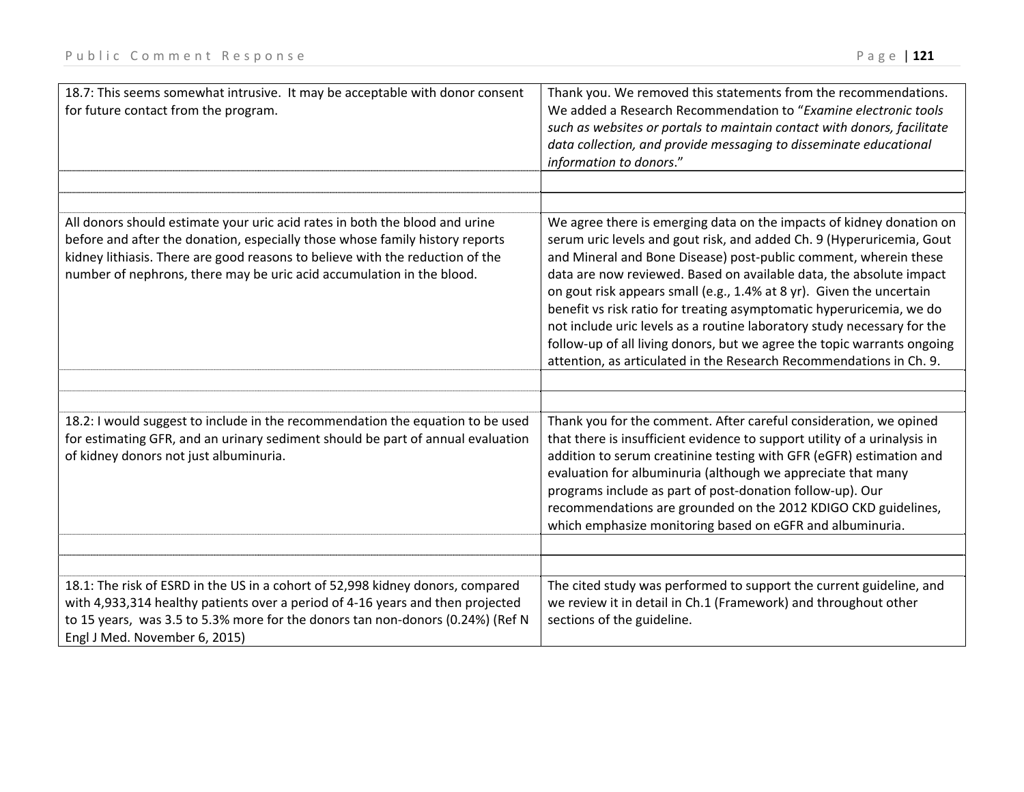| 18.7: This seems somewhat intrusive. It may be acceptable with donor consent<br>for future contact from the program.                                                                                                                                                                                                  | Thank you. We removed this statements from the recommendations.<br>We added a Research Recommendation to "Examine electronic tools<br>such as websites or portals to maintain contact with donors, facilitate<br>data collection, and provide messaging to disseminate educational<br>information to donors."                                                                                                                                                                                                                                                                                                                                                         |
|-----------------------------------------------------------------------------------------------------------------------------------------------------------------------------------------------------------------------------------------------------------------------------------------------------------------------|-----------------------------------------------------------------------------------------------------------------------------------------------------------------------------------------------------------------------------------------------------------------------------------------------------------------------------------------------------------------------------------------------------------------------------------------------------------------------------------------------------------------------------------------------------------------------------------------------------------------------------------------------------------------------|
|                                                                                                                                                                                                                                                                                                                       |                                                                                                                                                                                                                                                                                                                                                                                                                                                                                                                                                                                                                                                                       |
| All donors should estimate your uric acid rates in both the blood and urine<br>before and after the donation, especially those whose family history reports<br>kidney lithiasis. There are good reasons to believe with the reduction of the<br>number of nephrons, there may be uric acid accumulation in the blood. | We agree there is emerging data on the impacts of kidney donation on<br>serum uric levels and gout risk, and added Ch. 9 (Hyperuricemia, Gout<br>and Mineral and Bone Disease) post-public comment, wherein these<br>data are now reviewed. Based on available data, the absolute impact<br>on gout risk appears small (e.g., 1.4% at 8 yr). Given the uncertain<br>benefit vs risk ratio for treating asymptomatic hyperuricemia, we do<br>not include uric levels as a routine laboratory study necessary for the<br>follow-up of all living donors, but we agree the topic warrants ongoing<br>attention, as articulated in the Research Recommendations in Ch. 9. |
| 18.2: I would suggest to include in the recommendation the equation to be used<br>for estimating GFR, and an urinary sediment should be part of annual evaluation<br>of kidney donors not just albuminuria.                                                                                                           | Thank you for the comment. After careful consideration, we opined<br>that there is insufficient evidence to support utility of a urinalysis in<br>addition to serum creatinine testing with GFR (eGFR) estimation and                                                                                                                                                                                                                                                                                                                                                                                                                                                 |
|                                                                                                                                                                                                                                                                                                                       | evaluation for albuminuria (although we appreciate that many<br>programs include as part of post-donation follow-up). Our<br>recommendations are grounded on the 2012 KDIGO CKD guidelines,<br>which emphasize monitoring based on eGFR and albuminuria.                                                                                                                                                                                                                                                                                                                                                                                                              |
|                                                                                                                                                                                                                                                                                                                       |                                                                                                                                                                                                                                                                                                                                                                                                                                                                                                                                                                                                                                                                       |
| 18.1: The risk of ESRD in the US in a cohort of 52,998 kidney donors, compared<br>with 4,933,314 healthy patients over a period of 4-16 years and then projected<br>to 15 years, was 3.5 to 5.3% more for the donors tan non-donors (0.24%) (Ref N<br>Engl J Med. November 6, 2015)                                   | The cited study was performed to support the current guideline, and<br>we review it in detail in Ch.1 (Framework) and throughout other<br>sections of the guideline.                                                                                                                                                                                                                                                                                                                                                                                                                                                                                                  |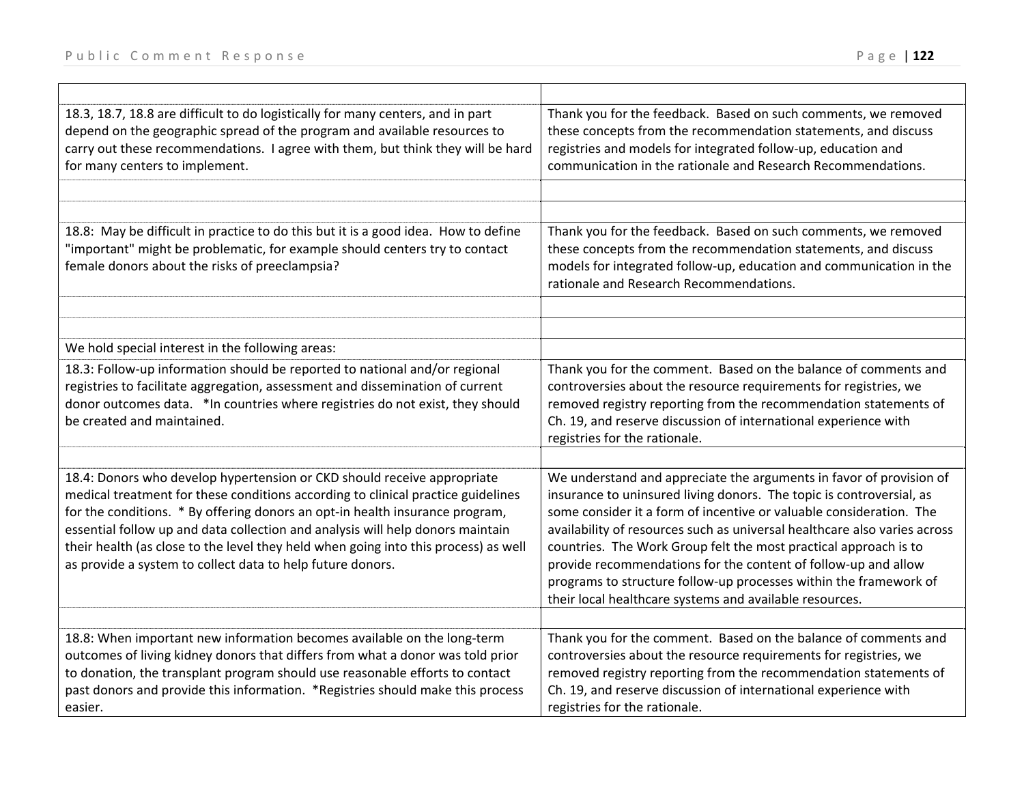| 18.3, 18.7, 18.8 are difficult to do logistically for many centers, and in part<br>depend on the geographic spread of the program and available resources to<br>carry out these recommendations. I agree with them, but think they will be hard<br>for many centers to implement.                                                                                                                                                                                                  | Thank you for the feedback. Based on such comments, we removed<br>these concepts from the recommendation statements, and discuss<br>registries and models for integrated follow-up, education and<br>communication in the rationale and Research Recommendations.                                                                                                                                                                                                                                                                                                     |
|------------------------------------------------------------------------------------------------------------------------------------------------------------------------------------------------------------------------------------------------------------------------------------------------------------------------------------------------------------------------------------------------------------------------------------------------------------------------------------|-----------------------------------------------------------------------------------------------------------------------------------------------------------------------------------------------------------------------------------------------------------------------------------------------------------------------------------------------------------------------------------------------------------------------------------------------------------------------------------------------------------------------------------------------------------------------|
|                                                                                                                                                                                                                                                                                                                                                                                                                                                                                    |                                                                                                                                                                                                                                                                                                                                                                                                                                                                                                                                                                       |
| 18.8: May be difficult in practice to do this but it is a good idea. How to define<br>"important" might be problematic, for example should centers try to contact<br>female donors about the risks of preeclampsia?                                                                                                                                                                                                                                                                | Thank you for the feedback. Based on such comments, we removed<br>these concepts from the recommendation statements, and discuss<br>models for integrated follow-up, education and communication in the<br>rationale and Research Recommendations.                                                                                                                                                                                                                                                                                                                    |
|                                                                                                                                                                                                                                                                                                                                                                                                                                                                                    |                                                                                                                                                                                                                                                                                                                                                                                                                                                                                                                                                                       |
| We hold special interest in the following areas:                                                                                                                                                                                                                                                                                                                                                                                                                                   |                                                                                                                                                                                                                                                                                                                                                                                                                                                                                                                                                                       |
| 18.3: Follow-up information should be reported to national and/or regional<br>registries to facilitate aggregation, assessment and dissemination of current<br>donor outcomes data. *In countries where registries do not exist, they should<br>be created and maintained.                                                                                                                                                                                                         | Thank you for the comment. Based on the balance of comments and<br>controversies about the resource requirements for registries, we<br>removed registry reporting from the recommendation statements of<br>Ch. 19, and reserve discussion of international experience with<br>registries for the rationale.                                                                                                                                                                                                                                                           |
|                                                                                                                                                                                                                                                                                                                                                                                                                                                                                    |                                                                                                                                                                                                                                                                                                                                                                                                                                                                                                                                                                       |
| 18.4: Donors who develop hypertension or CKD should receive appropriate<br>medical treatment for these conditions according to clinical practice guidelines<br>for the conditions. * By offering donors an opt-in health insurance program,<br>essential follow up and data collection and analysis will help donors maintain<br>their health (as close to the level they held when going into this process) as well<br>as provide a system to collect data to help future donors. | We understand and appreciate the arguments in favor of provision of<br>insurance to uninsured living donors. The topic is controversial, as<br>some consider it a form of incentive or valuable consideration. The<br>availability of resources such as universal healthcare also varies across<br>countries. The Work Group felt the most practical approach is to<br>provide recommendations for the content of follow-up and allow<br>programs to structure follow-up processes within the framework of<br>their local healthcare systems and available resources. |
| 18.8: When important new information becomes available on the long-term                                                                                                                                                                                                                                                                                                                                                                                                            | Thank you for the comment. Based on the balance of comments and                                                                                                                                                                                                                                                                                                                                                                                                                                                                                                       |
| outcomes of living kidney donors that differs from what a donor was told prior                                                                                                                                                                                                                                                                                                                                                                                                     | controversies about the resource requirements for registries, we                                                                                                                                                                                                                                                                                                                                                                                                                                                                                                      |
| to donation, the transplant program should use reasonable efforts to contact                                                                                                                                                                                                                                                                                                                                                                                                       | removed registry reporting from the recommendation statements of                                                                                                                                                                                                                                                                                                                                                                                                                                                                                                      |
| past donors and provide this information. *Registries should make this process<br>easier.                                                                                                                                                                                                                                                                                                                                                                                          | Ch. 19, and reserve discussion of international experience with<br>registries for the rationale.                                                                                                                                                                                                                                                                                                                                                                                                                                                                      |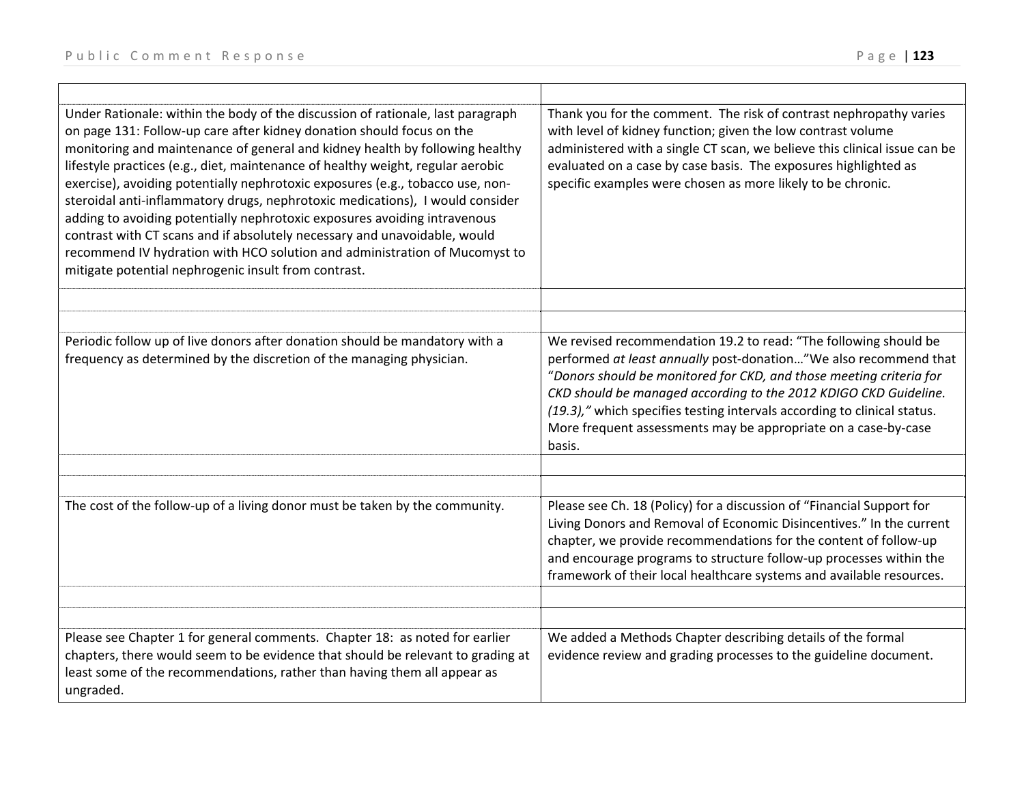| Under Rationale: within the body of the discussion of rationale, last paragraph<br>on page 131: Follow-up care after kidney donation should focus on the<br>monitoring and maintenance of general and kidney health by following healthy<br>lifestyle practices (e.g., diet, maintenance of healthy weight, regular aerobic<br>exercise), avoiding potentially nephrotoxic exposures (e.g., tobacco use, non-<br>steroidal anti-inflammatory drugs, nephrotoxic medications), I would consider<br>adding to avoiding potentially nephrotoxic exposures avoiding intravenous<br>contrast with CT scans and if absolutely necessary and unavoidable, would<br>recommend IV hydration with HCO solution and administration of Mucomyst to<br>mitigate potential nephrogenic insult from contrast. | Thank you for the comment. The risk of contrast nephropathy varies<br>with level of kidney function; given the low contrast volume<br>administered with a single CT scan, we believe this clinical issue can be<br>evaluated on a case by case basis. The exposures highlighted as<br>specific examples were chosen as more likely to be chronic.                                                                                       |
|------------------------------------------------------------------------------------------------------------------------------------------------------------------------------------------------------------------------------------------------------------------------------------------------------------------------------------------------------------------------------------------------------------------------------------------------------------------------------------------------------------------------------------------------------------------------------------------------------------------------------------------------------------------------------------------------------------------------------------------------------------------------------------------------|-----------------------------------------------------------------------------------------------------------------------------------------------------------------------------------------------------------------------------------------------------------------------------------------------------------------------------------------------------------------------------------------------------------------------------------------|
|                                                                                                                                                                                                                                                                                                                                                                                                                                                                                                                                                                                                                                                                                                                                                                                                |                                                                                                                                                                                                                                                                                                                                                                                                                                         |
|                                                                                                                                                                                                                                                                                                                                                                                                                                                                                                                                                                                                                                                                                                                                                                                                |                                                                                                                                                                                                                                                                                                                                                                                                                                         |
| Periodic follow up of live donors after donation should be mandatory with a<br>frequency as determined by the discretion of the managing physician.                                                                                                                                                                                                                                                                                                                                                                                                                                                                                                                                                                                                                                            | We revised recommendation 19.2 to read: "The following should be<br>performed at least annually post-donation"We also recommend that<br>"Donors should be monitored for CKD, and those meeting criteria for<br>CKD should be managed according to the 2012 KDIGO CKD Guideline.<br>(19.3)," which specifies testing intervals according to clinical status.<br>More frequent assessments may be appropriate on a case-by-case<br>basis. |
| The cost of the follow-up of a living donor must be taken by the community.                                                                                                                                                                                                                                                                                                                                                                                                                                                                                                                                                                                                                                                                                                                    | Please see Ch. 18 (Policy) for a discussion of "Financial Support for<br>Living Donors and Removal of Economic Disincentives." In the current<br>chapter, we provide recommendations for the content of follow-up<br>and encourage programs to structure follow-up processes within the<br>framework of their local healthcare systems and available resources.                                                                         |
|                                                                                                                                                                                                                                                                                                                                                                                                                                                                                                                                                                                                                                                                                                                                                                                                |                                                                                                                                                                                                                                                                                                                                                                                                                                         |
| Please see Chapter 1 for general comments. Chapter 18: as noted for earlier<br>chapters, there would seem to be evidence that should be relevant to grading at<br>least some of the recommendations, rather than having them all appear as<br>ungraded.                                                                                                                                                                                                                                                                                                                                                                                                                                                                                                                                        | We added a Methods Chapter describing details of the formal<br>evidence review and grading processes to the guideline document.                                                                                                                                                                                                                                                                                                         |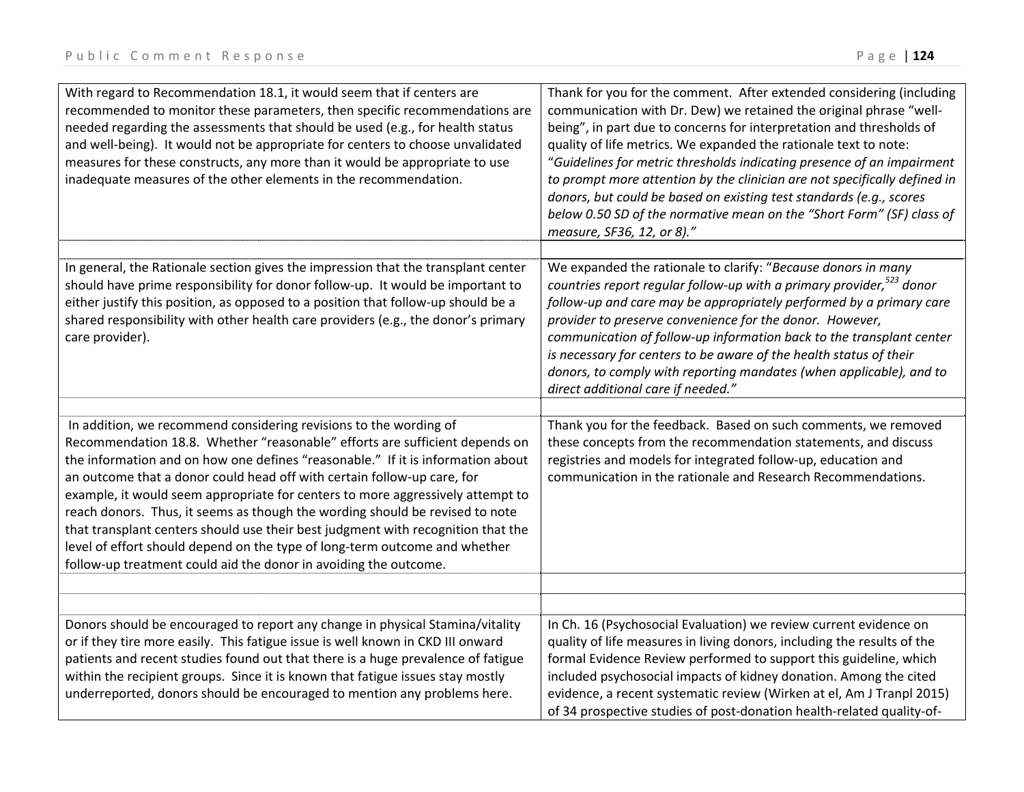| With regard to Recommendation 18.1, it would seem that if centers are<br>recommended to monitor these parameters, then specific recommendations are<br>needed regarding the assessments that should be used (e.g., for health status<br>and well-being). It would not be appropriate for centers to choose unvalidated<br>measures for these constructs, any more than it would be appropriate to use<br>inadequate measures of the other elements in the recommendation.                                                                                                                                                                         | Thank for you for the comment. After extended considering (including<br>communication with Dr. Dew) we retained the original phrase "well-<br>being", in part due to concerns for interpretation and thresholds of<br>quality of life metrics. We expanded the rationale text to note:<br>"Guidelines for metric thresholds indicating presence of an impairment<br>to prompt more attention by the clinician are not specifically defined in<br>donors, but could be based on existing test standards (e.g., scores<br>below 0.50 SD of the normative mean on the "Short Form" (SF) class of<br>measure, SF36, 12, or 8)." |
|---------------------------------------------------------------------------------------------------------------------------------------------------------------------------------------------------------------------------------------------------------------------------------------------------------------------------------------------------------------------------------------------------------------------------------------------------------------------------------------------------------------------------------------------------------------------------------------------------------------------------------------------------|-----------------------------------------------------------------------------------------------------------------------------------------------------------------------------------------------------------------------------------------------------------------------------------------------------------------------------------------------------------------------------------------------------------------------------------------------------------------------------------------------------------------------------------------------------------------------------------------------------------------------------|
| In general, the Rationale section gives the impression that the transplant center                                                                                                                                                                                                                                                                                                                                                                                                                                                                                                                                                                 | We expanded the rationale to clarify: "Because donors in many                                                                                                                                                                                                                                                                                                                                                                                                                                                                                                                                                               |
| should have prime responsibility for donor follow-up. It would be important to<br>either justify this position, as opposed to a position that follow-up should be a<br>shared responsibility with other health care providers (e.g., the donor's primary<br>care provider).                                                                                                                                                                                                                                                                                                                                                                       | countries report regular follow-up with a primary provider, <sup>523</sup> donor<br>follow-up and care may be appropriately performed by a primary care<br>provider to preserve convenience for the donor. However,<br>communication of follow-up information back to the transplant center<br>is necessary for centers to be aware of the health status of their<br>donors, to comply with reporting mandates (when applicable), and to<br>direct additional care if needed."                                                                                                                                              |
| In addition, we recommend considering revisions to the wording of                                                                                                                                                                                                                                                                                                                                                                                                                                                                                                                                                                                 | Thank you for the feedback. Based on such comments, we removed                                                                                                                                                                                                                                                                                                                                                                                                                                                                                                                                                              |
| Recommendation 18.8. Whether "reasonable" efforts are sufficient depends on<br>the information and on how one defines "reasonable." If it is information about<br>an outcome that a donor could head off with certain follow-up care, for<br>example, it would seem appropriate for centers to more aggressively attempt to<br>reach donors. Thus, it seems as though the wording should be revised to note<br>that transplant centers should use their best judgment with recognition that the<br>level of effort should depend on the type of long-term outcome and whether<br>follow-up treatment could aid the donor in avoiding the outcome. | these concepts from the recommendation statements, and discuss<br>registries and models for integrated follow-up, education and<br>communication in the rationale and Research Recommendations.                                                                                                                                                                                                                                                                                                                                                                                                                             |
|                                                                                                                                                                                                                                                                                                                                                                                                                                                                                                                                                                                                                                                   |                                                                                                                                                                                                                                                                                                                                                                                                                                                                                                                                                                                                                             |
| Donors should be encouraged to report any change in physical Stamina/vitality<br>or if they tire more easily. This fatigue issue is well known in CKD III onward<br>patients and recent studies found out that there is a huge prevalence of fatigue<br>within the recipient groups. Since it is known that fatigue issues stay mostly<br>underreported, donors should be encouraged to mention any problems here.                                                                                                                                                                                                                                | In Ch. 16 (Psychosocial Evaluation) we review current evidence on<br>quality of life measures in living donors, including the results of the<br>formal Evidence Review performed to support this guideline, which<br>included psychosocial impacts of kidney donation. Among the cited<br>evidence, a recent systematic review (Wirken at el, Am J Tranpl 2015)<br>of 34 prospective studies of post-donation health-related quality-of-                                                                                                                                                                                    |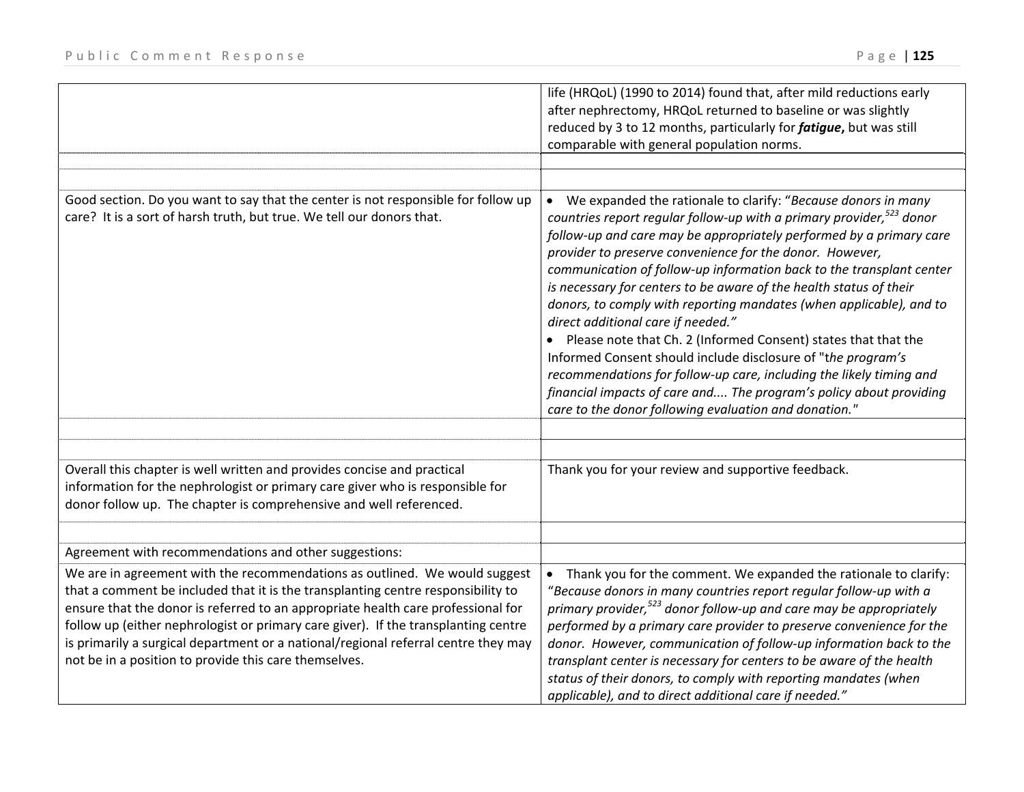|                                                                                                                                                                                                                                                                                                                                                                                                                                                                                         | life (HRQoL) (1990 to 2014) found that, after mild reductions early<br>after nephrectomy, HRQoL returned to baseline or was slightly<br>reduced by 3 to 12 months, particularly for <i>fatigue</i> , but was still<br>comparable with general population norms.                                                                                                                                                                                                                                                                                                                                                                                                                                                                                                                                                                                                                             |
|-----------------------------------------------------------------------------------------------------------------------------------------------------------------------------------------------------------------------------------------------------------------------------------------------------------------------------------------------------------------------------------------------------------------------------------------------------------------------------------------|---------------------------------------------------------------------------------------------------------------------------------------------------------------------------------------------------------------------------------------------------------------------------------------------------------------------------------------------------------------------------------------------------------------------------------------------------------------------------------------------------------------------------------------------------------------------------------------------------------------------------------------------------------------------------------------------------------------------------------------------------------------------------------------------------------------------------------------------------------------------------------------------|
| Good section. Do you want to say that the center is not responsible for follow up<br>care? It is a sort of harsh truth, but true. We tell our donors that.                                                                                                                                                                                                                                                                                                                              | We expanded the rationale to clarify: "Because donors in many<br>$\bullet$<br>countries report regular follow-up with a primary provider, $523$ donor<br>follow-up and care may be appropriately performed by a primary care<br>provider to preserve convenience for the donor. However,<br>communication of follow-up information back to the transplant center<br>is necessary for centers to be aware of the health status of their<br>donors, to comply with reporting mandates (when applicable), and to<br>direct additional care if needed."<br>Please note that Ch. 2 (Informed Consent) states that that the<br>Informed Consent should include disclosure of "the program's<br>recommendations for follow-up care, including the likely timing and<br>financial impacts of care and The program's policy about providing<br>care to the donor following evaluation and donation." |
|                                                                                                                                                                                                                                                                                                                                                                                                                                                                                         |                                                                                                                                                                                                                                                                                                                                                                                                                                                                                                                                                                                                                                                                                                                                                                                                                                                                                             |
| Overall this chapter is well written and provides concise and practical<br>information for the nephrologist or primary care giver who is responsible for<br>donor follow up. The chapter is comprehensive and well referenced.                                                                                                                                                                                                                                                          | Thank you for your review and supportive feedback.                                                                                                                                                                                                                                                                                                                                                                                                                                                                                                                                                                                                                                                                                                                                                                                                                                          |
| Agreement with recommendations and other suggestions:                                                                                                                                                                                                                                                                                                                                                                                                                                   |                                                                                                                                                                                                                                                                                                                                                                                                                                                                                                                                                                                                                                                                                                                                                                                                                                                                                             |
| We are in agreement with the recommendations as outlined. We would suggest<br>that a comment be included that it is the transplanting centre responsibility to<br>ensure that the donor is referred to an appropriate health care professional for<br>follow up (either nephrologist or primary care giver). If the transplanting centre<br>is primarily a surgical department or a national/regional referral centre they may<br>not be in a position to provide this care themselves. | Thank you for the comment. We expanded the rationale to clarify:<br>$\bullet$<br>"Because donors in many countries report regular follow-up with a<br>primary provider, <sup>523</sup> donor follow-up and care may be appropriately<br>performed by a primary care provider to preserve convenience for the<br>donor. However, communication of follow-up information back to the<br>transplant center is necessary for centers to be aware of the health<br>status of their donors, to comply with reporting mandates (when<br>applicable), and to direct additional care if needed."                                                                                                                                                                                                                                                                                                     |